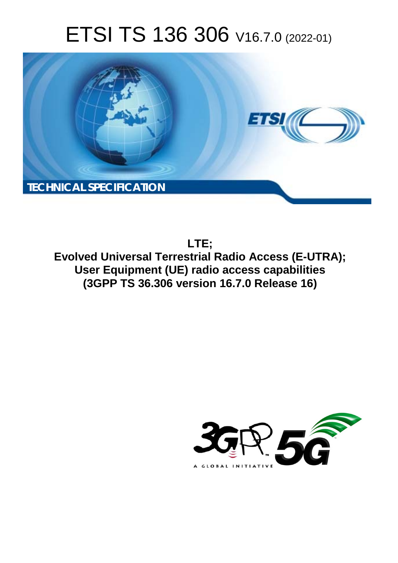# ETSI TS 136 306 V16.7.0 (2022-01)



**LTE; Evolved Universal Terrestrial Radio Access (E-UTRA); User Equipment (UE) radio access capabilities (3GPP TS 36.306 version 16.7.0 Release 16)** 

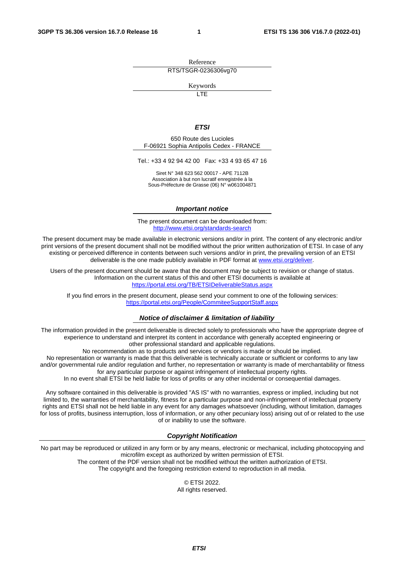Reference RTS/TSGR-0236306vg70

Keywords

**LTE** 

#### *ETSI*

650 Route des Lucioles F-06921 Sophia Antipolis Cedex - FRANCE

Tel.: +33 4 92 94 42 00 Fax: +33 4 93 65 47 16

Siret N° 348 623 562 00017 - APE 7112B Association à but non lucratif enregistrée à la Sous-Préfecture de Grasse (06) N° w061004871

#### *Important notice*

The present document can be downloaded from: <http://www.etsi.org/standards-search>

The present document may be made available in electronic versions and/or in print. The content of any electronic and/or print versions of the present document shall not be modified without the prior written authorization of ETSI. In case of any existing or perceived difference in contents between such versions and/or in print, the prevailing version of an ETSI deliverable is the one made publicly available in PDF format at [www.etsi.org/deliver](http://www.etsi.org/deliver).

Users of the present document should be aware that the document may be subject to revision or change of status. Information on the current status of this and other ETSI documents is available at <https://portal.etsi.org/TB/ETSIDeliverableStatus.aspx>

If you find errors in the present document, please send your comment to one of the following services: <https://portal.etsi.org/People/CommiteeSupportStaff.aspx>

#### *Notice of disclaimer & limitation of liability*

The information provided in the present deliverable is directed solely to professionals who have the appropriate degree of experience to understand and interpret its content in accordance with generally accepted engineering or other professional standard and applicable regulations.

No recommendation as to products and services or vendors is made or should be implied.

No representation or warranty is made that this deliverable is technically accurate or sufficient or conforms to any law and/or governmental rule and/or regulation and further, no representation or warranty is made of merchantability or fitness for any particular purpose or against infringement of intellectual property rights.

In no event shall ETSI be held liable for loss of profits or any other incidental or consequential damages.

Any software contained in this deliverable is provided "AS IS" with no warranties, express or implied, including but not limited to, the warranties of merchantability, fitness for a particular purpose and non-infringement of intellectual property rights and ETSI shall not be held liable in any event for any damages whatsoever (including, without limitation, damages for loss of profits, business interruption, loss of information, or any other pecuniary loss) arising out of or related to the use of or inability to use the software.

#### *Copyright Notification*

No part may be reproduced or utilized in any form or by any means, electronic or mechanical, including photocopying and microfilm except as authorized by written permission of ETSI. The content of the PDF version shall not be modified without the written authorization of ETSI.

The copyright and the foregoing restriction extend to reproduction in all media.

© ETSI 2022. All rights reserved.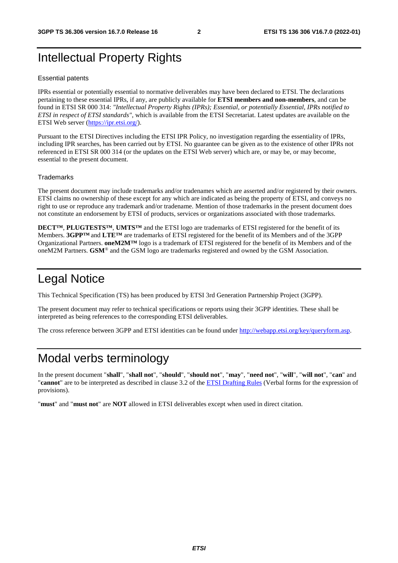# Intellectual Property Rights

#### Essential patents

IPRs essential or potentially essential to normative deliverables may have been declared to ETSI. The declarations pertaining to these essential IPRs, if any, are publicly available for **ETSI members and non-members**, and can be found in ETSI SR 000 314: *"Intellectual Property Rights (IPRs); Essential, or potentially Essential, IPRs notified to ETSI in respect of ETSI standards"*, which is available from the ETSI Secretariat. Latest updates are available on the ETSI Web server ([https://ipr.etsi.org/\)](https://ipr.etsi.org/).

Pursuant to the ETSI Directives including the ETSI IPR Policy, no investigation regarding the essentiality of IPRs, including IPR searches, has been carried out by ETSI. No guarantee can be given as to the existence of other IPRs not referenced in ETSI SR 000 314 (or the updates on the ETSI Web server) which are, or may be, or may become, essential to the present document.

#### **Trademarks**

The present document may include trademarks and/or tradenames which are asserted and/or registered by their owners. ETSI claims no ownership of these except for any which are indicated as being the property of ETSI, and conveys no right to use or reproduce any trademark and/or tradename. Mention of those trademarks in the present document does not constitute an endorsement by ETSI of products, services or organizations associated with those trademarks.

**DECT™**, **PLUGTESTS™**, **UMTS™** and the ETSI logo are trademarks of ETSI registered for the benefit of its Members. **3GPP™** and **LTE™** are trademarks of ETSI registered for the benefit of its Members and of the 3GPP Organizational Partners. **oneM2M™** logo is a trademark of ETSI registered for the benefit of its Members and of the oneM2M Partners. **GSM**® and the GSM logo are trademarks registered and owned by the GSM Association.

# Legal Notice

This Technical Specification (TS) has been produced by ETSI 3rd Generation Partnership Project (3GPP).

The present document may refer to technical specifications or reports using their 3GPP identities. These shall be interpreted as being references to the corresponding ETSI deliverables.

The cross reference between 3GPP and ETSI identities can be found under<http://webapp.etsi.org/key/queryform.asp>.

## Modal verbs terminology

In the present document "**shall**", "**shall not**", "**should**", "**should not**", "**may**", "**need not**", "**will**", "**will not**", "**can**" and "**cannot**" are to be interpreted as described in clause 3.2 of the [ETSI Drafting Rules](https://portal.etsi.org/Services/editHelp!/Howtostart/ETSIDraftingRules.aspx) (Verbal forms for the expression of provisions).

"**must**" and "**must not**" are **NOT** allowed in ETSI deliverables except when used in direct citation.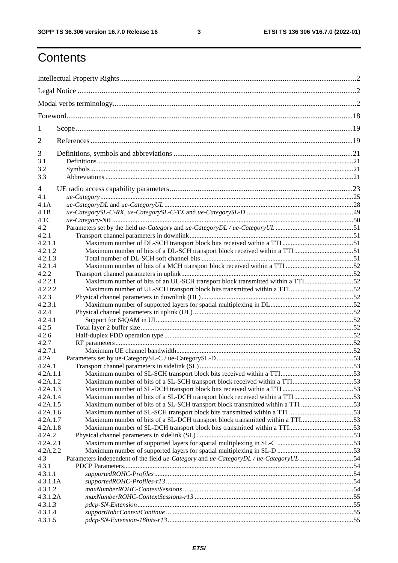# **Contents**

| 1              |                                                                                |  |
|----------------|--------------------------------------------------------------------------------|--|
| $\overline{2}$ |                                                                                |  |
| 3              |                                                                                |  |
| 3.1            |                                                                                |  |
| 3.2            |                                                                                |  |
| 3.3            |                                                                                |  |
| 4              |                                                                                |  |
| 4.1            |                                                                                |  |
| 4.1A           |                                                                                |  |
| 4.1B           |                                                                                |  |
| 4.1C           |                                                                                |  |
| 4.2            |                                                                                |  |
| 4.2.1          |                                                                                |  |
| 4.2.1.1        |                                                                                |  |
| 4.2.1.2        | Maximum number of bits of a DL-SCH transport block received within a TTI51     |  |
| 4.2.1.3        |                                                                                |  |
| 4.2.1.4        |                                                                                |  |
| 4.2.2          |                                                                                |  |
| 4.2.2.1        |                                                                                |  |
|                | Maximum number of bits of an UL-SCH transport block transmitted within a TTI52 |  |
| 4.2.2.2        |                                                                                |  |
| 4.2.3          |                                                                                |  |
| 4.2.3.1        |                                                                                |  |
| 4.2.4          |                                                                                |  |
| 4.2.4.1        |                                                                                |  |
| 4.2.5          |                                                                                |  |
| 4.2.6          |                                                                                |  |
| 4.2.7          |                                                                                |  |
| 4.2.7.1        |                                                                                |  |
| 4.2A           |                                                                                |  |
| 4.2A.1         |                                                                                |  |
| 4.2A.1.1       |                                                                                |  |
| 4.2A.1.2       | Maximum number of bits of a SL-SCH transport block received within a TTI53     |  |
| 4.2A.1.3       |                                                                                |  |
| 4.2A.1.4       | Maximum number of bits of a SL-DCH transport block received within a TTI53     |  |
| 4.2A.1.5       | Maximum number of bits of a SL-SCH transport block transmitted within a TTI 53 |  |
| 4.2A.1.6       |                                                                                |  |
| 4.2A.1.7       | Maximum number of bits of a SL-DCH transport block transmitted within a TTI53  |  |
| 4.2A.1.8       |                                                                                |  |
| 4.2A.2         |                                                                                |  |
| 4.2A.2.1       |                                                                                |  |
| 4.2A.2.2       |                                                                                |  |
| 4.3            |                                                                                |  |
| 4.3.1          |                                                                                |  |
| 4.3.1.1        |                                                                                |  |
| 4.3.1.1A       |                                                                                |  |
| 4.3.1.2        |                                                                                |  |
| 4.3.1.2A       |                                                                                |  |
| 4.3.1.3        |                                                                                |  |
|                |                                                                                |  |
| 4.3.1.4        |                                                                                |  |
| 4.3.1.5        |                                                                                |  |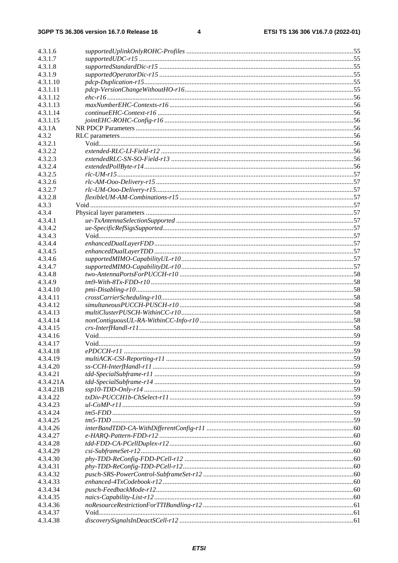$\overline{\mathbf{4}}$ 

| 4.3.1.6   |  |
|-----------|--|
| 4.3.1.7   |  |
| 4.3.1.8   |  |
| 4.3.1.9   |  |
| 4.3.1.10  |  |
| 4.3.1.11  |  |
| 4.3.1.12  |  |
| 4.3.1.13  |  |
| 4.3.1.14  |  |
| 4.3.1.15  |  |
| 4.3.1A    |  |
| 4.3.2     |  |
| 4.3.2.1   |  |
| 4.3.2.2   |  |
| 4.3.2.3   |  |
| 4.3.2.4   |  |
| 4.3.2.5   |  |
| 4.3.2.6   |  |
| 4.3.2.7   |  |
| 4.3.2.8   |  |
| 4.3.3     |  |
| 4.3.4     |  |
| 4.3.4.1   |  |
| 4.3.4.2   |  |
| 4.3.4.3   |  |
| 4.3.4.4   |  |
| 4.3.4.5   |  |
| 4.3.4.6   |  |
| 4.3.4.7   |  |
| 4.3.4.8   |  |
| 4.3.4.9   |  |
| 4.3.4.10  |  |
| 4.3.4.11  |  |
| 4.3.4.12  |  |
| 4.3.4.13  |  |
| 4.3.4.14  |  |
| 4.3.4.15  |  |
| 4.3.4.16  |  |
| 4.3.4.17  |  |
| 4.3.4.18  |  |
| 4.3.4.19  |  |
| 4.3.4.20  |  |
| 4.3.4.21  |  |
| 4.3.4.21A |  |
| 4.3.4.21B |  |
| 4.3.4.22  |  |
| 4.3.4.23  |  |
| 4.3.4.24  |  |
| 4.3.4.25  |  |
| 4.3.4.26  |  |
| 4.3.4.27  |  |
| 4.3.4.28  |  |
| 4.3.4.29  |  |
| 4.3.4.30  |  |
| 4.3.4.31  |  |
| 4.3.4.32  |  |
| 4.3.4.33  |  |
| 4.3.4.34  |  |
| 4.3.4.35  |  |
| 4.3.4.36  |  |
| 4.3.4.37  |  |
| 4.3.4.38  |  |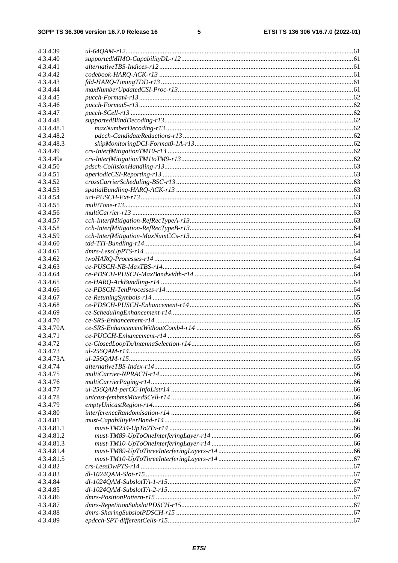#### $5\phantom{a}$

| 4.3.4.39   |                                                           |  |
|------------|-----------------------------------------------------------|--|
| 4.3.4.40   |                                                           |  |
| 4.3.4.41   |                                                           |  |
| 4.3.4.42   |                                                           |  |
| 4.3.4.43   |                                                           |  |
| 4.3.4.44   |                                                           |  |
| 4.3.4.45   |                                                           |  |
| 4.3.4.46   |                                                           |  |
| 4.3.4.47   |                                                           |  |
| 4.3.4.48   |                                                           |  |
| 4.3.4.48.1 |                                                           |  |
| 4.3.4.48.2 |                                                           |  |
| 4.3.4.48.3 |                                                           |  |
| 4.3.4.49   |                                                           |  |
| 4.3.4.49a  |                                                           |  |
| 4.3.4.50   |                                                           |  |
| 4.3.4.51   |                                                           |  |
| 4.3.4.52   |                                                           |  |
| 4.3.4.53   |                                                           |  |
| 4.3.4.54   |                                                           |  |
| 4.3.4.55   |                                                           |  |
| 4.3.4.56   |                                                           |  |
| 4.3.4.57   |                                                           |  |
| 4.3.4.58   |                                                           |  |
| 4.3.4.59   |                                                           |  |
| 4.3.4.60   |                                                           |  |
| 4.3.4.61   |                                                           |  |
| 4.3.4.62   |                                                           |  |
| 4.3.4.63   |                                                           |  |
| 4.3.4.64   |                                                           |  |
| 4.3.4.65   |                                                           |  |
| 4.3.4.66   |                                                           |  |
| 4.3.4.67   |                                                           |  |
| 4.3.4.68   |                                                           |  |
| 4.3.4.69   |                                                           |  |
| 4.3.4.70   |                                                           |  |
| 4.3.4.70A  |                                                           |  |
| 4.3.4.71   |                                                           |  |
| 4.3.4.72   |                                                           |  |
| 4.3.4.73   |                                                           |  |
| 4.3.4.73A  |                                                           |  |
| 4.3.4.74   |                                                           |  |
| 4.3.4.75   |                                                           |  |
| 4.3.4.76   |                                                           |  |
| 4.3.4.77   |                                                           |  |
| 4.3.4.78   |                                                           |  |
| 4.3.4.79   |                                                           |  |
| 4.3.4.80   |                                                           |  |
| 4.3.4.81   |                                                           |  |
| 4.3.4.81.1 | $must \text{-} TM234 \text{-} UpTo2Tx \text{-} r14 \dots$ |  |
| 4.3.4.81.2 |                                                           |  |
| 4.3.4.81.3 |                                                           |  |
| 4.3.4.81.4 |                                                           |  |
| 4.3.4.81.5 |                                                           |  |
| 4.3.4.82   |                                                           |  |
| 4.3.4.83   |                                                           |  |
| 4.3.4.84   |                                                           |  |
| 4.3.4.85   |                                                           |  |
| 4.3.4.86   |                                                           |  |
| 4.3.4.87   |                                                           |  |
| 4.3.4.88   |                                                           |  |
| 4.3.4.89   |                                                           |  |
|            |                                                           |  |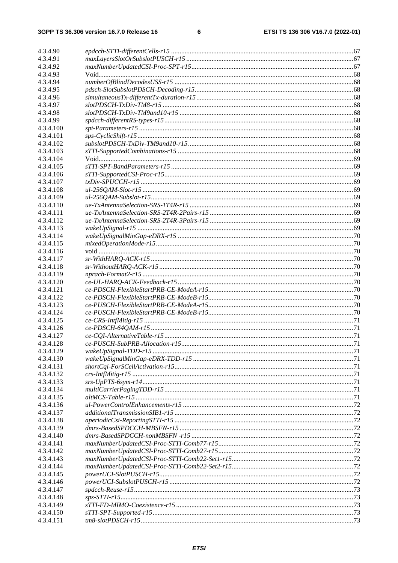| 4.3.4.90               |                                                    |  |
|------------------------|----------------------------------------------------|--|
| 4.3.4.91               |                                                    |  |
| 4.3.4.92               |                                                    |  |
| 4.3.4.93               |                                                    |  |
| 4.3.4.94               |                                                    |  |
| 4.3.4.95               |                                                    |  |
| 4.3.4.96               |                                                    |  |
| 4.3.4.97               |                                                    |  |
| 4.3.4.98               |                                                    |  |
| 4.3.4.99               |                                                    |  |
| 4.3.4.100              |                                                    |  |
| 4.3.4.101              |                                                    |  |
| 4.3.4.102              |                                                    |  |
| 4.3.4.103              |                                                    |  |
| 4.3.4.104              |                                                    |  |
| 4.3.4.105              |                                                    |  |
| 4.3.4.106              |                                                    |  |
| 4.3.4.107              |                                                    |  |
| 4.3.4.108              |                                                    |  |
| 4.3.4.109              |                                                    |  |
| 4.3.4.110              |                                                    |  |
| 4.3.4.111              |                                                    |  |
| 4.3.4.112              |                                                    |  |
| 4.3.4.113              |                                                    |  |
| 4.3.4.114              |                                                    |  |
| 4.3.4.115              |                                                    |  |
| 4.3.4.116              |                                                    |  |
| 4.3.4.117              |                                                    |  |
| 4.3.4.118              |                                                    |  |
| 4.3.4.119              |                                                    |  |
| 4.3.4.120              |                                                    |  |
| 4.3.4.121              |                                                    |  |
| 4.3.4.122              |                                                    |  |
| 4.3.4.123              |                                                    |  |
| 4.3.4.124              |                                                    |  |
| 4.3.4.125              |                                                    |  |
| 4.3.4.126              |                                                    |  |
| 4.3.4.127              |                                                    |  |
| 4.3.4.128              |                                                    |  |
| 4.3.4.129              |                                                    |  |
| 4.3.4.130              |                                                    |  |
| 4.3.4.131              |                                                    |  |
| 4.3.4.132              |                                                    |  |
| 4.3.4.133              |                                                    |  |
| 4.3.4.134              |                                                    |  |
| 4.3.4.135              |                                                    |  |
| 4.3.4.136              |                                                    |  |
| 4.3.4.137              |                                                    |  |
| 4.3.4.138              |                                                    |  |
| 4.3.4.139              |                                                    |  |
| 4.3.4.140              |                                                    |  |
| 4.3.4.141<br>4.3.4.142 | $maxNumberUpdateCSI-Proc\text{-}STTI-Comb77-r1512$ |  |
|                        | $maxNumberUpdateCSI-Proc\text{-}STTI-Comb27-r1512$ |  |
| 4.3.4.143<br>4.3.4.144 |                                                    |  |
| 4.3.4.145              |                                                    |  |
| 4.3.4.146              |                                                    |  |
| 4.3.4.147              |                                                    |  |
| 4.3.4.148              |                                                    |  |
| 4.3.4.149              |                                                    |  |
| 4.3.4.150              |                                                    |  |
| 4.3.4.151              |                                                    |  |
|                        |                                                    |  |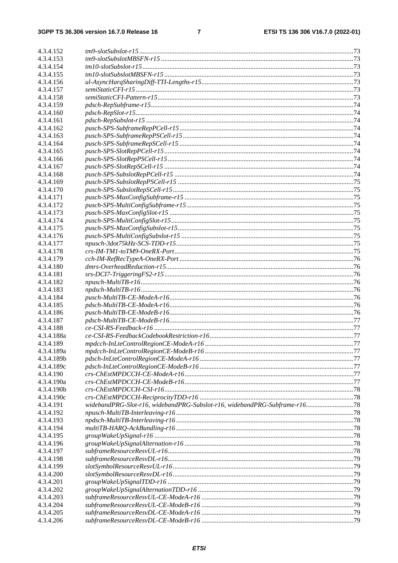| 4.3.4.152  |                                                                            |  |
|------------|----------------------------------------------------------------------------|--|
| 4.3.4.153  |                                                                            |  |
| 4.3.4.154  |                                                                            |  |
| 4.3.4.155  |                                                                            |  |
| 4.3.4.156  |                                                                            |  |
| 4.3.4.157  |                                                                            |  |
| 4.3.4.158  |                                                                            |  |
| 4.3.4.159  |                                                                            |  |
| 4.3.4.160  |                                                                            |  |
| 4.3.4.161  |                                                                            |  |
| 4.3.4.162  |                                                                            |  |
| 4.3.4.163  |                                                                            |  |
| 4.3.4.164  |                                                                            |  |
| 4.3.4.165  |                                                                            |  |
| 4.3.4.166  |                                                                            |  |
| 4.3.4.167  |                                                                            |  |
| 4.3.4.168  |                                                                            |  |
| 4.3.4.169  |                                                                            |  |
| 4.3.4.170  |                                                                            |  |
| 4.3.4.171  |                                                                            |  |
| 4.3.4.172  |                                                                            |  |
| 4.3.4.173  |                                                                            |  |
| 4.3.4.174  |                                                                            |  |
| 4.3.4.175  |                                                                            |  |
| 4.3.4.176  |                                                                            |  |
| 4.3.4.177  |                                                                            |  |
| 4.3.4.178  |                                                                            |  |
| 4.3.4.179  |                                                                            |  |
| 4.3.4.180  |                                                                            |  |
| 4.3.4.181  |                                                                            |  |
| 4.3.4.182  |                                                                            |  |
| 4.3.4.183  |                                                                            |  |
| 4.3.4.184  |                                                                            |  |
| 4.3.4.185  |                                                                            |  |
| 4.3.4.186  |                                                                            |  |
| 4.3.4.187  |                                                                            |  |
| 4.3.4.188  |                                                                            |  |
| 4.3.4.188a |                                                                            |  |
| 4.3.4.189  |                                                                            |  |
| 4.3.4.189a |                                                                            |  |
| 4.3.4.189b |                                                                            |  |
| 4.3.4.189c |                                                                            |  |
| 4.3.4.190  |                                                                            |  |
| 4.3.4.190a |                                                                            |  |
| 4.3.4.190b |                                                                            |  |
| 4.3.4.190c |                                                                            |  |
| 4.3.4.191  | widebandPRG-Slot-r16, widebandPRG-Subslot-r16, widebandPRG-Subframe-r16 78 |  |
| 4.3.4.192  |                                                                            |  |
| 4.3.4.193  |                                                                            |  |
| 4.3.4.194  |                                                                            |  |
| 4.3.4.195  |                                                                            |  |
| 4.3.4.196  |                                                                            |  |
| 4.3.4.197  |                                                                            |  |
| 4.3.4.198  |                                                                            |  |
| 4.3.4.199  |                                                                            |  |
| 4.3.4.200  |                                                                            |  |
| 4.3.4.201  |                                                                            |  |
| 4.3.4.202  |                                                                            |  |
| 4.3.4.203  |                                                                            |  |
| 4.3.4.204  |                                                                            |  |
| 4.3.4.205  |                                                                            |  |
| 4.3.4.206  |                                                                            |  |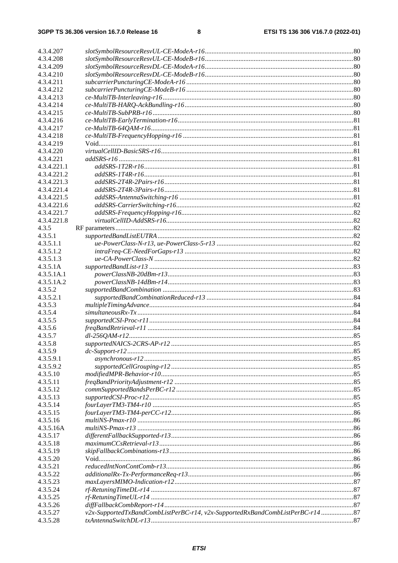| 4.3.4.207   |                                                                                |  |
|-------------|--------------------------------------------------------------------------------|--|
| 4.3.4.208   |                                                                                |  |
| 4.3.4.209   |                                                                                |  |
| 4.3.4.210   |                                                                                |  |
| 4.3.4.211   |                                                                                |  |
| 4.3.4.212   |                                                                                |  |
| 4.3.4.213   |                                                                                |  |
| 4.3.4.214   |                                                                                |  |
| 4.3.4.215   |                                                                                |  |
| 4.3.4.216   |                                                                                |  |
| 4.3.4.217   |                                                                                |  |
| 4.3.4.218   |                                                                                |  |
| 4.3.4.219   |                                                                                |  |
| 4.3.4.220   | $virtual Cell ID-BasicSRS\mbox{-}r16\mbox{}{}{}{}{}{}{}{}{}{}{}{}{}{}{}{mm}$   |  |
| 4.3.4.221   |                                                                                |  |
| 4.3.4.221.1 |                                                                                |  |
| 4.3.4.221.2 |                                                                                |  |
| 4.3.4.221.3 |                                                                                |  |
| 4.3.4.221.4 |                                                                                |  |
| 4.3.4.221.5 |                                                                                |  |
| 4.3.4.221.6 |                                                                                |  |
| 4.3.4.221.7 |                                                                                |  |
| 4.3.4.221.8 |                                                                                |  |
| 4.3.5       |                                                                                |  |
| 4.3.5.1     |                                                                                |  |
| 4.3.5.1.1   |                                                                                |  |
| 4.3.5.1.2   |                                                                                |  |
| 4.3.5.1.3   |                                                                                |  |
| 4.3.5.1A    |                                                                                |  |
| 4.3.5.1A.1  |                                                                                |  |
| 4.3.5.1A.2  |                                                                                |  |
| 4.3.5.2     |                                                                                |  |
| 4.3.5.2.1   |                                                                                |  |
| 4.3.5.3     |                                                                                |  |
| 4.3.5.4     |                                                                                |  |
| 4.3.5.5     |                                                                                |  |
| 4.3.5.6     |                                                                                |  |
| 4.3.5.7     |                                                                                |  |
| 4.3.5.8     |                                                                                |  |
| 4.3.5.9     |                                                                                |  |
| 4.3.5.9.1   |                                                                                |  |
| 4.3.5.9.2   |                                                                                |  |
| 4.3.5.10    |                                                                                |  |
| 4.3.5.11    |                                                                                |  |
| 4.3.5.12    |                                                                                |  |
| 4.3.5.13    |                                                                                |  |
| 4.3.5.14    |                                                                                |  |
| 4.3.5.15    |                                                                                |  |
| 4.3.5.16    |                                                                                |  |
| 4.3.5.16A   |                                                                                |  |
| 4.3.5.17    |                                                                                |  |
| 4.3.5.18    |                                                                                |  |
| 4.3.5.19    |                                                                                |  |
| 4.3.5.20    |                                                                                |  |
| 4.3.5.21    |                                                                                |  |
| 4.3.5.22    |                                                                                |  |
| 4.3.5.23    |                                                                                |  |
| 4.3.5.24    |                                                                                |  |
| 4.3.5.25    |                                                                                |  |
| 4.3.5.26    |                                                                                |  |
| 4.3.5.27    | v2x-SupportedTxBandCombListPerBC-r14, v2x-SupportedRxBandCombListPerBC-r14  87 |  |
| 4.3.5.28    |                                                                                |  |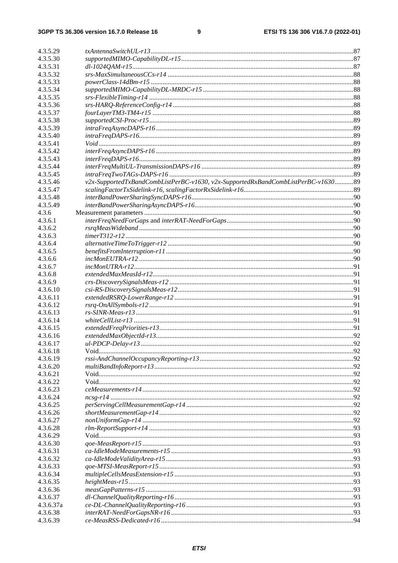| 4.3.5.29  |                                                                                  |  |
|-----------|----------------------------------------------------------------------------------|--|
| 4.3.5.30  |                                                                                  |  |
| 4.3.5.31  |                                                                                  |  |
| 4.3.5.32  |                                                                                  |  |
| 4.3.5.33  |                                                                                  |  |
| 4.3.5.34  |                                                                                  |  |
| 4.3.5.35  |                                                                                  |  |
| 4.3.5.36  |                                                                                  |  |
| 4.3.5.37  |                                                                                  |  |
| 4.3.5.38  |                                                                                  |  |
| 4.3.5.39  |                                                                                  |  |
| 4.3.5.40  |                                                                                  |  |
| 4.3.5.41  |                                                                                  |  |
| 4.3.5.42  |                                                                                  |  |
| 4.3.5.43  |                                                                                  |  |
| 4.3.5.44  |                                                                                  |  |
| 4.3.5.45  |                                                                                  |  |
| 4.3.5.46  | v2x-SupportedTxBandCombListPerBC-v1630, v2x-SupportedRxBandCombListPerBC-v163089 |  |
| 4.3.5.47  |                                                                                  |  |
| 4.3.5.48  |                                                                                  |  |
| 4.3.5.49  |                                                                                  |  |
| 4.3.6     |                                                                                  |  |
| 4.3.6.1   |                                                                                  |  |
| 4.3.6.2   |                                                                                  |  |
| 4.3.6.3   |                                                                                  |  |
| 4.3.6.4   |                                                                                  |  |
| 4.3.6.5   |                                                                                  |  |
| 4.3.6.6   |                                                                                  |  |
| 4.3.6.7   |                                                                                  |  |
| 4.3.6.8   |                                                                                  |  |
| 4.3.6.9   |                                                                                  |  |
| 4.3.6.10  |                                                                                  |  |
| 4.3.6.11  |                                                                                  |  |
| 4.3.6.12  |                                                                                  |  |
| 4.3.6.13  |                                                                                  |  |
| 4.3.6.14  |                                                                                  |  |
| 4.3.6.15  |                                                                                  |  |
| 4.3.6.16  |                                                                                  |  |
| 4.3.6.17  |                                                                                  |  |
| 4.3.6.18  |                                                                                  |  |
| 4.3.6.19  |                                                                                  |  |
| 4.3.6.20  |                                                                                  |  |
| 4.3.6.21  |                                                                                  |  |
| 4.3.6.22  |                                                                                  |  |
| 4.3.6.23  |                                                                                  |  |
| 4.3.6.24  |                                                                                  |  |
| 4.3.6.25  |                                                                                  |  |
| 4.3.6.26  |                                                                                  |  |
| 4.3.6.27  |                                                                                  |  |
| 4.3.6.28  |                                                                                  |  |
| 4.3.6.29  |                                                                                  |  |
| 4.3.6.30  |                                                                                  |  |
| 4.3.6.31  |                                                                                  |  |
| 4.3.6.32  |                                                                                  |  |
| 4.3.6.33  |                                                                                  |  |
| 4.3.6.34  |                                                                                  |  |
| 4.3.6.35  |                                                                                  |  |
| 4.3.6.36  |                                                                                  |  |
| 4.3.6.37  |                                                                                  |  |
| 4.3.6.37a |                                                                                  |  |
| 4.3.6.38  |                                                                                  |  |
| 4.3.6.39  |                                                                                  |  |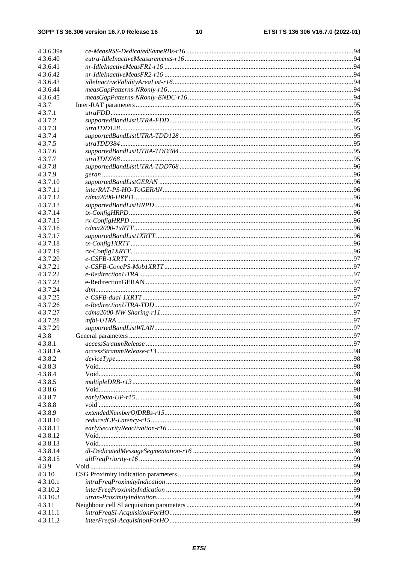| 4.3.6.39a            |                                 |  |
|----------------------|---------------------------------|--|
| 4.3.6.40             |                                 |  |
| 4.3.6.41             |                                 |  |
| 4.3.6.42             |                                 |  |
| 4.3.6.43             |                                 |  |
| 4.3.6.44             |                                 |  |
| 4.3.6.45             |                                 |  |
| 4.3.7                |                                 |  |
| 4.3.7.1              |                                 |  |
| 4.3.7.2              |                                 |  |
| 4.3.7.3              |                                 |  |
| 4.3.7.4              |                                 |  |
| 4.3.7.5              |                                 |  |
| 4.3.7.6              |                                 |  |
| 4.3.7.7              |                                 |  |
| 4.3.7.8              |                                 |  |
| 4.3.7.9              |                                 |  |
| 4.3.7.10             |                                 |  |
| 4.3.7.11             |                                 |  |
| 4.3.7.12             |                                 |  |
| 4.3.7.13             |                                 |  |
| 4.3.7.14             |                                 |  |
| 4.3.7.15             |                                 |  |
| 4.3.7.16             |                                 |  |
| 4.3.7.17<br>4.3.7.18 |                                 |  |
| 4.3.7.19             |                                 |  |
| 4.3.7.20             |                                 |  |
| 4.3.7.21             |                                 |  |
| 4.3.7.22             |                                 |  |
| 4.3.7.23             |                                 |  |
| 4.3.7.24             |                                 |  |
| 4.3.7.25             |                                 |  |
| 4.3.7.26             | $e\text{-}Redirection UTRA-TDD$ |  |
| 4.3.7.27             |                                 |  |
| 4.3.7.28             |                                 |  |
| 4.3.7.29             |                                 |  |
| 4.3.8                |                                 |  |
| 4.3.8.1              |                                 |  |
| 4.3.8.1A             |                                 |  |
| 4.3.8.2              |                                 |  |
| 4.3.8.3              |                                 |  |
| 4.3.8.4              |                                 |  |
| 4.3.8.5              |                                 |  |
| 4.3.8.6              |                                 |  |
| 4.3.8.7              |                                 |  |
| 4.3.8.8<br>4.3.8.9   |                                 |  |
| 4.3.8.10             |                                 |  |
| 4.3.8.11             |                                 |  |
| 4.3.8.12             |                                 |  |
| 4.3.8.13             |                                 |  |
| 4.3.8.14             |                                 |  |
| 4.3.8.15             |                                 |  |
| 4.3.9                |                                 |  |
| 4.3.10               |                                 |  |
| 4.3.10.1             |                                 |  |
| 4.3.10.2             |                                 |  |
| 4.3.10.3             |                                 |  |
| 4.3.11               |                                 |  |
| 4.3.11.1             |                                 |  |
| 4.3.11.2             |                                 |  |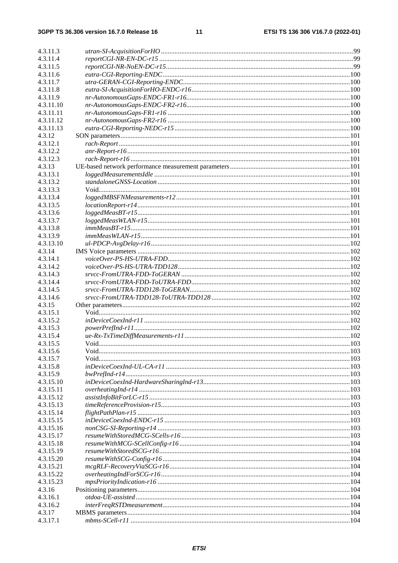| 4.3.11.3  |                                                                                                                                                                                                                                                                                                                                                                                                                                                                                                                                    |  |
|-----------|------------------------------------------------------------------------------------------------------------------------------------------------------------------------------------------------------------------------------------------------------------------------------------------------------------------------------------------------------------------------------------------------------------------------------------------------------------------------------------------------------------------------------------|--|
| 4.3.11.4  |                                                                                                                                                                                                                                                                                                                                                                                                                                                                                                                                    |  |
| 4.3.11.5  |                                                                                                                                                                                                                                                                                                                                                                                                                                                                                                                                    |  |
| 4.3.11.6  |                                                                                                                                                                                                                                                                                                                                                                                                                                                                                                                                    |  |
| 4.3.11.7  |                                                                                                                                                                                                                                                                                                                                                                                                                                                                                                                                    |  |
| 4.3.11.8  |                                                                                                                                                                                                                                                                                                                                                                                                                                                                                                                                    |  |
| 4.3.11.9  |                                                                                                                                                                                                                                                                                                                                                                                                                                                                                                                                    |  |
| 4.3.11.10 |                                                                                                                                                                                                                                                                                                                                                                                                                                                                                                                                    |  |
| 4.3.11.11 |                                                                                                                                                                                                                                                                                                                                                                                                                                                                                                                                    |  |
| 4.3.11.12 |                                                                                                                                                                                                                                                                                                                                                                                                                                                                                                                                    |  |
| 4.3.11.13 |                                                                                                                                                                                                                                                                                                                                                                                                                                                                                                                                    |  |
| 4.3.12    |                                                                                                                                                                                                                                                                                                                                                                                                                                                                                                                                    |  |
| 4.3.12.1  |                                                                                                                                                                                                                                                                                                                                                                                                                                                                                                                                    |  |
| 4.3.12.2  |                                                                                                                                                                                                                                                                                                                                                                                                                                                                                                                                    |  |
| 4.3.12.3  |                                                                                                                                                                                                                                                                                                                                                                                                                                                                                                                                    |  |
| 4.3.13    |                                                                                                                                                                                                                                                                                                                                                                                                                                                                                                                                    |  |
| 4.3.13.1  |                                                                                                                                                                                                                                                                                                                                                                                                                                                                                                                                    |  |
| 4.3.13.2  |                                                                                                                                                                                                                                                                                                                                                                                                                                                                                                                                    |  |
| 4.3.13.3  |                                                                                                                                                                                                                                                                                                                                                                                                                                                                                                                                    |  |
| 4.3.13.4  |                                                                                                                                                                                                                                                                                                                                                                                                                                                                                                                                    |  |
| 4.3.13.5  |                                                                                                                                                                                                                                                                                                                                                                                                                                                                                                                                    |  |
| 4.3.13.6  |                                                                                                                                                                                                                                                                                                                                                                                                                                                                                                                                    |  |
| 4.3.13.7  |                                                                                                                                                                                                                                                                                                                                                                                                                                                                                                                                    |  |
| 4.3.13.8  |                                                                                                                                                                                                                                                                                                                                                                                                                                                                                                                                    |  |
| 4.3.13.9  |                                                                                                                                                                                                                                                                                                                                                                                                                                                                                                                                    |  |
| 4.3.13.10 |                                                                                                                                                                                                                                                                                                                                                                                                                                                                                                                                    |  |
| 4.3.14    |                                                                                                                                                                                                                                                                                                                                                                                                                                                                                                                                    |  |
| 4.3.14.1  |                                                                                                                                                                                                                                                                                                                                                                                                                                                                                                                                    |  |
| 4.3.14.2  |                                                                                                                                                                                                                                                                                                                                                                                                                                                                                                                                    |  |
| 4.3.14.3  |                                                                                                                                                                                                                                                                                                                                                                                                                                                                                                                                    |  |
| 4.3.14.4  |                                                                                                                                                                                                                                                                                                                                                                                                                                                                                                                                    |  |
| 4.3.14.5  |                                                                                                                                                                                                                                                                                                                                                                                                                                                                                                                                    |  |
| 4.3.14.6  |                                                                                                                                                                                                                                                                                                                                                                                                                                                                                                                                    |  |
| 4.3.15    |                                                                                                                                                                                                                                                                                                                                                                                                                                                                                                                                    |  |
| 4.3.15.1  |                                                                                                                                                                                                                                                                                                                                                                                                                                                                                                                                    |  |
| 4.3.15.2  |                                                                                                                                                                                                                                                                                                                                                                                                                                                                                                                                    |  |
| 4.3.15.3  |                                                                                                                                                                                                                                                                                                                                                                                                                                                                                                                                    |  |
| 4.3.15.4  |                                                                                                                                                                                                                                                                                                                                                                                                                                                                                                                                    |  |
| 4.3.15.5  |                                                                                                                                                                                                                                                                                                                                                                                                                                                                                                                                    |  |
| 4.3.15.6  |                                                                                                                                                                                                                                                                                                                                                                                                                                                                                                                                    |  |
| 4.3.15.7  |                                                                                                                                                                                                                                                                                                                                                                                                                                                                                                                                    |  |
| 4.3.15.8  |                                                                                                                                                                                                                                                                                                                                                                                                                                                                                                                                    |  |
| 4.3.15.9  |                                                                                                                                                                                                                                                                                                                                                                                                                                                                                                                                    |  |
| 4.3.15.10 |                                                                                                                                                                                                                                                                                                                                                                                                                                                                                                                                    |  |
| 4.3.15.11 |                                                                                                                                                                                                                                                                                                                                                                                                                                                                                                                                    |  |
| 4.3.15.12 |                                                                                                                                                                                                                                                                                                                                                                                                                                                                                                                                    |  |
| 4.3.15.13 |                                                                                                                                                                                                                                                                                                                                                                                                                                                                                                                                    |  |
| 4.3.15.14 |                                                                                                                                                                                                                                                                                                                                                                                                                                                                                                                                    |  |
| 4.3.15.15 |                                                                                                                                                                                                                                                                                                                                                                                                                                                                                                                                    |  |
| 4.3.15.16 |                                                                                                                                                                                                                                                                                                                                                                                                                                                                                                                                    |  |
| 4.3.15.17 |                                                                                                                                                                                                                                                                                                                                                                                                                                                                                                                                    |  |
| 4.3.15.18 |                                                                                                                                                                                                                                                                                                                                                                                                                                                                                                                                    |  |
| 4.3.15.19 |                                                                                                                                                                                                                                                                                                                                                                                                                                                                                                                                    |  |
| 4.3.15.20 |                                                                                                                                                                                                                                                                                                                                                                                                                                                                                                                                    |  |
| 4.3.15.21 |                                                                                                                                                                                                                                                                                                                                                                                                                                                                                                                                    |  |
| 4.3.15.22 |                                                                                                                                                                                                                                                                                                                                                                                                                                                                                                                                    |  |
| 4.3.15.23 |                                                                                                                                                                                                                                                                                                                                                                                                                                                                                                                                    |  |
| 4.3.16    |                                                                                                                                                                                                                                                                                                                                                                                                                                                                                                                                    |  |
| 4.3.16.1  |                                                                                                                                                                                                                                                                                                                                                                                                                                                                                                                                    |  |
| 4.3.16.2  | $interFreq \textit{RSTD} measures the number of 104\% of the number of 104\% of the number of 104\% of the number of 104\% of the number of 104\% of the number of 104\% of the number of 104\% of the number of 104\% of the number of 104\% of the number of 104\% of the number of 104\% of the number of 104\% of the number of 104\% of the number of 104\% of the number of 104\% of the number of 104\% of the number of 104\% of the number of 104\% of the number of 104\% of the number of 104\% of the number of 104\%$ |  |
| 4.3.17    |                                                                                                                                                                                                                                                                                                                                                                                                                                                                                                                                    |  |
| 4.3.17.1  |                                                                                                                                                                                                                                                                                                                                                                                                                                                                                                                                    |  |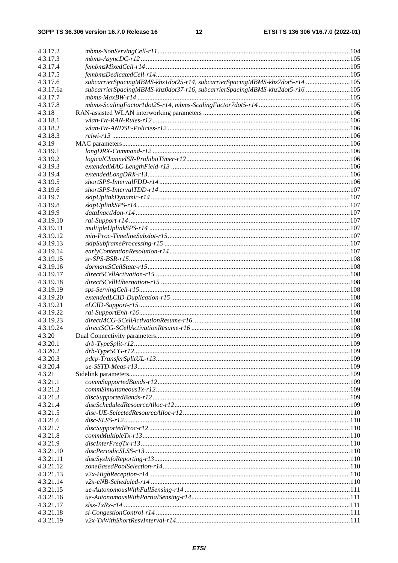| 4.3.17.2  |                                                                             |  |
|-----------|-----------------------------------------------------------------------------|--|
| 4.3.17.3  |                                                                             |  |
| 4.3.17.4  |                                                                             |  |
| 4.3.17.5  |                                                                             |  |
| 4.3.17.6  | subcarrierSpacingMBMS-khz1dot25-r14, subcarrierSpacingMBMS-khz7dot5-r14 105 |  |
| 4.3.17.6a | subcarrierSpacingMBMS-khz0dot37-r16, subcarrierSpacingMBMS-khz2dot5-r16 105 |  |
| 4.3.17.7  |                                                                             |  |
| 4.3.17.8  |                                                                             |  |
| 4.3.18    |                                                                             |  |
| 4.3.18.1  |                                                                             |  |
| 4.3.18.2  |                                                                             |  |
| 4.3.18.3  |                                                                             |  |
| 4.3.19    |                                                                             |  |
| 4.3.19.1  |                                                                             |  |
| 4.3.19.2  |                                                                             |  |
| 4.3.19.3  |                                                                             |  |
| 4.3.19.4  |                                                                             |  |
| 4.3.19.5  |                                                                             |  |
| 4.3.19.6  |                                                                             |  |
| 4.3.19.7  |                                                                             |  |
| 4.3.19.8  |                                                                             |  |
| 4.3.19.9  |                                                                             |  |
| 4.3.19.10 |                                                                             |  |
| 4.3.19.11 |                                                                             |  |
| 4.3.19.12 |                                                                             |  |
| 4.3.19.13 |                                                                             |  |
| 4.3.19.14 |                                                                             |  |
| 4.3.19.15 |                                                                             |  |
| 4.3.19.16 |                                                                             |  |
| 4.3.19.17 |                                                                             |  |
| 4.3.19.18 |                                                                             |  |
| 4.3.19.19 |                                                                             |  |
| 4.3.19.20 |                                                                             |  |
| 4.3.19.21 |                                                                             |  |
| 4.3.19.22 |                                                                             |  |
| 4.3.19.23 |                                                                             |  |
| 4.3.19.24 |                                                                             |  |
| 4.3.20    |                                                                             |  |
| 4.3.20.1  |                                                                             |  |
| 4.3.20.2  |                                                                             |  |
| 4.3.20.3  |                                                                             |  |
| 4.3.20.4  |                                                                             |  |
| 4.3.21    |                                                                             |  |
| 4.3.21.1  |                                                                             |  |
| 4.3.21.2  |                                                                             |  |
| 4.3.21.3  |                                                                             |  |
| 4.3.21.4  |                                                                             |  |
| 4.3.21.5  |                                                                             |  |
| 4.3.21.6  |                                                                             |  |
| 4.3.21.7  |                                                                             |  |
| 4.3.21.8  |                                                                             |  |
| 4.3.21.9  |                                                                             |  |
| 4.3.21.10 |                                                                             |  |
| 4.3.21.11 |                                                                             |  |
| 4.3.21.12 |                                                                             |  |
| 4.3.21.13 |                                                                             |  |
| 4.3.21.14 |                                                                             |  |
| 4.3.21.15 |                                                                             |  |
| 4.3.21.16 |                                                                             |  |
| 4.3.21.17 |                                                                             |  |
| 4.3.21.18 |                                                                             |  |
| 4.3.21.19 |                                                                             |  |
|           |                                                                             |  |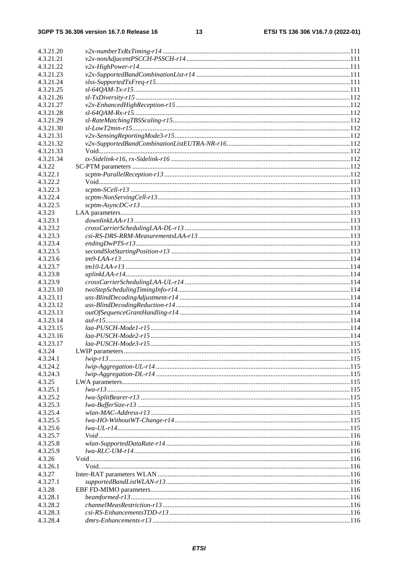13

| 4.3.21.20              |  |
|------------------------|--|
| 4.3.21.21              |  |
| 4.3.21.22              |  |
| 4.3.21.23              |  |
| 4.3.21.24              |  |
| 4.3.21.25              |  |
| 4.3.21.26              |  |
| 4.3.21.27              |  |
| 4.3.21.28              |  |
| 4.3.21.29              |  |
| 4.3.21.30              |  |
| 4.3.21.31              |  |
| 4.3.21.32              |  |
| 4.3.21.33              |  |
| 4.3.21.34              |  |
| 4.3.22                 |  |
| 4.3.22.1               |  |
| 4.3.22.2               |  |
| 4.3.22.3               |  |
| 4.3.22.4               |  |
| 4.3.22.5               |  |
| 4.3.23                 |  |
| 4.3.23.1               |  |
| 4.3.23.2               |  |
| 4.3.23.3               |  |
| 4.3.23.4               |  |
| 4.3.23.5               |  |
| 4.3.23.6               |  |
| 4.3.23.7               |  |
| 4.3.23.8               |  |
| 4.3.23.9               |  |
| 4.3.23.10              |  |
| 4.3.23.11              |  |
| 4.3.23.12              |  |
| 4.3.23.13              |  |
| 4.3.23.14              |  |
| 4.3.23.15<br>4.3.23.16 |  |
| 4.3.23.17              |  |
| 4.3.24                 |  |
| 4.3.24.1               |  |
| 4.3.24.2               |  |
| 4.3.24.3               |  |
| 4.3.25                 |  |
| 4.3.25.1               |  |
| 4.3.25.2               |  |
| 4.3.25.3               |  |
| 4.3.25.4               |  |
| 4.3.25.5               |  |
| 4.3.25.6               |  |
| 4.3.25.7               |  |
| 4.3.25.8               |  |
| 4.3.25.9               |  |
| 4.3.26                 |  |
| 4.3.26.1               |  |
| 4.3.27                 |  |
| 4.3.27.1               |  |
| 4.3.28                 |  |
| 4.3.28.1               |  |
| 4.3.28.2               |  |
|                        |  |
| 4.3.28.3               |  |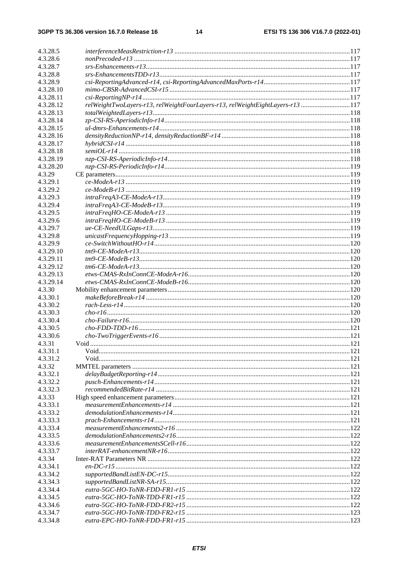| 4.3.28.5  |                                                                               |  |
|-----------|-------------------------------------------------------------------------------|--|
| 4.3.28.6  |                                                                               |  |
| 4.3.28.7  |                                                                               |  |
| 4.3.28.8  |                                                                               |  |
| 4.3.28.9  |                                                                               |  |
| 4.3.28.10 |                                                                               |  |
| 4.3.28.11 |                                                                               |  |
| 4.3.28.12 | relWeightTwoLayers-r13, relWeightFourLayers-r13, relWeightEightLayers-r13 117 |  |
| 4.3.28.13 |                                                                               |  |
| 4.3.28.14 |                                                                               |  |
| 4.3.28.15 |                                                                               |  |
|           |                                                                               |  |
| 4.3.28.16 |                                                                               |  |
| 4.3.28.17 |                                                                               |  |
| 4.3.28.18 |                                                                               |  |
| 4.3.28.19 |                                                                               |  |
| 4.3.28.20 |                                                                               |  |
| 4.3.29    |                                                                               |  |
| 4.3.29.1  |                                                                               |  |
| 4.3.29.2  |                                                                               |  |
| 4.3.29.3  |                                                                               |  |
| 4.3.29.4  |                                                                               |  |
| 4.3.29.5  |                                                                               |  |
| 4.3.29.6  |                                                                               |  |
| 4.3.29.7  |                                                                               |  |
| 4.3.29.8  |                                                                               |  |
| 4.3.29.9  |                                                                               |  |
| 4.3.29.10 |                                                                               |  |
| 4.3.29.11 |                                                                               |  |
| 4.3.29.12 |                                                                               |  |
| 4.3.29.13 |                                                                               |  |
| 4.3.29.14 |                                                                               |  |
| 4.3.30    |                                                                               |  |
| 4.3.30.1  |                                                                               |  |
| 4.3.30.2  |                                                                               |  |
| 4.3.30.3  |                                                                               |  |
| 4.3.30.4  |                                                                               |  |
| 4.3.30.5  |                                                                               |  |
| 4.3.30.6  |                                                                               |  |
| 4.3.31    |                                                                               |  |
| 4.3.31.1  |                                                                               |  |
| 4.3.31.2  |                                                                               |  |
| 4.3.32    |                                                                               |  |
| 4.3.32.1  |                                                                               |  |
| 4.3.32.2  |                                                                               |  |
| 4.3.32.3  |                                                                               |  |
| 4.3.33    |                                                                               |  |
| 4.3.33.1  |                                                                               |  |
| 4.3.33.2  |                                                                               |  |
| 4.3.33.3  |                                                                               |  |
|           |                                                                               |  |
| 4.3.33.4  |                                                                               |  |
| 4.3.33.5  |                                                                               |  |
| 4.3.33.6  |                                                                               |  |
| 4.3.33.7  |                                                                               |  |
| 4.3.34    |                                                                               |  |
| 4.3.34.1  |                                                                               |  |
| 4.3.34.2  |                                                                               |  |
| 4.3.34.3  |                                                                               |  |
| 4.3.34.4  |                                                                               |  |
| 4.3.34.5  |                                                                               |  |
| 4.3.34.6  |                                                                               |  |
| 4.3.34.7  |                                                                               |  |
| 4.3.34.8  |                                                                               |  |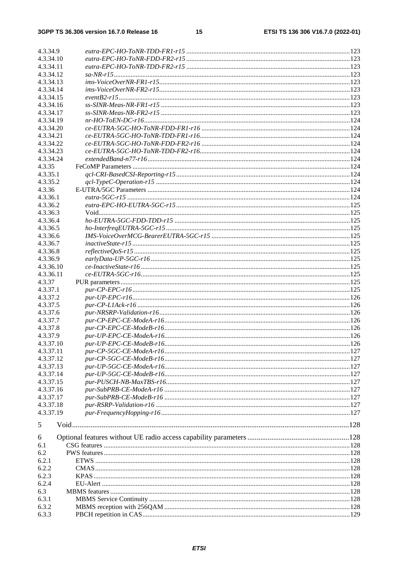| 4.3.34.9  |  |
|-----------|--|
| 4.3.34.10 |  |
| 4.3.34.11 |  |
| 4.3.34.12 |  |
| 4.3.34.13 |  |
| 4.3.34.14 |  |
|           |  |
| 4.3.34.15 |  |
| 4.3.34.16 |  |
| 4.3.34.17 |  |
| 4.3.34.19 |  |
| 4.3.34.20 |  |
| 4.3.34.21 |  |
| 4.3.34.22 |  |
|           |  |
| 4.3.34.23 |  |
| 4.3.34.24 |  |
| 4.3.35    |  |
| 4.3.35.1  |  |
| 4.3.35.2  |  |
| 4.3.36    |  |
| 4.3.36.1  |  |
| 4.3.36.2  |  |
|           |  |
| 4.3.36.3  |  |
| 4.3.36.4  |  |
| 4.3.36.5  |  |
| 4.3.36.6  |  |
| 4.3.36.7  |  |
| 4.3.36.8  |  |
| 4.3.36.9  |  |
| 4.3.36.10 |  |
|           |  |
| 4.3.36.11 |  |
| 4.3.37    |  |
| 4.3.37.1  |  |
| 4.3.37.2  |  |
| 4.3.37.5  |  |
| 4.3.37.6  |  |
| 4.3.37.7  |  |
| 4.3.37.8  |  |
|           |  |
| 4.3.37.9  |  |
| 4.3.37.10 |  |
| 4.3.37.11 |  |
| 4.3.37.12 |  |
| 4.3.37.13 |  |
| 4.3.37.14 |  |
| 4.3.37.15 |  |
| 4.3.37.16 |  |
| 4.3.37.17 |  |
|           |  |
| 4.3.37.18 |  |
| 4.3.37.19 |  |
| 5         |  |
|           |  |
| 6         |  |
| 6.1       |  |
|           |  |
| 6.2       |  |
| 6.2.1     |  |
| 6.2.2     |  |
| 6.2.3     |  |
| 6.2.4     |  |
| 6.3       |  |
| 6.3.1     |  |
| 6.3.2     |  |
|           |  |
| 6.3.3     |  |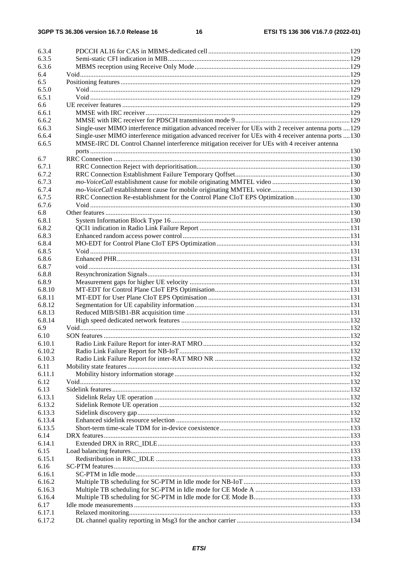16

| 6.3.4  |                                                                                                       |  |
|--------|-------------------------------------------------------------------------------------------------------|--|
| 6.3.5  |                                                                                                       |  |
| 6.3.6  |                                                                                                       |  |
| 6.4    |                                                                                                       |  |
| 6.5    |                                                                                                       |  |
| 6.5.0  |                                                                                                       |  |
| 6.5.1  |                                                                                                       |  |
| 6.6    |                                                                                                       |  |
| 6.6.1  |                                                                                                       |  |
| 6.6.2  |                                                                                                       |  |
| 6.6.3  | Single-user MIMO interference mitigation advanced receiver for UEs with 2 receiver antenna ports  129 |  |
| 6.6.4  | Single-user MIMO interference mitigation advanced receiver for UEs with 4 receiver antenna ports  130 |  |
| 6.6.5  | MMSE-IRC DL Control Channel interference mitigation receiver for UEs with 4 receiver antenna          |  |
|        |                                                                                                       |  |
| 6.7    |                                                                                                       |  |
| 6.7.1  |                                                                                                       |  |
| 6.7.2  |                                                                                                       |  |
| 6.7.3  |                                                                                                       |  |
| 6.7.4  |                                                                                                       |  |
| 6.7.5  | RRC Connection Re-establishment for the Control Plane CIoT EPS Optimization130                        |  |
| 6.7.6  |                                                                                                       |  |
| 6.8    |                                                                                                       |  |
| 6.8.1  |                                                                                                       |  |
| 6.8.2  |                                                                                                       |  |
| 6.8.3  |                                                                                                       |  |
| 6.8.4  |                                                                                                       |  |
| 6.8.5  |                                                                                                       |  |
| 6.8.6  |                                                                                                       |  |
| 6.8.7  |                                                                                                       |  |
| 6.8.8  |                                                                                                       |  |
| 6.8.9  |                                                                                                       |  |
| 6.8.10 |                                                                                                       |  |
| 6.8.11 |                                                                                                       |  |
| 6.8.12 |                                                                                                       |  |
| 6.8.13 |                                                                                                       |  |
| 6.8.14 |                                                                                                       |  |
| 6.9    |                                                                                                       |  |
| 6.10   |                                                                                                       |  |
| 6.10.1 |                                                                                                       |  |
| 6.10.2 |                                                                                                       |  |
| 6.10.3 |                                                                                                       |  |
| 6.11   |                                                                                                       |  |
| 6.11.1 |                                                                                                       |  |
| 6.12   |                                                                                                       |  |
| 6.13   |                                                                                                       |  |
| 6.13.1 |                                                                                                       |  |
| 6.13.2 |                                                                                                       |  |
| 6.13.3 |                                                                                                       |  |
| 6.13.4 |                                                                                                       |  |
| 6.13.5 |                                                                                                       |  |
| 6.14   |                                                                                                       |  |
| 6.14.1 |                                                                                                       |  |
| 6.15   |                                                                                                       |  |
| 6.15.1 |                                                                                                       |  |
| 6.16   |                                                                                                       |  |
| 6.16.1 |                                                                                                       |  |
| 6.16.2 |                                                                                                       |  |
| 6.16.3 |                                                                                                       |  |
| 6.16.4 |                                                                                                       |  |
| 6.17   |                                                                                                       |  |
| 6.17.1 |                                                                                                       |  |
| 6.17.2 |                                                                                                       |  |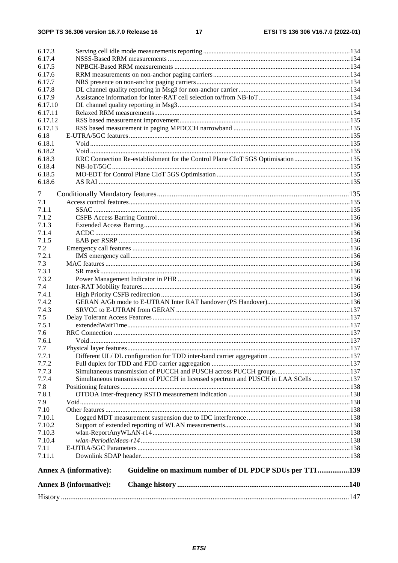|                  | <b>Annex B</b> (informative): |                                                                                      |  |
|------------------|-------------------------------|--------------------------------------------------------------------------------------|--|
|                  | <b>Annex A (informative):</b> | Guideline on maximum number of DL PDCP SDUs per TTI 139                              |  |
| 7.11.1           |                               |                                                                                      |  |
|                  |                               |                                                                                      |  |
| 7.11             |                               |                                                                                      |  |
| 7.10.4           |                               |                                                                                      |  |
| 7.10.2<br>7.10.3 |                               |                                                                                      |  |
| 7.10.1           |                               |                                                                                      |  |
| 7.10             |                               |                                                                                      |  |
| 7.9              |                               |                                                                                      |  |
| 7.8.1            |                               |                                                                                      |  |
| 7.8              |                               |                                                                                      |  |
| 7.7.4            |                               | Simultaneous transmission of PUCCH in licensed spectrum and PUSCH in LAA SCells  137 |  |
| 7.7.3            |                               |                                                                                      |  |
| 7.7.2            |                               |                                                                                      |  |
| 7.7.1            |                               |                                                                                      |  |
| 7.7              |                               |                                                                                      |  |
| 7.6.1            |                               |                                                                                      |  |
| 7.6              |                               |                                                                                      |  |
| 7.5.1            |                               |                                                                                      |  |
| 7.5              |                               |                                                                                      |  |
| 7.4.3            |                               |                                                                                      |  |
| 7.4.2            |                               |                                                                                      |  |
| 7.4.1            |                               |                                                                                      |  |
| 7.4              |                               |                                                                                      |  |
| 7.3.2            |                               |                                                                                      |  |
| 7.3.1            |                               |                                                                                      |  |
| 7.3              |                               |                                                                                      |  |
| 7.2.1            |                               |                                                                                      |  |
| 7.2              |                               |                                                                                      |  |
| 7.1.5            |                               |                                                                                      |  |
| 7.1.4            |                               |                                                                                      |  |
| 7.1.3            |                               |                                                                                      |  |
| 7.1.2            |                               |                                                                                      |  |
| 7.1.1            |                               |                                                                                      |  |
| 7.1              |                               |                                                                                      |  |
| 7                |                               |                                                                                      |  |
| 6.18.6           |                               |                                                                                      |  |
| 6.18.5           |                               |                                                                                      |  |
| 6.18.4           |                               |                                                                                      |  |
| 6.18.3           |                               | RRC Connection Re-establishment for the Control Plane CIoT 5GS Optimisation135       |  |
| 6.18.2           |                               |                                                                                      |  |
| 6.18.1           |                               |                                                                                      |  |
| 6.18             |                               |                                                                                      |  |
| 6.17.13          |                               |                                                                                      |  |
| 6.17.12          |                               |                                                                                      |  |
| 6.17.11          |                               |                                                                                      |  |
| 6.17.10          |                               |                                                                                      |  |
| 6.17.9           |                               |                                                                                      |  |
| 6.17.8           |                               |                                                                                      |  |
| 6.17.7           |                               |                                                                                      |  |
| 6.17.5<br>6.17.6 |                               |                                                                                      |  |
| 6.17.4           |                               |                                                                                      |  |
| 6.17.3           |                               |                                                                                      |  |
|                  |                               |                                                                                      |  |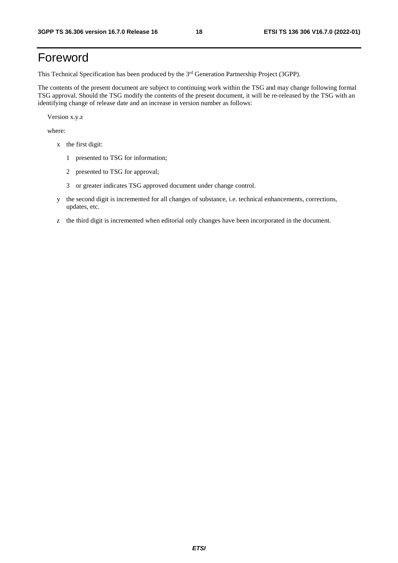# Foreword

This Technical Specification has been produced by the 3<sup>rd</sup> Generation Partnership Project (3GPP).

The contents of the present document are subject to continuing work within the TSG and may change following formal TSG approval. Should the TSG modify the contents of the present document, it will be re-released by the TSG with an identifying change of release date and an increase in version number as follows:

Version x.y.z

where:

- x the first digit:
	- 1 presented to TSG for information;
	- 2 presented to TSG for approval;
	- 3 or greater indicates TSG approved document under change control.
- y the second digit is incremented for all changes of substance, i.e. technical enhancements, corrections, updates, etc.
- z the third digit is incremented when editorial only changes have been incorporated in the document.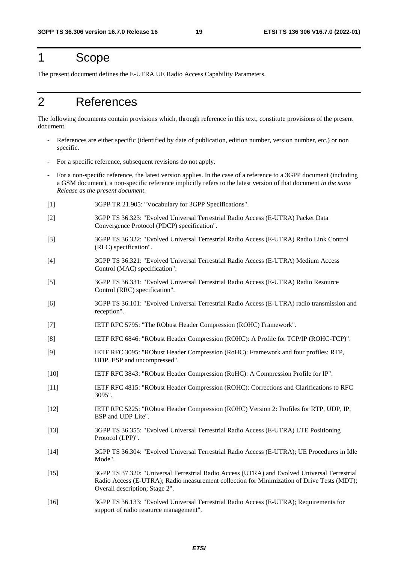### 1 Scope

The present document defines the E-UTRA UE Radio Access Capability Parameters.

# 2 References

The following documents contain provisions which, through reference in this text, constitute provisions of the present document.

- References are either specific (identified by date of publication, edition number, version number, etc.) or non specific.
- For a specific reference, subsequent revisions do not apply.
- For a non-specific reference, the latest version applies. In the case of a reference to a 3GPP document (including a GSM document), a non-specific reference implicitly refers to the latest version of that document *in the same Release as the present document*.
- [1] 3GPP TR 21.905: "Vocabulary for 3GPP Specifications".
- [2] 3GPP TS 36.323: "Evolved Universal Terrestrial Radio Access (E-UTRA) Packet Data Convergence Protocol (PDCP) specification".
- [3] 3GPP TS 36.322: "Evolved Universal Terrestrial Radio Access (E-UTRA) Radio Link Control (RLC) specification".
- [4] 3GPP TS 36.321: "Evolved Universal Terrestrial Radio Access (E-UTRA) Medium Access Control (MAC) specification".
- [5] 3GPP TS 36.331: "Evolved Universal Terrestrial Radio Access (E-UTRA) Radio Resource Control (RRC) specification".
- [6] 3GPP TS 36.101: "Evolved Universal Terrestrial Radio Access (E-UTRA) radio transmission and reception".
- [7] IETF RFC 5795: "The RObust Header Compression (ROHC) Framework".
- [8] IETF RFC 6846: "RObust Header Compression (ROHC): A Profile for TCP/IP (ROHC-TCP)".
- [9] IETF RFC 3095: "RObust Header Compression (RoHC): Framework and four profiles: RTP, UDP, ESP and uncompressed".
- [10] IETF RFC 3843: "RObust Header Compression (RoHC): A Compression Profile for IP".
- [11] IETF RFC 4815: "RObust Header Compression (ROHC): Corrections and Clarifications to RFC 3095".
- [12] IETF RFC 5225: "RObust Header Compression (ROHC) Version 2: Profiles for RTP, UDP, IP, ESP and UDP Lite".
- [13] 3GPP TS 36.355: "Evolved Universal Terrestrial Radio Access (E-UTRA) LTE Positioning Protocol (LPP)".
- [14] 3GPP TS 36.304: "Evolved Universal Terrestrial Radio Access (E-UTRA); UE Procedures in Idle Mode".
- [15] 3GPP TS 37.320: "Universal Terrestrial Radio Access (UTRA) and Evolved Universal Terrestrial Radio Access (E-UTRA); Radio measurement collection for Minimization of Drive Tests (MDT); Overall description; Stage 2".
- [16] 3GPP TS 36.133: "Evolved Universal Terrestrial Radio Access (E-UTRA); Requirements for support of radio resource management".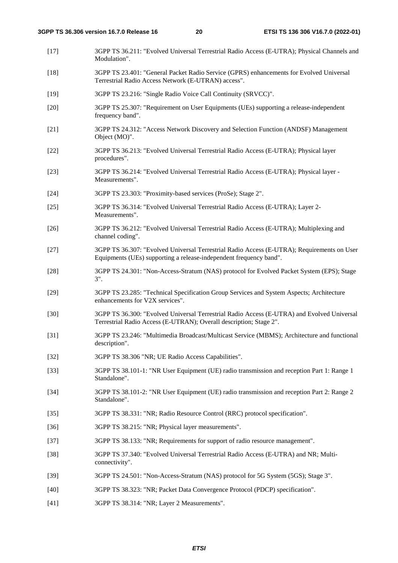- [17] 3GPP TS 36.211: "Evolved Universal Terrestrial Radio Access (E-UTRA); Physical Channels and Modulation".
- [18] 3GPP TS 23.401: "General Packet Radio Service (GPRS) enhancements for Evolved Universal Terrestrial Radio Access Network (E-UTRAN) access".
- [19] 3GPP TS 23.216: "Single Radio Voice Call Continuity (SRVCC)".
- [20] 3GPP TS 25.307: "Requirement on User Equipments (UEs) supporting a release-independent frequency band".
- [21] 3GPP TS 24.312: "Access Network Discovery and Selection Function (ANDSF) Management Object (MO)".
- [22] 3GPP TS 36.213: "Evolved Universal Terrestrial Radio Access (E-UTRA); Physical layer procedures".
- [23] 3GPP TS 36.214: "Evolved Universal Terrestrial Radio Access (E-UTRA); Physical layer Measurements".
- [24] 3GPP TS 23.303: "Proximity-based services (ProSe); Stage 2".
- [25] 3GPP TS 36.314: "Evolved Universal Terrestrial Radio Access (E-UTRA); Layer 2- Measurements".
- [26] 3GPP TS 36.212: "Evolved Universal Terrestrial Radio Access (E-UTRA); Multiplexing and channel coding".
- [27] 3GPP TS 36.307: "Evolved Universal Terrestrial Radio Access (E-UTRA); Requirements on User Equipments (UEs) supporting a release-independent frequency band".
- [28] 3GPP TS 24.301: "Non-Access-Stratum (NAS) protocol for Evolved Packet System (EPS); Stage 3".
- [29] 3GPP TS 23.285: "Technical Specification Group Services and System Aspects; Architecture enhancements for V2X services".
- [30] 3GPP TS 36.300: "Evolved Universal Terrestrial Radio Access (E-UTRA) and Evolved Universal Terrestrial Radio Access (E-UTRAN); Overall description; Stage 2".
- [31] 3GPP TS 23.246: "Multimedia Broadcast/Multicast Service (MBMS); Architecture and functional description".
- [32] 3GPP TS 38.306 "NR; UE Radio Access Capabilities".
- [33] 3GPP TS 38.101-1: "NR User Equipment (UE) radio transmission and reception Part 1: Range 1 Standalone".
- [34] 3GPP TS 38.101-2: "NR User Equipment (UE) radio transmission and reception Part 2: Range 2 Standalone".
- [35] 3GPP TS 38.331: "NR; Radio Resource Control (RRC) protocol specification".
- [36] 3GPP TS 38.215: "NR; Physical layer measurements".
- [37] 3GPP TS 38.133: "NR; Requirements for support of radio resource management".
- [38] 3GPP TS 37.340: "Evolved Universal Terrestrial Radio Access (E-UTRA) and NR; Multiconnectivity".
- [39] 3GPP TS 24.501: "Non-Access-Stratum (NAS) protocol for 5G System (5GS); Stage 3".
- [40] 3GPP TS 38.323: "NR; Packet Data Convergence Protocol (PDCP) specification".
- [41] 3GPP TS 38.314: "NR; Layer 2 Measurements".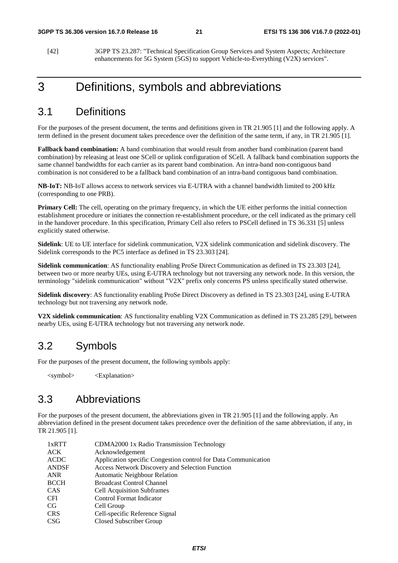[42] 3GPP TS 23.287: "Technical Specification Group Services and System Aspects; Architecture enhancements for 5G System (5GS) to support Vehicle-to-Everything (V2X) services".

### 3 Definitions, symbols and abbreviations

### 3.1 Definitions

For the purposes of the present document, the terms and definitions given in TR 21.905 [1] and the following apply. A term defined in the present document takes precedence over the definition of the same term, if any, in TR 21.905 [1].

**Fallback band combination:** A band combination that would result from another band combination (parent band combination) by releasing at least one SCell or uplink configuration of SCell. A fallback band combination supports the same channel bandwidths for each carrier as its parent band combination. An intra-band non-contiguous band combination is not considered to be a fallback band combination of an intra-band contiguous band combination.

**NB-IoT:** NB-IoT allows access to network services via E-UTRA with a channel bandwidth limited to 200 kHz (corresponding to one PRB).

**Primary Cell:** The cell, operating on the primary frequency, in which the UE either performs the initial connection establishment procedure or initiates the connection re-establishment procedure, or the cell indicated as the primary cell in the handover procedure. In this specification, Primary Cell also refers to PSCell defined in TS 36.331 [5] unless explicitly stated otherwise.

**Sidelink**: UE to UE interface for sidelink communication, V2X sidelink communication and sidelink discovery. The Sidelink corresponds to the PC5 interface as defined in TS 23.303 [24].

**Sidelink communication**: AS functionality enabling ProSe Direct Communication as defined in TS 23.303 [24], between two or more nearby UEs, using E-UTRA technology but not traversing any network node. In this version, the terminology "sidelink communication" without "V2X" prefix only concerns PS unless specifically stated otherwise.

**Sidelink discovery**: AS functionality enabling ProSe Direct Discovery as defined in TS 23.303 [24], using E-UTRA technology but not traversing any network node.

**V2X sidelink communication**: AS functionality enabling V2X Communication as defined in TS 23.285 [29], between nearby UEs, using E-UTRA technology but not traversing any network node.

### 3.2 Symbols

For the purposes of the present document, the following symbols apply:

<symbol> <Explanation>

### 3.3 Abbreviations

For the purposes of the present document, the abbreviations given in TR 21.905 [1] and the following apply. An abbreviation defined in the present document takes precedence over the definition of the same abbreviation, if any, in TR 21.905 [1].

| 1xRTT        | CDMA2000 1x Radio Transmission Technology                      |
|--------------|----------------------------------------------------------------|
| <b>ACK</b>   | Acknowledgement                                                |
| <b>ACDC</b>  | Application specific Congestion control for Data Communication |
| <b>ANDSF</b> | <b>Access Network Discovery and Selection Function</b>         |
| ANR          | <b>Automatic Neighbour Relation</b>                            |
| <b>BCCH</b>  | <b>Broadcast Control Channel</b>                               |
| <b>CAS</b>   | <b>Cell Acquisition Subframes</b>                              |
| <b>CFI</b>   | Control Format Indicator                                       |
| CG.          | Cell Group                                                     |
| <b>CRS</b>   | Cell-specific Reference Signal                                 |
| <b>CSG</b>   | Closed Subscriber Group                                        |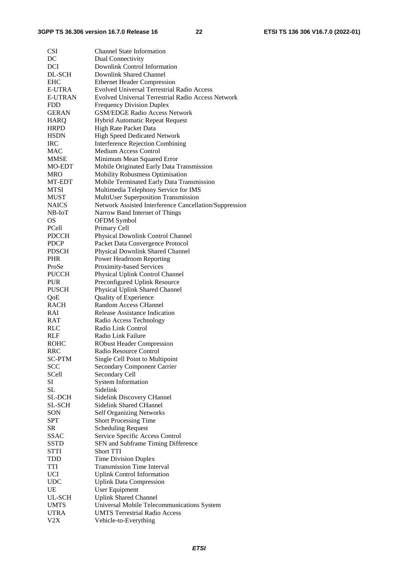| <b>CSI</b>     | <b>Channel State Information</b>                          |
|----------------|-----------------------------------------------------------|
| DC             | <b>Dual Connectivity</b>                                  |
| DCI            | Downlink Control Information                              |
| DL-SCH         | Downlink Shared Channel                                   |
| <b>EHC</b>     | <b>Ethernet Header Compression</b>                        |
| <b>E-UTRA</b>  | <b>Evolved Universal Terrestrial Radio Access</b>         |
| <b>E-UTRAN</b> | <b>Evolved Universal Terrestrial Radio Access Network</b> |
| <b>FDD</b>     | <b>Frequency Division Duplex</b>                          |
| <b>GERAN</b>   | <b>GSM/EDGE Radio Access Network</b>                      |
| <b>HARQ</b>    | Hybrid Automatic Repeat Request                           |
| <b>HRPD</b>    | High Rate Packet Data                                     |
| <b>HSDN</b>    | High Speed Dedicated Network                              |
| <b>IRC</b>     | Interference Rejection Combining                          |
| MAC            | <b>Medium Access Control</b>                              |
| MMSE           | Minimum Mean Squared Error                                |
| MO-EDT         | Mobile Originated Early Data Transmission                 |
| MRO            | Mobility Robustness Optimisation                          |
| MT-EDT         | Mobile Terminated Early Data Transmission                 |
| <b>MTSI</b>    | Multimedia Telephony Service for IMS                      |
| <b>MUST</b>    | MultiUser Superposition Transmission                      |
| <b>NAICS</b>   | Network Assisted Interference Cancellation/Suppression    |
| NB-IoT         | Narrow Band Internet of Things                            |
| <b>OS</b>      | OFDM Symbol                                               |
| PCell          | Primary Cell                                              |
| <b>PDCCH</b>   | Physical Downlink Control Channel                         |
| <b>PDCP</b>    | Packet Data Convergence Protocol                          |
| <b>PDSCH</b>   | Physical Downlink Shared Channel                          |
| <b>PHR</b>     | Power Headroom Reporting                                  |
| ProSe          | Proximity-based Services                                  |
| <b>PUCCH</b>   | Physical Uplink Control Channel                           |
| <b>PUR</b>     | Preconfigured Uplink Resource                             |
| <b>PUSCH</b>   | Physical Uplink Shared Channel                            |
| QoE            | Quality of Experience                                     |
| <b>RACH</b>    | <b>Random Access CHannel</b>                              |
| <b>RAI</b>     | Release Assistance Indication                             |
| RAT            | Radio Access Technology                                   |
| <b>RLC</b>     | Radio Link Control                                        |
| RLF            | Radio Link Failure                                        |
| <b>ROHC</b>    | <b>RObust Header Compression</b>                          |
| <b>RRC</b>     | Radio Resource Control                                    |
| <b>SC-PTM</b>  | Single Cell Point to Multipoint                           |
| <b>SCC</b>     | <b>Secondary Component Carrier</b>                        |
| <b>SCell</b>   | Secondary Cell                                            |
| SI             | <b>System Information</b>                                 |
| SL             | Sidelink                                                  |
| <b>SL-DCH</b>  | Sidelink Discovery CHannel                                |
| SL-SCH         | <b>Sidelink Shared CHannel</b>                            |
| SON            | <b>Self Organizing Networks</b>                           |
| <b>SPT</b>     | <b>Short Processing Time</b>                              |
| SR             | <b>Scheduling Request</b>                                 |
| <b>SSAC</b>    | Service Specific Access Control                           |
| <b>SSTD</b>    | SFN and Subframe Timing Difference                        |
| <b>STTI</b>    | <b>Short TTI</b>                                          |
| TDD            | <b>Time Division Duplex</b>                               |
| TTI            | <b>Transmission Time Interval</b>                         |
| <b>UCI</b>     | <b>Uplink Control Information</b>                         |
| <b>UDC</b>     | <b>Uplink Data Compression</b>                            |
| UE             | <b>User Equipment</b>                                     |
| UL-SCH         | <b>Uplink Shared Channel</b>                              |
| <b>UMTS</b>    | Universal Mobile Telecommunications System                |
| <b>UTRA</b>    | <b>UMTS Terrestrial Radio Access</b>                      |
| V2X            | Vehicle-to-Everything                                     |
|                |                                                           |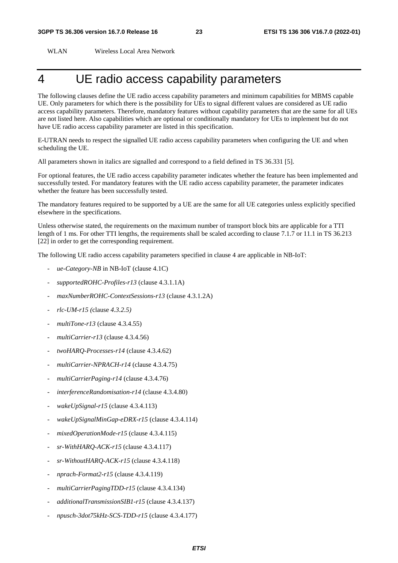WLAN Wireless Local Area Network

## 4 UE radio access capability parameters

The following clauses define the UE radio access capability parameters and minimum capabilities for MBMS capable UE. Only parameters for which there is the possibility for UEs to signal different values are considered as UE radio access capability parameters. Therefore, mandatory features without capability parameters that are the same for all UEs are not listed here. Also capabilities which are optional or conditionally mandatory for UEs to implement but do not have UE radio access capability parameter are listed in this specification.

E-UTRAN needs to respect the signalled UE radio access capability parameters when configuring the UE and when scheduling the UE.

All parameters shown in italics are signalled and correspond to a field defined in TS 36.331 [5].

For optional features, the UE radio access capability parameter indicates whether the feature has been implemented and successfully tested. For mandatory features with the UE radio access capability parameter, the parameter indicates whether the feature has been successfully tested.

The mandatory features required to be supported by a UE are the same for all UE categories unless explicitly specified elsewhere in the specifications.

Unless otherwise stated, the requirements on the maximum number of transport block bits are applicable for a TTI length of 1 ms. For other TTI lengths, the requirements shall be scaled according to clause 7.1.7 or 11.1 in TS 36.213 [22] in order to get the corresponding requirement.

The following UE radio access capability parameters specified in clause 4 are applicable in NB-IoT:

- *ue-Category-NB* in NB-IoT (clause 4.1C)
- *supportedROHC-Profiles-r13* (clause 4.3.1.1A)
- *maxNumberROHC-ContextSessions-r13* (clause 4.3.1.2A)
- *rlc-UM-r15 (*clause *4.3.2.5)*
- *multiTone-r13* (clause 4.3.4.55)
- *multiCarrier-r13* (clause 4.3.4.56)
- *twoHARQ-Processes-r14* (clause 4.3.4.62)
- *multiCarrier-NPRACH-r14* (clause 4.3.4.75)
- *multiCarrierPaging-r14* (clause 4.3.4.76)
- *interferenceRandomisation-r14* (clause 4.3.4.80)
- *wakeUpSignal-r15* (clause 4.3.4.113)
- *wakeUpSignalMinGap-eDRX-r15* (clause 4.3.4.114)
- *mixedOperationMode-r15* (clause 4.3.4.115)
- *sr-WithHARQ-ACK-r15* (clause 4.3.4.117)
- *sr-WithoutHARQ-ACK-r15* (clause 4.3.4.118)
- *nprach-Format2-r15* (clause 4.3.4.119)
- *multiCarrierPagingTDD-r15* (clause 4.3.4.134)
- *additionalTransmissionSIB1-r15* (clause 4.3.4.137)
- *npusch-3dot75kHz-SCS-TDD-r15* (clause 4.3.4.177)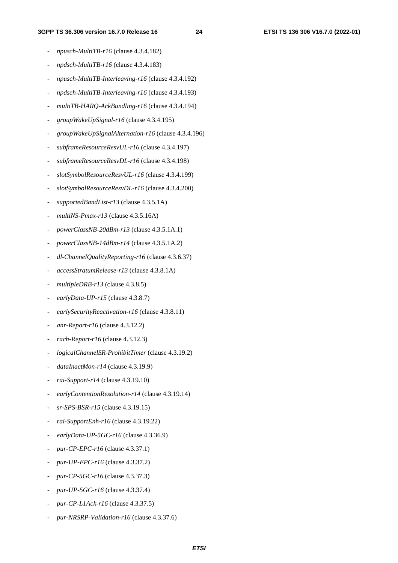- *npusch-MultiTB-r16* (clause 4.3.4.182)
- *npdsch-MultiTB-r16* (clause 4.3.4.183)
- *npusch-MultiTB-Interleaving-r16* (clause 4.3.4.192)
- *npdsch-MultiTB-Interleaving-r16* (clause 4.3.4.193)
- *multiTB-HARQ-AckBundling-r16* (clause 4.3.4.194)
- *groupWakeUpSignal-r16* (clause 4.3.4.195)
- *groupWakeUpSignalAlternation-r16* (clause 4.3.4.196)
- *subframeResourceResvUL-r16* (clause 4.3.4.197)
- *subframeResourceResvDL-r16* (clause 4.3.4.198)
- *slotSymbolResourceResvUL-r16* (clause 4.3.4.199)
- *slotSymbolResourceResvDL-r16* (clause 4.3.4.200)
- *supportedBandList-r13* (clause 4.3.5.1A)
- *multiNS-Pmax-r13* (clause 4.3.5.16A)
- *powerClassNB-20dBm-r13* (clause 4.3.5.1A.1)
- *powerClassNB-14dBm-r14* (clause 4.3.5.1A.2)
- *dl*-*ChannelQualityReporting-r16* (clause 4.3.6.37)
- *accessStratumRelease-r13* (clause 4.3.8.1A)
- *multipleDRB-r13* (clause 4.3.8.5)
- *earlyData-UP-r15* (clause 4.3.8.7)
- *earlySecurityReactivation-r16* (clause 4.3.8.11)
- *anr-Report-r16* (clause 4.3.12.2)
- rach-Report-r16 (clause 4.3.12.3)
- *logicalChannelSR-ProhibitTimer* (clause 4.3.19.2)
- *dataInactMon-r14* (clause 4.3.19.9)
- *rai-Support-r14* (clause 4.3.19.10)
- *earlyContentionResolution-r14* (clause 4.3.19.14)
- *sr-SPS-BSR-r15* (clause 4.3.19.15)
- *rai-SupportEnh-r16* (clause 4.3.19.22)
- *earlyData-UP-5GC-r16* (clause 4.3.36.9)
- *pur-CP-EPC-r16* (clause 4.3.37.1)
- *pur-UP-EPC-r16* (clause 4.3.37.2)
- *pur-CP-5GC-r16* (clause 4.3.37.3)
- *pur-UP-5GC-r16* (clause 4.3.37.4)
- *pur-CP-L1Ack-r16* (clause 4.3.37.5)
- *pur-NRSRP-Validation-r16* (clause 4.3.37.6)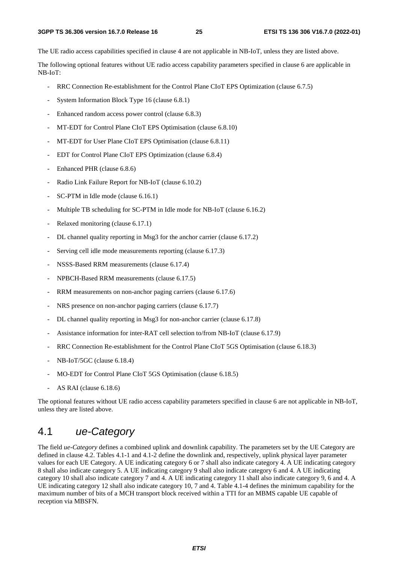The UE radio access capabilities specified in clause 4 are not applicable in NB-IoT, unless they are listed above.

The following optional features without UE radio access capability parameters specified in clause 6 are applicable in NB-IoT:

- RRC Connection Re-establishment for the Control Plane CIoT EPS Optimization (clause 6.7.5)
- System Information Block Type 16 (clause 6.8.1)
- Enhanced random access power control (clause 6.8.3)
- MT-EDT for Control Plane CIoT EPS Optimisation (clause 6.8.10)
- MT-EDT for User Plane CIoT EPS Optimisation (clause 6.8.11)
- EDT for Control Plane CIoT EPS Optimization (clause 6.8.4)
- Enhanced PHR (clause 6.8.6)
- Radio Link Failure Report for NB-IoT (clause 6.10.2)
- SC-PTM in Idle mode (clause 6.16.1)
- Multiple TB scheduling for SC-PTM in Idle mode for NB-IoT (clause 6.16.2)
- Relaxed monitoring (clause 6.17.1)
- DL channel quality reporting in Msg3 for the anchor carrier (clause 6.17.2)
- Serving cell idle mode measurements reporting (clause 6.17.3)
- NSSS-Based RRM measurements (clause 6.17.4)
- NPBCH-Based RRM measurements (clause 6.17.5)
- RRM measurements on non-anchor paging carriers (clause 6.17.6)
- NRS presence on non-anchor paging carriers (clause 6.17.7)
- DL channel quality reporting in Msg3 for non-anchor carrier (clause 6.17.8)
- Assistance information for inter-RAT cell selection to/from NB-IoT (clause 6.17.9)
- RRC Connection Re-establishment for the Control Plane CIoT 5GS Optimisation (clause 6.18.3)
- NB-IoT/5GC (clause 6.18.4)
- MO-EDT for Control Plane CIoT 5GS Optimisation (clause 6.18.5)
- AS RAI (clause 6.18.6)

The optional features without UE radio access capability parameters specified in clause 6 are not applicable in NB-IoT, unless they are listed above.

### 4.1 *ue-Category*

The field *ue-Category* defines a combined uplink and downlink capability. The parameters set by the UE Category are defined in clause 4.2. Tables 4.1-1 and 4.1-2 define the downlink and, respectively, uplink physical layer parameter values for each UE Category. A UE indicating category 6 or 7 shall also indicate category 4. A UE indicating category 8 shall also indicate category 5. A UE indicating category 9 shall also indicate category 6 and 4. A UE indicating category 10 shall also indicate category 7 and 4. A UE indicating category 11 shall also indicate category 9, 6 and 4. A UE indicating category 12 shall also indicate category 10, 7 and 4. Table 4.1-4 defines the minimum capability for the maximum number of bits of a MCH transport block received within a TTI for an MBMS capable UE capable of reception via MBSFN.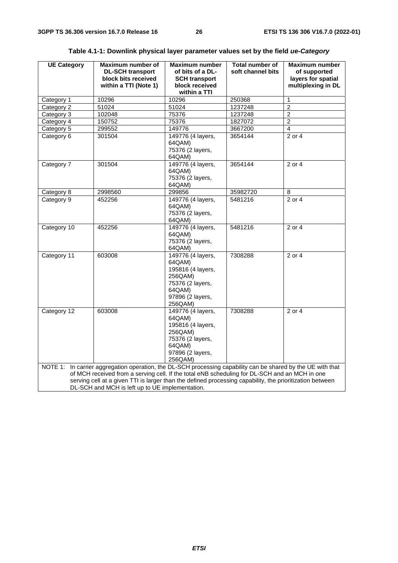| <b>UE Category</b>                                                                                                                                                                                            | Maximum number of<br><b>DL-SCH transport</b>                                                             | <b>Maximum number</b><br>of bits of a DL- | <b>Total number of</b><br>soft channel bits | Maximum number<br>of supported           |
|---------------------------------------------------------------------------------------------------------------------------------------------------------------------------------------------------------------|----------------------------------------------------------------------------------------------------------|-------------------------------------------|---------------------------------------------|------------------------------------------|
|                                                                                                                                                                                                               | block bits received<br>within a TTI (Note 1)                                                             | <b>SCH transport</b><br>block received    |                                             | layers for spatial<br>multiplexing in DL |
|                                                                                                                                                                                                               |                                                                                                          | within a TTI                              |                                             |                                          |
| Category 1                                                                                                                                                                                                    | 10296                                                                                                    | 10296                                     | 250368                                      | 1                                        |
| Category 2                                                                                                                                                                                                    | 51024                                                                                                    | 51024                                     | 1237248                                     | $\overline{2}$                           |
| Category 3                                                                                                                                                                                                    | 102048                                                                                                   | 75376                                     | 1237248                                     | $\overline{\mathbf{c}}$                  |
| Category 4                                                                                                                                                                                                    | 150752                                                                                                   | 75376                                     | 1827072                                     | $\overline{2}$                           |
| Category 5                                                                                                                                                                                                    | 299552                                                                                                   | 149776                                    | 3667200                                     | 4                                        |
| Category 6                                                                                                                                                                                                    | 301504                                                                                                   | 149776 (4 layers,<br>64QAM)               | 3654144                                     | 2 or 4                                   |
|                                                                                                                                                                                                               |                                                                                                          | 75376 (2 layers,                          |                                             |                                          |
|                                                                                                                                                                                                               |                                                                                                          | 64QAM)                                    |                                             |                                          |
| Category 7                                                                                                                                                                                                    | 301504                                                                                                   | 149776 (4 layers,                         | 3654144                                     | $2$ or 4                                 |
|                                                                                                                                                                                                               |                                                                                                          | 64QAM)                                    |                                             |                                          |
|                                                                                                                                                                                                               |                                                                                                          | 75376 (2 layers,                          |                                             |                                          |
|                                                                                                                                                                                                               |                                                                                                          | 64QAM)                                    |                                             |                                          |
| Category 8                                                                                                                                                                                                    | 2998560                                                                                                  | 299856                                    | 35982720                                    | 8                                        |
| Category 9                                                                                                                                                                                                    | 452256                                                                                                   | 149776 (4 layers,                         | 5481216                                     | $\overline{2 \text{ or } 4}$             |
|                                                                                                                                                                                                               |                                                                                                          | 64QAM)                                    |                                             |                                          |
|                                                                                                                                                                                                               |                                                                                                          | 75376 (2 layers,                          |                                             |                                          |
|                                                                                                                                                                                                               |                                                                                                          | 64QAM)                                    |                                             |                                          |
| Category 10                                                                                                                                                                                                   | 452256                                                                                                   | 149776 (4 layers,                         | 5481216                                     | 2 or 4                                   |
|                                                                                                                                                                                                               |                                                                                                          | 64QAM)                                    |                                             |                                          |
|                                                                                                                                                                                                               |                                                                                                          | 75376 (2 layers,                          |                                             |                                          |
|                                                                                                                                                                                                               |                                                                                                          | 64QAM)                                    |                                             |                                          |
| Category 11                                                                                                                                                                                                   | 603008                                                                                                   | 149776 (4 layers,                         | 7308288                                     | 2 or 4                                   |
|                                                                                                                                                                                                               |                                                                                                          | 64QAM)                                    |                                             |                                          |
|                                                                                                                                                                                                               |                                                                                                          | 195816 (4 layers,<br>256QAM)              |                                             |                                          |
|                                                                                                                                                                                                               |                                                                                                          | 75376 (2 layers,                          |                                             |                                          |
|                                                                                                                                                                                                               |                                                                                                          | 64QAM)                                    |                                             |                                          |
|                                                                                                                                                                                                               |                                                                                                          | 97896 (2 layers,                          |                                             |                                          |
|                                                                                                                                                                                                               |                                                                                                          | 256QAM)                                   |                                             |                                          |
| Category 12                                                                                                                                                                                                   | 603008                                                                                                   | 149776 (4 layers,                         | 7308288                                     | $2$ or $4$                               |
|                                                                                                                                                                                                               |                                                                                                          | 64QAM)                                    |                                             |                                          |
|                                                                                                                                                                                                               |                                                                                                          | 195816 (4 layers,                         |                                             |                                          |
|                                                                                                                                                                                                               |                                                                                                          | 256QAM)                                   |                                             |                                          |
|                                                                                                                                                                                                               |                                                                                                          | 75376 (2 layers,                          |                                             |                                          |
|                                                                                                                                                                                                               |                                                                                                          | 64QAM)                                    |                                             |                                          |
|                                                                                                                                                                                                               |                                                                                                          | 97896 (2 layers,                          |                                             |                                          |
|                                                                                                                                                                                                               |                                                                                                          | 256QAM)                                   |                                             |                                          |
| NOTE 1: In carrier aggregation operation, the DL-SCH processing capability can be shared by the UE with that<br>of MCH received from a serving cell. If the total eNB scheduling for DL-SCH and an MCH in one |                                                                                                          |                                           |                                             |                                          |
|                                                                                                                                                                                                               |                                                                                                          |                                           |                                             |                                          |
|                                                                                                                                                                                                               | serving cell at a given TTI is larger than the defined processing capability, the prioritization between |                                           |                                             |                                          |
| DL-SCH and MCH is left up to UE implementation.                                                                                                                                                               |                                                                                                          |                                           |                                             |                                          |

### **Table 4.1-1: Downlink physical layer parameter values set by the field** *ue-Category*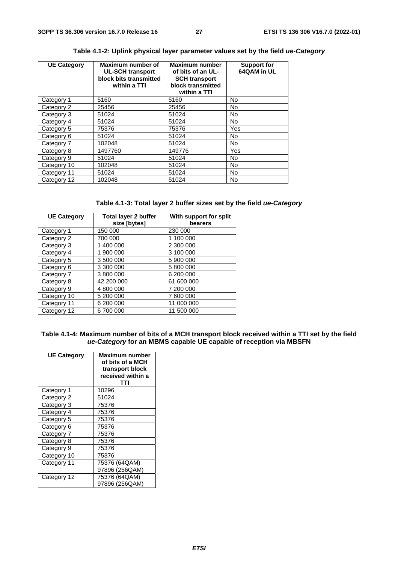| <b>UE Category</b> | Maximum number of<br><b>UL-SCH transport</b><br>block bits transmitted<br>within a TTI | <b>Maximum number</b><br>of bits of an UL-<br><b>SCH transport</b><br>block transmitted<br>within a TTI | <b>Support for</b><br>64QAM in UL |
|--------------------|----------------------------------------------------------------------------------------|---------------------------------------------------------------------------------------------------------|-----------------------------------|
| Category 1         | 5160                                                                                   | 5160                                                                                                    | No.                               |
| Category 2         | 25456                                                                                  | 25456                                                                                                   | No.                               |
| Category 3         | 51024                                                                                  | 51024                                                                                                   | No                                |
| Category 4         | 51024                                                                                  | 51024                                                                                                   | No.                               |
| Category 5         | 75376                                                                                  | 75376                                                                                                   | Yes                               |
| Category 6         | 51024                                                                                  | 51024                                                                                                   | No.                               |
| Category 7         | 102048                                                                                 | 51024                                                                                                   | <b>No</b>                         |
| Category 8         | 1497760                                                                                | 149776                                                                                                  | Yes                               |
| Category 9         | 51024                                                                                  | 51024                                                                                                   | No.                               |
| Category 10        | 102048                                                                                 | 51024                                                                                                   | No                                |
| Category 11        | 51024                                                                                  | 51024                                                                                                   | <b>No</b>                         |
| Category 12        | 102048                                                                                 | 51024                                                                                                   | <b>No</b>                         |

### **Table 4.1-2: Uplink physical layer parameter values set by the field** *ue-Category*

| Table 4.1-3: Total layer 2 buffer sizes set by the field ue-Category |  |
|----------------------------------------------------------------------|--|
|----------------------------------------------------------------------|--|

| <b>UE Category</b> | <b>Total layer 2 buffer</b> | With support for split |  |
|--------------------|-----------------------------|------------------------|--|
|                    | size [bytes]                | bearers                |  |
| Category 1         | 150 000                     | 230 000                |  |
| Category 2         | 700 000                     | 1 100 000              |  |
| Category 3         | 1 400 000                   | 2 300 000              |  |
| Category 4         | 1 900 000                   | 3 100 000              |  |
| Category 5         | 3 500 000                   | 5 900 000              |  |
| Category 6         | 3 300 000                   | 5 800 000              |  |
| Category 7         | 3 800 000                   | 6 200 000              |  |
| Category 8         | 42 200 000                  | 61 600 000             |  |
| Category 9         | 4 800 000                   | 7 200 000              |  |
| Category 10        | 5 200 000                   | 7 600 000              |  |
| Category 11        | 6 200 000                   | 11 000 000             |  |
| Category 12        | 6 700 000                   | 11 500 000             |  |

#### **Table 4.1-4: Maximum number of bits of a MCH transport block received within a TTI set by the field**  *ue-Category* **for an MBMS capable UE capable of reception via MBSFN**

| <b>UE Category</b> | <b>Maximum number</b><br>of bits of a MCH<br>transport block<br>received within a<br>TTI |
|--------------------|------------------------------------------------------------------------------------------|
| Category 1         | 10296                                                                                    |
| Category 2         | 51024                                                                                    |
| Category 3         | 75376                                                                                    |
| Category 4         | 75376                                                                                    |
| Category 5         | 75376                                                                                    |
| Category 6         | 75376                                                                                    |
| Category 7         | 75376                                                                                    |
| Category 8         | 75376                                                                                    |
| Category 9         | 75376                                                                                    |
| Category 10        | 75376                                                                                    |
| Category 11        | 75376 (64QAM)                                                                            |
|                    | 97896 (256QAM)                                                                           |
| Category 12        | 75376 (64QAM)                                                                            |
|                    | 97896 (256QAM)                                                                           |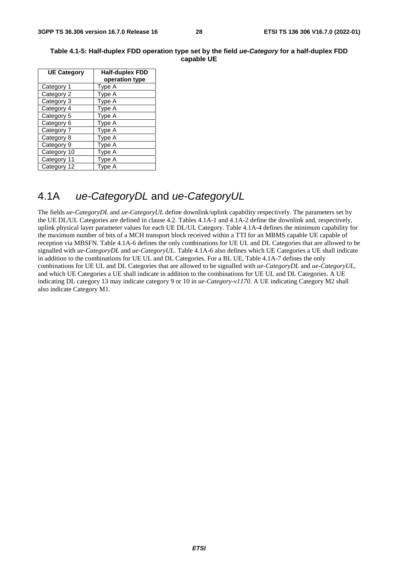| <b>UE Category</b> | <b>Half-duplex FDD</b><br>operation type |
|--------------------|------------------------------------------|
| Category 1         | Type A                                   |
| Category 2         | Type A                                   |
| Category 3         | Type A                                   |
| Category 4         | Type A                                   |
| Category 5         | Type A                                   |
| Category 6         | Type A                                   |
| Category 7         | Type A                                   |
| Category 8         | Type A                                   |
| Category 9         | Type A                                   |
| Category 10        | Type A                                   |
| Category 11        | Type A                                   |
| Category 12        | Type A                                   |

#### **Table 4.1-5: Half-duplex FDD operation type set by the field** *ue-Category* **for a half-duplex FDD capable UE**

### 4.1A *ue-CategoryDL* and *ue-CategoryUL*

The fields *ue-CategoryDL* and *ue-CategoryUL* define downlink/uplink capability respectively. The parameters set by the UE DL/UL Categories are defined in clause 4.2. Tables 4.1A-1 and 4.1A-2 define the downlink and, respectively, uplink physical layer parameter values for each UE DL/UL Category. Table 4.1A-4 defines the minimum capability for the maximum number of bits of a MCH transport block received within a TTI for an MBMS capable UE capable of reception via MBSFN. Table 4.1A-6 defines the only combinations for UE UL and DL Categories that are allowed to be signalled with *ue-CategoryDL* and *ue-CategoryUL*. Table 4.1A-6 also defines which UE Categories a UE shall indicate in addition to the combinations for UE UL and DL Categories. For a BL UE, Table 4.1A-7 defines the only combinations for UE UL and DL Categories that are allowed to be signalled with *ue-CategoryDL* and *ue-CategoryUL*, and which UE Categories a UE shall indicate in addition to the combinations for UE UL and DL Categories. A UE indicating DL category 13 may indicate category 9 or 10 in *ue-Category-v1170*. A UE indicating Category M2 shall also indicate Category M1.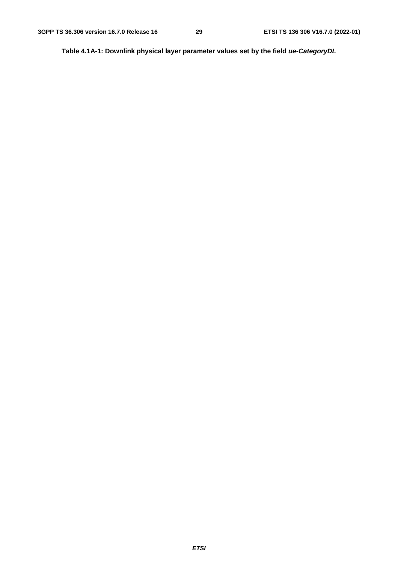**Table 4.1A-1: Downlink physical layer parameter values set by the field** *ue-CategoryDL*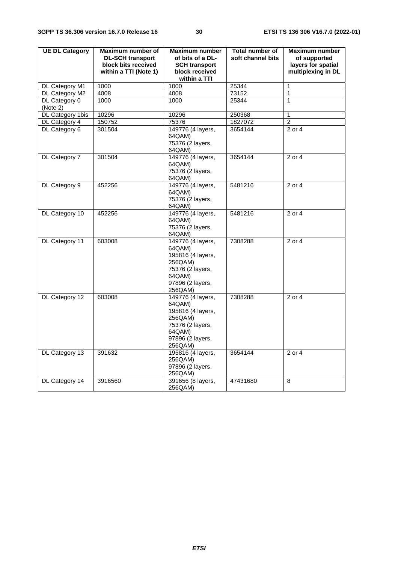| <b>UE DL Category</b> | Maximum number of       | <b>Maximum number</b>       | <b>Total number of</b> | <b>Maximum number</b> |
|-----------------------|-------------------------|-----------------------------|------------------------|-----------------------|
|                       | <b>DL-SCH transport</b> | of bits of a DL-            | soft channel bits      | of supported          |
|                       | block bits received     | <b>SCH transport</b>        |                        | layers for spatial    |
|                       | within a TTI (Note 1)   | block received              |                        | multiplexing in DL    |
|                       |                         | within a TTI                |                        |                       |
| DL Category M1        | 1000                    | 1000                        | 25344                  | $\mathbf{1}$          |
| DL Category M2        | 4008                    | 4008                        | 73152                  | 1                     |
| DL Category 0         | 1000                    | 1000                        | 25344                  | 1                     |
| (Note 2)              |                         |                             |                        |                       |
| DL Category 1bis      | 10296                   | 10296                       | 250368                 | $\mathbf{1}$          |
| DL Category 4         | 150752                  | 75376                       | 1827072                | $\overline{2}$        |
| DL Category 6         | 301504                  | 149776 (4 layers,           | 3654144                | 2 or 4                |
|                       |                         | 64QAM)                      |                        |                       |
|                       |                         | 75376 (2 layers,            |                        |                       |
|                       |                         | 64QAM)                      |                        |                       |
| DL Category 7         | 301504                  | 149776 (4 layers,           | 3654144                | 2 or 4                |
|                       |                         | 64QAM)                      |                        |                       |
|                       |                         | 75376 (2 layers,            |                        |                       |
|                       |                         | 64QAM)                      |                        |                       |
| DL Category 9         | 452256                  | 149776 (4 layers,           | 5481216                | 2 or 4                |
|                       |                         | 64QAM)                      |                        |                       |
|                       |                         | 75376 (2 layers,            |                        |                       |
|                       |                         | 64QAM)<br>149776 (4 layers, |                        |                       |
| DL Category 10        | 452256                  | 64QAM)                      | 5481216                | 2 or 4                |
|                       |                         | 75376 (2 layers,            |                        |                       |
|                       |                         | 64QAM)                      |                        |                       |
| DL Category 11        | 603008                  | 149776 (4 layers,           | 7308288                | 2 or 4                |
|                       |                         | 64QAM)                      |                        |                       |
|                       |                         | 195816 (4 layers,           |                        |                       |
|                       |                         | 256QAM)                     |                        |                       |
|                       |                         | 75376 (2 layers,            |                        |                       |
|                       |                         | 64QAM)                      |                        |                       |
|                       |                         | 97896 (2 layers,            |                        |                       |
|                       |                         | 256QAM)                     |                        |                       |
| DL Category 12        | 603008                  | 149776 (4 layers,           | 7308288                | 2 or 4                |
|                       |                         | 64QAM)                      |                        |                       |
|                       |                         | 195816 (4 layers,           |                        |                       |
|                       |                         | 256QAM)                     |                        |                       |
|                       |                         | 75376 (2 layers,            |                        |                       |
|                       |                         | 64QAM)                      |                        |                       |
|                       |                         | 97896 (2 layers,            |                        |                       |
|                       |                         | 256QAM)                     |                        |                       |
| DL Category 13        | 391632                  | 195816 (4 layers,           | 3654144                | 2 or 4                |
|                       |                         | 256QAM)                     |                        |                       |
|                       |                         | 97896 (2 layers,            |                        |                       |
|                       |                         | 256QAM)                     |                        |                       |
| DL Category 14        | 3916560                 | 391656 (8 layers,           | 47431680               | 8                     |
|                       |                         | 256QAM)                     |                        |                       |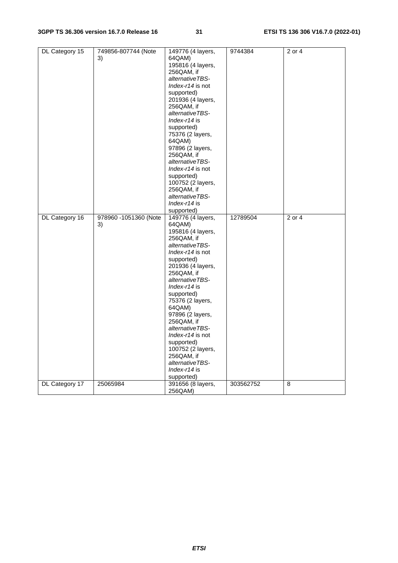| DL Category 15 | 749856-807744 (Note   | 149776 (4 layers, | 9744384   | 2 or 4     |
|----------------|-----------------------|-------------------|-----------|------------|
|                | 3)                    | 64QAM)            |           |            |
|                |                       | 195816 (4 layers, |           |            |
|                |                       | 256QAM, if        |           |            |
|                |                       | alternativeTBS-   |           |            |
|                |                       | Index-r14 is not  |           |            |
|                |                       | supported)        |           |            |
|                |                       | 201936 (4 layers, |           |            |
|                |                       | 256QAM, if        |           |            |
|                |                       | alternativeTBS-   |           |            |
|                |                       | $Index-14$ is     |           |            |
|                |                       |                   |           |            |
|                |                       | supported)        |           |            |
|                |                       | 75376 (2 layers,  |           |            |
|                |                       | 64QAM)            |           |            |
|                |                       | 97896 (2 layers,  |           |            |
|                |                       | 256QAM, if        |           |            |
|                |                       | alternativeTBS-   |           |            |
|                |                       | Index-r14 is not  |           |            |
|                |                       | supported)        |           |            |
|                |                       | 100752 (2 layers, |           |            |
|                |                       | 256QAM, if        |           |            |
|                |                       | alternativeTBS-   |           |            |
|                |                       | Index- $r14$ is   |           |            |
|                |                       | supported)        |           |            |
| DL Category 16 | 978960 -1051360 (Note | 149776 (4 layers, | 12789504  | $2$ or $4$ |
|                | 3)                    | 64QAM)            |           |            |
|                |                       | 195816 (4 layers, |           |            |
|                |                       | 256QAM, if        |           |            |
|                |                       | alternativeTBS-   |           |            |
|                |                       | Index-r14 is not  |           |            |
|                |                       | supported)        |           |            |
|                |                       | 201936 (4 layers, |           |            |
|                |                       | 256QAM, if        |           |            |
|                |                       | alternativeTBS-   |           |            |
|                |                       | Index-r14 is      |           |            |
|                |                       | supported)        |           |            |
|                |                       | 75376 (2 layers,  |           |            |
|                |                       | 64QAM)            |           |            |
|                |                       | 97896 (2 layers,  |           |            |
|                |                       | 256QAM, if        |           |            |
|                |                       | alternativeTBS-   |           |            |
|                |                       | Index-r14 is not  |           |            |
|                |                       | supported)        |           |            |
|                |                       | 100752 (2 layers, |           |            |
|                |                       | 256QAM, if        |           |            |
|                |                       | alternativeTBS-   |           |            |
|                |                       |                   |           |            |
|                |                       | Index-r14 is      |           |            |
|                |                       | supported)        |           |            |
| DL Category 17 | 25065984              | 391656 (8 layers, | 303562752 | 8          |
|                |                       | 256QAM)           |           |            |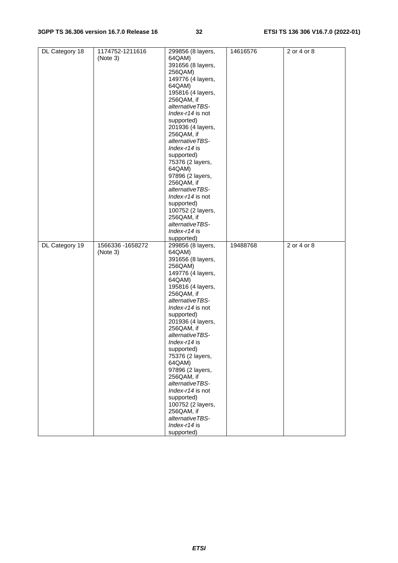| DL Category 18 | 1174752-1211616   | 299856 (8 layers, | 14616576 | 2 or 4 or 8 |
|----------------|-------------------|-------------------|----------|-------------|
|                |                   |                   |          |             |
|                | (Note 3)          | 64QAM)            |          |             |
|                |                   | 391656 (8 layers, |          |             |
|                |                   | 256QAM)           |          |             |
|                |                   | 149776 (4 layers, |          |             |
|                |                   | 64QAM)            |          |             |
|                |                   | 195816 (4 layers, |          |             |
|                |                   | 256QAM, if        |          |             |
|                |                   | alternativeTBS-   |          |             |
|                |                   |                   |          |             |
|                |                   | Index-r14 is not  |          |             |
|                |                   | supported)        |          |             |
|                |                   | 201936 (4 layers, |          |             |
|                |                   | 256QAM, if        |          |             |
|                |                   | alternativeTBS-   |          |             |
|                |                   | Index- $r14$ is   |          |             |
|                |                   | supported)        |          |             |
|                |                   | 75376 (2 layers,  |          |             |
|                |                   | 64QAM)            |          |             |
|                |                   |                   |          |             |
|                |                   | 97896 (2 layers,  |          |             |
|                |                   | 256QAM, if        |          |             |
|                |                   | alternativeTBS-   |          |             |
|                |                   | Index-r14 is not  |          |             |
|                |                   | supported)        |          |             |
|                |                   | 100752 (2 layers, |          |             |
|                |                   | 256QAM, if        |          |             |
|                |                   | alternativeTBS-   |          |             |
|                |                   | Index-r14 is      |          |             |
|                |                   | supported)        |          |             |
|                |                   |                   |          |             |
|                |                   |                   |          |             |
| DL Category 19 | 1566336 - 1658272 | 299856 (8 layers, | 19488768 | 2 or 4 or 8 |
|                | (Note 3)          | 64QAM)            |          |             |
|                |                   | 391656 (8 layers, |          |             |
|                |                   | 256QAM)           |          |             |
|                |                   | 149776 (4 layers, |          |             |
|                |                   | 64QAM)            |          |             |
|                |                   |                   |          |             |
|                |                   | 195816 (4 layers, |          |             |
|                |                   | 256QAM, if        |          |             |
|                |                   | alternativeTBS-   |          |             |
|                |                   | Index-r14 is not  |          |             |
|                |                   | supported)        |          |             |
|                |                   | 201936 (4 layers, |          |             |
|                |                   | 256QAM, if        |          |             |
|                |                   | alternativeTBS-   |          |             |
|                |                   | Index- $r14$ is   |          |             |
|                |                   | supported)        |          |             |
|                |                   | 75376 (2 layers,  |          |             |
|                |                   | 64QAM)            |          |             |
|                |                   |                   |          |             |
|                |                   | 97896 (2 layers,  |          |             |
|                |                   | 256QAM, if        |          |             |
|                |                   | alternativeTBS-   |          |             |
|                |                   | Index-r14 is not  |          |             |
|                |                   | supported)        |          |             |
|                |                   | 100752 (2 layers, |          |             |
|                |                   | 256QAM, if        |          |             |
|                |                   | alternativeTBS-   |          |             |
|                |                   | Index-r14 is      |          |             |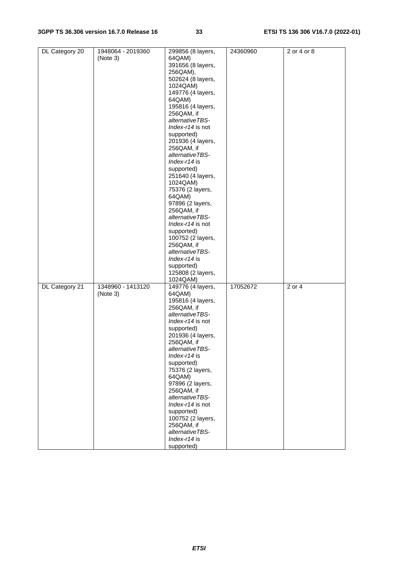| DL Category 20 | 1948064 - 2019360 | 299856 (8 layers, | 24360960 | 2 or 4 or 8         |
|----------------|-------------------|-------------------|----------|---------------------|
|                | (Note 3)          | 64QAM)            |          |                     |
|                |                   | 391656 (8 layers, |          |                     |
|                |                   |                   |          |                     |
|                |                   | 256QAM),          |          |                     |
|                |                   | 502624 (8 layers, |          |                     |
|                |                   | 1024QAM)          |          |                     |
|                |                   | 149776 (4 layers, |          |                     |
|                |                   | 64QAM)            |          |                     |
|                |                   | 195816 (4 layers, |          |                     |
|                |                   | 256QAM, if        |          |                     |
|                |                   |                   |          |                     |
|                |                   | alternativeTBS-   |          |                     |
|                |                   | Index-r14 is not  |          |                     |
|                |                   | supported)        |          |                     |
|                |                   | 201936 (4 layers, |          |                     |
|                |                   | 256QAM, if        |          |                     |
|                |                   | alternativeTBS-   |          |                     |
|                |                   | Index-r14 is      |          |                     |
|                |                   |                   |          |                     |
|                |                   | supported)        |          |                     |
|                |                   | 251640 (4 layers, |          |                     |
|                |                   | 1024QAM)          |          |                     |
|                |                   | 75376 (2 layers,  |          |                     |
|                |                   | 64QAM)            |          |                     |
|                |                   | 97896 (2 layers,  |          |                     |
|                |                   | 256QAM, if        |          |                     |
|                |                   |                   |          |                     |
|                |                   | alternativeTBS-   |          |                     |
|                |                   | Index-r14 is not  |          |                     |
|                |                   | supported)        |          |                     |
|                |                   | 100752 (2 layers, |          |                     |
|                |                   | 256QAM, if        |          |                     |
|                |                   | alternativeTBS-   |          |                     |
|                |                   | Index-r14 is      |          |                     |
|                |                   |                   |          |                     |
|                |                   | supported)        |          |                     |
|                |                   | 125808 (2 layers, |          |                     |
|                |                   | 1024QAM)          |          |                     |
| DL Category 21 | 1348960 - 1413120 | 149776 (4 layers, | 17052672 | 2 or $\overline{4}$ |
|                | (Note 3)          | 64QAM)            |          |                     |
|                |                   | 195816 (4 layers, |          |                     |
|                |                   | 256QAM, if        |          |                     |
|                |                   | alternativeTBS-   |          |                     |
|                |                   |                   |          |                     |
|                |                   | Index-r14 is not  |          |                     |
|                |                   | supported)        |          |                     |
|                |                   | 201936 (4 layers, |          |                     |
|                |                   | 256QAM, if        |          |                     |
|                |                   | alternativeTBS-   |          |                     |
|                |                   | $Index-14$ is     |          |                     |
|                |                   | supported)        |          |                     |
|                |                   |                   |          |                     |
|                |                   | 75376 (2 layers,  |          |                     |
|                |                   | 64QAM)            |          |                     |
|                |                   | 97896 (2 layers,  |          |                     |
|                |                   | 256QAM, if        |          |                     |
|                |                   | alternativeTBS-   |          |                     |
|                |                   | Index-r14 is not  |          |                     |
|                |                   | supported)        |          |                     |
|                |                   | 100752 (2 layers, |          |                     |
|                |                   |                   |          |                     |
|                |                   | 256QAM, if        |          |                     |
|                |                   | alternativeTBS-   |          |                     |
|                |                   | Index-r14 is      |          |                     |
|                |                   | supported)        |          |                     |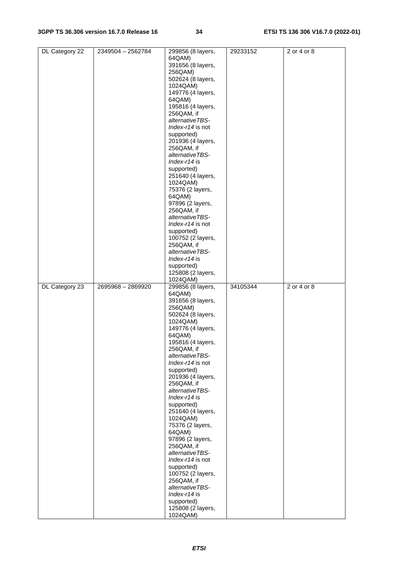| DL Category 22 | 2349504 - 2562784 | 299856 (8 layers,             | 29233152 | 2 or 4 or 8       |
|----------------|-------------------|-------------------------------|----------|-------------------|
|                |                   |                               |          |                   |
|                |                   | 64QAM)                        |          |                   |
|                |                   | 391656 (8 layers,             |          |                   |
|                |                   |                               |          |                   |
|                |                   | 256QAM)                       |          |                   |
|                |                   | 502624 (8 layers,             |          |                   |
|                |                   | 1024QAM)                      |          |                   |
|                |                   |                               |          |                   |
|                |                   | 149776 (4 layers,             |          |                   |
|                |                   | 64QAM)                        |          |                   |
|                |                   |                               |          |                   |
|                |                   | 195816 (4 layers,             |          |                   |
|                |                   | 256QAM, if                    |          |                   |
|                |                   |                               |          |                   |
|                |                   | alternativeTBS-               |          |                   |
|                |                   | Index-r14 is not              |          |                   |
|                |                   |                               |          |                   |
|                |                   | supported)                    |          |                   |
|                |                   | 201936 (4 layers,             |          |                   |
|                |                   |                               |          |                   |
|                |                   | 256QAM, if                    |          |                   |
|                |                   | alternativeTBS-               |          |                   |
|                |                   | Index-r14 is                  |          |                   |
|                |                   |                               |          |                   |
|                |                   | supported)                    |          |                   |
|                |                   | 251640 (4 layers,             |          |                   |
|                |                   |                               |          |                   |
|                |                   | 1024QAM)                      |          |                   |
|                |                   | 75376 (2 layers,              |          |                   |
|                |                   |                               |          |                   |
|                |                   | 64QAM)                        |          |                   |
|                |                   | 97896 (2 layers,              |          |                   |
|                |                   |                               |          |                   |
|                |                   | 256QAM, if                    |          |                   |
|                |                   | alternativeTBS-               |          |                   |
|                |                   |                               |          |                   |
|                |                   | Index-r14 is not              |          |                   |
|                |                   | supported)                    |          |                   |
|                |                   |                               |          |                   |
|                |                   | 100752 (2 layers,             |          |                   |
|                |                   | 256QAM, if                    |          |                   |
|                |                   |                               |          |                   |
|                |                   | alternativeTBS-               |          |                   |
|                |                   | Index-r14 is                  |          |                   |
|                |                   |                               |          |                   |
|                |                   | supported)                    |          |                   |
|                |                   | 125808 (2 layers,             |          |                   |
|                |                   |                               |          |                   |
|                |                   | 1024QAM)                      |          |                   |
|                |                   |                               |          |                   |
|                |                   |                               |          |                   |
| DL Category 23 | 2695968 - 2869920 | 299856 (8 layers,             | 34105344 | $2$ or $4$ or $8$ |
|                |                   | 64QAM)                        |          |                   |
|                |                   |                               |          |                   |
|                |                   | 391656 (8 layers,             |          |                   |
|                |                   | 256QAM)                       |          |                   |
|                |                   |                               |          |                   |
|                |                   | 502624 (8 layers,             |          |                   |
|                |                   | 1024QAM)                      |          |                   |
|                |                   |                               |          |                   |
|                |                   | 149776 (4 layers,             |          |                   |
|                |                   | 64QAM)                        |          |                   |
|                |                   | 195816 (4 layers,             |          |                   |
|                |                   |                               |          |                   |
|                |                   | 256QAM, if                    |          |                   |
|                |                   | alternativeTBS-               |          |                   |
|                |                   |                               |          |                   |
|                |                   | Index-r14 is not              |          |                   |
|                |                   | supported)                    |          |                   |
|                |                   |                               |          |                   |
|                |                   | 201936 (4 layers,             |          |                   |
|                |                   | 256QAM, if                    |          |                   |
|                |                   | alternativeTBS-               |          |                   |
|                |                   |                               |          |                   |
|                |                   | Index-r14 is                  |          |                   |
|                |                   | supported)                    |          |                   |
|                |                   |                               |          |                   |
|                |                   | 251640 (4 layers,             |          |                   |
|                |                   | 1024QAM)                      |          |                   |
|                |                   |                               |          |                   |
|                |                   | 75376 (2 layers,              |          |                   |
|                |                   | 64QAM)                        |          |                   |
|                |                   | 97896 (2 layers,              |          |                   |
|                |                   |                               |          |                   |
|                |                   | 256QAM, if                    |          |                   |
|                |                   | alternativeTBS-               |          |                   |
|                |                   |                               |          |                   |
|                |                   | Index-r14 is not              |          |                   |
|                |                   | supported)                    |          |                   |
|                |                   |                               |          |                   |
|                |                   | 100752 (2 layers,             |          |                   |
|                |                   | 256QAM, if                    |          |                   |
|                |                   |                               |          |                   |
|                |                   | alternativeTBS-               |          |                   |
|                |                   | Index-r14 is                  |          |                   |
|                |                   |                               |          |                   |
|                |                   | supported)                    |          |                   |
|                |                   | 125808 (2 layers,<br>1024QAM) |          |                   |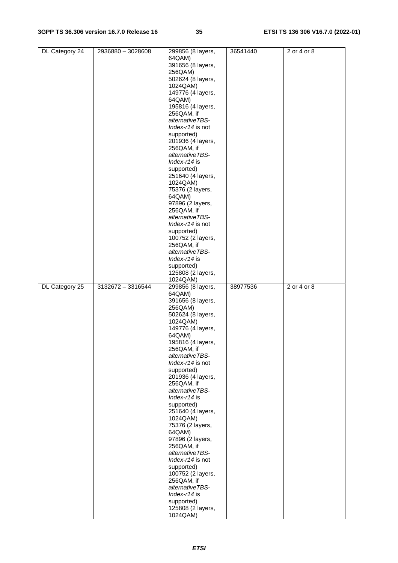| DL Category 24 | 2936880 - 3028608 | 299856 (8 layers,             | 36541440 | 2 or 4 or 8 |
|----------------|-------------------|-------------------------------|----------|-------------|
|                |                   | 64QAM)                        |          |             |
|                |                   |                               |          |             |
|                |                   | 391656 (8 layers,             |          |             |
|                |                   | 256QAM)                       |          |             |
|                |                   |                               |          |             |
|                |                   | 502624 (8 layers,             |          |             |
|                |                   | 1024QAM)                      |          |             |
|                |                   | 149776 (4 layers,             |          |             |
|                |                   |                               |          |             |
|                |                   | 64QAM)                        |          |             |
|                |                   | 195816 (4 layers,             |          |             |
|                |                   | 256QAM, if                    |          |             |
|                |                   |                               |          |             |
|                |                   | alternativeTBS-               |          |             |
|                |                   | Index-r14 is not              |          |             |
|                |                   |                               |          |             |
|                |                   | supported)                    |          |             |
|                |                   | 201936 (4 layers,             |          |             |
|                |                   | 256QAM, if                    |          |             |
|                |                   |                               |          |             |
|                |                   | alternativeTBS-               |          |             |
|                |                   | Index-r14 is                  |          |             |
|                |                   |                               |          |             |
|                |                   | supported)                    |          |             |
|                |                   | 251640 (4 layers,             |          |             |
|                |                   | 1024QAM)                      |          |             |
|                |                   |                               |          |             |
|                |                   | 75376 (2 layers,              |          |             |
|                |                   | 64QAM)                        |          |             |
|                |                   |                               |          |             |
|                |                   | 97896 (2 layers,              |          |             |
|                |                   | 256QAM, if                    |          |             |
|                |                   | alternativeTBS-               |          |             |
|                |                   |                               |          |             |
|                |                   | Index-r14 is not              |          |             |
|                |                   | supported)                    |          |             |
|                |                   | 100752 (2 layers,             |          |             |
|                |                   |                               |          |             |
|                |                   | 256QAM, if                    |          |             |
|                |                   | alternativeTBS-               |          |             |
|                |                   |                               |          |             |
|                |                   | $Index-14$ is                 |          |             |
|                |                   | supported)                    |          |             |
|                |                   | 125808 (2 layers,             |          |             |
|                |                   |                               |          |             |
|                |                   | 1024QAM)                      |          |             |
|                |                   |                               |          |             |
|                |                   |                               |          |             |
| DL Category 25 | 3132672 - 3316544 | 299856 (8 layers,             | 38977536 | 2 or 4 or 8 |
|                |                   | 64QAM)                        |          |             |
|                |                   | 391656 (8 layers,             |          |             |
|                |                   |                               |          |             |
|                |                   | 256QAM)                       |          |             |
|                |                   | 502624 (8 layers,             |          |             |
|                |                   | 1024QAM)                      |          |             |
|                |                   |                               |          |             |
|                |                   | 149776 (4 layers,             |          |             |
|                |                   | 64QAM)                        |          |             |
|                |                   |                               |          |             |
|                |                   | 195816 (4 layers,             |          |             |
|                |                   | 256QAM, if                    |          |             |
|                |                   | alternativeTBS-               |          |             |
|                |                   | Index-r14 is not              |          |             |
|                |                   |                               |          |             |
|                |                   | supported)                    |          |             |
|                |                   | 201936 (4 layers,             |          |             |
|                |                   |                               |          |             |
|                |                   | 256QAM, if                    |          |             |
|                |                   | alternativeTBS-               |          |             |
|                |                   | Index-r14 is                  |          |             |
|                |                   |                               |          |             |
|                |                   | supported)                    |          |             |
|                |                   | 251640 (4 layers,             |          |             |
|                |                   | 1024QAM)                      |          |             |
|                |                   |                               |          |             |
|                |                   | 75376 (2 layers,              |          |             |
|                |                   | 64QAM)                        |          |             |
|                |                   |                               |          |             |
|                |                   | 97896 (2 layers,              |          |             |
|                |                   | 256QAM, if                    |          |             |
|                |                   | alternativeTBS-               |          |             |
|                |                   |                               |          |             |
|                |                   | Index-r14 is not              |          |             |
|                |                   | supported)                    |          |             |
|                |                   | 100752 (2 layers,             |          |             |
|                |                   |                               |          |             |
|                |                   | 256QAM, if                    |          |             |
|                |                   | alternativeTBS-               |          |             |
|                |                   | Index-r14 is                  |          |             |
|                |                   |                               |          |             |
|                |                   | supported)                    |          |             |
|                |                   | 125808 (2 layers,<br>1024QAM) |          |             |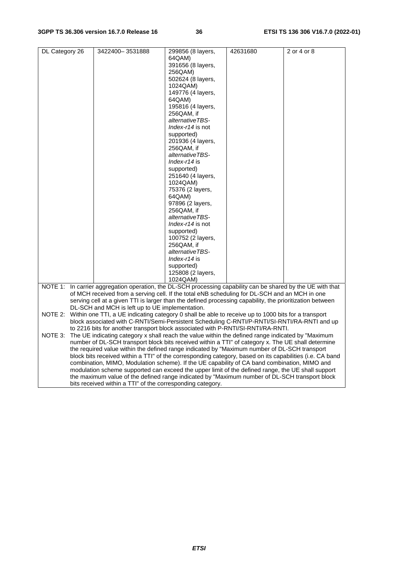| DL Category 26 | 3422400-3531888                                                                                              | 299856 (8 layers, | 42631680 | 2 or 4 or 8 |  |
|----------------|--------------------------------------------------------------------------------------------------------------|-------------------|----------|-------------|--|
|                |                                                                                                              | 64QAM)            |          |             |  |
|                |                                                                                                              | 391656 (8 layers, |          |             |  |
|                |                                                                                                              | 256QAM)           |          |             |  |
|                |                                                                                                              | 502624 (8 layers, |          |             |  |
|                |                                                                                                              | 1024QAM)          |          |             |  |
|                |                                                                                                              | 149776 (4 layers, |          |             |  |
|                |                                                                                                              | 64QAM)            |          |             |  |
|                |                                                                                                              | 195816 (4 layers, |          |             |  |
|                |                                                                                                              | 256QAM, if        |          |             |  |
|                |                                                                                                              | alternativeTBS-   |          |             |  |
|                |                                                                                                              | Index-r14 is not  |          |             |  |
|                |                                                                                                              | supported)        |          |             |  |
|                |                                                                                                              | 201936 (4 layers, |          |             |  |
|                |                                                                                                              | 256QAM, if        |          |             |  |
|                |                                                                                                              | alternativeTBS-   |          |             |  |
|                |                                                                                                              | Index-r14 is      |          |             |  |
|                |                                                                                                              | supported)        |          |             |  |
|                |                                                                                                              | 251640 (4 layers, |          |             |  |
|                |                                                                                                              | 1024QAM)          |          |             |  |
|                |                                                                                                              | 75376 (2 layers,  |          |             |  |
|                |                                                                                                              | 64QAM)            |          |             |  |
|                |                                                                                                              | 97896 (2 layers,  |          |             |  |
|                |                                                                                                              | 256QAM, if        |          |             |  |
|                |                                                                                                              | alternativeTBS-   |          |             |  |
|                |                                                                                                              | Index-r14 is not  |          |             |  |
|                |                                                                                                              | supported)        |          |             |  |
|                |                                                                                                              | 100752 (2 layers, |          |             |  |
|                |                                                                                                              | 256QAM, if        |          |             |  |
|                |                                                                                                              | alternativeTBS-   |          |             |  |
|                |                                                                                                              | Index- $r14$ is   |          |             |  |
|                |                                                                                                              | supported)        |          |             |  |
|                |                                                                                                              | 125808 (2 layers, |          |             |  |
|                |                                                                                                              | 1024QAM)          |          |             |  |
|                | NOTE 1: In carrier aggregation operation, the DL-SCH processing capability can be shared by the UE with that |                   |          |             |  |
|                | of MCH received from a serving cell. If the total eNB scheduling for DL-SCH and an MCH in one                |                   |          |             |  |
|                | serving cell at a given TTI is larger than the defined processing capability, the prioritization between     |                   |          |             |  |
|                | DL-SCH and MCH is left up to UE implementation.                                                              |                   |          |             |  |
|                | NOTE 2: Within one TTI, a UE indicating category 0 shall be able to receive up to 1000 bits for a transport  |                   |          |             |  |
|                | block associated with C-RNTI/Semi-Persistent Scheduling C-RNTI/P-RNTI/SI-RNTI/RA-RNTI and up                 |                   |          |             |  |
|                | to 2216 bits for another transport block associated with P-RNTI/SI-RNTI/RA-RNTI.                             |                   |          |             |  |
| NOTE 3:        | The UE indicating category x shall reach the value within the defined range indicated by "Maximum            |                   |          |             |  |
|                | number of DL-SCH transport block bits received within a TTI" of category x. The UE shall determine           |                   |          |             |  |
|                | the required value within the defined range indicated by "Maximum number of DL-SCH transport                 |                   |          |             |  |
|                | block bits received within a TTI" of the corresponding category, based on its capabilities (i.e. CA band     |                   |          |             |  |
|                | combination, MIMO, Modulation scheme). If the UE capability of CA band combination, MIMO and                 |                   |          |             |  |
|                | modulation scheme supported can exceed the upper limit of the defined range, the UE shall support            |                   |          |             |  |
|                | the maximum value of the defined range indicated by "Maximum number of DL-SCH transport block                |                   |          |             |  |
|                | bits received within a TTI" of the corresponding category.                                                   |                   |          |             |  |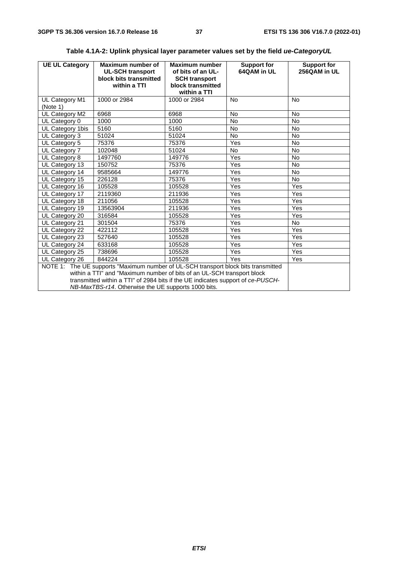| <b>UE UL Category</b>                                                                                                                                                                                                                                                                                  | Maximum number of<br><b>UL-SCH transport</b><br>block bits transmitted<br>within a TTI | Maximum number<br>of bits of an UL-<br><b>SCH transport</b><br>block transmitted<br>within a TTI | <b>Support for</b><br>64QAM in UL | <b>Support for</b><br>256QAM in UL |
|--------------------------------------------------------------------------------------------------------------------------------------------------------------------------------------------------------------------------------------------------------------------------------------------------------|----------------------------------------------------------------------------------------|--------------------------------------------------------------------------------------------------|-----------------------------------|------------------------------------|
| UL Category M1<br>(Note 1)                                                                                                                                                                                                                                                                             | 1000 or 2984                                                                           | 1000 or 2984                                                                                     | <b>No</b>                         | <b>No</b>                          |
| UL Category M2                                                                                                                                                                                                                                                                                         | 6968                                                                                   | 6968                                                                                             | <b>No</b>                         | <b>No</b>                          |
| UL Category 0                                                                                                                                                                                                                                                                                          | 1000                                                                                   | 1000                                                                                             | <b>No</b>                         | <b>No</b>                          |
| UL Category 1bis                                                                                                                                                                                                                                                                                       | 5160                                                                                   | 5160                                                                                             | <b>No</b>                         | <b>No</b>                          |
| UL Category 3                                                                                                                                                                                                                                                                                          | 51024                                                                                  | 51024                                                                                            | <b>No</b>                         | <b>No</b>                          |
| UL Category 5                                                                                                                                                                                                                                                                                          | 75376                                                                                  | 75376                                                                                            | Yes                               | <b>No</b>                          |
| UL Category 7                                                                                                                                                                                                                                                                                          | 102048                                                                                 | 51024                                                                                            | No                                | <b>No</b>                          |
| UL Category 8                                                                                                                                                                                                                                                                                          | 1497760                                                                                | 149776                                                                                           | Yes                               | <b>No</b>                          |
| UL Category 13                                                                                                                                                                                                                                                                                         | 150752                                                                                 | 75376                                                                                            | Yes                               | <b>No</b>                          |
| UL Category 14                                                                                                                                                                                                                                                                                         | 9585664                                                                                | 149776                                                                                           | Yes                               | <b>No</b>                          |
| UL Category 15                                                                                                                                                                                                                                                                                         | 226128                                                                                 | 75376                                                                                            | Yes                               | <b>No</b>                          |
| UL Category 16                                                                                                                                                                                                                                                                                         | 105528                                                                                 | 105528                                                                                           | Yes                               | Yes                                |
| UL Category 17                                                                                                                                                                                                                                                                                         | 2119360                                                                                | 211936                                                                                           | Yes                               | Yes                                |
| UL Category 18                                                                                                                                                                                                                                                                                         | 211056                                                                                 | 105528                                                                                           | Yes                               | Yes                                |
| UL Category 19                                                                                                                                                                                                                                                                                         | 13563904                                                                               | 211936                                                                                           | Yes                               | Yes                                |
| UL Category 20                                                                                                                                                                                                                                                                                         | 316584                                                                                 | 105528                                                                                           | Yes                               | Yes                                |
| UL Category 21                                                                                                                                                                                                                                                                                         | 301504                                                                                 | 75376                                                                                            | Yes                               | <b>No</b>                          |
| UL Category 22                                                                                                                                                                                                                                                                                         | 422112                                                                                 | 105528                                                                                           | Yes                               | Yes                                |
| UL Category 23                                                                                                                                                                                                                                                                                         | 527640                                                                                 | 105528                                                                                           | Yes                               | Yes                                |
| UL Category 24                                                                                                                                                                                                                                                                                         | 633168                                                                                 | 105528                                                                                           | Yes                               | Yes                                |
| UL Category 25                                                                                                                                                                                                                                                                                         | 738696                                                                                 | 105528                                                                                           | Yes                               | Yes                                |
| UL Category 26                                                                                                                                                                                                                                                                                         | 844224                                                                                 | 105528                                                                                           | Yes                               | <b>Yes</b>                         |
| NOTE 1: The UE supports "Maximum number of UL-SCH transport block bits transmitted<br>within a TTI" and "Maximum number of bits of an UL-SCH transport block<br>transmitted within a TTI" of 2984 bits if the UE indicates support of ce-PUSCH-<br>NB-MaxTBS-r14. Otherwise the UE supports 1000 bits. |                                                                                        |                                                                                                  |                                   |                                    |

# **Table 4.1A-2: Uplink physical layer parameter values set by the field** *ue-CategoryUL*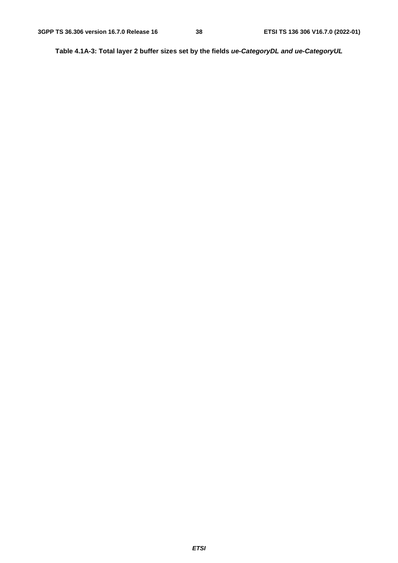**Table 4.1A-3: Total layer 2 buffer sizes set by the fields** *ue-CategoryDL and ue-CategoryUL*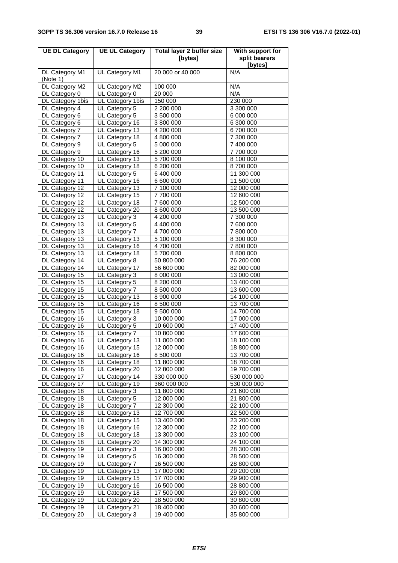| <b>UE DL Category</b>            | <b>UE UL Category</b>           | <b>Total layer 2 buffer size</b><br>[bytes] | With support for<br>split bearers |
|----------------------------------|---------------------------------|---------------------------------------------|-----------------------------------|
|                                  |                                 |                                             | [bytes]                           |
| DL Category M1<br>(Note 1)       | UL Category M1                  | 20 000 or 40 000                            | N/A                               |
| DL Category M2                   | UL Category M2                  | 100 000                                     | N/A                               |
| DL Category 0                    | UL Category 0                   | 20 000                                      | N/A                               |
| DL Category 1bis                 | UL Category 1bis                | 150 000                                     | 230 000                           |
| DL Category 4                    | UL Category 5                   | 2 200 000                                   | 3 300 000                         |
| DL Category 6                    | UL Category 5                   | 3 500 000                                   | 6 000 000                         |
| DL Category 6                    | UL Category 16                  | 3 800 000                                   | 6 300 000                         |
| DL Category 7                    | UL Category 13                  | 4 200 000                                   | 6700000                           |
| DL Category 7                    | UL Category 18                  | 4 800 000                                   | 7 300 000                         |
| DL Category 9                    | UL Category 5                   | 5 000 000                                   | 7 400 000                         |
| DL Category 9                    | UL Category 16                  | 5 200 000                                   | 7 700 000                         |
| DL Category 10                   | UL Category 13                  | 5700000                                     | 8 100 000                         |
| DL Category 10                   | UL Category 18                  | 6 200 000                                   | 8700000                           |
| DL Category 11                   | UL Category 5                   | 6 400 000                                   | 11 300 000                        |
| DL Category 11                   | UL Category 16                  | 6 600 000                                   | 11 500 000                        |
| DL Category 12                   | UL Category 13                  | 7 100 000                                   | 12 000 000                        |
| DL Category 12                   | UL Category 15                  | 7700000                                     | 12 600 000                        |
| DL Category 12                   | UL Category 18                  | 7 600 000                                   | 12 500 000                        |
| DL Category 12                   | UL Category 20                  | 8 600 000<br>4 200 000                      | 13 500 000                        |
| DL Category 13<br>DL Category 13 | UL Category 3<br>UL Category 5  |                                             | 7 300 000<br>7 600 000            |
| DL Category 13                   | UL Category 7                   | 4 400 000<br>4700000                        | 7800000                           |
| DL Category 13                   | UL Category 13                  | 5 100 000                                   | 8 300 000                         |
| DL Category 13                   | UL Category 16                  | 4700000                                     | 7 800 000                         |
| DL Category 13                   | UL Category 18                  | 5700000                                     | 8 800 000                         |
| DL Category 14                   | UL Category 8                   | 50 800 000                                  | 76 200 000                        |
| DL Category 14                   | UL Category 17                  | 56 600 000                                  | 82 000 000                        |
| DL Category 15                   | UL Category 3                   | 8 000 000                                   | 13 000 000                        |
| DL Category 15                   | UL Category 5                   | 8 200 000                                   | 13 400 000                        |
| DL Category 15                   | UL Category 7                   | 8 500 000                                   | 13 600 000                        |
| DL Category 15                   | UL Category 13                  | 8 900 000                                   | 14 100 000                        |
| DL Category 15                   | UL Category 16                  | 8 500 000                                   | 13 700 000                        |
| DL Category 15                   | UL Category 18                  | 9 500 000                                   | 14 700 000                        |
| DL Category 16                   | UL Category 3                   | 10 000 000                                  | 17 000 000                        |
| DL Category 16                   | UL Category 5                   | 10 600 000                                  | 17 400 000                        |
| DL Category 16                   | UL Category 7                   | 10 800 000                                  | 17 600 000                        |
| DL Category 16                   | UL Category 13                  | 11 000 000                                  | 18 100 000                        |
| DL Category 16                   | UL Category 15                  | 12 000 000                                  | 18 800 000                        |
| DL Category 16                   | UL Category 16                  | 8 500 000                                   | 13 700 000                        |
| DL Category 16                   | UL Category 18                  | 11 800 000                                  | 18 700 000                        |
| DL Category 16                   | UL Category 20                  | 12 800 000                                  | 19 700 000                        |
| DL Category 17                   | UL Category 14                  | 330 000 000                                 | 530 000 000                       |
| DL Category 17                   | UL Category 19                  | 360 000 000                                 | 530 000 000                       |
| DL Category 18                   | UL Category 3                   | 11 800 000                                  | 21 600 000                        |
| DL Category 18                   | UL Category 5                   | 12 000 000                                  | 21 800 000                        |
| DL Category 18                   | UL Category 7                   | 12 300 000                                  | 22 100 000                        |
| DL Category 18                   | UL Category 13                  | 12 700 000                                  | 22 500 000                        |
| DL Category 18                   | UL Category 15                  | 13 400 000                                  | 23 200 000                        |
| DL Category 18                   | UL Category 16                  | 12 300 000                                  | 22 100 000                        |
| DL Category 18                   | UL Category 18                  | 13 300 000                                  | 23 100 000                        |
| DL Category 18                   | UL Category 20                  | 14 300 000                                  | 24 100 000                        |
| DL Category 19                   | UL Category 3                   | 16 000 000                                  | 28 300 000                        |
| DL Category 19                   | UL Category 5                   | 16 300 000                                  | 28 500 000                        |
| DL Category 19                   | UL Category 7                   | 16 500 000                                  | 28 800 000                        |
| DL Category 19                   | UL Category 13                  | 17 000 000                                  | 29 200 000                        |
| DL Category 19                   | UL Category 15                  | 17 700 000                                  | 29 900 000                        |
| DL Category 19                   | UL Category 16                  | 16 500 000                                  | 28 800 000                        |
| DL Category 19                   | UL Category 18                  | 17 500 000                                  | 29 800 000                        |
| DL Category 19                   | UL Category 20                  | 18 500 000                                  | 30 800 000                        |
| DL Category 19<br>DL Category 20 | UL Category 21<br>UL Category 3 | 18 400 000<br>19 400 000                    | 30 600 000<br>35 800 000          |
|                                  |                                 |                                             |                                   |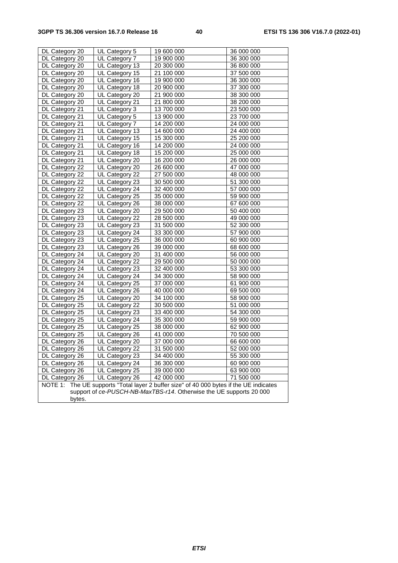| DL Category 20                                                                             | UL Category 5  | 19 600 000 | 36 000 000 |  |
|--------------------------------------------------------------------------------------------|----------------|------------|------------|--|
| DL Category 20                                                                             | UL Category 7  | 19 900 000 | 36 300 000 |  |
| DL Category 20                                                                             | UL Category 13 | 20 300 000 | 36 800 000 |  |
| DL Category 20                                                                             | UL Category 15 | 21 100 000 | 37 500 000 |  |
| DL Category 20                                                                             | UL Category 16 | 19 900 000 | 36 300 000 |  |
| DL Category 20                                                                             | UL Category 18 | 20 900 000 | 37 300 000 |  |
| DL Category 20                                                                             | UL Category 20 | 21 900 000 | 38 300 000 |  |
| DL Category 20                                                                             | UL Category 21 | 21 800 000 | 38 200 000 |  |
| DL Category 21                                                                             | UL Category 3  | 13 700 000 | 23 500 000 |  |
| DL Category 21                                                                             | UL Category 5  | 13 900 000 | 23 700 000 |  |
| DL Category 21                                                                             | UL Category 7  | 14 200 000 | 24 000 000 |  |
| DL Category 21                                                                             | UL Category 13 | 14 600 000 | 24 400 000 |  |
| DL Category 21                                                                             | UL Category 15 | 15 300 000 | 25 200 000 |  |
| DL Category 21                                                                             | UL Category 16 | 14 200 000 | 24 000 000 |  |
| DL Category 21                                                                             | UL Category 18 | 15 200 000 | 25 000 000 |  |
| DL Category 21                                                                             | UL Category 20 | 16 200 000 | 26 000 000 |  |
| DL Category 22                                                                             | UL Category 20 | 26 600 000 | 47 000 000 |  |
| DL Category 22                                                                             | UL Category 22 | 27 500 000 | 48 000 000 |  |
| DL Category 22                                                                             | UL Category 23 | 30 500 000 | 51 300 000 |  |
| DL Category 22                                                                             | UL Category 24 | 32 400 000 | 57 000 000 |  |
| DL Category 22                                                                             | UL Category 25 | 35 000 000 | 59 900 000 |  |
| DL Category 22                                                                             | UL Category 26 | 38 000 000 | 67 600 000 |  |
| DL Category 23                                                                             | UL Category 20 | 29 500 000 | 50 400 000 |  |
| DL Category 23                                                                             | UL Category 22 | 28 500 000 | 49 000 000 |  |
| DL Category 23                                                                             | UL Category 23 | 31 500 000 | 52 300 000 |  |
| DL Category 23                                                                             | UL Category 24 | 33 300 000 | 57 900 000 |  |
| DL Category 23                                                                             | UL Category 25 | 36 000 000 | 60 900 000 |  |
| DL Category 23                                                                             | UL Category 26 | 39 000 000 | 68 600 000 |  |
| DL Category 24                                                                             | UL Category 20 | 31 400 000 | 56 000 000 |  |
| DL Category 24                                                                             | UL Category 22 | 29 500 000 | 50 000 000 |  |
| DL Category 24                                                                             | UL Category 23 | 32 400 000 | 53 300 000 |  |
| DL Category 24                                                                             | UL Category 24 | 34 300 000 | 58 900 000 |  |
| DL Category 24                                                                             | UL Category 25 | 37 000 000 | 61 900 000 |  |
| DL Category 24                                                                             | UL Category 26 | 40 000 000 | 69 500 000 |  |
| DL Category 25                                                                             | UL Category 20 | 34 100 000 | 58 900 000 |  |
| DL Category 25                                                                             | UL Category 22 | 30 500 000 | 51 000 000 |  |
| DL Category 25                                                                             | UL Category 23 | 33 400 000 | 54 300 000 |  |
| DL Category 25                                                                             | UL Category 24 | 35 300 000 | 59 900 000 |  |
| DL Category 25                                                                             | UL Category 25 | 38 000 000 | 62 900 000 |  |
| DL Category 25                                                                             | UL Category 26 | 41 000 000 | 70 500 000 |  |
| DL Category 26                                                                             | UL Category 20 | 37 000 000 | 66 600 000 |  |
| DL Category 26                                                                             | UL Category 22 | 31 500 000 | 52 000 000 |  |
| DL Category 26                                                                             | UL Category 23 | 34 400 000 | 55 300 000 |  |
| DL Category 26                                                                             | UL Category 24 | 36 300 000 | 60 900 000 |  |
| DL Category 26                                                                             | UL Category 25 | 39 000 000 | 63 900 000 |  |
| DL Category 26                                                                             | UL Category 26 | 42 000 000 | 71 500 000 |  |
| The UE supports "Total layer 2 buffer size" of 40 000 bytes if the UE indicates<br>NOTE 1: |                |            |            |  |
| support of ce-PUSCH-NB-MaxTBS-r14. Otherwise the UE supports 20 000                        |                |            |            |  |
| bytes.                                                                                     |                |            |            |  |
|                                                                                            |                |            |            |  |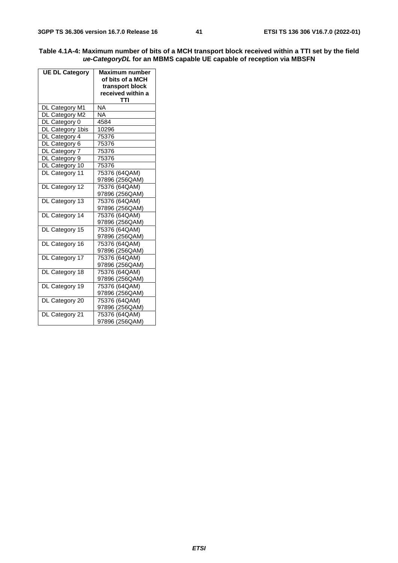| Table 4.1A-4: Maximum number of bits of a MCH transport block received within a TTI set by the field |
|------------------------------------------------------------------------------------------------------|
| ue-CategoryDL for an MBMS capable UE capable of reception via MBSFN                                  |

| <b>UE DL Category</b> | Maximum number<br>of bits of a MCH<br>transport block<br>received within a<br>TTI |  |
|-----------------------|-----------------------------------------------------------------------------------|--|
| DL Category M1        | NA                                                                                |  |
| DL Category M2        | <b>NA</b>                                                                         |  |
| DL Category 0         | 4584                                                                              |  |
| DL Category 1bis      | 10296                                                                             |  |
| DL Category 4         | 75376                                                                             |  |
| DL Category 6         | 75376                                                                             |  |
| DL Category 7         | 75376                                                                             |  |
| DL Category 9         | 75376                                                                             |  |
| DL Category 10        | 75376                                                                             |  |
| DL Category 11        | 75376 (64QAM)                                                                     |  |
|                       | 97896 (256QAM)                                                                    |  |
| DL Category 12        | 75376 (64QAM)                                                                     |  |
|                       | 97896 (256QAM)                                                                    |  |
| DL Category 13        | 75376 (64QAM)                                                                     |  |
|                       | 97896 (256QAM)                                                                    |  |
| DL Category 14        | 75376 (64QAM)                                                                     |  |
|                       | 97896 (256QAM)                                                                    |  |
| DL Category 15        | 75376 (64QAM)                                                                     |  |
|                       | 97896 (256QAM)                                                                    |  |
| DL Category 16        | 75376 (64QAM)                                                                     |  |
|                       | 97896 (256QAM)                                                                    |  |
| DL Category 17        | 75376 (64QAM)                                                                     |  |
|                       | 97896 (256QAM)                                                                    |  |
| DL Category 18        | 75376 (64QAM)                                                                     |  |
|                       | 97896 (256QAM)                                                                    |  |
| DL Category 19        | 75376 (64QAM)                                                                     |  |
|                       | 97896 (256QAM)                                                                    |  |
| DL Category 20        | 75376 (64QAM)                                                                     |  |
|                       | 97896 (256QAM)                                                                    |  |
| DL Category 21        | 75376 (64QAM)                                                                     |  |
|                       | 97896 (256QAM)                                                                    |  |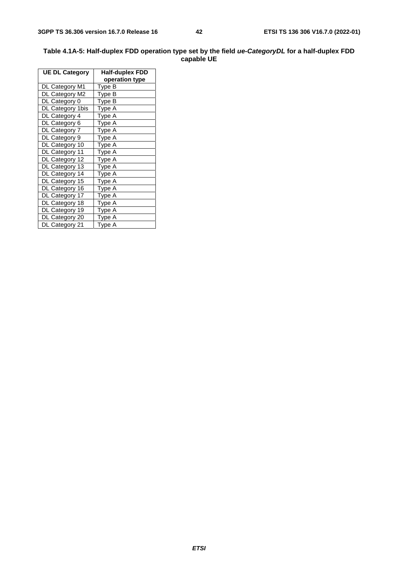#### **Table 4.1A-5: Half-duplex FDD operation type set by the field** *ue-CategoryDL* **for a half-duplex FDD capable UE**

| <b>UE DL Category</b> | Half-duplex FDD |  |
|-----------------------|-----------------|--|
|                       | operation type  |  |
| DL Category M1        | Type B          |  |
| DL Category M2        | Type B          |  |
| DL Category 0         | Type B          |  |
| DL Category 1bis      | Type A          |  |
| DL Category 4         | Type A          |  |
| DL Category 6         | Type A          |  |
| DL Category 7         | Type A          |  |
| DL Category 9         | Type A          |  |
| DL Category 10        | Type A          |  |
| DL Category 11        | Type A          |  |
| DL Category 12        | Type A          |  |
| DL Category 13        | Type A          |  |
| DL Category 14        | Type A          |  |
| DL Category 15        | Type A          |  |
| DL Category 16        | Type A          |  |
| DL Category 17        | Type A          |  |
| DL Category 18        | Type A          |  |
| DL Category 19        | Type A          |  |
| DL Category 20        | Type A          |  |
| DL Category 21        | Type A          |  |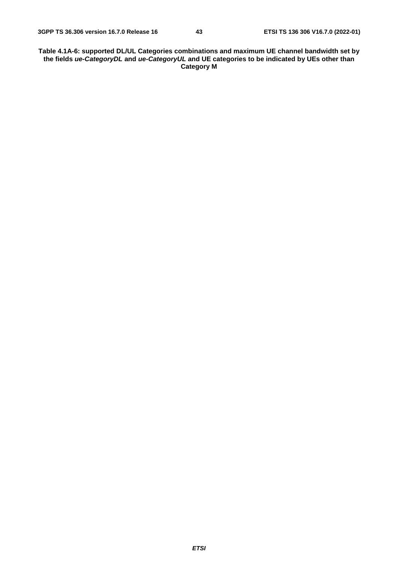**Table 4.1A-6: supported DL/UL Categories combinations and maximum UE channel bandwidth set by the fields** *ue-CategoryDL* **and** *ue-CategoryUL* **and UE categories to be indicated by UEs other than Category M**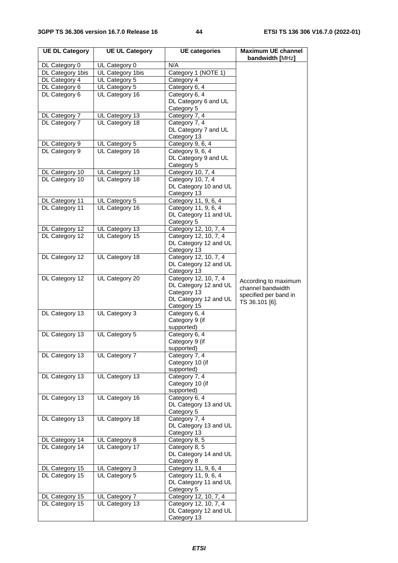| <b>UE DL Category</b>            | <b>UE UL Category</b> | <b>UE categories</b>                           | <b>Maximum UE channel</b><br>bandwidth [MHz] |
|----------------------------------|-----------------------|------------------------------------------------|----------------------------------------------|
| DL Category 0                    | UL Category 0         | N/A                                            |                                              |
| DL Category 1bis                 | UL Category 1bis      | Category 1 (NOTE 1)                            |                                              |
| DL Category 4                    | UL Category 5         | Category 4                                     |                                              |
| DL Category 6                    | UL Category 5         | Category 6, 4                                  |                                              |
| DL Category 6                    | UL Category 16        | Category 6, 4                                  |                                              |
|                                  |                       | DL Category 6 and UL                           |                                              |
|                                  |                       | Category 5                                     |                                              |
| DL Category 7                    | UL Category 13        | Category 7, 4                                  |                                              |
| DL Category 7                    | UL Category 18        | Category 7, 4                                  |                                              |
|                                  |                       | DL Category 7 and UL                           |                                              |
|                                  |                       | Category 13                                    |                                              |
| DL Category 9                    | UL Category 5         | Category 9, 6, 4                               |                                              |
| DL Category 9                    | UL Category 16        | Category 9, 6, 4<br>DL Category 9 and UL       |                                              |
|                                  |                       | Category 5                                     |                                              |
| DL Category 10                   | UL Category 13        | Category 10, 7, 4                              |                                              |
| DL Category 10                   | UL Category 18        | Category 10, 7, 4                              |                                              |
|                                  |                       | DL Category 10 and UL                          |                                              |
|                                  |                       | Category 13                                    |                                              |
| DL Category 11                   | UL Category 5         | Category 11, 9, 6, 4                           |                                              |
| DL Category 11                   | UL Category 16        | Category 11, 9, 6, 4                           |                                              |
|                                  |                       | DL Category 11 and UL                          |                                              |
|                                  |                       | Category 5                                     |                                              |
| DL Category 12                   | UL Category 13        | Category 12, 10, 7, 4                          |                                              |
| DL Category 12                   | UL Category 15        | Category 12, 10, 7, 4                          |                                              |
|                                  |                       | DL Category 12 and UL                          |                                              |
|                                  |                       | Category 13                                    |                                              |
| DL Category 12                   | UL Category 18        | Category 12, 10, 7, 4<br>DL Category 12 and UL |                                              |
|                                  |                       | Category 13                                    |                                              |
| DL Category 12                   | UL Category 20        | Category 12, 10, 7, 4                          |                                              |
|                                  |                       | DL Category 12 and UL                          | According to maximum                         |
|                                  |                       | Category 13                                    | channel bandwidth                            |
|                                  |                       | DL Category 12 and UL                          | specified per band in<br>TS 36.101 [6].      |
|                                  |                       | Category 15                                    |                                              |
| DL Category 13                   | UL Category 3         | Category 6, 4                                  |                                              |
|                                  |                       | Category 9 (if                                 |                                              |
|                                  |                       | supported)                                     |                                              |
| DL Category 13                   | UL Category 5         | Category 6, 4                                  |                                              |
|                                  |                       | Category 9 (if<br>supported)                   |                                              |
| DL Category 13                   | UL Category 7         | Category 7, 4                                  |                                              |
|                                  |                       | Category 10 (if                                |                                              |
|                                  |                       | supported)                                     |                                              |
| DL Category 13                   | UL Category 13        | Category 7, 4                                  |                                              |
|                                  |                       | Category 10 (if                                |                                              |
|                                  |                       | supported)                                     |                                              |
| DL Category 13                   | UL Category 16        | Category 6, 4                                  |                                              |
|                                  |                       | DL Category 13 and UL                          |                                              |
|                                  |                       | Category 5                                     |                                              |
| DL Category 13                   | UL Category 18        | Category 7, 4                                  |                                              |
|                                  |                       | DL Category 13 and UL                          |                                              |
|                                  | UL Category 8         | Category 13<br>Category 8, 5                   |                                              |
| DL Category 14<br>DL Category 14 | UL Category 17        | Category 8, 5                                  |                                              |
|                                  |                       | DL Category 14 and UL                          |                                              |
|                                  |                       | Category 8                                     |                                              |
| DL Category 15                   | UL Category 3         | Category 11, 9, 6, 4                           |                                              |
| DL Category 15                   | UL Category 5         | Category 11, 9, 6, 4                           |                                              |
|                                  |                       | DL Category 11 and UL                          |                                              |
|                                  |                       | Category 5                                     |                                              |
| DL Category 15                   | UL Category 7         | Category 12, 10, 7, 4                          |                                              |
| DL Category 15                   | UL Category 13        | Category 12, 10, 7, 4                          |                                              |
|                                  |                       | DL Category 12 and UL                          |                                              |
|                                  |                       | Category 13                                    |                                              |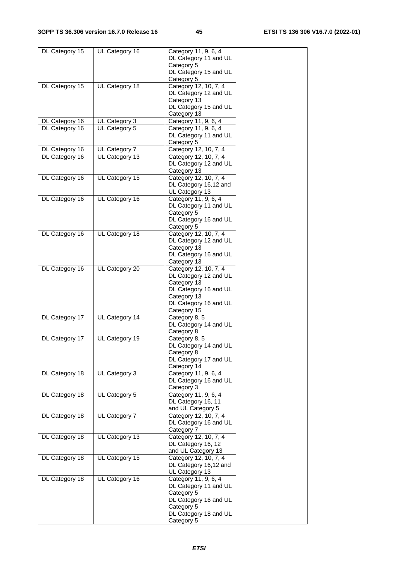| DL Category 15 | UL Category 16 | Category 11, 9, 6, 4  |  |
|----------------|----------------|-----------------------|--|
|                |                | DL Category 11 and UL |  |
|                |                | Category 5            |  |
|                |                | DL Category 15 and UL |  |
|                |                | Category 5            |  |
| DL Category 15 | UL Category 18 | Category 12, 10, 7, 4 |  |
|                |                | DL Category 12 and UL |  |
|                |                | Category 13           |  |
|                |                | DL Category 15 and UL |  |
|                |                | Category 13           |  |
| DL Category 16 | UL Category 3  | Category 11, 9, 6, 4  |  |
| DL Category 16 | UL Category 5  | Category 11, 9, 6, 4  |  |
|                |                | DL Category 11 and UL |  |
|                |                | Category 5            |  |
|                |                | Category 12, 10, 7, 4 |  |
| DL Category 16 | UL Category 7  |                       |  |
| DL Category 16 | UL Category 13 | Category 12, 10, 7, 4 |  |
|                |                | DL Category 12 and UL |  |
|                |                | Category 13           |  |
| DL Category 16 | UL Category 15 | Category 12, 10, 7, 4 |  |
|                |                | DL Category 16,12 and |  |
|                |                | UL Category 13        |  |
| DL Category 16 | UL Category 16 | Category 11, 9, 6, 4  |  |
|                |                | DL Category 11 and UL |  |
|                |                | Category 5            |  |
|                |                | DL Category 16 and UL |  |
|                |                | Category 5            |  |
| DL Category 16 | UL Category 18 | Category 12, 10, 7, 4 |  |
|                |                | DL Category 12 and UL |  |
|                |                | Category 13           |  |
|                |                | DL Category 16 and UL |  |
|                |                | Category 13           |  |
|                |                | Category 12, 10, 7, 4 |  |
| DL Category 16 | UL Category 20 | DL Category 12 and UL |  |
|                |                |                       |  |
|                |                | Category 13           |  |
|                |                | DL Category 16 and UL |  |
|                |                | Category 13           |  |
|                |                | DL Category 16 and UL |  |
|                |                | Category 15           |  |
| DL Category 17 | UL Category 14 | Category 8, 5         |  |
|                |                | DL Category 14 and UL |  |
|                |                | Category 8            |  |
| DL Category 17 | UL Category 19 | Category 8, 5         |  |
|                |                | DL Category 14 and UL |  |
|                |                | Category 8            |  |
|                |                | DL Category 17 and UL |  |
|                |                | Category 14           |  |
| DL Category 18 | UL Category 3  | Category 11, 9, 6, 4  |  |
|                |                | DL Category 16 and UL |  |
|                |                | Category 3            |  |
| DL Category 18 | UL Category 5  | Category 11, 9, 6, 4  |  |
|                |                | DL Category 16, 11    |  |
|                |                | and UL Category 5     |  |
| DL Category 18 | UL Category 7  | Category 12, 10, 7, 4 |  |
|                |                | DL Category 16 and UL |  |
|                |                | Category 7            |  |
|                |                |                       |  |
| DL Category 18 | UL Category 13 | Category 12, 10, 7, 4 |  |
|                |                | DL Category 16, 12    |  |
|                |                | and UL Category 13    |  |
| DL Category 18 | UL Category 15 | Category 12, 10, 7, 4 |  |
|                |                | DL Category 16,12 and |  |
|                |                | UL Category 13        |  |
| DL Category 18 | UL Category 16 | Category 11, 9, 6, 4  |  |
|                |                | DL Category 11 and UL |  |
|                |                | Category 5            |  |
|                |                | DL Category 16 and UL |  |
|                |                | Category 5            |  |
|                |                | DL Category 18 and UL |  |
|                |                | Category 5            |  |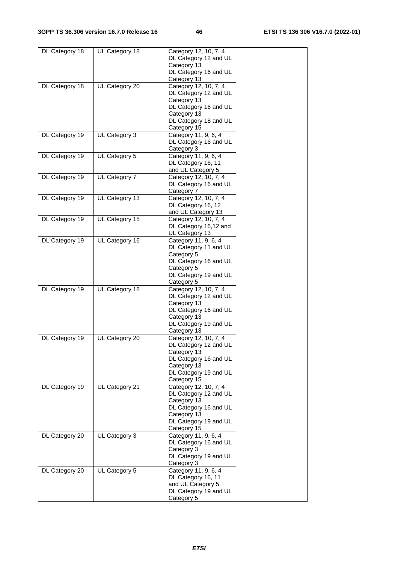| DL Category 18 | UL Category 18 | Category 12, 10, 7, 4<br>DL Category 12 and UL<br>Category 13     |  |
|----------------|----------------|-------------------------------------------------------------------|--|
|                |                | DL Category 16 and UL<br>Category 13                              |  |
| DL Category 18 | UL Category 20 | Category 12, 10, 7, 4<br>DL Category 12 and UL<br>Category 13     |  |
|                |                | DL Category 16 and UL<br>Category 13<br>DL Category 18 and UL     |  |
|                |                | Category 15                                                       |  |
| DL Category 19 | UL Category 3  | Category 11, 9, 6, 4<br>DL Category 16 and UL<br>Category 3       |  |
| DL Category 19 | UL Category 5  | Category 11, 9, 6, 4<br>DL Category 16, 11<br>and UL Category 5   |  |
| DL Category 19 | UL Category 7  | Category 12, 10, 7, 4<br>DL Category 16 and UL<br>Category 7      |  |
| DL Category 19 | UL Category 13 | Category 12, 10, 7, 4<br>DL Category 16, 12<br>and UL Category 13 |  |
| DL Category 19 | UL Category 15 | Category 12, 10, 7, 4<br>DL Category 16,12 and                    |  |
| DL Category 19 | UL Category 16 | UL Category 13<br>Category 11, 9, 6, 4                            |  |
|                |                | DL Category 11 and UL<br>Category 5                               |  |
|                |                | DL Category 16 and UL<br>Category 5<br>DL Category 19 and UL      |  |
|                |                | Category 5                                                        |  |
| DL Category 19 | UL Category 18 | Category 12, 10, 7, 4<br>DL Category 12 and UL<br>Category 13     |  |
|                |                | DL Category 16 and UL<br>Category 13                              |  |
|                |                | DL Category 19 and UL<br>Category 13                              |  |
| DL Category 19 | UL Category 20 | Category 12, 10, 7, 4<br>DL Category 12 and UL                    |  |
|                |                | Category 13<br>DL Category 16 and UL<br>Category 13               |  |
|                |                | DL Category 19 and UL<br>Category 15                              |  |
| DL Category 19 | UL Category 21 | Category 12, 10, 7, 4<br>DL Category 12 and UL                    |  |
|                |                | Category 13<br>DL Category 16 and UL                              |  |
|                |                | Category 13<br>DL Category 19 and UL<br>Category 15               |  |
| DL Category 20 | UL Category 3  | Category 11, 9, 6, 4<br>DL Category 16 and UL                     |  |
|                |                | Category 3<br>DL Category 19 and UL<br>Category 3                 |  |
| DL Category 20 | UL Category 5  | Category 11, 9, 6, 4                                              |  |
|                |                | DL Category 16, 11<br>and UL Category 5                           |  |
|                |                | DL Category 19 and UL                                             |  |
|                |                | Category 5                                                        |  |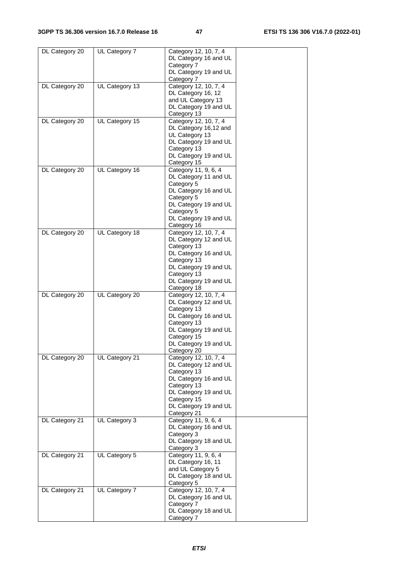| DL Category 20 | UL Category 7  | Category 12, 10, 7, 4<br>DL Category 16 and UL<br>Category 7<br>DL Category 19 and UL                                                                                                 |  |
|----------------|----------------|---------------------------------------------------------------------------------------------------------------------------------------------------------------------------------------|--|
| DL Category 20 | UL Category 13 | Category 7<br>Category 12, 10, 7, 4<br>DL Category 16, 12<br>and UL Category 13<br>DL Category 19 and UL                                                                              |  |
| DL Category 20 | UL Category 15 | Category 13<br>Category 12, 10, 7, 4<br>DL Category 16,12 and                                                                                                                         |  |
|                |                | UL Category 13<br>DL Category 19 and UL<br>Category 13<br>DL Category 19 and UL<br>Category 15                                                                                        |  |
| DL Category 20 | UL Category 16 | Category 11, 9, 6, 4<br>DL Category 11 and UL<br>Category 5<br>DL Category 16 and UL<br>Category 5<br>DL Category 19 and UL<br>Category 5<br>DL Category 19 and UL<br>Category 16     |  |
| DL Category 20 | UL Category 18 | Category 12, 10, 7, 4<br>DL Category 12 and UL<br>Category 13<br>DL Category 16 and UL<br>Category 13<br>DL Category 19 and UL<br>Category 13<br>DL Category 19 and UL<br>Category 18 |  |
| DL Category 20 | UL Category 20 | Category 12, 10, 7, 4<br>DL Category 12 and UL<br>Category 13<br>DL Category 16 and UL<br>Category 13<br>DL Category 19 and UL<br>Category 15<br>DL Category 19 and UL<br>Category 20 |  |
| DL Category 20 | UL Category 21 | Category 12, 10, 7, 4<br>DL Category 12 and UL<br>Category 13<br>DL Category 16 and UL<br>Category 13<br>DL Category 19 and UL<br>Category 15<br>DL Category 19 and UL<br>Category 21 |  |
| DL Category 21 | UL Category 3  | Category 11, 9, 6, 4<br>DL Category 16 and UL<br>Category 3<br>DL Category 18 and UL<br>Category 3                                                                                    |  |
| DL Category 21 | UL Category 5  | Category 11, 9, 6, 4<br>DL Category 16, 11<br>and UL Category 5<br>DL Category 18 and UL<br>Category 5                                                                                |  |
| DL Category 21 | UL Category 7  | Category 12, 10, 7, 4<br>DL Category 16 and UL<br>Category 7<br>DL Category 18 and UL<br>Category 7                                                                                   |  |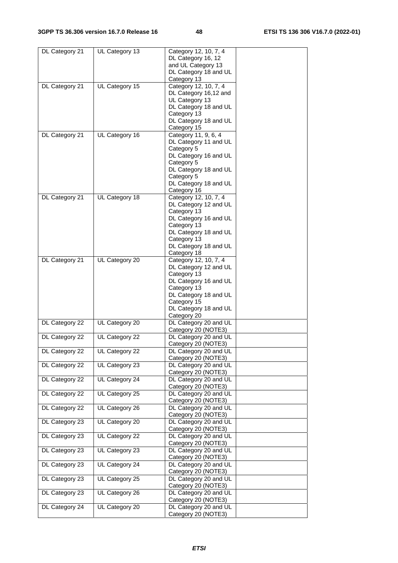| DL Category 21 | UL Category 13 | Category 12, 10, 7, 4 |  |
|----------------|----------------|-----------------------|--|
|                |                | DL Category 16, 12    |  |
|                |                | and UL Category 13    |  |
|                |                | DL Category 18 and UL |  |
|                |                | Category 13           |  |
| DL Category 21 | UL Category 15 | Category 12, 10, 7, 4 |  |
|                |                | DL Category 16,12 and |  |
|                |                | UL Category 13        |  |
|                |                | DL Category 18 and UL |  |
|                |                | Category 13           |  |
|                |                | DL Category 18 and UL |  |
|                |                |                       |  |
|                |                | Category 15           |  |
| DL Category 21 | UL Category 16 | Category 11, 9, 6, 4  |  |
|                |                | DL Category 11 and UL |  |
|                |                | Category 5            |  |
|                |                | DL Category 16 and UL |  |
|                |                | Category 5            |  |
|                |                | DL Category 18 and UL |  |
|                |                | Category 5            |  |
|                |                | DL Category 18 and UL |  |
|                |                | Category 16           |  |
| DL Category 21 | UL Category 18 | Category 12, 10, 7, 4 |  |
|                |                | DL Category 12 and UL |  |
|                |                | Category 13           |  |
|                |                | DL Category 16 and UL |  |
|                |                | Category 13           |  |
|                |                | DL Category 18 and UL |  |
|                |                | Category 13           |  |
|                |                |                       |  |
|                |                | DL Category 18 and UL |  |
|                |                | Category 18           |  |
| DL Category 21 | UL Category 20 | Category 12, 10, 7, 4 |  |
|                |                | DL Category 12 and UL |  |
|                |                | Category 13           |  |
|                |                | DL Category 16 and UL |  |
|                |                | Category 13           |  |
|                |                | DL Category 18 and UL |  |
|                |                | Category 15           |  |
|                |                | DL Category 18 and UL |  |
|                |                | Category 20           |  |
| DL Category 22 | UL Category 20 | DL Category 20 and UL |  |
|                |                | Category 20 (NOTE3)   |  |
| DL Category 22 | UL Category 22 | DL Category 20 and UL |  |
|                |                | Category 20 (NOTE3)   |  |
| DL Category 22 | UL Category 22 | DL Category 20 and UL |  |
|                |                | Category 20 (NOTE3)   |  |
| DL Category 22 | UL Category 23 | DL Category 20 and UL |  |
|                |                |                       |  |
|                |                | Category 20 (NOTE3)   |  |
| DL Category 22 | UL Category 24 | DL Category 20 and UL |  |
|                |                | Category 20 (NOTE3)   |  |
| DL Category 22 | UL Category 25 | DL Category 20 and UL |  |
|                |                | Category 20 (NOTE3)   |  |
| DL Category 22 | UL Category 26 | DL Category 20 and UL |  |
|                |                | Category 20 (NOTE3)   |  |
| DL Category 23 | UL Category 20 | DL Category 20 and UL |  |
|                |                | Category 20 (NOTE3)   |  |
| DL Category 23 | UL Category 22 | DL Category 20 and UL |  |
|                |                | Category 20 (NOTE3)   |  |
| DL Category 23 | UL Category 23 | DL Category 20 and UL |  |
|                |                | Category 20 (NOTE3)   |  |
| DL Category 23 | UL Category 24 | DL Category 20 and UL |  |
|                |                |                       |  |
|                |                | Category 20 (NOTE3)   |  |
| DL Category 23 | UL Category 25 | DL Category 20 and UL |  |
|                |                | Category 20 (NOTE3)   |  |
| DL Category 23 | UL Category 26 | DL Category 20 and UL |  |
|                |                | Category 20 (NOTE3)   |  |
| DL Category 24 | UL Category 20 | DL Category 20 and UL |  |
|                |                | Category 20 (NOTE3)   |  |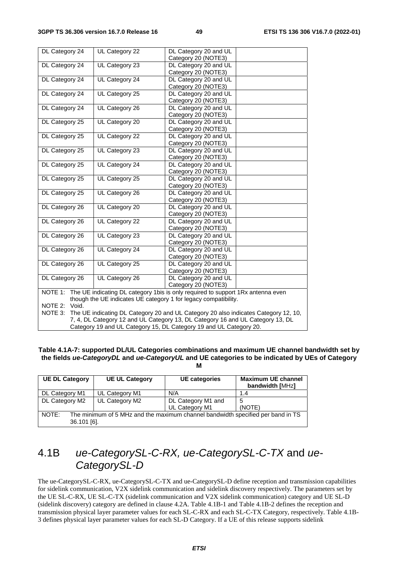| DL Category 24                                                                                 | UL Category 22 | DL Category 20 and UL<br>Category 20 (NOTE3)                                            |
|------------------------------------------------------------------------------------------------|----------------|-----------------------------------------------------------------------------------------|
| DL Category 24                                                                                 | UL Category 23 | DL Category 20 and UL                                                                   |
|                                                                                                |                | Category 20 (NOTE3)                                                                     |
| DL Category 24                                                                                 | UL Category 24 | DL Category 20 and UL                                                                   |
|                                                                                                |                | Category 20 (NOTE3)                                                                     |
| DL Category 24                                                                                 | UL Category 25 | DL Category 20 and UL                                                                   |
|                                                                                                |                | Category 20 (NOTE3)                                                                     |
| DL Category 24                                                                                 | UL Category 26 | DL Category 20 and UL                                                                   |
|                                                                                                |                | Category 20 (NOTE3)                                                                     |
| DL Category 25                                                                                 | UL Category 20 | DL Category 20 and UL                                                                   |
|                                                                                                |                | Category 20 (NOTE3)                                                                     |
| DL Category 25                                                                                 | UL Category 22 | DL Category 20 and UL                                                                   |
|                                                                                                |                | Category 20 (NOTE3)                                                                     |
| DL Category 25                                                                                 | UL Category 23 | DL Category 20 and UL                                                                   |
|                                                                                                |                | Category 20 (NOTE3)                                                                     |
| DL Category 25                                                                                 | UL Category 24 | DL Category 20 and UL                                                                   |
|                                                                                                |                | Category 20 (NOTE3)                                                                     |
| DL Category 25                                                                                 | UL Category 25 | DL Category 20 and UL                                                                   |
|                                                                                                |                | Category 20 (NOTE3)                                                                     |
| DL Category 25                                                                                 | UL Category 26 | DL Category 20 and UL                                                                   |
|                                                                                                |                | Category 20 (NOTE3)                                                                     |
| DL Category 26                                                                                 | UL Category 20 | DL Category 20 and UL<br>Category 20 (NOTE3)                                            |
| DL Category 26                                                                                 | UL Category 22 | DL Category 20 and UL                                                                   |
|                                                                                                |                | Category 20 (NOTE3)                                                                     |
| DL Category 26                                                                                 | UL Category 23 | DL Category 20 and UL                                                                   |
|                                                                                                |                | Category 20 (NOTE3)                                                                     |
| DL Category 26                                                                                 | UL Category 24 | DL Category 20 and UL                                                                   |
|                                                                                                |                | Category 20 (NOTE3)                                                                     |
| DL Category 26                                                                                 | UL Category 25 | DL Category 20 and UL                                                                   |
|                                                                                                |                | Category 20 (NOTE3)                                                                     |
| DL Category 26                                                                                 | UL Category 26 | DL Category 20 and UL                                                                   |
|                                                                                                |                | Category 20 (NOTE3)                                                                     |
|                                                                                                |                | NOTE 1: The UE indicating DL category 1bis is only required to support 1Rx antenna even |
|                                                                                                |                | though the UE indicates UE category 1 for legacy compatibility.                         |
| NOTE 2:<br>Void.                                                                               |                |                                                                                         |
| NOTE 3:<br>The UE indicating DL Category 20 and UL Category 20 also indicates Category 12, 10, |                |                                                                                         |
| 7, 4, DL Category 12 and UL Category 13, DL Category 16 and UL Category 13, DL                 |                |                                                                                         |
| Category 19 and UL Category 15, DL Category 19 and UL Category 20.                             |                |                                                                                         |

#### **Table 4.1A-7: supported DL/UL Categories combinations and maximum UE channel bandwidth set by the fields** *ue-CategoryDL* **and** *ue-CategoryUL* **and UE categories to be indicated by UEs of Category M**

| <b>UE DL Category</b>                                                                                   | <b>UE UL Category</b> | <b>UE</b> categories | <b>Maximum UE channel</b><br>bandwidth [MHz] |
|---------------------------------------------------------------------------------------------------------|-----------------------|----------------------|----------------------------------------------|
| DL Category M1                                                                                          | UL Category M1        | N/A                  | 1.4                                          |
| DL Category M2                                                                                          | UL Category M2        | DL Category M1 and   | 5                                            |
|                                                                                                         |                       | UL Category M1       | (NOTE)                                       |
| NOTE:<br>The minimum of 5 MHz and the maximum channel bandwidth specified per band in TS<br>36.101 [6]. |                       |                      |                                              |

# 4.1B *ue-CategorySL-C-RX, ue-CategorySL-C-TX* and *ue-CategorySL-D*

The ue-CategorySL-C-RX, ue-CategorySL-C-TX and ue-CategorySL-D define reception and transmission capabilities for sidelink communication, V2X sidelink communication and sidelink discovery respectively. The parameters set by the UE SL-C-RX, UE SL-C-TX (sidelink communication and V2X sidelink communication) category and UE SL-D (sidelink discovery) category are defined in clause 4.2A. Table 4.1B-1 and Table 4.1B-2 defines the reception and transmission physical layer parameter values for each SL-C-RX and each SL-C-TX Category, respectively. Table 4.1B-3 defines physical layer parameter values for each SL-D Category. If a UE of this release supports sidelink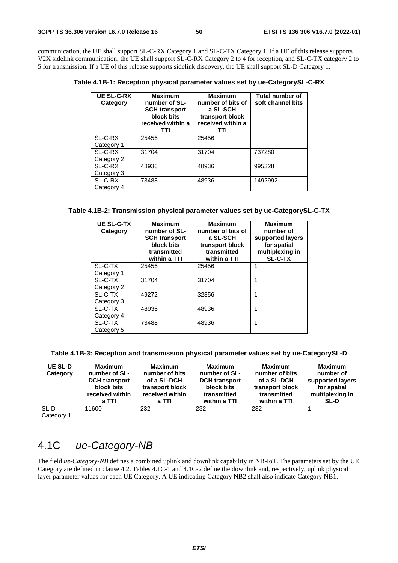communication, the UE shall support SL-C-RX Category 1 and SL-C-TX Category 1. If a UE of this release supports V2X sidelink communication, the UE shall support SL-C-RX Category 2 to 4 for reception, and SL-C-TX category 2 to 5 for transmission. If a UE of this release supports sidelink discovery, the UE shall support SL-D Category 1.

**Table 4.1B-1: Reception physical parameter values set by ue-CategorySL-C-RX** 

| <b>UE SL-C-RX</b><br>Category | <b>Maximum</b><br>number of SL-<br><b>SCH transport</b><br>block bits<br>received within a<br>TTI | <b>Maximum</b><br>number of bits of<br>a SL-SCH<br>transport block<br>received within a<br>TΤΙ | <b>Total number of</b><br>soft channel bits |
|-------------------------------|---------------------------------------------------------------------------------------------------|------------------------------------------------------------------------------------------------|---------------------------------------------|
| SL-C-RX                       | 25456                                                                                             | 25456                                                                                          |                                             |
| Category 1                    |                                                                                                   |                                                                                                |                                             |
| SL-C-RX                       | 31704                                                                                             | 31704                                                                                          | 737280                                      |
| Category 2                    |                                                                                                   |                                                                                                |                                             |
| SL-C-RX                       | 48936                                                                                             | 48936                                                                                          | 995328                                      |
| Category 3                    |                                                                                                   |                                                                                                |                                             |
| SL-C-RX                       | 73488                                                                                             | 48936                                                                                          | 1492992                                     |
| Category 4                    |                                                                                                   |                                                                                                |                                             |

#### **Table 4.1B-2: Transmission physical parameter values set by ue-CategorySL-C-TX**

| <b>UE SL-C-TX</b><br>Category | <b>Maximum</b><br>number of SL-<br><b>SCH transport</b><br>block bits<br>transmitted<br>within a TTI | <b>Maximum</b><br>number of bits of<br>a SL-SCH<br>transport block<br>transmitted<br>within a TTI | <b>Maximum</b><br>number of<br>supported layers<br>for spatial<br>multiplexing in<br><b>SL-C-TX</b> |
|-------------------------------|------------------------------------------------------------------------------------------------------|---------------------------------------------------------------------------------------------------|-----------------------------------------------------------------------------------------------------|
| SL-C-TX                       | 25456                                                                                                | 25456                                                                                             | 1                                                                                                   |
| Category 1                    |                                                                                                      |                                                                                                   |                                                                                                     |
| SL-C-TX                       | 31704                                                                                                | 31704                                                                                             | 1                                                                                                   |
| Category 2                    |                                                                                                      |                                                                                                   |                                                                                                     |
| SL-C-TX                       | 49272                                                                                                | 32856                                                                                             | 1                                                                                                   |
| Category 3                    |                                                                                                      |                                                                                                   |                                                                                                     |
| SL-C-TX                       | 48936                                                                                                | 48936                                                                                             | 1                                                                                                   |
| Category 4                    |                                                                                                      |                                                                                                   |                                                                                                     |
| SL-C-TX                       | 73488                                                                                                | 48936                                                                                             | 1                                                                                                   |
| Category 5                    |                                                                                                      |                                                                                                   |                                                                                                     |

| Table 4.1B-3: Reception and transmission physical parameter values set by ue-CategorySL-D |  |  |
|-------------------------------------------------------------------------------------------|--|--|
|                                                                                           |  |  |

| <b>UE SL-D</b><br>Category | <b>Maximum</b><br>number of SL-<br><b>DCH</b> transport<br>block bits<br>received within<br>a TTI | <b>Maximum</b><br>number of bits<br>of a SL-DCH<br>transport block<br>received within<br>a TTI | <b>Maximum</b><br>number of SL-<br><b>DCH</b> transport<br>block bits<br>transmitted<br>within a TTI | <b>Maximum</b><br>number of bits<br>of a SL-DCH<br>transport block<br>transmitted<br>within a TTI | <b>Maximum</b><br>number of<br>supported layers<br>for spatial<br>multiplexing in<br><b>SL-D</b> |
|----------------------------|---------------------------------------------------------------------------------------------------|------------------------------------------------------------------------------------------------|------------------------------------------------------------------------------------------------------|---------------------------------------------------------------------------------------------------|--------------------------------------------------------------------------------------------------|
| SL-D<br>Category 1         | 11600                                                                                             | 232                                                                                            | 232                                                                                                  | 232                                                                                               |                                                                                                  |

# 4.1C *ue-Category-NB*

The field *ue-Category-NB* defines a combined uplink and downlink capability in NB-IoT. The parameters set by the UE Category are defined in clause 4.2. Tables 4.1C-1 and 4.1C-2 define the downlink and, respectively, uplink physical layer parameter values for each UE Category. A UE indicating Category NB2 shall also indicate Category NB1.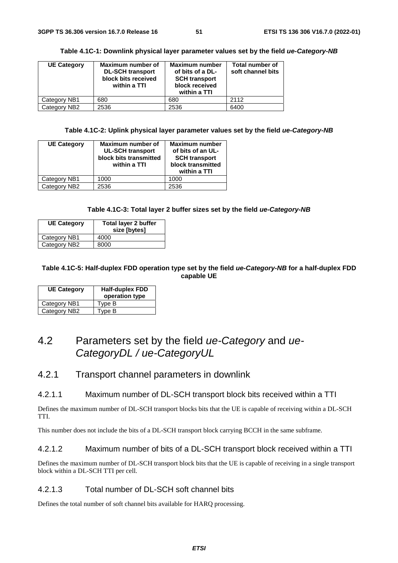| <b>UE Category</b> | Maximum number of<br><b>DL-SCH transport</b><br>block bits received<br>within a TTI | <b>Maximum number</b><br>of bits of a DL-<br><b>SCH transport</b><br>block received<br>within a TTI | <b>Total number of</b><br>soft channel bits |
|--------------------|-------------------------------------------------------------------------------------|-----------------------------------------------------------------------------------------------------|---------------------------------------------|
| Category NB1       | 680                                                                                 | 680                                                                                                 | 2112                                        |
| Category NB2       | 2536                                                                                | 2536                                                                                                | 6400                                        |

**Table 4.1C-1: Downlink physical layer parameter values set by the field** *ue-Category-NB*

**Table 4.1C-2: Uplink physical layer parameter values set by the field** *ue-Category-NB* 

| <b>UE Category</b> | Maximum number of<br><b>UL-SCH transport</b><br>block bits transmitted<br>within a TTI | <b>Maximum number</b><br>of bits of an UL-<br><b>SCH transport</b><br>block transmitted<br>within a TTI |
|--------------------|----------------------------------------------------------------------------------------|---------------------------------------------------------------------------------------------------------|
| Category NB1       | 1000                                                                                   | 1000                                                                                                    |
| Category NB2       | 2536                                                                                   | 2536                                                                                                    |

#### **Table 4.1C-3: Total layer 2 buffer sizes set by the field** *ue-Category-NB*

| <b>UE Category</b> | Total layer 2 buffer<br>size [bytes] |
|--------------------|--------------------------------------|
| Category NB1       | 4000                                 |
| Category NB2       | 8000                                 |

#### **Table 4.1C-5: Half-duplex FDD operation type set by the field** *ue-Category-NB* **for a half-duplex FDD capable UE**

| <b>UE Category</b> | <b>Half-duplex FDD</b><br>operation type |
|--------------------|------------------------------------------|
| Category NB1       | Type B                                   |
| Category NB2       | Type B                                   |

# 4.2 Parameters set by the field *ue-Category* and *ue-CategoryDL / ue-CategoryUL*

### 4.2.1 Transport channel parameters in downlink

### 4.2.1.1 Maximum number of DL-SCH transport block bits received within a TTI

Defines the maximum number of DL-SCH transport blocks bits that the UE is capable of receiving within a DL-SCH TTI.

This number does not include the bits of a DL-SCH transport block carrying BCCH in the same subframe.

#### 4.2.1.2 Maximum number of bits of a DL-SCH transport block received within a TTI

Defines the maximum number of DL-SCH transport block bits that the UE is capable of receiving in a single transport block within a DL-SCH TTI per cell.

#### 4.2.1.3 Total number of DL-SCH soft channel bits

Defines the total number of soft channel bits available for HARQ processing.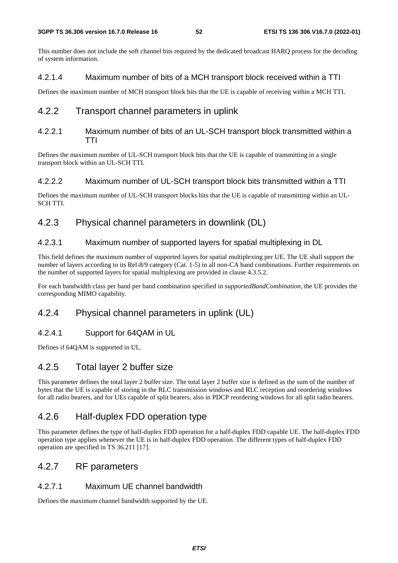This number does not include the soft channel bits required by the dedicated broadcast HARQ process for the decoding of system information.

### 4.2.1.4 Maximum number of bits of a MCH transport block received within a TTI

Defines the maximum number of MCH transport block bits that the UE is capable of receiving within a MCH TTI.

# 4.2.2 Transport channel parameters in uplink

### 4.2.2.1 Maximum number of bits of an UL-SCH transport block transmitted within a TTI

Defines the maximum number of UL-SCH transport block bits that the UE is capable of transmitting in a single transport block within an UL-SCH TTI.

### 4.2.2.2 Maximum number of UL-SCH transport block bits transmitted within a TTI

Defines the maximum number of UL-SCH transport blocks bits that the UE is capable of transmitting within an UL-SCH TTI.

# 4.2.3 Physical channel parameters in downlink (DL)

### 4.2.3.1 Maximum number of supported layers for spatial multiplexing in DL

This field defines the maximum number of supported layers for spatial multiplexing per UE. The UE shall support the number of layers according to its Rel-8/9 category (Cat. 1-5) in all non-CA band combinations. Further requirements on the number of supported layers for spatial multiplexing are provided in clause 4.3.5.2.

For each bandwidth class per band per band combination specified in *supportedBandCombination*, the UE provides the corresponding MIMO capability.

# 4.2.4 Physical channel parameters in uplink (UL)

# 4.2.4.1 Support for 64QAM in UL

Defines if 64QAM is supported in UL.

# 4.2.5 Total layer 2 buffer size

This parameter defines the total layer 2 buffer size. The total layer 2 buffer size is defined as the sum of the number of bytes that the UE is capable of storing in the RLC transmission windows and RLC reception and reordering windows for all radio bearers, and for UEs capable of split bearers, also in PDCP reordering windows for all split radio bearers.

# 4.2.6 Half-duplex FDD operation type

This parameter defines the type of half-duplex FDD operation for a half-duplex FDD capable UE. The half-duplex FDD operation type applies whenever the UE is in half-duplex FDD operation. The different types of half-duplex FDD operation are specified in TS 36.211 [17].

# 4.2.7 RF parameters

# 4.2.7.1 Maximum UE channel bandwidth

Defines the maximum channel bandwidth supported by the UE.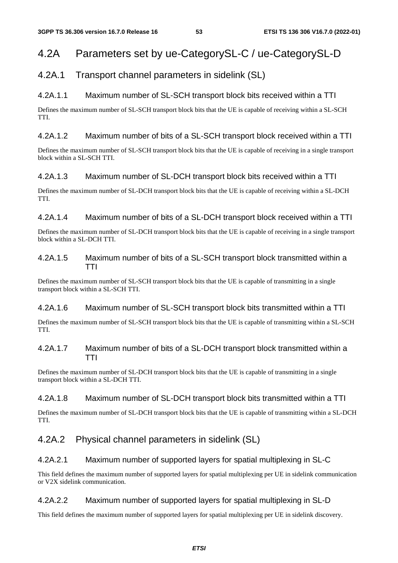# 4.2A Parameters set by ue-CategorySL-C / ue-CategorySL-D

# 4.2A.1 Transport channel parameters in sidelink (SL)

## 4.2A.1.1 Maximum number of SL-SCH transport block bits received within a TTI

Defines the maximum number of SL-SCH transport block bits that the UE is capable of receiving within a SL-SCH TTI.

### 4.2A.1.2 Maximum number of bits of a SL-SCH transport block received within a TTI

Defines the maximum number of SL-SCH transport block bits that the UE is capable of receiving in a single transport block within a SL-SCH TTI.

### 4.2A.1.3 Maximum number of SL-DCH transport block bits received within a TTI

Defines the maximum number of SL-DCH transport block bits that the UE is capable of receiving within a SL-DCH TTI.

### 4.2A.1.4 Maximum number of bits of a SL-DCH transport block received within a TTI

Defines the maximum number of SL-DCH transport block bits that the UE is capable of receiving in a single transport block within a SL-DCH TTI.

### 4.2A.1.5 Maximum number of bits of a SL-SCH transport block transmitted within a TTI

Defines the maximum number of SL-SCH transport block bits that the UE is capable of transmitting in a single transport block within a SL-SCH TTI.

### 4.2A.1.6 Maximum number of SL-SCH transport block bits transmitted within a TTI

Defines the maximum number of SL-SCH transport block bits that the UE is capable of transmitting within a SL-SCH TTI.

### 4.2A.1.7 Maximum number of bits of a SL-DCH transport block transmitted within a TTI

Defines the maximum number of SL-DCH transport block bits that the UE is capable of transmitting in a single transport block within a SL-DCH TTI.

#### 4.2A.1.8 Maximum number of SL-DCH transport block bits transmitted within a TTI

Defines the maximum number of SL-DCH transport block bits that the UE is capable of transmitting within a SL-DCH TTI.

# 4.2A.2 Physical channel parameters in sidelink (SL)

### 4.2A.2.1 Maximum number of supported layers for spatial multiplexing in SL-C

This field defines the maximum number of supported layers for spatial multiplexing per UE in sidelink communication or V2X sidelink communication.

### 4.2A.2.2 Maximum number of supported layers for spatial multiplexing in SL-D

This field defines the maximum number of supported layers for spatial multiplexing per UE in sidelink discovery.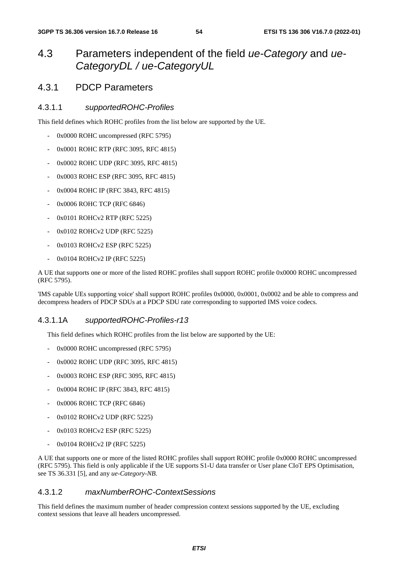# 4.3 Parameters independent of the field *ue-Category* and *ue-CategoryDL / ue-CategoryUL*

# 4.3.1 PDCP Parameters

### 4.3.1.1 *supportedROHC-Profiles*

This field defines which ROHC profiles from the list below are supported by the UE.

- 0x0000 ROHC uncompressed (RFC 5795)
- 0x0001 ROHC RTP (RFC 3095, RFC 4815)
- 0x0002 ROHC UDP (RFC 3095, RFC 4815)
- 0x0003 ROHC ESP (RFC 3095, RFC 4815)
- 0x0004 ROHC IP (RFC 3843, RFC 4815)
- 0x0006 ROHC TCP (RFC 6846)
- 0x0101 ROHCv2 RTP (RFC 5225)
- 0x0102 ROHCv2 UDP (RFC 5225)
- 0x0103 ROHCv2 ESP (RFC 5225)
- 0x0104 ROHCv2 IP (RFC 5225)

A UE that supports one or more of the listed ROHC profiles shall support ROHC profile 0x0000 ROHC uncompressed (RFC 5795).

'IMS capable UEs supporting voice' shall support ROHC profiles 0x0000, 0x0001, 0x0002 and be able to compress and decompress headers of PDCP SDUs at a PDCP SDU rate corresponding to supported IMS voice codecs.

### 4.3.1.1A *supportedROHC-Profiles-r13*

This field defines which ROHC profiles from the list below are supported by the UE:

- 0x0000 ROHC uncompressed (RFC 5795)
- 0x0002 ROHC UDP (RFC 3095, RFC 4815)
- 0x0003 ROHC ESP (RFC 3095, RFC 4815)
- 0x0004 ROHC IP (RFC 3843, RFC 4815)
- 0x0006 ROHC TCP (RFC 6846)
- 0x0102 ROHCv2 UDP (RFC 5225)
- 0x0103 ROHCv2 ESP (RFC 5225)
- 0x0104 ROHCv2 IP (RFC 5225)

A UE that supports one or more of the listed ROHC profiles shall support ROHC profile 0x0000 ROHC uncompressed (RFC 5795). This field is only applicable if the UE supports S1-U data transfer or User plane CIoT EPS Optimisation, see TS 36.331 [5], and any *ue-Category-NB*.

#### 4.3.1.2 *maxNumberROHC-ContextSessions*

This field defines the maximum number of header compression context sessions supported by the UE, excluding context sessions that leave all headers uncompressed.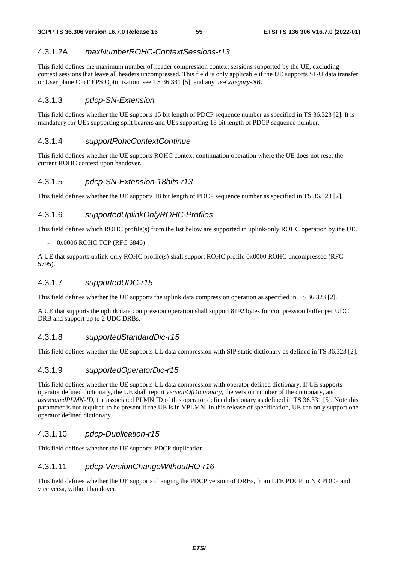### 4.3.1.2A *maxNumberROHC-ContextSessions-r13*

This field defines the maximum number of header compression context sessions supported by the UE, excluding context sessions that leave all headers uncompressed. This field is only applicable if the UE supports S1-U data transfer or User plane CIoT EPS Optimisation, see TS 36.331 [5], and any *ue-Category-NB*.

#### 4.3.1.3 *pdcp-SN-Extension*

This field defines whether the UE supports 15 bit length of PDCP sequence number as specified in TS 36.323 [2]. It is mandatory for UEs supporting split bearers and UEs supporting 18 bit length of PDCP sequence number.

#### 4.3.1.4 *supportRohcContextContinue*

This field defines whether the UE supports ROHC context continuation operation where the UE does not reset the current ROHC context upon handover.

#### 4.3.1.5 *pdcp-SN-Extension-18bits-r13*

This field defines whether the UE supports 18 bit length of PDCP sequence number as specified in TS 36.323 [2].

#### 4.3.1.6 *supportedUplinkOnlyROHC-Profiles*

This field defines which ROHC profile(s) from the list below are supported in uplink-only ROHC operation by the UE.

### - 0x0006 ROHC TCP (RFC 6846)

A UE that supports uplink-only ROHC profile(s) shall support ROHC profile 0x0000 ROHC uncompressed (RFC 5795).

#### 4.3.1.7 *supportedUDC-r15*

This field defines whether the UE supports the uplink data compression operation as specified in TS 36.323 [2].

A UE that supports the uplink data compression operation shall support 8192 bytes for compression buffer per UDC DRB and support up to 2 UDC DRBs.

#### 4.3.1.8 *supportedStandardDic-r15*

This field defines whether the UE supports UL data compression with SIP static dictionary as defined in TS 36.323 [2].

### 4.3.1.9 *supportedOperatorDic-r15*

This field defines whether the UE supports UL data compression with operator defined dictionary. If UE supports operator defined dictionary, the UE shall report *versionOfDictionary*, the version number of the dictionary, and *associatedPLMN-ID*, the associated PLMN ID of this operator defined dictionary as defined in TS 36.331 [5]. Note this parameter is not required to be present if the UE is in VPLMN. In this release of specification, UE can only support one operator defined dictionary.

#### 4.3.1.10 *pdcp-Duplication-r15*

This field defines whether the UE supports PDCP duplication.

#### 4.3.1.11 *pdcp-VersionChangeWithoutHO-r16*

This field defines whether the UE supports changing the PDCP version of DRBs, from LTE PDCP to NR PDCP and vice versa, without handover.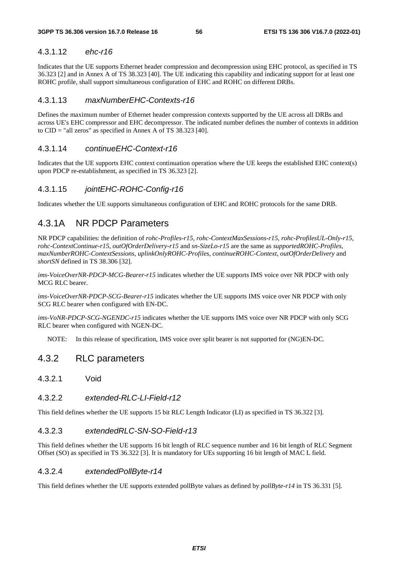### 4.3.1.12 *ehc-r16*

Indicates that the UE supports Ethernet header compression and decompression using EHC protocol, as specified in TS 36.323 [2] and in Annex A of TS 38.323 [40]. The UE indicating this capability and indicating support for at least one ROHC profile, shall support simultaneous configuration of EHC and ROHC on different DRBs.

### 4.3.1.13 *maxNumberEHC-Contexts-r16*

Defines the maximum number of Ethernet header compression contexts supported by the UE across all DRBs and across UE's EHC compressor and EHC decompressor. The indicated number defines the number of contexts in addition to CID = "all zeros" as specified in Annex A of TS 38.323 [40].

### 4.3.1.14 *continueEHC-Context-r16*

Indicates that the UE supports EHC context continuation operation where the UE keeps the established EHC context(s) upon PDCP re-establishment, as specified in TS 36.323 [2].

### 4.3.1.15 *jointEHC-ROHC-Config-r16*

Indicates whether the UE supports simultaneous configuration of EHC and ROHC protocols for the same DRB.

# 4.3.1A NR PDCP Parameters

NR PDCP capabilities: the definition of *rohc-Profiles-r15*, *rohc-ContextMaxSessions-r15*, *rohc-ProfilesUL-Only-r15*, *rohc-ContextContinue-r15*, *outOfOrderDelivery-r15* and *sn-SizeLo-r15* are the same as *supportedROHC-Profiles*, *maxNumberROHC-ContextSessions*, *uplinkOnlyROHC-Profiles*, *continueROHC-Context*, *outOfOrderDelivery* and *shortSN* defined in TS 38.306 [32].

*ims-VoiceOverNR-PDCP-MCG-Bearer-r15* indicates whether the UE supports IMS voice over NR PDCP with only MCG RLC bearer.

*ims-VoiceOverNR-PDCP-SCG-Bearer-r15* indicates whether the UE supports IMS voice over NR PDCP with only SCG RLC bearer when configured with EN-DC.

*ims-VoNR-PDCP-SCG-NGENDC-r15* indicates whether the UE supports IMS voice over NR PDCP with only SCG RLC bearer when configured with NGEN-DC.

NOTE: In this release of specification, IMS voice over split bearer is not supported for (NG)EN-DC.

# 4.3.2 RLC parameters

4.3.2.1 Void

#### 4.3.2.2 *extended-RLC-LI-Field-r12*

This field defines whether the UE supports 15 bit RLC Length Indicator (LI) as specified in TS 36.322 [3].

#### 4.3.2.3 *extendedRLC-SN-SO-Field-r13*

This field defines whether the UE supports 16 bit length of RLC sequence number and 16 bit length of RLC Segment Offset (SO) as specified in TS 36.322 [3]. It is mandatory for UEs supporting 16 bit length of MAC L field.

#### 4.3.2.4 *extendedPollByte-r14*

This field defines whether the UE supports extended pollByte values as defined by *pollByte-r14* in TS 36.331 [5].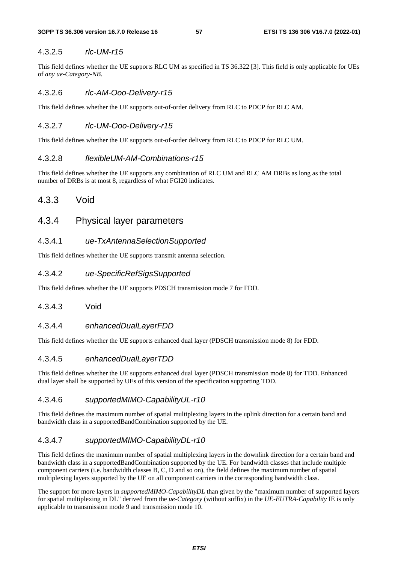#### 4.3.2.5 *rlc-UM-r15*

This field defines whether the UE supports RLC UM as specified in TS 36.322 [3]. This field is only applicable for UEs of *any ue-Category-NB*.

#### 4.3.2.6 *rlc-AM-Ooo-Delivery-r15*

This field defines whether the UE supports out-of-order delivery from RLC to PDCP for RLC AM.

#### 4.3.2.7 *rlc-UM-Ooo-Delivery-r15*

This field defines whether the UE supports out-of-order delivery from RLC to PDCP for RLC UM.

#### 4.3.2.8 *flexibleUM-AM-Combinations-r15*

This field defines whether the UE supports any combination of RLC UM and RLC AM DRBs as long as the total number of DRBs is at most 8, regardless of what FGI20 indicates.

# 4.3.3 Void

# 4.3.4 Physical layer parameters

### 4.3.4.1 *ue-TxAntennaSelectionSupported*

This field defines whether the UE supports transmit antenna selection.

### 4.3.4.2 *ue-SpecificRefSigsSupported*

This field defines whether the UE supports PDSCH transmission mode 7 for FDD.

#### 4.3.4.3 Void

### 4.3.4.4 *enhancedDualLayerFDD*

This field defines whether the UE supports enhanced dual layer (PDSCH transmission mode 8) for FDD.

#### 4.3.4.5 *enhancedDualLayerTDD*

This field defines whether the UE supports enhanced dual layer (PDSCH transmission mode 8) for TDD. Enhanced dual layer shall be supported by UEs of this version of the specification supporting TDD.

#### 4.3.4.6 *supportedMIMO-CapabilityUL-r10*

This field defines the maximum number of spatial multiplexing layers in the uplink direction for a certain band and bandwidth class in a supportedBandCombination supported by the UE.

### 4.3.4.7 *supportedMIMO-CapabilityDL-r10*

This field defines the maximum number of spatial multiplexing layers in the downlink direction for a certain band and bandwidth class in a supportedBandCombination supported by the UE. For bandwidth classes that include multiple component carriers (i.e. bandwidth classes B, C, D and so on), the field defines the maximum number of spatial multiplexing layers supported by the UE on all component carriers in the corresponding bandwidth class.

The support for more layers in *supportedMIMO-CapabilityDL* than given by the "maximum number of supported layers for spatial multiplexing in DL" derived from the *ue-Category* (without suffix) in the *UE-EUTRA-Capability* IE is only applicable to transmission mode 9 and transmission mode 10.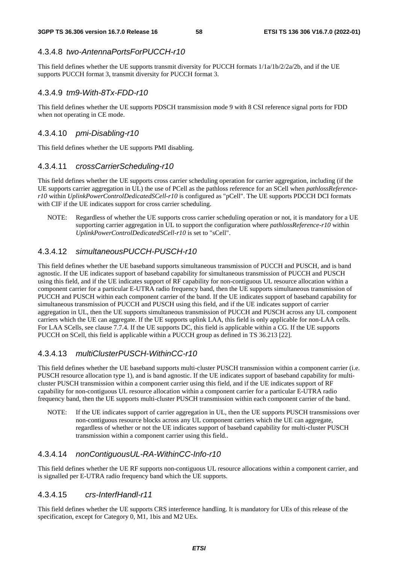#### 4.3.4.8 *two-AntennaPortsForPUCCH-r10*

This field defines whether the UE supports transmit diversity for PUCCH formats 1/1a/1b/2/2a/2b, and if the UE supports PUCCH format 3, transmit diversity for PUCCH format 3.

#### 4.3.4.9 *tm9-With-8Tx-FDD-r10*

This field defines whether the UE supports PDSCH transmission mode 9 with 8 CSI reference signal ports for FDD when not operating in CE mode.

#### 4.3.4.10 *pmi-Disabling-r10*

This field defines whether the UE supports PMI disabling.

#### 4.3.4.11 *crossCarrierScheduling-r10*

This field defines whether the UE supports cross carrier scheduling operation for carrier aggregation, including (if the UE supports carrier aggregation in UL) the use of PCell as the pathloss reference for an SCell when *pathlossReferencer10* within *UplinkPowerControlDedicatedSCell-r10* is configured as "pCell". The UE supports PDCCH DCI formats with CIF if the UE indicates support for cross carrier scheduling.

NOTE: Regardless of whether the UE supports cross carrier scheduling operation or not, it is mandatory for a UE supporting carrier aggregation in UL to support the configuration where *pathlossReference-r10* within *UplinkPowerControlDedicatedSCell-r10* is set to "sCell".

#### 4.3.4.12 *simultaneousPUCCH-PUSCH-r10*

This field defines whether the UE baseband supports simultaneous transmission of PUCCH and PUSCH, and is band agnostic. If the UE indicates support of baseband capability for simultaneous transmission of PUCCH and PUSCH using this field, and if the UE indicates support of RF capability for non-contiguous UL resource allocation within a component carrier for a particular E-UTRA radio frequency band, then the UE supports simultaneous transmission of PUCCH and PUSCH within each component carrier of the band. If the UE indicates support of baseband capability for simultaneous transmission of PUCCH and PUSCH using this field, and if the UE indicates support of carrier aggregation in UL, then the UE supports simultaneous transmission of PUCCH and PUSCH across any UL component carriers which the UE can aggregate. If the UE supports uplink LAA, this field is only applicable for non-LAA cells. For LAA SCells, see clause 7.7.4. If the UE supports DC, this field is applicable within a CG. If the UE supports PUCCH on SCell, this field is applicable within a PUCCH group as defined in TS 36.213 [22].

#### 4.3.4.13 *multiClusterPUSCH-WithinCC-r10*

This field defines whether the UE baseband supports multi-cluster PUSCH transmission within a component carrier (i.e. PUSCH resource allocation type 1), and is band agnostic. If the UE indicates support of baseband capability for multicluster PUSCH transmission within a component carrier using this field, and if the UE indicates support of RF capability for non-contiguous UL resource allocation within a component carrier for a particular E-UTRA radio frequency band, then the UE supports multi-cluster PUSCH transmission within each component carrier of the band.

NOTE: If the UE indicates support of carrier aggregation in UL, then the UE supports PUSCH transmissions over non-contiguous resource blocks across any UL component carriers which the UE can aggregate, regardless of whether or not the UE indicates support of baseband capability for multi-cluster PUSCH transmission within a component carrier using this field..

### 4.3.4.14 *nonContiguousUL-RA-WithinCC-Info-r10*

This field defines whether the UE RF supports non-contiguous UL resource allocations within a component carrier, and is signalled per E-UTRA radio frequency band which the UE supports.

#### 4.3.4.15 *crs-InterfHandl-r11*

This field defines whether the UE supports CRS interference handling. It is mandatory for UEs of this release of the specification, except for Category 0, M1, 1bis and M2 UEs.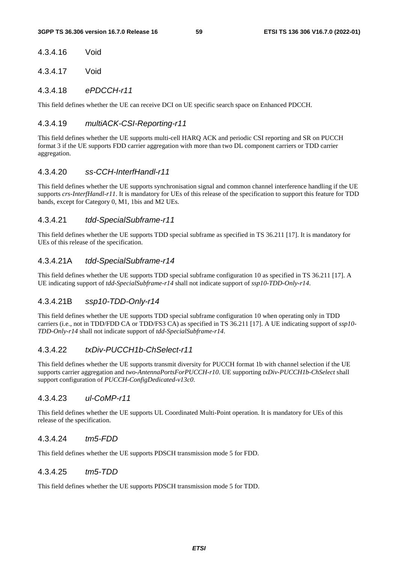#### 4.3.4.16 Void

4.3.4.17 Void

### 4.3.4.18 *ePDCCH-r11*

This field defines whether the UE can receive DCI on UE specific search space on Enhanced PDCCH.

### 4.3.4.19 *multiACK-CSI-Reporting-r11*

This field defines whether the UE supports multi-cell HARQ ACK and periodic CSI reporting and SR on PUCCH format 3 if the UE supports FDD carrier aggregation with more than two DL component carriers or TDD carrier aggregation.

### 4.3.4.20 *ss-CCH-InterfHandl-r11*

This field defines whether the UE supports synchronisation signal and common channel interference handling if the UE supports *crs-InterfHandl-r11*. It is mandatory for UEs of this release of the specification to support this feature for TDD bands, except for Category 0, M1, 1bis and M2 UEs.

### 4.3.4.21 *tdd-SpecialSubframe-r11*

This field defines whether the UE supports TDD special subframe as specified in TS 36.211 [17]. It is mandatory for UEs of this release of the specification.

### 4.3.4.21A *tdd-SpecialSubframe-r14*

This field defines whether the UE supports TDD special subframe configuration 10 as specified in TS 36.211 [17]. A UE indicating support of *tdd-SpecialSubframe-r14* shall not indicate support of *ssp10-TDD-Only-r14*.

### 4.3.4.21B *ssp10-TDD-Only-r14*

This field defines whether the UE supports TDD special subframe configuration 10 when operating only in TDD carriers (i.e., not in TDD/FDD CA or TDD/FS3 CA) as specified in TS 36.211 [17]. A UE indicating support of *ssp10- TDD-Only-r14* shall not indicate support of *tdd-SpecialSubframe-r14*.

### 4.3.4.22 *txDiv-PUCCH1b-ChSelect-r11*

This field defines whether the UE supports transmit diversity for PUCCH format 1b with channel selection if the UE supports carrier aggregation and *two-AntennaPortsForPUCCH-r10*. UE supporting *txDiv-PUCCH1b-ChSelect* shall support configuration of *PUCCH-ConfigDedicated-v13c0*.

### 4.3.4.23 *ul-CoMP-r11*

This field defines whether the UE supports UL Coordinated Multi-Point operation. It is mandatory for UEs of this release of the specification.

### 4.3.4.24 *tm5-FDD*

This field defines whether the UE supports PDSCH transmission mode 5 for FDD.

#### 4.3.4.25 *tm5-TDD*

This field defines whether the UE supports PDSCH transmission mode 5 for TDD.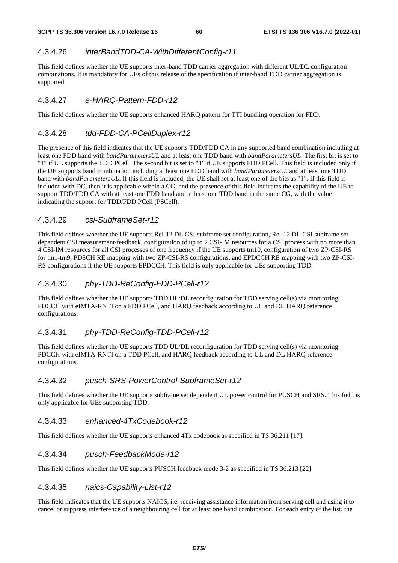### 4.3.4.26 *interBandTDD-CA-WithDifferentConfig-r11*

This field defines whether the UE supports inter-band TDD carrier aggregation with different UL/DL configuration combinations. It is mandatory for UEs of this release of the specification if inter-band TDD carrier aggregation is supported.

### 4.3.4.27 *e-HARQ-Pattern-FDD-r12*

This field defines whether the UE supports enhanced HARQ pattern for TTI bundling operation for FDD.

### 4.3.4.28 *tdd-FDD-CA-PCellDuplex-r12*

The presence of this field indicates that the UE supports TDD/FDD CA in any supported band combination including at least one FDD band with *bandParametersUL* and at least one TDD band with *bandParametersUL*. The first bit is set to "1" if UE supports the TDD PCell. The second bit is set to "1" if UE supports FDD PCell. This field is included only if the UE supports band combination including at least one FDD band with *bandParametersUL* and at least one TDD band with *bandParametersUL*. If this field is included, the UE shall set at least one of the bits as "1". If this field is included with DC, then it is applicable within a CG, and the presence of this field indicates the capability of the UE to support TDD/FDD CA with at least one FDD band and at least one TDD band in the same CG, with the value indicating the support for TDD/FDD PCell (PSCell).

### 4.3.4.29 *csi-SubframeSet-r12*

This field defines whether the UE supports Rel-12 DL CSI subframe set configuration, Rel-12 DL CSI subframe set dependent CSI measurement/feedback, configuration of up to 2 CSI-IM resources for a CSI process with no more than 4 CSI-IM resources for all CSI processes of one frequency if the UE supports tm10, configuration of two ZP-CSI-RS for tm1-tm9, PDSCH RE mapping with two ZP-CSI-RS configurations, and EPDCCH RE mapping with two ZP-CSI-RS configurations if the UE supports EPDCCH. This field is only applicable for UEs supporting TDD.

### 4.3.4.30 *phy-TDD-ReConfig-FDD-PCell-r12*

This field defines whether the UE supports TDD UL/DL reconfiguration for TDD serving cell(s) via monitoring PDCCH with eIMTA-RNTI on a FDD PCell, and HARQ feedback according to UL and DL HARQ reference configurations.

# 4.3.4.31 *phy-TDD-ReConfig-TDD-PCell-r12*

This field defines whether the UE supports TDD UL/DL reconfiguration for TDD serving cell(s) via monitoring PDCCH with eIMTA-RNTI on a TDD PCell, and HARQ feedback according to UL and DL HARQ reference configurations.

### 4.3.4.32 *pusch-SRS-PowerControl-SubframeSet-r12*

This field defines whether the UE supports subframe set dependent UL power control for PUSCH and SRS. This field is only applicable for UEs supporting TDD.

### 4.3.4.33 *enhanced-4TxCodebook-r12*

This field defines whether the UE supports enhanced 4Tx codebook as specified in TS 36.211 [17].

### 4.3.4.34 *pusch-FeedbackMode-r12*

This field defines whether the UE supports PUSCH feedback mode 3-2 as specified in TS 36.213 [22].

### 4.3.4.35 *naics-Capability-List-r12*

This field indicates that the UE supports NAICS, i.e. receiving assistance information from serving cell and using it to cancel or suppress interference of a neighbouring cell for at least one band combination. For each entry of the list, the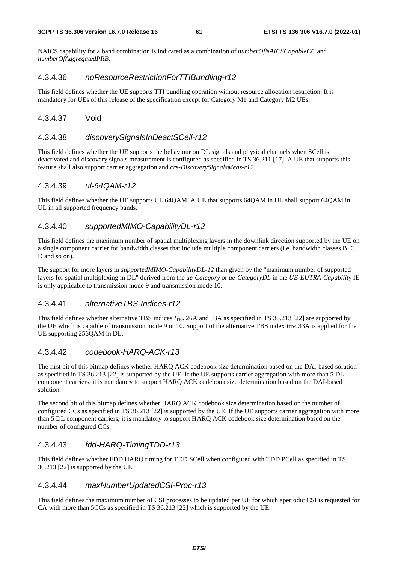NAICS capability for a band combination is indicated as a combination of *numberOfNAICSCapableCC* and *numberOfAggregatedPRB*.

### 4.3.4.36 *noResourceRestrictionForTTIBundling-r12*

This field defines whether the UE supports TTI bundling operation without resource allocation restriction. It is mandatory for UEs of this release of the specification except for Category M1 and Category M2 UEs.

#### 4.3.4.37 Void

### 4.3.4.38 *discoverySignalsInDeactSCell-r12*

This field defines whether the UE supports the behaviour on DL signals and physical channels when SCell is deactivated and discovery signals measurement is configured as specified in TS 36.211 [17]. A UE that supports this feature shall also support carrier aggregation and *crs-DiscoverySignalsMeas-r12*.

#### 4.3.4.39 *ul-64QAM-r12*

This field defines whether the UE supports UL 64QAM. A UE that supports 64QAM in UL shall support 64QAM in UL in all supported frequency bands.

### 4.3.4.40 *supportedMIMO-CapabilityDL-r12*

This field defines the maximum number of spatial multiplexing layers in the downlink direction supported by the UE on a single component carrier for bandwidth classes that include multiple component carriers (i.e. bandwidth classes B, C, D and so on).

The support for more layers in *supportedMIMO-CapabilityDL-12* than given by the "maximum number of supported layers for spatial multiplexing in DL" derived from the *ue-Category* or *ue-CategoryDL* in the *UE-EUTRA-Capability* IE is only applicable to transmission mode 9 and transmission mode 10.

### 4.3.4.41 *alternativeTBS-Indices-r12*

This field defines whether alternative TBS indices *I*<sub>TBS</sub> 26A and 33A as specified in TS 36.213 [22] are supported by the UE which is capable of transmission mode 9 or 10. Support of the alternative TBS index  $I_{\text{TRS}}$  33A is applied for the UE supporting 256QAM in DL.

### 4.3.4.42 *codebook-HARQ-ACK-r13*

The first bit of this bitmap defines whether HARQ ACK codebook size determination based on the DAI-based solution as specified in TS 36.213 [22] is supported by the UE. If the UE supports carrier aggregation with more than 5 DL component carriers, it is mandatory to support HARQ ACK codebook size determination based on the DAI-based solution.

The second bit of this bitmap defines whether HARQ ACK codebook size determination based on the number of configured CCs as specified in TS 36.213 [22] is supported by the UE. If the UE supports carrier aggregation with more than 5 DL component carriers, it is mandatory to support HARQ ACK codebook size determination based on the number of configured CCs.

### 4.3.4.43 *fdd-HARQ-TimingTDD-r13*

This field defines whether FDD HARQ timing for TDD SCell when configured with TDD PCell as specified in TS 36.213 [22] is supported by the UE.

### 4.3.4.44 *maxNumberUpdatedCSI-Proc-r13*

This field defines the maximum number of CSI processes to be updated per UE for which aperiodic CSI is requested for CA with more than 5CCs as specified in TS 36.213 [22] which is supported by the UE.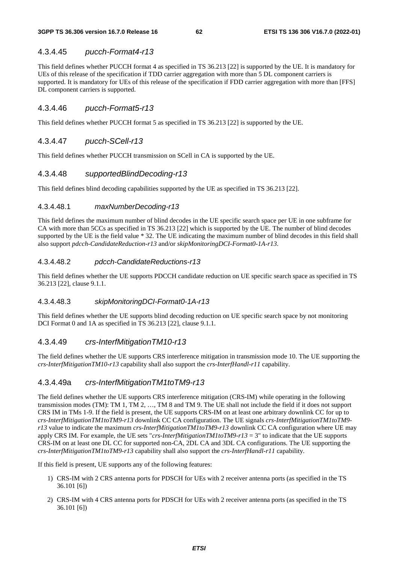### 4.3.4.45 *pucch-Format4-r13*

This field defines whether PUCCH format 4 as specified in TS 36.213 [22] is supported by the UE. It is mandatory for UEs of this release of the specification if TDD carrier aggregation with more than 5 DL component carriers is supported. It is mandatory for UEs of this release of the specification if FDD carrier aggregation with more than [FFS] DL component carriers is supported.

#### 4.3.4.46 *pucch-Format5-r13*

This field defines whether PUCCH format 5 as specified in TS 36.213 [22] is supported by the UE.

### 4.3.4.47 *pucch-SCell-r13*

This field defines whether PUCCH transmission on SCell in CA is supported by the UE.

### 4.3.4.48 *supportedBlindDecoding-r13*

This field defines blind decoding capabilities supported by the UE as specified in TS 36.213 [22].

#### 4.3.4.48.1 *maxNumberDecoding-r13*

This field defines the maximum number of blind decodes in the UE specific search space per UE in one subframe for CA with more than 5CCs as specified in TS 36.213 [22] which is supported by the UE. The number of blind decodes supported by the UE is the field value  $* 32$ . The UE indicating the maximum number of blind decodes in this field shall also support *pdcch-CandidateReduction-r13* and/or *skipMonitoringDCI-Format0-1A-r13*.

#### 4.3.4.48.2 *pdcch-CandidateReductions-r13*

This field defines whether the UE supports PDCCH candidate reduction on UE specific search space as specified in TS 36.213 [22], clause 9.1.1.

#### 4.3.4.48.3 *skipMonitoringDCI-Format0-1A-r13*

This field defines whether the UE supports blind decoding reduction on UE specific search space by not monitoring DCI Format 0 and 1A as specified in TS 36.213 [22], clause 9.1.1.

#### 4.3.4.49 *crs-InterfMitigationTM10-r13*

The field defines whether the UE supports CRS interference mitigation in transmission mode 10. The UE supporting the *crs-InterfMitigationTM10-r13* capability shall also support the *crs-InterfHandl-r11* capability.

#### 4.3.4.49a *crs-InterfMitigationTM1toTM9-r13*

The field defines whether the UE supports CRS interference mitigation (CRS-IM) while operating in the following transmission modes (TM): TM 1, TM 2, …, TM 8 and TM 9. The UE shall not include the field if it does not support CRS IM in TMs 1-9. If the field is present, the UE supports CRS-IM on at least one arbitrary downlink CC for up to *crs-InterfMitigationTM1toTM9-r13* downlink CC CA configuration. The UE signals *crs-InterfMitigationTM1toTM9 r13* value to indicate the maximum *crs-InterfMitigationTM1toTM9-r13* downlink CC CA configuration where UE may apply CRS IM. For example, the UE sets "*crs-InterfMitigationTM1toTM9-r13* = 3" to indicate that the UE supports CRS-IM on at least one DL CC for supported non-CA, 2DL CA and 3DL CA configurations. The UE supporting the *crs-InterfMitigationTM1toTM9-r13* capability shall also support the *crs-InterfHandl-r11* capability.

If this field is present, UE supports any of the following features:

- 1) CRS-IM with 2 CRS antenna ports for PDSCH for UEs with 2 receiver antenna ports (as specified in the TS 36.101 [6])
- 2) CRS-IM with 4 CRS antenna ports for PDSCH for UEs with 2 receiver antenna ports (as specified in the TS 36.101 [6])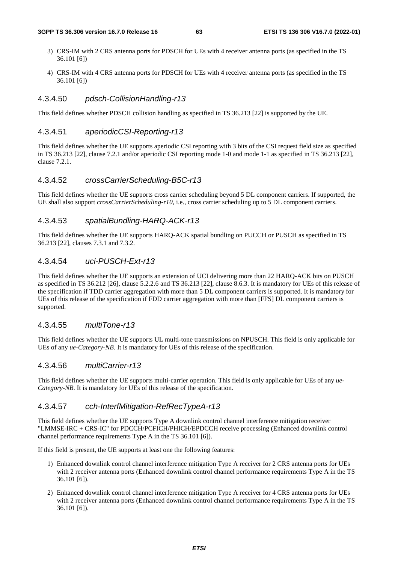- 3) CRS-IM with 2 CRS antenna ports for PDSCH for UEs with 4 receiver antenna ports (as specified in the TS 36.101 [6])
- 4) CRS-IM with 4 CRS antenna ports for PDSCH for UEs with 4 receiver antenna ports (as specified in the TS 36.101 [6])

#### 4.3.4.50 *pdsch-CollisionHandling-r13*

This field defines whether PDSCH collision handling as specified in TS 36.213 [22] is supported by the UE.

#### 4.3.4.51 *aperiodicCSI-Reporting-r13*

This field defines whether the UE supports aperiodic CSI reporting with 3 bits of the CSI request field size as specified in TS 36.213 [22], clause 7.2.1 and/or aperiodic CSI reporting mode 1-0 and mode 1-1 as specified in TS 36.213 [22], clause 7.2.1.

#### 4.3.4.52 *crossCarrierScheduling-B5C-r13*

This field defines whether the UE supports cross carrier scheduling beyond 5 DL component carriers. If supported, the UE shall also support *crossCarrierScheduling-r10*, i.e., cross carrier scheduling up to 5 DL component carriers.

#### 4.3.4.53 *spatialBundling-HARQ-ACK-r13*

This field defines whether the UE supports HARQ-ACK spatial bundling on PUCCH or PUSCH as specified in TS 36.213 [22], clauses 7.3.1 and 7.3.2.

#### 4.3.4.54 *uci-PUSCH-Ext-r13*

This field defines whether the UE supports an extension of UCI delivering more than 22 HARQ-ACK bits on PUSCH as specified in TS 36.212 [26], clause 5.2.2.6 and TS 36.213 [22], clause 8.6.3. It is mandatory for UEs of this release of the specification if TDD carrier aggregation with more than 5 DL component carriers is supported. It is mandatory for UEs of this release of the specification if FDD carrier aggregation with more than [FFS] DL component carriers is supported.

#### 4.3.4.55 *multiTone-r13*

This field defines whether the UE supports UL multi-tone transmissions on NPUSCH. This field is only applicable for UEs of any *ue-Category-NB*. It is mandatory for UEs of this release of the specification.

#### 4.3.4.56 *multiCarrier-r13*

This field defines whether the UE supports multi-carrier operation. This field is only applicable for UEs of any *ue-Category-NB*. It is mandatory for UEs of this release of the specification.

### 4.3.4.57 *cch-InterfMitigation-RefRecTypeA-r13*

This field defines whether the UE supports Type A downlink control channel interference mitigation receiver "LMMSE-IRC + CRS-IC" for PDCCH/PCFICH/PHICH/EPDCCH receive processing (Enhanced downlink control channel performance requirements Type A in the TS 36.101 [6]).

If this field is present, the UE supports at least one the following features:

- 1) Enhanced downlink control channel interference mitigation Type A receiver for 2 CRS antenna ports for UEs with 2 receiver antenna ports (Enhanced downlink control channel performance requirements Type A in the TS 36.101 [6]).
- 2) Enhanced downlink control channel interference mitigation Type A receiver for 4 CRS antenna ports for UEs with 2 receiver antenna ports (Enhanced downlink control channel performance requirements Type A in the TS 36.101 [6]).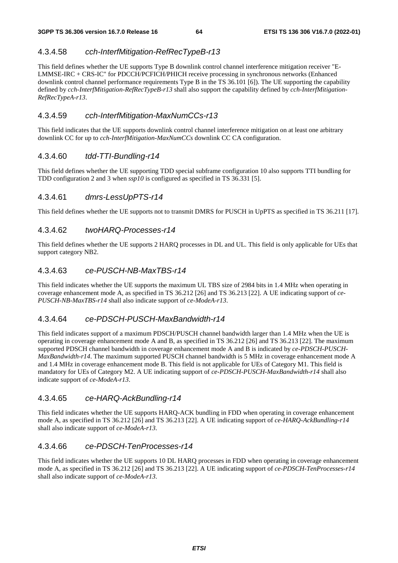### 4.3.4.58 *cch-InterfMitigation-RefRecTypeB-r13*

This field defines whether the UE supports Type B downlink control channel interference mitigation receiver "E-LMMSE-IRC + CRS-IC" for PDCCH/PCFICH/PHICH receive processing in synchronous networks (Enhanced downlink control channel performance requirements Type B in the TS 36.101 [6]). The UE supporting the capability defined by *cch-InterfMitigation-RefRecTypeB-r13* shall also support the capability defined by *cch-InterfMitigation-RefRecTypeA-r13*.

### 4.3.4.59 *cch-InterfMitigation-MaxNumCCs-r13*

This field indicates that the UE supports downlink control channel interference mitigation on at least one arbitrary downlink CC for up to *cch-InterfMitigation-MaxNumCCs* downlink CC CA configuration.

### 4.3.4.60 *tdd-TTI-Bundling-r14*

This field defines whether the UE supporting TDD special subframe configuration 10 also supports TTI bundling for TDD configuration 2 and 3 when *ssp10* is configured as specified in TS 36.331 [5].

### 4.3.4.61 *dmrs-LessUpPTS-r14*

This field defines whether the UE supports not to transmit DMRS for PUSCH in UpPTS as specified in TS 36.211 [17].

### 4.3.4.62 *twoHARQ-Processes-r14*

This field defines whether the UE supports 2 HARQ processes in DL and UL. This field is only applicable for UEs that support category NB2.

### 4.3.4.63 *ce-PUSCH-NB-MaxTBS-r14*

This field indicates whether the UE supports the maximum UL TBS size of 2984 bits in 1.4 MHz when operating in coverage enhancement mode A, as specified in TS 36.212 [26] and TS 36.213 [22]. A UE indicating support of *ce-PUSCH-NB-MaxTBS-r14* shall also indicate support of *ce-ModeA-r13*.

### 4.3.4.64 *ce-PDSCH-PUSCH-MaxBandwidth-r14*

This field indicates support of a maximum PDSCH/PUSCH channel bandwidth larger than 1.4 MHz when the UE is operating in coverage enhancement mode A and B, as specified in TS 36.212 [26] and TS 36.213 [22]. The maximum supported PDSCH channel bandwidth in coverage enhancement mode A and B is indicated by *ce-PDSCH-PUSCH-MaxBandwidth-r14*. The maximum supported PUSCH channel bandwidth is 5 MHz in coverage enhancement mode A and 1.4 MHz in coverage enhancement mode B. This field is not applicable for UEs of Category M1. This field is mandatory for UEs of Category M2. A UE indicating support of *ce-PDSCH-PUSCH-MaxBandwidth-r14* shall also indicate support of *ce-ModeA-r13*.

#### 4.3.4.65 *ce-HARQ-AckBundling-r14*

This field indicates whether the UE supports HARQ-ACK bundling in FDD when operating in coverage enhancement mode A, as specified in TS 36.212 [26] and TS 36.213 [22]. A UE indicating support of *ce-HARQ-AckBundling-r14*  shall also indicate support of *ce-ModeA-r13*.

#### 4.3.4.66 *ce-PDSCH-TenProcesses-r14*

This field indicates whether the UE supports 10 DL HARQ processes in FDD when operating in coverage enhancement mode A, as specified in TS 36.212 [26] and TS 36.213 [22]. A UE indicating support of *ce-PDSCH-TenProcesses-r14*  shall also indicate support of *ce-ModeA-r13*.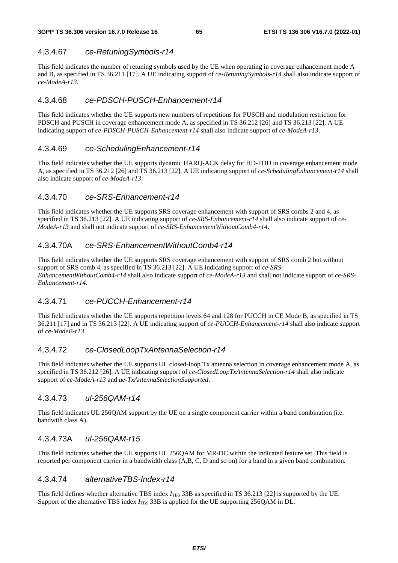### 4.3.4.67 *ce-RetuningSymbols-r14*

This field indicates the number of retuning symbols used by the UE when operating in coverage enhancement mode A and B, as specified in TS 36.211 [17]. A UE indicating support of *ce-RetuningSymbols-r14* shall also indicate support of *ce-ModeA-r13*.

### 4.3.4.68 *ce-PDSCH-PUSCH-Enhancement-r14*

This field indicates whether the UE supports new numbers of repetitions for PUSCH and modulation restriction for PDSCH and PUSCH in coverage enhancement mode A, as specified in TS 36.212 [26] and TS 36.213 [22]. A UE indicating support of *ce-PDSCH-PUSCH-Enhancement-r14* shall also indicate support of *ce-ModeA-r13*.

### 4.3.4.69 *ce-SchedulingEnhancement-r14*

This field indicates whether the UE supports dynamic HARQ-ACK delay for HD-FDD in coverage enhancement mode A, as specified in TS 36.212 [26] and TS 36.213 [22]. A UE indicating support of *ce-SchedulingEnhancement-r14* shall also indicate support of *ce-ModeA-r13*.

### 4.3.4.70 *ce-SRS-Enhancement-r14*

This field indicates whether the UE supports SRS coverage enhancement with support of SRS combs 2 and 4, as specified in TS 36.213 [22]. A UE indicating support of *ce-SRS-Enhancement-r14* shall also indicate support of *ce-ModeA-r13* and shall not indicate support of *ce-SRS-EnhancementWithoutComb4-r14*.

### 4.3.4.70A *ce-SRS-EnhancementWithoutComb4-r14*

This field indicates whether the UE supports SRS coverage enhancement with support of SRS comb 2 but without support of SRS comb 4, as specified in TS 36.213 [22]. A UE indicating support of *ce-SRS-EnhancementWithoutComb4-r14* shall also indicate support of *ce-ModeA-r13* and shall not indicate support of *ce-SRS-Enhancement-r14*.

### 4.3.4.71 *ce-PUCCH-Enhancement-r14*

This field indicates whether the UE supports repetition levels 64 and 128 for PUCCH in CE Mode B, as specified in TS 36.211 [17] and in TS 36.213 [22]. A UE indicating support of *ce-PUCCH-Enhancement-r14* shall also indicate support of *ce-ModeB-r13*.

### 4.3.4.72 *ce-ClosedLoopTxAntennaSelection-r14*

This field indicates whether the UE supports UL closed-loop Tx antenna selection in coverage enhancement mode A, as specified in TS 36.212 [26]. A UE indicating support of *ce-ClosedLoopTxAntennaSelection-r14* shall also indicate support of *ce-ModeA-r13* and *ue-TxAntennaSelectionSupported*.

### 4.3.4.73 *ul-256QAM-r14*

This field indicates UL 256QAM support by the UE on a single component carrier within a band combination (i.e. bandwith class A).

### 4.3.4.73A *ul-256QAM-r15*

This field indicates whether the UE supports UL 256QAM for MR-DC within the indicated feature set. This field is reported per component carrier in a bandwidth class (A,B, C, D and so on) for a band in a given band combination.

### 4.3.4.74 *alternativeTBS-Index-r14*

This field defines whether alternative TBS index  $I_{\text{TBS}}$  33B as specified in TS 36.213 [22] is supported by the UE. Support of the alternative TBS index *I*<sub>TBS</sub> 33B is applied for the UE supporting 256QAM in DL.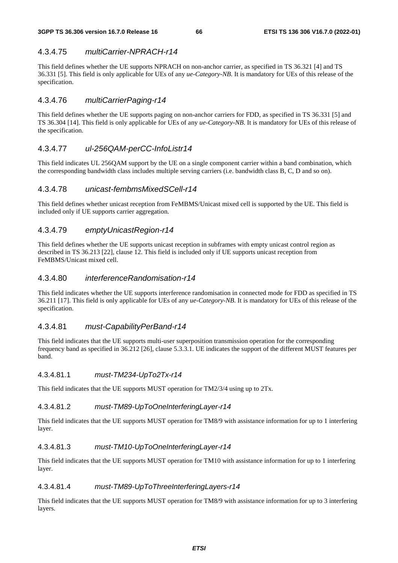### 4.3.4.75 *multiCarrier-NPRACH-r14*

This field defines whether the UE supports NPRACH on non-anchor carrier, as specified in TS 36.321 [4] and TS 36.331 [5]. This field is only applicable for UEs of any *ue-Category-NB*. It is mandatory for UEs of this release of the specification.

### 4.3.4.76 *multiCarrierPaging-r14*

This field defines whether the UE supports paging on non-anchor carriers for FDD, as specified in TS 36.331 [5] and TS 36.304 [14]. This field is only applicable for UEs of any *ue-Category-NB*. It is mandatory for UEs of this release of the specification.

### 4.3.4.77 *ul-256QAM-perCC-InfoListr14*

This field indicates UL 256QAM support by the UE on a single component carrier within a band combination, which the corresponding bandwidth class includes multiple serving carriers (i.e. bandwidth class B, C, D and so on).

### 4.3.4.78 *unicast-fembmsMixedSCell-r14*

This field defines whether unicast reception from FeMBMS/Unicast mixed cell is supported by the UE. This field is included only if UE supports carrier aggregation.

### 4.3.4.79 *emptyUnicastRegion-r14*

This field defines whether the UE supports unicast reception in subframes with empty unicast control region as described in TS 36.213 [22], clause 12. This field is included only if UE supports unicast reception from FeMBMS/Unicast mixed cell.

### 4.3.4.80 *interferenceRandomisation-r14*

This field indicates whether the UE supports interference randomisation in connected mode for FDD as specified in TS 36.211 [17]. This field is only applicable for UEs of any *ue-Category-NB*. It is mandatory for UEs of this release of the specification.

#### 4.3.4.81 *must-CapabilityPerBand-r14*

This field indicates that the UE supports multi-user superposition transmission operation for the corresponding frequency band as specified in 36.212 [26], clause 5.3.3.1. UE indicates the support of the different MUST features per band.

#### 4.3.4.81.1 *must-TM234-UpTo2Tx-r14*

This field indicates that the UE supports MUST operation for TM2/3/4 using up to 2Tx.

#### 4.3.4.81.2 *must-TM89-UpToOneInterferingLayer-r14*

This field indicates that the UE supports MUST operation for TM8/9 with assistance information for up to 1 interfering layer.

#### 4.3.4.81.3 *must-TM10-UpToOneInterferingLayer-r14*

This field indicates that the UE supports MUST operation for TM10 with assistance information for up to 1 interfering layer.

#### 4.3.4.81.4 *must-TM89-UpToThreeInterferingLayers-r14*

This field indicates that the UE supports MUST operation for TM8/9 with assistance information for up to 3 interfering layers.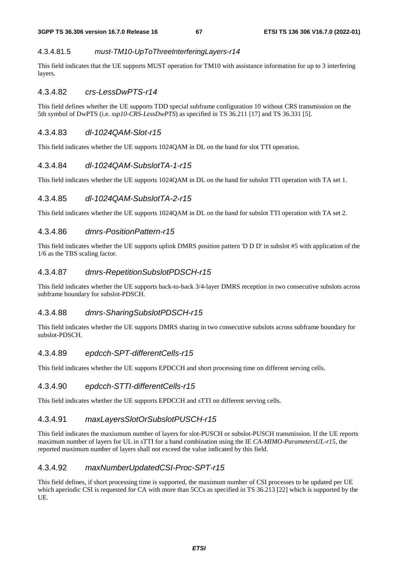#### 4.3.4.81.5 *must-TM10-UpToThreeInterferingLayers-r14*

This field indicates that the UE supports MUST operation for TM10 with assistance information for up to 3 interfering layers.

#### 4.3.4.82 *crs-LessDwPTS-r14*

This field defines whether the UE supports TDD special subframe configuration 10 without CRS transmission on the 5th symbol of DwPTS (i.e. *ssp10-CRS-LessDwPTS*) as specified in TS 36.211 [17] and TS 36.331 [5].

#### 4.3.4.83 *dl-1024QAM-Slot-r15*

This field indicates whether the UE supports 1024QAM in DL on the band for slot TTI operation.

#### 4.3.4.84 *dl-1024QAM-SubslotTA-1-r15*

This field indicates whether the UE supports 1024QAM in DL on the band for subslot TTI operation with TA set 1.

### 4.3.4.85 *dl-1024QAM-SubslotTA-2-r15*

This field indicates whether the UE supports 1024QAM in DL on the band for subslot TTI operation with TA set 2.

#### 4.3.4.86 *dmrs-PositionPattern-r15*

This field indicates whether the UE supports uplink DMRS position pattern 'D D D' in subslot #5 with application of the 1/6 as the TBS scaling factor.

#### 4.3.4.87 *dmrs-RepetitionSubslotPDSCH-r15*

This field indicates whether the UE supports back-to-back 3/4-layer DMRS reception in two consecutive subslots across subframe boundary for subslot-PDSCH.

#### 4.3.4.88 *dmrs-SharingSubslotPDSCH-r15*

This field indicates whether the UE supports DMRS sharing in two consecutive subslots across subframe boundary for subslot-PDSCH.

#### 4.3.4.89 *epdcch-SPT-differentCells-r15*

This field indicates whether the UE supports EPDCCH and short processing time on different serving cells.

#### 4.3.4.90 *epdcch-STTI-differentCells-r15*

This field indicates whether the UE supports EPDCCH and sTTI on different serving cells.

#### 4.3.4.91 *maxLayersSlotOrSubslotPUSCH-r15*

This field indicates the maxiumum number of layers for slot-PUSCH or subslot-PUSCH transmission. If the UE reports maximum number of layers for UL in sTTI for a band combination using the IE *CA-MIMO-ParametersUL-r15*, the reported maximum number of layers shall not exceed the value indicated by this field.

### 4.3.4.92 *maxNumberUpdatedCSI-Proc-SPT-r15*

This field defines, if short processing time is supported, the maximum number of CSI processes to be updated per UE which aperiodic CSI is requested for CA with more than 5CCs as specified in TS 36.213 [22] which is supported by the UE.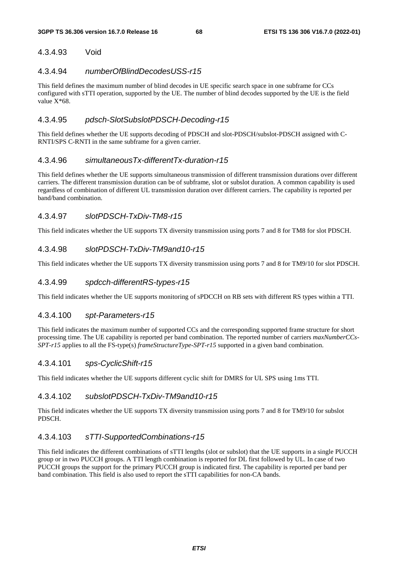### 4.3.4.93 Void

#### 4.3.4.94 *numberOfBlindDecodesUSS-r15*

This field defines the maximum number of blind decodes in UE specific search space in one subframe for CCs configured with sTTI operation, supported by the UE. The number of blind decodes supported by the UE is the field value  $X*68$ .

### 4.3.4.95 *pdsch-SlotSubslotPDSCH-Decoding-r15*

This field defines whether the UE supports decoding of PDSCH and slot-PDSCH/subslot-PDSCH assigned with C-RNTI/SPS C-RNTI in the same subframe for a given carrier.

### 4.3.4.96 *simultaneousTx-differentTx-duration-r15*

This field defines whether the UE supports simultaneous transmission of different transmission durations over different carriers. The different transmission duration can be of subframe, slot or subslot duration. A common capability is used regardless of combination of different UL transmission duration over different carriers. The capability is reported per band/band combination.

### 4.3.4.97 *slotPDSCH-TxDiv-TM8-r15*

This field indicates whether the UE supports TX diversity transmission using ports 7 and 8 for TM8 for slot PDSCH.

### 4.3.4.98 *slotPDSCH-TxDiv-TM9and10-r15*

This field indicates whether the UE supports TX diversity transmission using ports 7 and 8 for TM9/10 for slot PDSCH.

### 4.3.4.99 *spdcch-differentRS-types-r15*

This field indicates whether the UE supports monitoring of sPDCCH on RB sets with different RS types within a TTI.

#### 4.3.4.100 *spt-Parameters-r15*

This field indicates the maximum number of supported CCs and the corresponding supported frame structure for short processing time. The UE capability is reported per band combination. The reported number of carriers *maxNumberCCs-SPT-r15* applies to all the FS-type(s) *frameStructureType-SPT-r15* supported in a given band combination.

### 4.3.4.101 *sps-CyclicShift-r15*

This field indicates whether the UE supports different cyclic shift for DMRS for UL SPS using 1ms TTI.

### 4.3.4.102 *subslotPDSCH-TxDiv-TM9and10-r15*

This field indicates whether the UE supports TX diversity transmission using ports 7 and 8 for TM9/10 for subslot PDSCH.

### 4.3.4.103 *sTTI-SupportedCombinations-r15*

This field indicates the different combinations of sTTI lengths (slot or subslot) that the UE supports in a single PUCCH group or in two PUCCH groups. A TTI length combination is reported for DL first followed by UL. In case of two PUCCH groups the support for the primary PUCCH group is indicated first. The capability is reported per band per band combination. This field is also used to report the sTTI capabilities for non-CA bands.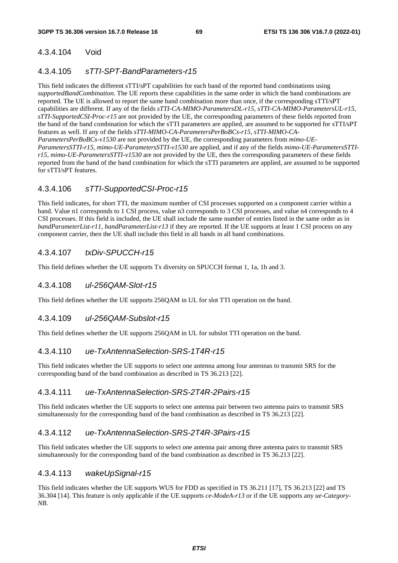#### 4.3.4.104 Void

#### 4.3.4.105 *sTTI-SPT-BandParameters-r15*

This field indicates the different sTTI/sPT capabilities for each band of the reported band combinations using *supportedBandCombination*. The UE reports these capabilities in the same order in which the band combinations are reported. The UE is allowed to report the same band combination more than once, if the corresponding sTTI/sPT capabilities are different. If any of the fields *sTTI-CA-MIMO-ParametersDL-r15, sTTI-CA-MIMO-ParametersUL-r15, sTTI-SupportedCSI-Proc-r15* are not provided by the UE, the corresponding parameters of these fields reported from the band of the band combination for which the sTTI parameters are applied, are assumed to be supported for sTTI/sPT features as well. If any of the fields *sTTI-MIMO-CA-ParametersPerBoBCs-r15, sTTI-MIMO-CA-ParametersPerBoBCs-v1530* are not provided by the UE, the corresponding parameters from *mimo-UE-ParametersSTTI-r15, mimo-UE-ParametersSTTI-v1530* are applied, and if any of the fields *mimo-UE-ParametersSTTIr15, mimo-UE-ParametersSTTI-v1530* are not provided by the UE, then the corresponding parameters of these fields reported from the band of the band combination for which the sTTI parameters are applied, are assumed to be supported for sTTI/sPT features.

#### 4.3.4.106 *sTTI-SupportedCSI-Proc-r15*

This field indicates, for short TTI, the maximum number of CSI processes supported on a component carrier within a band. Value n1 corresponds to 1 CSI process, value n3 corresponds to 3 CSI processes, and value n4 corresponds to 4 CSI processes. If this field is included, the UE shall include the same number of entries listed in the same order as in *bandParameterList-r11, bandParameterList-r13* if they are reported. If the UE supports at least 1 CSI process on any component carrier, then the UE shall include this field in all bands in all band combinations.

#### 4.3.4.107 *txDiv-SPUCCH-r15*

This field defines whether the UE supports Tx diversity on SPUCCH format 1, 1a, 1b and 3.

#### 4.3.4.108 *ul-256QAM-Slot-r15*

This field defines whether the UE supports 256QAM in UL for slot TTI operation on the band.

#### 4.3.4.109 *ul-256QAM-Subslot-r15*

This field defines whether the UE supports 256QAM in UL for subslot TTI operation on the band.

#### 4.3.4.110 *ue-TxAntennaSelection-SRS-1T4R-r15*

This field indicates whether the UE supports to select one antenna among four antennas to transmit SRS for the corresponding band of the band combination as described in TS 36.213 [22].

#### 4.3.4.111 *ue-TxAntennaSelection-SRS-2T4R-2Pairs-r15*

This field indicates whether the UE supports to select one antenna pair between two antenna pairs to transmit SRS simultaneously for the corresponding band of the band combination as described in TS 36.213 [22].

#### 4.3.4.112 *ue-TxAntennaSelection-SRS-2T4R-3Pairs-r15*

This field indicates whether the UE supports to select one antenna pair among three antenna pairs to transmit SRS simultaneously for the corresponding band of the band combination as described in TS 36.213 [22].

#### 4.3.4.113 *wakeUpSignal-r15*

This field indicates whether the UE supports WUS for FDD as specified in TS 36.211 [17], TS 36.213 [22] and TS 36.304 [14]. This feature is only applicable if the UE supports *ce-ModeA-r13* or if the UE supports any *ue-Category-NB*.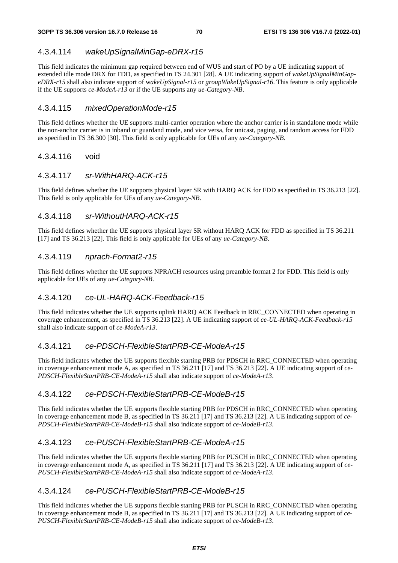### 4.3.4.114 *wakeUpSignalMinGap-eDRX-r15*

This field indicates the minimum gap required between end of WUS and start of PO by a UE indicating support of extended idle mode DRX for FDD, as specified in TS 24.301 [28]. A UE indicating support of *wakeUpSignalMinGapeDRX-r15* shall also indicate support of w*akeUpSignal-r15* or *groupWakeUpSignal-r16*. This feature is only applicable if the UE supports *ce-ModeA-r13* or if the UE supports any *ue-Category-NB*.

### 4.3.4.115 *mixedOperationMode-r15*

This field defines whether the UE supports multi-carrier operation where the anchor carrier is in standalone mode while the non-anchor carrier is in inband or guardand mode, and vice versa, for unicast, paging, and random access for FDD as specified in TS 36.300 [30]. This field is only applicable for UEs of any *ue-Category-NB*.

### 4.3.4.116 void

### 4.3.4.117 *sr-WithHARQ-ACK-r15*

This field defines whether the UE supports physical layer SR with HARQ ACK for FDD as specified in TS 36.213 [22]. This field is only applicable for UEs of any *ue-Category-NB*.

### 4.3.4.118 *sr-WithoutHARQ-ACK-r15*

This field defines whether the UE supports physical layer SR without HARQ ACK for FDD as specified in TS 36.211 [17] and TS 36.213 [22]. This field is only applicable for UEs of any *ue-Category-NB*.

### 4.3.4.119 *nprach-Format2-r15*

This field defines whether the UE supports NPRACH resources using preamble format 2 for FDD. This field is only applicable for UEs of any *ue-Category-NB*.

# 4.3.4.120 *ce-UL-HARQ-ACK-Feedback-r15*

This field indicates whether the UE supports uplink HARQ ACK Feedback in RRC\_CONNECTED when operating in coverage enhancement, as specified in TS 36.213 [22]. A UE indicating support of *ce-UL-HARQ-ACK-Feedback-r15*  shall also indicate support of *ce-ModeA-r13*.

### 4.3.4.121 *ce-PDSCH-FlexibleStartPRB-CE-ModeA-r15*

This field indicates whether the UE supports flexible starting PRB for PDSCH in RRC\_CONNECTED when operating in coverage enhancement mode A, as specified in TS 36.211 [17] and TS 36.213 [22]. A UE indicating support of *ce-PDSCH-FlexibleStartPRB-CE-ModeA-r15* shall also indicate support of *ce-ModeA-r13*.

# 4.3.4.122 *ce-PDSCH-FlexibleStartPRB-CE-ModeB-r15*

This field indicates whether the UE supports flexible starting PRB for PDSCH in RRC\_CONNECTED when operating in coverage enhancement mode B, as specified in TS 36.211 [17] and TS 36.213 [22]. A UE indicating support of *ce-PDSCH-FlexibleStartPRB-CE-ModeB-r15* shall also indicate support of *ce-ModeB-r13*.

# 4.3.4.123 *ce-PUSCH-FlexibleStartPRB-CE-ModeA-r15*

This field indicates whether the UE supports flexible starting PRB for PUSCH in RRC\_CONNECTED when operating in coverage enhancement mode A, as specified in TS 36.211 [17] and TS 36.213 [22]. A UE indicating support of *ce-PUSCH-FlexibleStartPRB-CE-ModeA-r15* shall also indicate support of *ce-ModeA-r13*.

# 4.3.4.124 *ce-PUSCH-FlexibleStartPRB-CE-ModeB-r15*

This field indicates whether the UE supports flexible starting PRB for PUSCH in RRC\_CONNECTED when operating in coverage enhancement mode B, as specified in TS 36.211 [17] and TS 36.213 [22]. A UE indicating support of *ce-PUSCH-FlexibleStartPRB-CE-ModeB-r15* shall also indicate support of *ce-ModeB-r13*.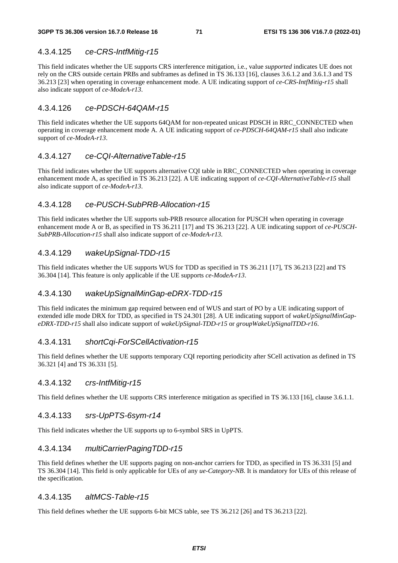# 4.3.4.125 *ce-CRS-IntfMitig-r15*

This field indicates whether the UE supports CRS interference mitigation, i.e., value *supported* indicates UE does not rely on the CRS outside certain PRBs and subframes as defined in TS 36.133 [16], clauses 3.6.1.2 and 3.6.1.3 and TS 36.213 [23] when operating in coverage enhancement mode. A UE indicating support of *ce-CRS-IntfMitig-r15* shall also indicate support of *ce-ModeA-r13*.

# 4.3.4.126 *ce-PDSCH-64QAM-r15*

This field indicates whether the UE supports 64QAM for non-repeated unicast PDSCH in RRC\_CONNECTED when operating in coverage enhancement mode A. A UE indicating support of *ce-PDSCH-64QAM-r15* shall also indicate support of *ce-ModeA-r13*.

# 4.3.4.127 *ce-CQI-AlternativeTable-r15*

This field indicates whether the UE supports alternative CQI table in RRC\_CONNECTED when operating in coverage enhancement mode A, as specified in TS 36.213 [22]. A UE indicating support of *ce-CQI-AlternativeTable-r15* shall also indicate support of *ce-ModeA-r13*.

# 4.3.4.128 *ce-PUSCH-SubPRB-Allocation-r15*

This field indicates whether the UE supports sub-PRB resource allocation for PUSCH when operating in coverage enhancement mode A or B, as specified in TS 36.211 [17] and TS 36.213 [22]. A UE indicating support of *ce-PUSCH-SubPRB-Allocation-r15* shall also indicate support of *ce-ModeA-r13.* 

# 4.3.4.129 *wakeUpSignal-TDD-r15*

This field indicates whether the UE supports WUS for TDD as specified in TS 36.211 [17], TS 36.213 [22] and TS 36.304 [14]. This feature is only applicable if the UE supports *ce-ModeA-r13*.

# 4.3.4.130 *wakeUpSignalMinGap-eDRX-TDD-r15*

This field indicates the minimum gap required between end of WUS and start of PO by a UE indicating support of extended idle mode DRX for TDD, as specified in TS 24.301 [28]. A UE indicating support of *wakeUpSignalMinGapeDRX-TDD-r15* shall also indicate support of *wakeUpSignal-TDD-r15* or *groupWakeUpSignalTDD-r16*.

# 4.3.4.131 *shortCqi-ForSCellActivation-r15*

This field defines whether the UE supports temporary CQI reporting periodicity after SCell activation as defined in TS 36.321 [4] and TS 36.331 [5].

# 4.3.4.132 *crs-IntfMitig-r15*

This field defines whether the UE supports CRS interference mitigation as specified in TS 36.133 [16], clause 3.6.1.1.

# 4.3.4.133 *srs-UpPTS-6sym-r14*

This field indicates whether the UE supports up to 6-symbol SRS in UpPTS.

# 4.3.4.134 *multiCarrierPagingTDD-r15*

This field defines whether the UE supports paging on non-anchor carriers for TDD, as specified in TS 36.331 [5] and TS 36.304 [14]. This field is only applicable for UEs of any *ue-Category-NB*. It is mandatory for UEs of this release of the specification.

# 4.3.4.135 *altMCS-Table-r15*

This field defines whether the UE supports 6-bit MCS table, see TS 36.212 [26] and TS 36.213 [22].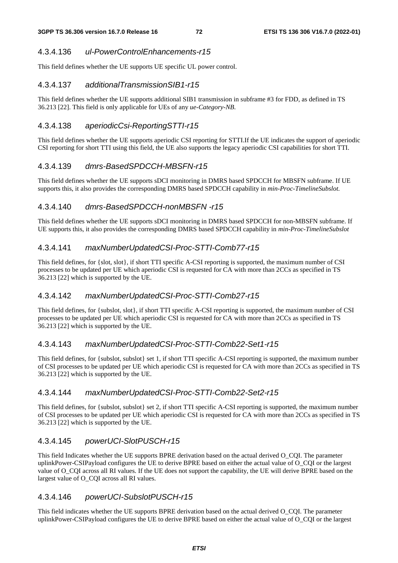### 4.3.4.136 *ul-PowerControlEnhancements-r15*

This field defines whether the UE supports UE specific UL power control.

#### 4.3.4.137 *additionalTransmissionSIB1-r15*

This field defines whether the UE supports additional SIB1 transmission in subframe #3 for FDD, as defined in TS 36.213 [22]. This field is only applicable for UEs of any *ue-Category-NB*.

### 4.3.4.138 *aperiodicCsi-ReportingSTTI-r15*

This field defines whether the UE supports aperiodic CSI reporting for STTI.If the UE indicates the support of aperiodic CSI reporting for short TTI using this field, the UE also supports the legacy aperiodic CSI capabilities for short TTI.

### 4.3.4.139 *dmrs-BasedSPDCCH-MBSFN-r15*

This field defines whether the UE supports sDCI monitoring in DMRS based SPDCCH for MBSFN subframe. If UE supports this, it also provides the corresponding DMRS based SPDCCH capability in *min-Proc-TimelineSubslot.*

### 4.3.4.140 *dmrs-BasedSPDCCH-nonMBSFN -r15*

This field defines whether the UE supports sDCI monitoring in DMRS based SPDCCH for non-MBSFN subframe. If UE supports this, it also provides the corresponding DMRS based SPDCCH capability in *min-Proc-TimelineSubslot* 

### 4.3.4.141 *maxNumberUpdatedCSI-Proc-STTI-Comb77-r15*

This field defines, for {slot, slot}, if short TTI specific A-CSI reporting is supported, the maximum number of CSI processes to be updated per UE which aperiodic CSI is requested for CA with more than 2CCs as specified in TS 36.213 [22] which is supported by the UE.

### 4.3.4.142 *maxNumberUpdatedCSI-Proc-STTI-Comb27-r15*

This field defines, for {subslot, slot}, if short TTI specific A-CSI reporting is supported, the maximum number of CSI processes to be updated per UE which aperiodic CSI is requested for CA with more than 2CCs as specified in TS 36.213 [22] which is supported by the UE.

### 4.3.4.143 *maxNumberUpdatedCSI-Proc-STTI-Comb22-Set1-r15*

This field defines, for {subslot, subslot} set 1, if short TTI specific A-CSI reporting is supported, the maximum number of CSI processes to be updated per UE which aperiodic CSI is requested for CA with more than 2CCs as specified in TS 36.213 [22] which is supported by the UE.

### 4.3.4.144 *maxNumberUpdatedCSI-Proc-STTI-Comb22-Set2-r15*

This field defines, for {subslot, subslot} set 2, if short TTI specific A-CSI reporting is supported, the maximum number of CSI processes to be updated per UE which aperiodic CSI is requested for CA with more than 2CCs as specified in TS 36.213 [22] which is supported by the UE.

### 4.3.4.145 *powerUCI-SlotPUSCH-r15*

This field Indicates whether the UE supports BPRE derivation based on the actual derived O\_CQI. The parameter uplinkPower-CSIPayload configures the UE to derive BPRE based on either the actual value of O\_CQI or the largest value of O\_CQI across all RI values. If the UE does not support the capability, the UE will derive BPRE based on the largest value of O\_CQI across all RI values.

### 4.3.4.146 *powerUCI-SubslotPUSCH-r15*

This field indicates whether the UE supports BPRE derivation based on the actual derived O\_CQI. The parameter uplinkPower-CSIPayload configures the UE to derive BPRE based on either the actual value of O\_CQI or the largest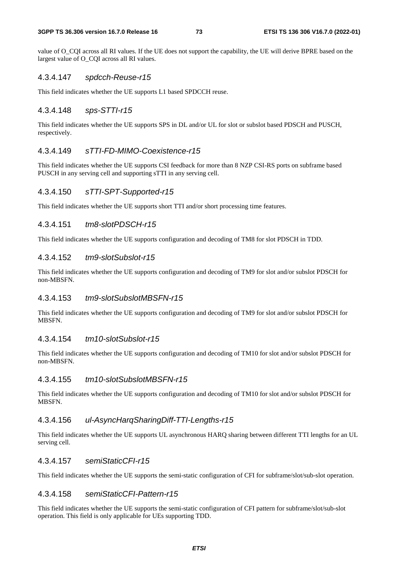#### **3GPP TS 36.306 version 16.7.0 Release 16 73 ETSI TS 136 306 V16.7.0 (2022-01)**

value of O\_CQI across all RI values. If the UE does not support the capability, the UE will derive BPRE based on the largest value of O\_CQI across all RI values.

#### 4.3.4.147 *spdcch-Reuse-r15*

This field indicates whether the UE supports L1 based SPDCCH reuse.

#### 4.3.4.148 *sps-STTI-r15*

This field indicates whether the UE supports SPS in DL and/or UL for slot or subslot based PDSCH and PUSCH, respectively.

#### 4.3.4.149 *sTTI-FD-MIMO-Coexistence-r15*

This field indicates whether the UE supports CSI feedback for more than 8 NZP CSI-RS ports on subframe based PUSCH in any serving cell and supporting sTTI in any serving cell.

#### 4.3.4.150 *sTTI-SPT-Supported-r15*

This field indicates whether the UE supports short TTI and/or short processing time features.

#### 4.3.4.151 *tm8-slotPDSCH-r15*

This field indicates whether the UE supports configuration and decoding of TM8 for slot PDSCH in TDD.

#### 4.3.4.152 *tm9-slotSubslot-r15*

This field indicates whether the UE supports configuration and decoding of TM9 for slot and/or subslot PDSCH for non-MBSFN.

#### 4.3.4.153 *tm9-slotSubslotMBSFN-r15*

This field indicates whether the UE supports configuration and decoding of TM9 for slot and/or subslot PDSCH for MBSFN.

#### 4.3.4.154 *tm10-slotSubslot-r15*

This field indicates whether the UE supports configuration and decoding of TM10 for slot and/or subslot PDSCH for non-MBSFN.

### 4.3.4.155 *tm10-slotSubslotMBSFN-r15*

This field indicates whether the UE supports configuration and decoding of TM10 for slot and/or subslot PDSCH for MBSFN.

### 4.3.4.156 *ul-AsyncHarqSharingDiff-TTI-Lengths-r15*

This field indicates whether the UE supports UL asynchronous HARQ sharing between different TTI lengths for an UL serving cell.

#### 4.3.4.157 *semiStaticCFI-r15*

This field indicates whether the UE supports the semi-static configuration of CFI for subframe/slot/sub-slot operation.

### 4.3.4.158 *semiStaticCFI-Pattern-r15*

This field indicates whether the UE supports the semi-static configuration of CFI pattern for subframe/slot/sub-slot operation. This field is only applicable for UEs supporting TDD.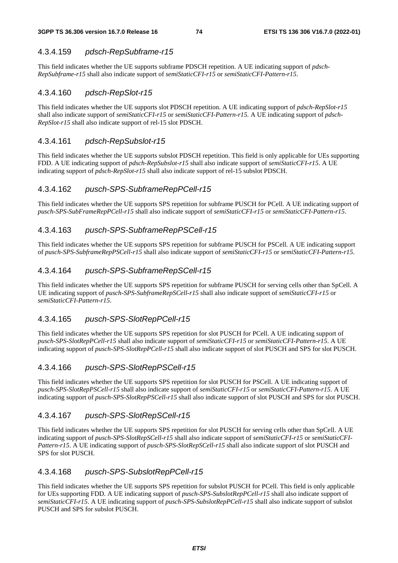## 4.3.4.159 *pdsch-RepSubframe-r15*

This field indicates whether the UE supports subframe PDSCH repetition. A UE indicating support of *pdsch-RepSubframe-r15* shall also indicate support of *semiStaticCFI-r15* or *semiStaticCFI-Pattern*-*r15*.

## 4.3.4.160 *pdsch-RepSlot-r15*

This field indicates whether the UE supports slot PDSCH repetition. A UE indicating support of *pdsch-RepSlot-r15* shall also indicate support of *semiStaticCFI-r15* or *semiStaticCFI-Pattern-r15.* A UE indicating support of *pdsch-RepSlot-r15* shall also indicate support of rel-15 slot PDSCH.

### 4.3.4.161 *pdsch-RepSubslot-r15*

This field indicates whether the UE supports subslot PDSCH repetition. This field is only applicable for UEs supporting FDD. A UE indicating support of *pdsch-RepSubslot-r15* shall also indicate support of *semiStaticCFI-r15*. A UE indicating support of *pdsch-RepSlot-r15* shall also indicate support of rel-15 subslot PDSCH.

### 4.3.4.162 *pusch-SPS-SubframeRepPCell-r15*

This field indicates whether the UE supports SPS repetition for subframe PUSCH for PCell. A UE indicating support of *pusch-SPS-SubFrameRepPCell-r15* shall also indicate support of *semiStaticCFI-r15* or *semiStaticCFI-Pattern*-*r15*.

### 4.3.4.163 *pusch-SPS-SubframeRepPSCell-r15*

This field indicates whether the UE supports SPS repetition for subframe PUSCH for PSCell. A UE indicating support of *pusch-SPS-SubframeRepPSCell-r15* shall also indicate support of *semiStaticCFI-r15* or *semiStaticCFI-Pattern*-*r15*.

### 4.3.4.164 *pusch-SPS-SubframeRepSCell-r15*

This field indicates whether the UE supports SPS repetition for subframe PUSCH for serving cells other than SpCell. A UE indicating support of *pusch-SPS-SubframeRepSCell-r15* shall also indicate support of *semiStaticCFI-r15* or *semiStaticCFI-Pattern*-*r15*.

### 4.3.4.165 *pusch-SPS-SlotRepPCell-r15*

This field indicates whether the UE supports SPS repetition for slot PUSCH for PCell. A UE indicating support of *pusch-SPS-SlotRepPCell-r15* shall also indicate support of *semiStaticCFI-r15* or *semiStaticCFI-Pattern*-*r15*. A UE indicating support of *pusch-SPS-SlotRepPCell-r15* shall also indicate support of slot PUSCH and SPS for slot PUSCH.

# 4.3.4.166 *pusch-SPS-SlotRepPSCell-r15*

This field indicates whether the UE supports SPS repetition for slot PUSCH for PSCell. A UE indicating support of *pusch-SPS-SlotRepPSCell-r15* shall also indicate support of *semiStaticCFI-r15* or *semiStaticCFI-Pattern*-*r15*. A UE indicating support of *pusch-SPS-SlotRepPSCell-r15* shall also indicate support of slot PUSCH and SPS for slot PUSCH.

### 4.3.4.167 *pusch-SPS-SlotRepSCell-r15*

This field indicates whether the UE supports SPS repetition for slot PUSCH for serving cells other than SpCell. A UE indicating support of *pusch-SPS-SlotRepSCell-r15* shall also indicate support of *semiStaticCFI-r15* or *semiStaticCFI-Pattern*-*r15*. A UE indicating support of *pusch-SPS-SlotRepSCell-r15* shall also indicate support of slot PUSCH and SPS for slot PUSCH.

### 4.3.4.168 *pusch-SPS-SubslotRepPCell-r15*

This field indicates whether the UE supports SPS repetition for subslot PUSCH for PCell. This field is only applicable for UEs supporting FDD. A UE indicating support of *pusch-SPS-SubslotRepPCell-r15* shall also indicate support of *semiStaticCFI-r15*. A UE indicating support of *pusch-SPS-SubslotRepPCell-r15* shall also indicate support of subslot PUSCH and SPS for subslot PUSCH.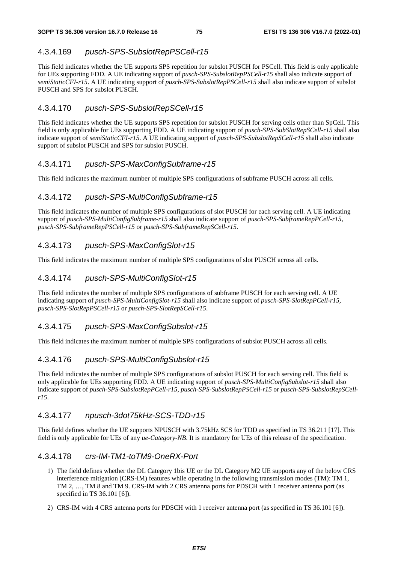# 4.3.4.169 *pusch-SPS-SubslotRepPSCell-r15*

This field indicates whether the UE supports SPS repetition for subslot PUSCH for PSCell. This field is only applicable for UEs supporting FDD. A UE indicating support of *pusch-SPS-SubslotRepPSCell-r15* shall also indicate support of *semiStaticCFI-r15*. A UE indicating support of *pusch-SPS-SubslotRepPSCell-r15* shall also indicate support of subslot PUSCH and SPS for subslot PUSCH.

## 4.3.4.170 *pusch-SPS-SubslotRepSCell-r15*

This field indicates whether the UE supports SPS repetition for subslot PUSCH for serving cells other than SpCell. This field is only applicable for UEs supporting FDD. A UE indicating support of *pusch-SPS-SubSlotRepSCell-r15* shall also indicate support of *semiStaticCFI-r15*. A UE indicating support of *pusch-SPS-SubslotRepSCell-r15* shall also indicate support of subslot PUSCH and SPS for subslot PUSCH.

# 4.3.4.171 *pusch-SPS-MaxConfigSubframe-r15*

This field indicates the maximum number of multiple SPS configurations of subframe PUSCH across all cells.

# 4.3.4.172 *pusch-SPS-MultiConfigSubframe-r15*

This field indicates the number of multiple SPS configurations of slot PUSCH for each serving cell. A UE indicating support of *pusch-SPS-MultiConfigSubframe-r15* shall also indicate support of *pusch-SPS-SubframeRepPCell-r15, pusch-SPS-SubframeRepPSCell-r15* or *pusch-SPS-SubframeRepSCell-r15*.

# 4.3.4.173 *pusch-SPS-MaxConfigSlot-r15*

This field indicates the maximum number of multiple SPS configurations of slot PUSCH across all cells.

# 4.3.4.174 *pusch-SPS-MultiConfigSlot-r15*

This field indicates the number of multiple SPS configurations of subframe PUSCH for each serving cell. A UE indicating support of *pusch-SPS-MultiConfigSlot-r15* shall also indicate support of *pusch-SPS-SlotRepPCell-r15, pusch-SPS-SlotRepPSCell-r15* or *pusch-SPS-SlotRepSCell-r15*.

### 4.3.4.175 *pusch-SPS-MaxConfigSubslot-r15*

This field indicates the maximum number of multiple SPS configurations of subslot PUSCH across all cells.

### 4.3.4.176 *pusch-SPS-MultiConfigSubslot-r15*

This field indicates the number of multiple SPS configurations of subslot PUSCH for each serving cell. This field is only applicable for UEs supporting FDD. A UE indicating support of *pusch-SPS-MultiConfigSubslot-r15* shall also indicate support of *pusch-SPS-SubslotRepPCell-r15, pusch-SPS-SubslotRepPSCell-r15* or *pusch-SPS-SubslotRepSCellr15*.

### 4.3.4.177 *npusch-3dot75kHz-SCS-TDD-r15*

This field defines whether the UE supports NPUSCH with 3.75kHz SCS for TDD as specified in TS 36.211 [17]. This field is only applicable for UEs of any *ue-Category-NB*. It is mandatory for UEs of this release of the specification.

### 4.3.4.178 *crs-IM-TM1-toTM9-OneRX-Port*

- 1) The field defines whether the DL Category 1bis UE or the DL Category M2 UE supports any of the below CRS interference mitigation (CRS-IM) features while operating in the following transmission modes (TM): TM 1, TM 2, …, TM 8 and TM 9. CRS-IM with 2 CRS antenna ports for PDSCH with 1 receiver antenna port (as specified in TS 36.101 [6]).
- 2) CRS-IM with 4 CRS antenna ports for PDSCH with 1 receiver antenna port (as specified in TS 36.101 [6]).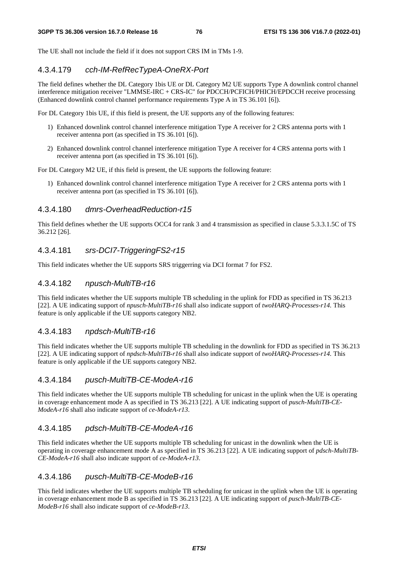The UE shall not include the field if it does not support CRS IM in TMs 1-9.

#### 4.3.4.179 *cch-IM-RefRecTypeA-OneRX-Port*

The field defines whether the DL Category 1bis UE or DL Category M2 UE supports Type A downlink control channel interference mitigation receiver "LMMSE-IRC + CRS-IC" for PDCCH/PCFICH/PHICH/EPDCCH receive processing (Enhanced downlink control channel performance requirements Type A in TS 36.101 [6]).

For DL Category 1bis UE, if this field is present, the UE supports any of the following features:

- 1) Enhanced downlink control channel interference mitigation Type A receiver for 2 CRS antenna ports with 1 receiver antenna port (as specified in TS 36.101 [6]).
- 2) Enhanced downlink control channel interference mitigation Type A receiver for 4 CRS antenna ports with 1 receiver antenna port (as specified in TS 36.101 [6]).

For DL Category M2 UE, if this field is present, the UE supports the following feature:

1) Enhanced downlink control channel interference mitigation Type A receiver for 2 CRS antenna ports with 1 receiver antenna port (as specified in TS 36.101 [6]).

#### 4.3.4.180 *dmrs-OverheadReduction-r15*

This field defines whether the UE supports OCC4 for rank 3 and 4 transmission as specified in clause 5.3.3.1.5C of TS 36.212 [26].

### 4.3.4.181 *srs-DCI7-TriggeringFS2-r15*

This field indicates whether the UE supports SRS triggerring via DCI format 7 for FS2.

#### 4.3.4.182 *npusch-MultiTB-r16*

This field indicates whether the UE supports multiple TB scheduling in the uplink for FDD as specified in TS 36.213 [22]. A UE indicating support of *npusch-MultiTB-r16* shall also indicate support of *twoHARQ-Processes-r14.* This feature is only applicable if the UE supports category NB2.

#### 4.3.4.183 *npdsch-MultiTB-r16*

This field indicates whether the UE supports multiple TB scheduling in the downlink for FDD as specified in TS 36.213 [22]. A UE indicating support of *npdsch-MultiTB-r16* shall also indicate support of *twoHARQ-Processes-r14.* This feature is only applicable if the UE supports category NB2.

### 4.3.4.184 *pusch-MultiTB-CE-ModeA-r16*

This field indicates whether the UE supports multiple TB scheduling for unicast in the uplink when the UE is operating in coverage enhancement mode A as specified in TS 36.213 [22]. A UE indicating support of *pusch-MultiTB-CE-ModeA-r16* shall also indicate support of *ce-ModeA-r13*.

### 4.3.4.185 *pdsch-MultiTB-CE-ModeA-r16*

This field indicates whether the UE supports multiple TB scheduling for unicast in the downlink when the UE is operating in coverage enhancement mode A as specified in TS 36.213 [22]. A UE indicating support of *pdsch-MultiTB-CE-ModeA-r16* shall also indicate support of *ce-ModeA-r13*.

#### 4.3.4.186 *pusch-MultiTB-CE-ModeB-r16*

This field indicates whether the UE supports multiple TB scheduling for unicast in the uplink when the UE is operating in coverage enhancement mode B as specified in TS 36.213 [22]. A UE indicating support of *pusch-MultiTB-CE-ModeB-r16* shall also indicate support of *ce-ModeB-r13*.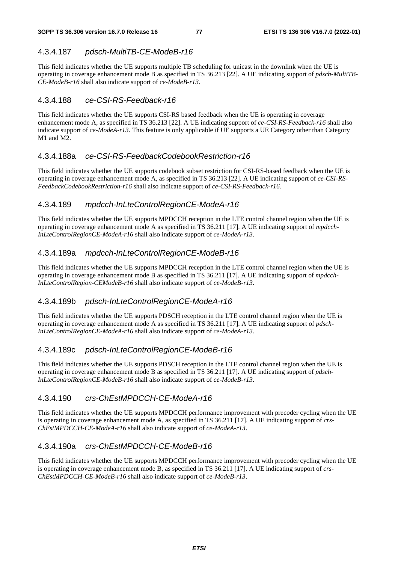# 4.3.4.187 *pdsch-MultiTB-CE-ModeB-r16*

This field indicates whether the UE supports multiple TB scheduling for unicast in the downlink when the UE is operating in coverage enhancement mode B as specified in TS 36.213 [22]. A UE indicating support of *pdsch-MultiTB-CE-ModeB-r16* shall also indicate support of *ce-ModeB-r13*.

## 4.3.4.188 *ce-CSI-RS-Feedback-r16*

This field indicates whether the UE supports CSI-RS based feedback when the UE is operating in coverage enhancement mode A, as specified in TS 36.213 [22]. A UE indicating support of *ce-CSI-RS-Feedback-r16* shall also indicate support of *ce-ModeA-r13*. This feature is only applicable if UE supports a UE Category other than Category M1 and M2.

# 4.3.4.188a *ce-CSI-RS-FeedbackCodebookRestriction-r16*

This field indicates whether the UE supports codebook subset restriction for CSI-RS-based feedback when the UE is operating in coverage enhancement mode A, as specified in TS 36.213 [22]. A UE indicating support of *ce-CSI-RS-FeedbackCodebookRestriction-r16* shall also indicate support of *ce*-*CSI-RS-Feedback-r16.*

# 4.3.4.189 *mpdcch-InLteControlRegionCE-ModeA-r16*

This field indicates whether the UE supports MPDCCH reception in the LTE control channel region when the UE is operating in coverage enhancement mode A as specified in TS 36.211 [17]. A UE indicating support of *mpdcch-InLteControlRegionCE-ModeA-r16* shall also indicate support of *ce-ModeA-r13*.

# 4.3.4.189a *mpdcch-InLteControlRegionCE-ModeB-r16*

This field indicates whether the UE supports MPDCCH reception in the LTE control channel region when the UE is operating in coverage enhancement mode B as specified in TS 36.211 [17]. A UE indicating support of *mpdcch-InLteControlRegion-CEModeB-r16* shall also indicate support of *ce-ModeB-r13*.

# 4.3.4.189b *pdsch-InLteControlRegionCE-ModeA-r16*

This field indicates whether the UE supports PDSCH reception in the LTE control channel region when the UE is operating in coverage enhancement mode A as specified in TS 36.211 [17]. A UE indicating support of *pdsch-InLteControlRegionCE-ModeA-r16* shall also indicate support of *ce-ModeA-r13*.

### 4.3.4.189c *pdsch-InLteControlRegionCE-ModeB-r16*

This field indicates whether the UE supports PDSCH reception in the LTE control channel region when the UE is operating in coverage enhancement mode B as specified in TS 36.211 [17]. A UE indicating support of *pdsch-InLteControlRegionCE-ModeB-r16* shall also indicate support of *ce-ModeB-r13*.

### 4.3.4.190 *crs-ChEstMPDCCH-CE-ModeA-r16*

This field indicates whether the UE supports MPDCCH performance improvement with precoder cycling when the UE is operating in coverage enhancement mode A, as specified in TS 36.211 [17]. A UE indicating support of *crs-ChEstMPDCCH-CE-ModeA-r16* shall also indicate support of *ce-ModeA-r13*.

# 4.3.4.190a *crs-ChEstMPDCCH-CE-ModeB-r16*

This field indicates whether the UE supports MPDCCH performance improvement with precoder cycling when the UE is operating in coverage enhancement mode B, as specified in TS 36.211 [17]. A UE indicating support of *crs-ChEstMPDCCH-CE-ModeB-r16* shall also indicate support of *ce-ModeB-r13*.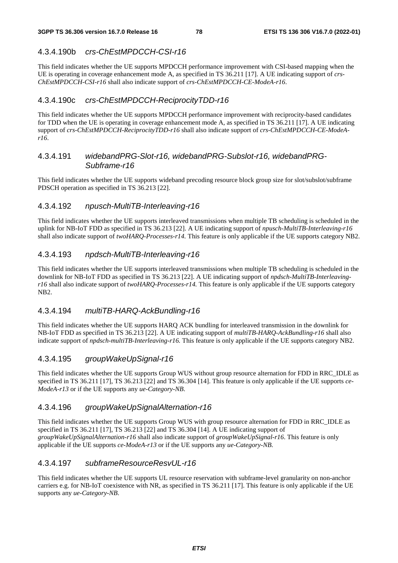# 4.3.4.190b *crs-ChEstMPDCCH-CSI-r16*

This field indicates whether the UE supports MPDCCH performance improvement with CSI-based mapping when the UE is operating in coverage enhancement mode A, as specified in TS 36.211 [17]. A UE indicating support of *crs-ChEstMPDCCH-CSI-r16* shall also indicate support of *crs-ChEstMPDCCH-CE-ModeA-r16*.

# 4.3.4.190c *crs-ChEstMPDCCH-ReciprocityTDD-r16*

This field indicates whether the UE supports MPDCCH performance improvement with reciprocity-based candidates for TDD when the UE is operating in coverage enhancement mode A, as specified in TS 36.211 [17]. A UE indicating support of *crs-ChEstMPDCCH-ReciprocityTDD-r16* shall also indicate support of *crs-ChEstMPDCCH-CE-ModeAr16*.

### 4.3.4.191 *widebandPRG-Slot-r16, widebandPRG-Subslot-r16, widebandPRG-Subframe-r16*

This field indicates whether the UE supports wideband precoding resource block group size for slot/subslot/subframe PDSCH operation as specified in TS 36.213 [22].

### 4.3.4.192 *npusch-MultiTB-Interleaving-r16*

This field indicates whether the UE supports interleaved transmissions when multiple TB scheduling is scheduled in the uplink for NB-IoT FDD as specified in TS 36.213 [22]. A UE indicating support of *npusch-MultiTB-Interleaving-r16*  shall also indicate support of *twoHARQ-Processes-r14.* This feature is only applicable if the UE supports category NB2.

# 4.3.4.193 *npdsch-MultiTB-Interleaving-r16*

This field indicates whether the UE supports interleaved transmissions when multiple TB scheduling is scheduled in the downlink for NB-IoT FDD as specified in TS 36.213 [22]. A UE indicating support of *npdsch-MultiTB-Interleavingr16* shall also indicate support of *twoHARQ-Processes-r14.* This feature is only applicable if the UE supports category  $NP2$ 

### 4.3.4.194 *multiTB-HARQ-AckBundling-r16*

This field indicates whether the UE supports HARQ ACK bundling for interleaved transmission in the downlink for NB-IoT FDD as specified in TS 36.213 [22]. A UE indicating support of *multiTB-HARQ-AckBundling-r16* shall also indicate support of *npdsch-multiTB-Interleaving-r16.* This feature is only applicable if the UE supports category NB2.

### 4.3.4.195 *groupWakeUpSignal-r16*

This field indicates whether the UE supports Group WUS without group resource alternation for FDD in RRC\_IDLE as specified in TS 36.211 [17], TS 36.213 [22] and TS 36.304 [14]. This feature is only applicable if the UE supports *ce-ModeA-r13* or if the UE supports any *ue-Category-NB*.

### 4.3.4.196 *groupWakeUpSignalAlternation-r16*

This field indicates whether the UE supports Group WUS with group resource alternation for FDD in RRC\_IDLE as specified in TS 36.211 [17], TS 36.213 [22] and TS 36.304 [14]. A UE indicating support of *groupWakeUpSignalAlternation-r16* shall also indicate support of *groupWakeUpSignal-r16*. This feature is only applicable if the UE supports *ce-ModeA-r13* or if the UE supports any *ue-Category-NB*.

### 4.3.4.197 *subframeResourceResvUL-r16*

This field indicates whether the UE supports UL resource reservation with subframe-level granularity on non-anchor carriers e.g. for NB-IoT coexistence with NR, as specified in TS 36.211 [17]. This feature is only applicable if the UE supports any *ue-Category-NB*.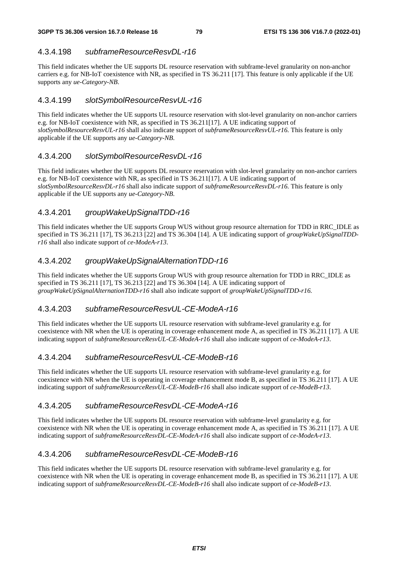# 4.3.4.198 *subframeResourceResvDL-r16*

This field indicates whether the UE supports DL resource reservation with subframe-level granularity on non-anchor carriers e.g. for NB-IoT coexistence with NR, as specified in TS 36.211 [17]. This feature is only applicable if the UE supports any *ue-Category-NB*.

### 4.3.4.199 *slotSymbolResourceResvUL-r16*

This field indicates whether the UE supports UL resource reservation with slot-level granularity on non-anchor carriers e.g. for NB-IoT coexistence with NR, as specified in TS 36.211[17]. A UE indicating support of *slotSymbolResourceResvUL-r16* shall also indicate support of *subframeResourceResvUL-r16.* This feature is only applicable if the UE supports any *ue-Category-NB*.

### 4.3.4.200 *slotSymbolResourceResvDL-r16*

This field indicates whether the UE supports DL resource reservation with slot-level granularity on non-anchor carriers e.g. for NB-IoT coexistence with NR, as specified in TS 36.211[17]. A UE indicating support of *slotSymbolResourceResvDL-r16* shall also indicate support of *subframeResourceResvDL-r16.* This feature is only applicable if the UE supports any *ue-Category-NB*.

# 4.3.4.201 *groupWakeUpSignalTDD-r16*

This field indicates whether the UE supports Group WUS without group resource alternation for TDD in RRC\_IDLE as specified in TS 36.211 [17], TS 36.213 [22] and TS 36.304 [14]. A UE indicating support of *groupWakeUpSignalTDDr16* shall also indicate support of *ce-ModeA-r13*.

# 4.3.4.202 *groupWakeUpSignalAlternationTDD-r16*

This field indicates whether the UE supports Group WUS with group resource alternation for TDD in RRC\_IDLE as specified in TS 36.211 [17], TS 36.213 [22] and TS 36.304 [14]. A UE indicating support of *groupWakeUpSignalAlternationTDD-r16* shall also indicate support of *groupWakeUpSignalTDD-r16.*

### 4.3.4.203 *subframeResourceResvUL-CE-ModeA-r16*

This field indicates whether the UE supports UL resource reservation with subframe-level granularity e.g. for coexistence with NR when the UE is operating in coverage enhancement mode A, as specified in TS 36.211 [17]. A UE indicating support of *subframeResourceResvUL-CE-ModeA-r16* shall also indicate support of *ce-ModeA-r13*.

# 4.3.4.204 *subframeResourceResvUL-CE-ModeB-r16*

This field indicates whether the UE supports UL resource reservation with subframe-level granularity e.g. for coexistence with NR when the UE is operating in coverage enhancement mode B, as specified in TS 36.211 [17]. A UE indicating support of *subframeResourceResvUL-CE-ModeB-r16* shall also indicate support of *ce-ModeB-r13*.

# 4.3.4.205 *subframeResourceResvDL-CE-ModeA-r16*

This field indicates whether the UE supports DL resource reservation with subframe-level granularity e.g. for coexistence with NR when the UE is operating in coverage enhancement mode A, as specified in TS 36.211 [17]. A UE indicating support of *subframeResourceResvDL-CE-ModeA-r16* shall also indicate support of *ce-ModeA-r13*.

# 4.3.4.206 *subframeResourceResvDL-CE-ModeB-r16*

This field indicates whether the UE supports DL resource reservation with subframe-level granularity e.g. for coexistence with NR when the UE is operating in coverage enhancement mode B, as specified in TS 36.211 [17]. A UE indicating support of *subframeResourceResvDL-CE-ModeB-r16* shall also indicate support of *ce-ModeB-r13*.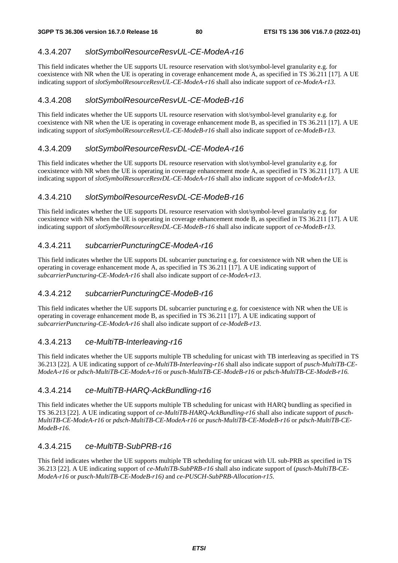# 4.3.4.207 *slotSymbolResourceResvUL-CE-ModeA-r16*

This field indicates whether the UE supports UL resource reservation with slot/symbol-level granularity e.g. for coexistence with NR when the UE is operating in coverage enhancement mode A, as specified in TS 36.211 [17]. A UE indicating support of *slotSymbolResourceResvUL-CE-ModeA-r16* shall also indicate support of *ce-ModeA-r13*.

## 4.3.4.208 *slotSymbolResourceResvUL-CE-ModeB-r16*

This field indicates whether the UE supports UL resource reservation with slot/symbol-level granularity e.g. for coexistence with NR when the UE is operating in coverage enhancement mode B, as specified in TS 36.211 [17]. A UE indicating support of *slotSymbolResourceResvUL-CE-ModeB-r16* shall also indicate support of *ce-ModeB-r13*.

# 4.3.4.209 *slotSymbolResourceResvDL-CE-ModeA-r16*

This field indicates whether the UE supports DL resource reservation with slot/symbol-level granularity e.g. for coexistence with NR when the UE is operating in coverage enhancement mode A, as specified in TS 36.211 [17]. A UE indicating support of *slotSymbolResourceResvDL-CE-ModeA-r16* shall also indicate support of *ce-ModeA-r13*.

# 4.3.4.210 *slotSymbolResourceResvDL-CE-ModeB-r16*

This field indicates whether the UE supports DL resource reservation with slot/symbol-level granularity e.g. for coexistence with NR when the UE is operating in coverage enhancement mode B, as specified in TS 36.211 [17]. A UE indicating support of *slotSymbolResourceResvDL-CE-ModeB-r16* shall also indicate support of *ce-ModeB-r13*.

# 4.3.4.211 *subcarrierPuncturingCE-ModeA-r16*

This field indicates whether the UE supports DL subcarrier puncturing e.g. for coexistence with NR when the UE is operating in coverage enhancement mode A, as specified in TS 36.211 [17]. A UE indicating support of *subcarrierPuncturing-CE-ModeA-r16* shall also indicate support of *ce-ModeA-r13*.

### 4.3.4.212 *subcarrierPuncturingCE-ModeB-r16*

This field indicates whether the UE supports DL subcarrier puncturing e.g. for coexistence with NR when the UE is operating in coverage enhancement mode B, as specified in TS 36.211 [17]. A UE indicating support of *subcarrierPuncturing-CE-ModeA-r16* shall also indicate support of *ce-ModeB-r13*.

### 4.3.4.213 *ce-MultiTB-Interleaving-r16*

This field indicates whether the UE supports multiple TB scheduling for unicast with TB interleaving as specified in TS 36.213 [22]. A UE indicating support of *ce-MultiTB-Interleaving-r16* shall also indicate support of *pusch-MultiTB-CE-ModeA-r16* or *pdsch-MultiTB-CE-ModeA-r16* or *pusch-MultiTB-CE-ModeB-r16* or *pdsch-MultiTB-CE-ModeB-r16.*

### 4.3.4.214 *ce-MultiTB-HARQ-AckBundling-r16*

This field indicates whether the UE supports multiple TB scheduling for unicast with HARQ bundling as specified in TS 36.213 [22]. A UE indicating support of *ce-MultiTB-HARQ-AckBundling-r16* shall also indicate support of *pusch-MultiTB-CE-ModeA-r16* or *pdsch-MultiTB-CE-ModeA-r16* or *pusch-MultiTB-CE-ModeB-r16* or *pdsch-MultiTB-CE-ModeB-r16.*

# 4.3.4.215 *ce-MultiTB-SubPRB-r16*

This field indicates whether the UE supports multiple TB scheduling for unicast with UL sub-PRB as specified in TS 36.213 [22]. A UE indicating support of *ce-MultiTB-SubPRB-r16* shall also indicate support of (*pusch-MultiTB-CE-ModeA-r16* or *pusch-MultiTB-CE-ModeB-r16)* and *ce-PUSCH-SubPRB-Allocation-r15.*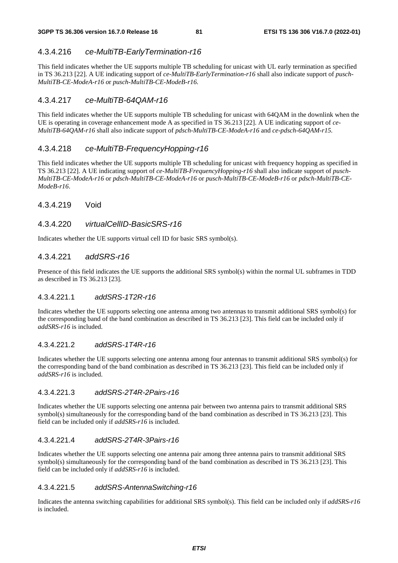# 4.3.4.216 *ce-MultiTB-EarlyTermination-r16*

This field indicates whether the UE supports multiple TB scheduling for unicast with UL early termination as specified in TS 36.213 [22]. A UE indicating support of *ce-MultiTB-EarlyTermination-r16* shall also indicate support of *pusch-MultiTB-CE-ModeA-r16 o*r *pusch-MultiTB-CE-ModeB-r16.*

## 4.3.4.217 *ce-MultiTB-64QAM-r16*

This field indicates whether the UE supports multiple TB scheduling for unicast with 64QAM in the downlink when the UE is operating in coverage enhancement mode A as specified in TS 36.213 [22]. A UE indicating support of *ce-MultiTB-64QAM-r16* shall also indicate support of *pdsch-MultiTB-CE-ModeA-r16* and *ce-pdsch-64QAM-r15.*

# 4.3.4.218 *ce-MultiTB-FrequencyHopping-r16*

This field indicates whether the UE supports multiple TB scheduling for unicast with frequency hopping as specified in TS 36.213 [22]. A UE indicating support of *ce-MultiTB-FrequencyHopping-r16* shall also indicate support of *pusch-MultiTB-CE-ModeA-r16* or *pdsch-MultiTB-CE-ModeA-r16* or *pusch-MultiTB-CE-ModeB-r16* or *pdsch-MultiTB-CE-ModeB-r16*.

### 4.3.4.219 Void

### 4.3.4.220 *virtualCellID-BasicSRS-r16*

Indicates whether the UE supports virtual cell ID for basic SRS symbol(s).

### 4.3.4.221 *addSRS-r16*

Presence of this field indicates the UE supports the additional SRS symbol(s) within the normal UL subframes in TDD as described in TS 36.213 [23].

#### 4.3.4.221.1 *addSRS-1T2R-r16*

Indicates whether the UE supports selecting one antenna among two antennas to transmit additional SRS symbol(s) for the corresponding band of the band combination as described in TS 36.213 [23]. This field can be included only if *addSRS-r16* is included.

#### 4.3.4.221.2 *addSRS-1T4R-r16*

Indicates whether the UE supports selecting one antenna among four antennas to transmit additional SRS symbol(s) for the corresponding band of the band combination as described in TS 36.213 [23]. This field can be included only if *addSRS-r16* is included.

#### 4.3.4.221.3 *addSRS-2T4R-2Pairs-r16*

Indicates whether the UE supports selecting one antenna pair between two antenna pairs to transmit additional SRS symbol(s) simultaneously for the corresponding band of the band combination as described in TS 36.213 [23]. This field can be included only if *addSRS-r16* is included.

#### 4.3.4.221.4 *addSRS-2T4R-3Pairs-r16*

Indicates whether the UE supports selecting one antenna pair among three antenna pairs to transmit additional SRS symbol(s) simultaneously for the corresponding band of the band combination as described in TS 36.213 [23]. This field can be included only if *addSRS-r16* is included.

#### 4.3.4.221.5 *addSRS-AntennaSwitching-r16*

Indicates the antenna switching capabilities for additional SRS symbol(s). This field can be included only if *addSRS-r16* is included.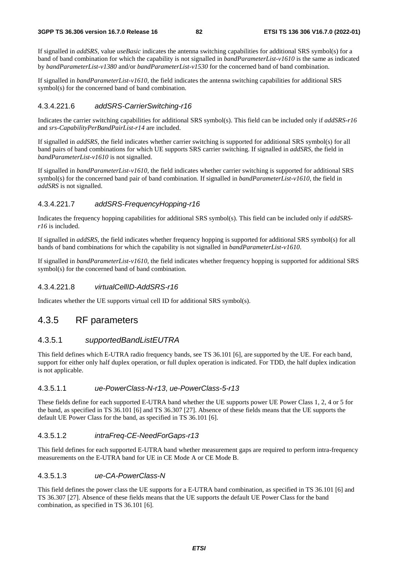If signalled in *addSRS,* value *useBasic* indicates the antenna switching capabilities for additional SRS symbol(s) for a band of band combination for which the capability is not signalled in *bandParameterList-v1610* is the same as indicated by *bandParameterList-v1380* and/or *bandParameterList-v1530* for the concerned band of band combination.

If signalled in *bandParameterList-v1610*, the field indicates the antenna switching capabilities for additional SRS symbol(s) for the concerned band of band combination.

#### 4.3.4.221.6 *addSRS-CarrierSwitching-r16*

Indicates the carrier switching capabilities for additional SRS symbol(s). This field can be included only if *addSRS-r16* and *srs-CapabilityPerBandPairList-r14* are included.

If signalled in *addSRS,* the field indicates whether carrier switching is supported for additional SRS symbol(s) for all band pairs of band combinations for which UE supports SRS carrier switching. If signalled in *addSRS*, the field in *bandParameterList-v1610* is not signalled.

If signalled in *bandParameterList-v1610,* the field indicates whether carrier switching is supported for additional SRS symbol(s) for the concerned band pair of band combination. If signalled in *bandParameterList-v1610*, the field in *addSRS* is not signalled.

#### 4.3.4.221.7 *addSRS-FrequencyHopping-r16*

Indicates the frequency hopping capabilities for additional SRS symbol(s). This field can be included only if *addSRSr16* is included.

If signalled in *addSRS,* the field indicates whether frequency hopping is supported for additional SRS symbol(s) for all bands of band combinations for which the capability is not signalled in *bandParameterList-v1610*.

If signalled in *bandParameterList-v1610*, the field indicates whether frequency hopping is supported for additional SRS symbol(s) for the concerned band of band combination.

#### 4.3.4.221.8 *virtualCellID-AddSRS-r16*

Indicates whether the UE supports virtual cell ID for additional SRS symbol(s).

### 4.3.5 RF parameters

#### 4.3.5.1 *supportedBandListEUTRA*

This field defines which E-UTRA radio frequency bands, see TS 36.101 [6], are supported by the UE. For each band, support for either only half duplex operation, or full duplex operation is indicated. For TDD, the half duplex indication is not applicable.

#### 4.3.5.1.1 *ue-PowerClass-N-r13*, *ue-PowerClass-5-r13*

These fields define for each supported E-UTRA band whether the UE supports power UE Power Class 1, 2, 4 or 5 for the band, as specified in TS 36.101 [6] and TS 36.307 [27]. Absence of these fields means that the UE supports the default UE Power Class for the band, as specified in TS 36.101 [6].

#### 4.3.5.1.2 *intraFreq-CE-NeedForGaps-r13*

This field defines for each supported E-UTRA band whether measurement gaps are required to perform intra-frequency measurements on the E-UTRA band for UE in CE Mode A or CE Mode B.

#### 4.3.5.1.3 *ue-CA-PowerClass-N*

This field defines the power class the UE supports for a E-UTRA band combination, as specified in TS 36.101 [6] and TS 36.307 [27]. Absence of these fields means that the UE supports the default UE Power Class for the band combination, as specified in TS 36.101 [6].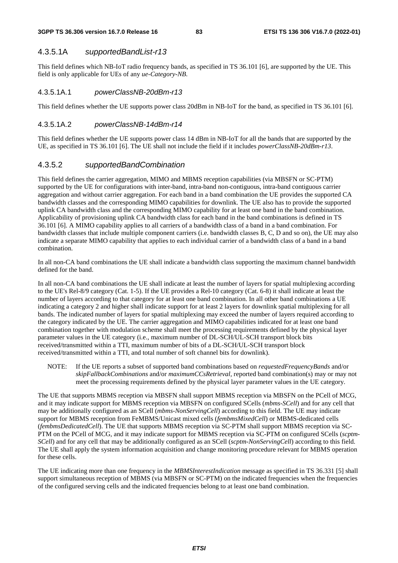#### **3GPP TS 36.306 version 16.7.0 Release 16 83 ETSI TS 136 306 V16.7.0 (2022-01)**

### 4.3.5.1A *supportedBandList-r13*

This field defines which NB-IoT radio frequency bands, as specified in TS 36.101 [6], are supported by the UE. This field is only applicable for UEs of any *ue-Category-NB*.

#### 4.3.5.1A.1 *powerClassNB-20dBm-r13*

This field defines whether the UE supports power class 20dBm in NB-IoT for the band, as specified in TS 36.101 [6].

#### 4.3.5.1A.2 *powerClassNB-14dBm-r14*

This field defines whether the UE supports power class 14 dBm in NB-IoT for all the bands that are supported by the UE, as specified in TS 36.101 [6]. The UE shall not include the field if it includes *powerClassNB-20dBm-r13*.

#### 4.3.5.2 *supportedBandCombination*

This field defines the carrier aggregation, MIMO and MBMS reception capabilities (via MBSFN or SC-PTM) supported by the UE for configurations with inter-band, intra-band non-contiguous, intra-band contiguous carrier aggregation and without carrier aggregation. For each band in a band combination the UE provides the supported CA bandwidth classes and the corresponding MIMO capabilities for downlink. The UE also has to provide the supported uplink CA bandwidth class and the corresponding MIMO capability for at least one band in the band combination. Applicability of provisioning uplink CA bandwidth class for each band in the band combinations is defined in TS 36.101 [6]. A MIMO capability applies to all carriers of a bandwidth class of a band in a band combination. For bandwidth classes that include multiple component carriers (i.e. bandwidth classes B, C, D and so on), the UE may also indicate a separate MIMO capability that applies to each individual carrier of a bandwidth class of a band in a band combination.

In all non-CA band combinations the UE shall indicate a bandwidth class supporting the maximum channel bandwidth defined for the band.

In all non-CA band combinations the UE shall indicate at least the number of layers for spatial multiplexing according to the UE's Rel-8/9 category (Cat. 1-5). If the UE provides a Rel-10 category (Cat. 6-8) it shall indicate at least the number of layers according to that category for at least one band combination. In all other band combinations a UE indicating a category 2 and higher shall indicate support for at least 2 layers for downlink spatial multiplexing for all bands. The indicated number of layers for spatial multiplexing may exceed the number of layers required according to the category indicated by the UE. The carrier aggregation and MIMO capabilities indicated for at least one band combination together with modulation scheme shall meet the processing requirements defined by the physical layer parameter values in the UE category (i.e., maximum number of DL-SCH/UL-SCH transport block bits received/transmitted within a TTI, maximum number of bits of a DL-SCH/UL-SCH transport block received/transmitted within a TTI, and total number of soft channel bits for downlink).

NOTE: If the UE reports a subset of supported band combinations based on *requestedFrequencyBands* and/or *skipFallbackCombinations* and/or *maximumCCsRetrieval,* reported band combination(s) may or may not meet the processing requirements defined by the physical layer parameter values in the UE category.

The UE that supports MBMS reception via MBSFN shall support MBMS reception via MBSFN on the PCell of MCG, and it may indicate support for MBMS reception via MBSFN on configured SCells (*mbms-SCell*) and for any cell that may be additionally configured as an SCell (*mbms-NonServingCell*) according to this field. The UE may indicate support for MBMS reception from FeMBMS/Unicast mixed cells (*fembmsMixedCell*) or MBMS-dedicated cells (*fembmsDedicatedCell*). The UE that supports MBMS reception via SC-PTM shall support MBMS reception via SC-PTM on the PCell of MCG, and it may indicate support for MBMS reception via SC-PTM on configured SCells (*scptm-SCell*) and for any cell that may be additionally configured as an SCell (*scptm-NonServingCell*) according to this field. The UE shall apply the system information acquisition and change monitoring procedure relevant for MBMS operation for these cells.

The UE indicating more than one frequency in the *MBMSInterestIndication* message as specified in TS 36.331 [5] shall support simultaneous reception of MBMS (via MBSFN or SC-PTM) on the indicated frequencies when the frequencies of the configured serving cells and the indicated frequencies belong to at least one band combination.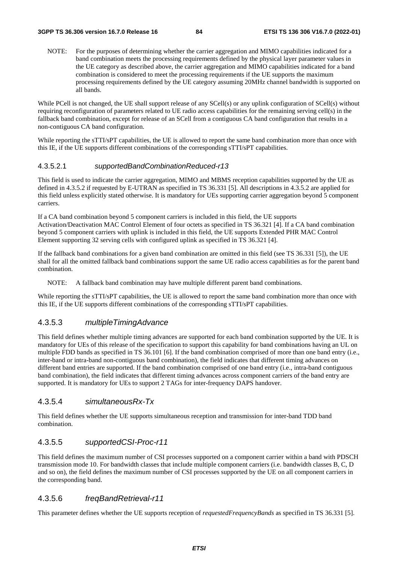NOTE: For the purposes of determining whether the carrier aggregation and MIMO capabilities indicated for a band combination meets the processing requirements defined by the physical layer parameter values in the UE category as described above, the carrier aggregation and MIMO capabilities indicated for a band combination is considered to meet the processing requirements if the UE supports the maximum processing requirements defined by the UE category assuming 20MHz channel bandwidth is supported on all bands.

While PCell is not changed, the UE shall support release of any SCell(s) or any uplink configuration of SCell(s) without requiring reconfiguration of parameters related to UE radio access capabilities for the remaining serving cell(s) in the fallback band combination, except for release of an SCell from a contiguous CA band configuration that results in a non-contiguous CA band configuration.

While reporting the sTTI/sPT capabilities, the UE is allowed to report the same band combination more than once with this IE, if the UE supports different combinations of the corresponding sTTI/sPT capabilities.

#### 4.3.5.2.1 *supportedBandCombinationReduced-r13*

This field is used to indicate the carrier aggregation, MIMO and MBMS reception capabilities supported by the UE as defined in 4.3.5.2 if requested by E-UTRAN as specified in TS 36.331 [5]. All descriptions in 4.3.5.2 are applied for this field unless explicitly stated otherwise. It is mandatory for UEs supporting carrier aggregation beyond 5 component carriers.

If a CA band combination beyond 5 component carriers is included in this field, the UE supports Activation/Deactivation MAC Control Element of four octets as specified in TS 36.321 [4]. If a CA band combination beyond 5 component carriers with uplink is included in this field, the UE supports Extended PHR MAC Control Element supporting 32 serving cells with configured uplink as specified in TS 36.321 [4].

If the fallback band combinations for a given band combination are omitted in this field (see TS 36.331 [5]), the UE shall for all the omitted fallback band combinations support the same UE radio access capabilities as for the parent band combination.

NOTE: A fallback band combination may have multiple different parent band combinations.

While reporting the sTTI/sPT capabilities, the UE is allowed to report the same band combination more than once with this IE, if the UE supports different combinations of the corresponding sTTI/sPT capabilities.

#### 4.3.5.3 *multipleTimingAdvance*

This field defines whether multiple timing advances are supported for each band combination supported by the UE. It is mandatory for UEs of this release of the specification to support this capability for band combinations having an UL on multiple FDD bands as specified in TS 36.101 [6]. If the band combination comprised of more than one band entry (i.e., inter-band or intra-band non-contiguous band combination), the field indicates that different timing advances on different band entries are supported. If the band combination comprised of one band entry (i.e., intra-band contiguous band combination), the field indicates that different timing advances across component carriers of the band entry are supported. It is mandatory for UEs to support 2 TAGs for inter-frequency DAPS handover.

#### 4.3.5.4 *simultaneousRx-Tx*

This field defines whether the UE supports simultaneous reception and transmission for inter-band TDD band combination.

### 4.3.5.5 *supportedCSI-Proc-r11*

This field defines the maximum number of CSI processes supported on a component carrier within a band with PDSCH transmission mode 10. For bandwidth classes that include multiple component carriers (i.e. bandwidth classes B, C, D and so on), the field defines the maximum number of CSI processes supported by the UE on all component carriers in the corresponding band.

#### 4.3.5.6 *freqBandRetrieval-r11*

This parameter defines whether the UE supports reception of *requestedFrequencyBands* as specified in TS 36.331 [5].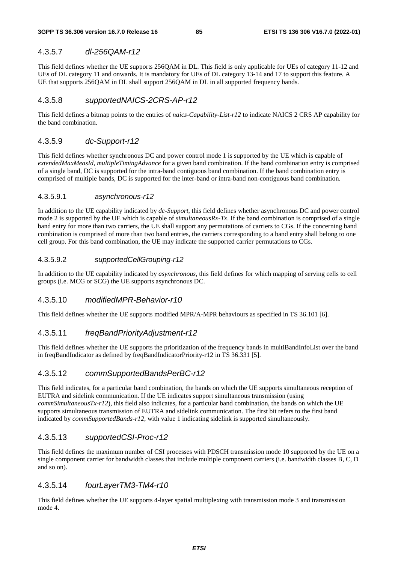### 4.3.5.7 *dl-256QAM-r12*

This field defines whether the UE supports 256QAM in DL. This field is only applicable for UEs of category 11-12 and UEs of DL category 11 and onwards. It is mandatory for UEs of DL category 13-14 and 17 to support this feature. A UE that supports 256QAM in DL shall support 256QAM in DL in all supported frequency bands.

# 4.3.5.8 *supportedNAICS-2CRS-AP-r12*

This field defines a bitmap points to the entries of *naics-Capability-List-r12* to indicate NAICS 2 CRS AP capability for the band combination.

#### 4.3.5.9 *dc-Support-r12*

This field defines whether synchronous DC and power control mode 1 is supported by the UE which is capable of *extendedMaxMeasId*, *multipleTimingAdvance* for a given band combination. If the band combination entry is comprised of a single band, DC is supported for the intra-band contiguous band combination. If the band combination entry is comprised of multiple bands, DC is supported for the inter-band or intra-band non-contiguous band combination.

#### 4.3.5.9.1 *asynchronous-r12*

In addition to the UE capability indicated by *dc-Support*, this field defines whether asynchronous DC and power control mode 2 is supported by the UE which is capable of *simultaneousRx-Tx*. If the band combination is comprised of a single band entry for more than two carriers, the UE shall support any permutations of carriers to CGs. If the concerning band combination is comprised of more than two band entries, the carriers corresponding to a band entry shall belong to one cell group. For this band combination, the UE may indicate the supported carrier permutations to CGs.

#### 4.3.5.9.2 *supportedCellGrouping-r12*

In addition to the UE capability indicated by *asynchronous*, this field defines for which mapping of serving cells to cell groups (i.e. MCG or SCG) the UE supports asynchronous DC.

#### 4.3.5.10 *modifiedMPR-Behavior-r10*

This field defines whether the UE supports modified MPR/A-MPR behaviours as specified in TS 36.101 [6].

#### 4.3.5.11 *freqBandPriorityAdjustment-r12*

This field defines whether the UE supports the prioritization of the frequency bands in multiBandInfoList over the band in freqBandIndicator as defined by freqBandIndicatorPriority-r12 in TS 36.331 [5].

#### 4.3.5.12 *commSupportedBandsPerBC-r12*

This field indicates, for a particular band combination, the bands on which the UE supports simultaneous reception of EUTRA and sidelink communication. If the UE indicates support simultaneous transmission (using *commSimultaneousTx-r12*), this field also indicates, for a particular band combination, the bands on which the UE supports simultaneous transmission of EUTRA and sidelink communication. The first bit refers to the first band indicated by *commSupportedBands-r12*, with value 1 indicating sidelink is supported simultaneously.

#### 4.3.5.13 *supportedCSI-Proc-r12*

This field defines the maximum number of CSI processes with PDSCH transmission mode 10 supported by the UE on a single component carrier for bandwidth classes that include multiple component carriers (i.e. bandwidth classes B, C, D and so on).

#### 4.3.5.14 *fourLayerTM3-TM4-r10*

This field defines whether the UE supports 4-layer spatial multiplexing with transmission mode 3 and transmission mode 4.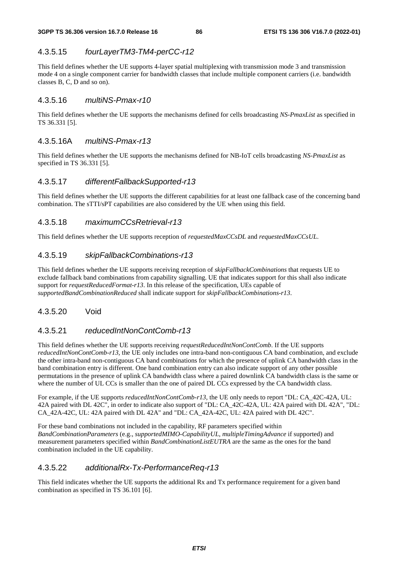# 4.3.5.15 *fourLayerTM3-TM4-perCC-r12*

This field defines whether the UE supports 4-layer spatial multiplexing with transmission mode 3 and transmission mode 4 on a single component carrier for bandwidth classes that include multiple component carriers (i.e. bandwidth classes B, C, D and so on).

### 4.3.5.16 *multiNS-Pmax-r10*

This field defines whether the UE supports the mechanisms defined for cells broadcasting *NS-PmaxList* as specified in TS 36.331 [5].

### 4.3.5.16A *multiNS-Pmax-r13*

This field defines whether the UE supports the mechanisms defined for NB-IoT cells broadcasting *NS-PmaxList* as specified in TS 36.331 [5].

### 4.3.5.17 *differentFallbackSupported-r13*

This field defines whether the UE supports the different capabilities for at least one fallback case of the concerning band combination. The sTTI/sPT capabilities are also considered by the UE when using this field.

### 4.3.5.18 *maximumCCsRetrieval-r13*

This field defines whether the UE supports reception of *requestedMaxCCsDL* and *requestedMaxCCsUL*.

### 4.3.5.19 *skipFallbackCombinations-r13*

This field defines whether the UE supports receiving reception of *skipFallbackCombinations* that requests UE to exclude fallback band combinations from capability signalling. UE that indicates support for this shall also indicate support for *requestReducedFormat-r13*. In this release of the specification, UEs capable of *supportedBandCombinationReduced* shall indicate support for *skipFallbackCombinations-r13*.

#### 4.3.5.20 Void

### 4.3.5.21 *reducedIntNonContComb-r13*

This field defines whether the UE supports receiving *requestReducedIntNonContComb*. If the UE supports *reducedIntNonContComb-r13,* the UE only includes one intra-band non-contiguous CA band combination, and exclude the other intra-band non-contiguous CA band combinations for which the presence of uplink CA bandwidth class in the band combination entry is different. One band combination entry can also indicate support of any other possible permutations in the presence of uplink CA bandwidth class where a paired downlink CA bandwidth class is the same or where the number of UL CCs is smaller than the one of paired DL CCs expressed by the CA bandwidth class.

For example, if the UE supports *reducedIntNonContComb-r13,* the UE only needs to report "DL: CA\_42C-42A, UL: 42A paired with DL 42C", in order to indicate also support of "DL: CA\_42C-42A, UL: 42A paired with DL 42A", "DL: CA\_42A-42C, UL: 42A paired with DL 42A" and "DL: CA\_42A-42C, UL: 42A paired with DL 42C".

For these band combinations not included in the capability, RF parameters specified within *BandCombinationParameters* (e.g., *supportedMIMO-CapabilityUL*, *multipleTimingAdvance* if supported) and measurement parameters specified within *BandCombinationListEUTRA* are the same as the ones for the band combination included in the UE capability.

### 4.3.5.22 *additionalRx-Tx-PerformanceReq-r13*

This field indicates whether the UE supports the additional Rx and Tx performance requirement for a given band combination as specified in TS 36.101 [6].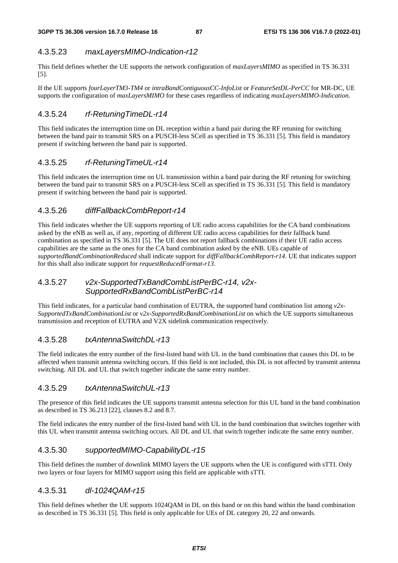### 4.3.5.23 *maxLayersMIMO-Indication-r12*

This field defines whether the UE supports the network configuration of *maxLayersMIMO* as specified in TS 36.331 [5].

If the UE supports *fourLayerTM3-TM4* or *intraBandContiguousCC-InfoList* or *FeatureSetDL-PerCC* for MR-DC, UE supports the configuration of *maxLayersMIMO* for these cases regardless of indicating *maxLayersMIMO-Indication*.

### 4.3.5.24 *rf-RetuningTimeDL-r14*

This field indicates the interruption time on DL reception within a band pair during the RF retuning for switching between the band pair to transmit SRS on a PUSCH-less SCell as specified in TS 36.331 [5]. This field is mandatory present if switching between the band pair is supported.

### 4.3.5.25 *rf-RetuningTimeUL-r14*

This field indicates the interruption time on UL transmission within a band pair during the RF retuning for switching between the band pair to transmit SRS on a PUSCH-less SCell as specified in TS 36.331 [5]. This field is mandatory present if switching between the band pair is supported.

### 4.3.5.26 *diffFallbackCombReport-r14*

This field indicates whether the UE supports reporting of UE radio access capabilities for the CA band combinations asked by the eNB as well as, if any, reporting of different UE radio access capabilities for their fallback band combination as specified in TS 36.331 [5]. The UE does not report fallback combinations if their UE radio access capabilities are the same as the ones for the CA band combination asked by the eNB. UEs capable of *supportedBandCombinationReduced* shall indicate support for *diffFallbackCombReport-r14*. UE that indicates support for this shall also indicate support for *requestReducedFormat-r13*.

### 4.3.5.27 *v2x-SupportedTxBandCombListPerBC-r14, v2x-SupportedRxBandCombListPerBC-r14*

This field indicates, for a particular band combination of EUTRA, the supported band combination list among *v2x-SupportedTxBandCombinationList* or *v2x-SupportedRxBandCombinationList* on which the UE supports simultaneous transmission and reception of EUTRA and V2X sidelink communication respectively.

#### 4.3.5.28 *txAntennaSwitchDL-r13*

The field indicates the entry number of the first-listed band with UL in the band combination that causes this DL to be affected when transmit antenna switching occurs. If this field is not included, this DL is not affected by transmit antenna switching. All DL and UL that switch together indicate the same entry number.

#### 4.3.5.29 *txAntennaSwitchUL-r13*

The presence of this field indicates the UE supports transmit antenna selection for this UL band in the band combination as described in TS 36.213 [22], clauses 8.2 and 8.7.

The field indicates the entry number of the first-listed band with UL in the band combination that switches together with this UL when transmit antenna switching occurs. All DL and UL that switch together indicate the same entry number.

#### 4.3.5.30 *supportedMIMO-CapabilityDL-r15*

This field defines the number of downlink MIMO layers the UE supports when the UE is configured with sTTI. Only two layers or four layers for MIMO support using this field are applicable with sTTI.

#### 4.3.5.31 *dl-1024QAM-r15*

This field defines whether the UE supports 1024QAM in DL on this band or on this band within the band combination as described in TS 36.331 [5]. This field is only applicable for UEs of DL category 20, 22 and onwards.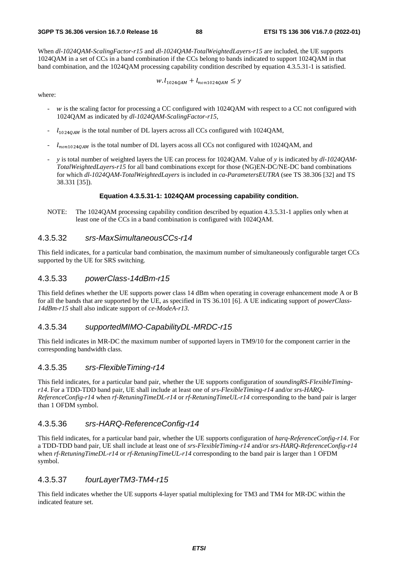When *dl-1024QAM-ScalingFactor-r15* and *dl-1024QAM-TotalWeightedLayers-r15* are included, the UE supports 1024QAM in a set of CCs in a band combination if the CCs belong to bands indicated to support 1024QAM in that band combination, and the 1024QAM processing capability condition described by equation 4.3.5.31-1 is satisfied.

 $W. l_{1024QAM} + l_{non1024QAM} \leq y$ 

where:

- w is the scaling factor for processing a CC configured with 1024QAM with respect to a CC not configured with 1024QAM as indicated by *dl-1024QAM-ScalingFactor-r15*,
- $l_{1024QAM}$  is the total number of DL layers across all CCs configured with 1024QAM,
- $\frac{1}{10001024QAM}$  is the total number of DL layers acoss all CCs not configured with 1024QAM, and
- *y* is total number of weighted layers the UE can process for 1024QAM. Value of *y* is indicated by *dl-1024QAM-TotalWeightedLayers-r15* for all band combinations except for those (NG)EN-DC/NE-DC band combinations for which *dl-1024QAM-TotalWeightedLayers* is included in *ca-ParametersEUTRA* (see TS 38.306 [32] and TS 38.331 [35]).

#### **Equation 4.3.5.31-1: 1024QAM processing capability condition.**

NOTE: The 1024QAM processing capability condition described by equation 4.3.5.31-1 applies only when at least one of the CCs in a band combination is configured with 1024QAM.

#### 4.3.5.32 *srs-MaxSimultaneousCCs-r14*

This field indicates, for a particular band combination, the maximum number of simultaneously configurable target CCs supported by the UE for SRS switching.

#### 4.3.5.33 *powerClass-14dBm-r15*

This field defines whether the UE supports power class 14 dBm when operating in coverage enhancement mode A or B for all the bands that are supported by the UE, as specified in TS 36.101 [6]. A UE indicating support of *powerClass-14dBm-r15* shall also indicate support of *ce-ModeA-r13*.

#### 4.3.5.34 *supportedMIMO-CapabilityDL-MRDC-r15*

This field indicates in MR-DC the maximum number of supported layers in TM9/10 for the component carrier in the corresponding bandwidth class.

#### 4.3.5.35 *srs-FlexibleTiming-r14*

This field indicates, for a particular band pair, whether the UE supports configuration of *soundingRS-FlexibleTimingr14*. For a TDD-TDD band pair, UE shall include at least one of *srs-FlexibleTiming-r14* and/or *srs-HARQ-ReferenceConfig-r14* when *rf-RetuningTimeDL-r14* or *rf-RetuningTimeUL-r14* corresponding to the band pair is larger than 1 OFDM symbol.

### 4.3.5.36 *srs-HARQ-ReferenceConfig-r14*

This field indicates, for a particular band pair, whether the UE supports configuration of *harq-ReferenceConfig-r14*. For a TDD-TDD band pair, UE shall include at least one of *srs-FlexibleTiming-r14* and/or *srs-HARQ-ReferenceConfig-r14* when *rf-RetuningTimeDL-r14* or *rf-RetuningTimeUL-r14* corresponding to the band pair is larger than 1 OFDM symbol.

### 4.3.5.37 *fourLayerTM3-TM4-r15*

This field indicates whether the UE supports 4-layer spatial multiplexing for TM3 and TM4 for MR-DC within the indicated feature set.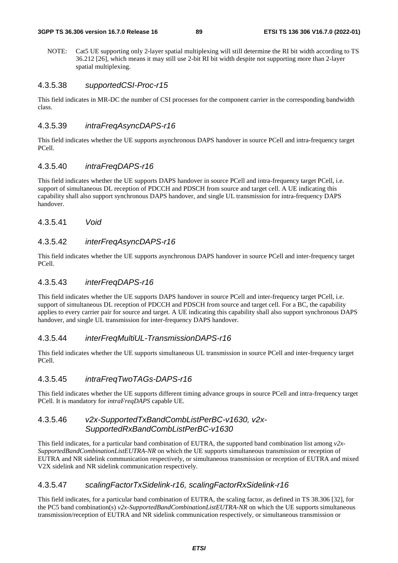NOTE: Cat5 UE supporting only 2-layer spatial multiplexing will still determine the RI bit width according to TS 36.212 [26], which means it may still use 2-bit RI bit width despite not supporting more than 2-layer spatial multiplexing.

#### 4.3.5.38 *supportedCSI-Proc-r15*

This field indicates in MR-DC the number of CSI processes for the component carrier in the corresponding bandwidth class.

#### 4.3.5.39 *intraFreqAsyncDAPS-r16*

This field indicates whether the UE supports asynchronous DAPS handover in source PCell and intra-frequency target PCell.

### 4.3.5.40 *intraFreqDAPS-r16*

This field indicates whether the UE supports DAPS handover in source PCell and intra-frequency target PCell, i.e. support of simultaneous DL reception of PDCCH and PDSCH from source and target cell. A UE indicating this capability shall also support synchronous DAPS handover, and single UL transmission for intra-frequency DAPS handover.

4.3.5.41 *Void*

### 4.3.5.42 *interFreqAsyncDAPS-r16*

This field indicates whether the UE supports asynchronous DAPS handover in source PCell and inter-frequency target PCell.

#### 4.3.5.43 *interFreqDAPS-r16*

This field indicates whether the UE supports DAPS handover in source PCell and inter-frequency target PCell, i.e. support of simultaneous DL reception of PDCCH and PDSCH from source and target cell. For a BC, the capability applies to every carrier pair for source and target. A UE indicating this capability shall also support synchronous DAPS handover, and single UL transmission for inter-frequency DAPS handover.

#### 4.3.5.44 *interFreqMultiUL-TransmissionDAPS-r16*

This field indicates whether the UE supports simultaneous UL transmission in source PCell and inter-frequency target PCell.

### 4.3.5.45 *intraFreqTwoTAGs-DAPS-r16*

This field indicates whether the UE supports different timing advance groups in source PCell and intra-frequency target PCell. It is mandatory for *intraFreqDAPS* capable UE.

#### 4.3.5.46 *v2x-SupportedTxBandCombListPerBC-v1630, v2x-SupportedRxBandCombListPerBC-v1630*

This field indicates, for a particular band combination of EUTRA, the supported band combination list among *v2x-SupportedBandCombinationListEUTRA-NR* on which the UE supports simultaneous transmission or reception of EUTRA and NR sidelink communication respectively, or simultaneous transmission or reception of EUTRA and mixed V2X sidelink and NR sidelink communication respectively.

#### 4.3.5.47 *scalingFactorTxSidelink-r16, scalingFactorRxSidelink-r16*

This field indicates, for a particular band combination of EUTRA, the scaling factor, as defined in TS 38.306 [32], for the PC5 band combination(s) *v2x-SupportedBandCombinationListEUTRA-NR* on which the UE supports simultaneous transmission/reception of EUTRA and NR sidelink communication respectively, or simultaneous transmission or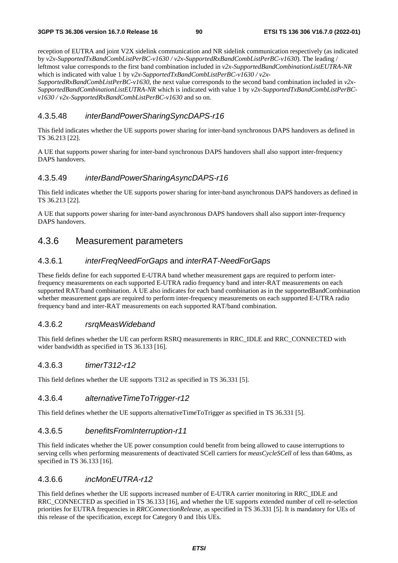reception of EUTRA and joint V2X sidelink communication and NR sidelink communication respectively (as indicated by *v2x-SupportedTxBandCombListPerBC-v1630 / v2x-SupportedRxBandCombListPerBC-v1630*). The leading / leftmost value corresponds to the first band combination included in *v2x-SupportedBandCombinationListEUTRA-NR* which is indicated with value 1 by *v2x-SupportedTxBandCombListPerBC-v1630 / v2x-*

*SupportedRxBandCombListPerBC-v1630*, the next value corresponds to the second band combination included in *v2x-SupportedBandCombinationListEUTRA-NR* which is indicated with value 1 by *v2x-SupportedTxBandCombListPerBCv1630 / v2x-SupportedRxBandCombListPerBC-v1630* and so on.

#### 4.3.5.48 *interBandPowerSharingSyncDAPS-r16*

This field indicates whether the UE supports power sharing for inter-band synchronous DAPS handovers as defined in TS 36.213 [22].

A UE that supports power sharing for inter-band synchronous DAPS handovers shall also support inter-frequency DAPS handovers.

### 4.3.5.49 *interBandPowerSharingAsyncDAPS-r16*

This field indicates whether the UE supports power sharing for inter-band asynchronous DAPS handovers as defined in TS 36.213 [22].

A UE that supports power sharing for inter-band asynchronous DAPS handovers shall also support inter-frequency DAPS handovers.

# 4.3.6 Measurement parameters

### 4.3.6.1 *interFreqNeedForGaps* and *interRAT-NeedForGaps*

These fields define for each supported E-UTRA band whether measurement gaps are required to perform interfrequency measurements on each supported E-UTRA radio frequency band and inter-RAT measurements on each supported RAT/band combination. A UE also indicates for each band combination as in the supportedBandCombination whether measurement gaps are required to perform inter-frequency measurements on each supported E-UTRA radio frequency band and inter-RAT measurements on each supported RAT/band combination.

#### 4.3.6.2 *rsrqMeasWideband*

This field defines whether the UE can perform RSRQ measurements in RRC\_IDLE and RRC\_CONNECTED with wider bandwidth as specified in TS 36.133 [16].

#### 4.3.6.3 *timerT312-r12*

This field defines whether the UE supports T312 as specified in TS 36.331 [5].

### 4.3.6.4 *alternativeTimeToTrigger-r12*

This field defines whether the UE supports alternativeTimeToTrigger as specified in TS 36.331 [5].

### 4.3.6.5 *benefitsFromInterruption-r11*

This field indicates whether the UE power consumption could benefit from being allowed to cause interruptions to serving cells when performing measurements of deactivated SCell carriers for *measCycleSCell* of less than 640ms, as specified in TS 36.133 [16].

#### 4.3.6.6 *incMonEUTRA-r12*

This field defines whether the UE supports increased number of E-UTRA carrier monitoring in RRC\_IDLE and RRC\_CONNECTED as specified in TS 36.133 [16], and whether the UE supports extended number of cell re-selection priorities for EUTRA frequencies in *RRCConnectionRelease*, as specified in TS 36.331 [5]. It is mandatory for UEs of this release of the specification, except for Category 0 and 1bis UEs.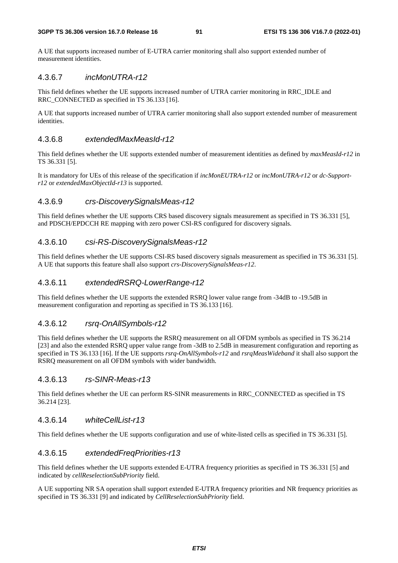A UE that supports increased number of E-UTRA carrier monitoring shall also support extended number of measurement identities.

### 4.3.6.7 *incMonUTRA-r12*

This field defines whether the UE supports increased number of UTRA carrier monitoring in RRC\_IDLE and RRC\_CONNECTED as specified in TS 36.133 [16].

A UE that supports increased number of UTRA carrier monitoring shall also support extended number of measurement identities.

### 4.3.6.8 *extendedMaxMeasId-r12*

This field defines whether the UE supports extended number of measurement identities as defined by *maxMeasId-r12* in TS 36.331 [5].

It is mandatory for UEs of this release of the specification if *incMonEUTRA-r12* or *incMonUTRA-r12* or *dc-Supportr12* or *extendedMaxObjectId-r13* is supported.

### 4.3.6.9 *crs-DiscoverySignalsMeas-r12*

This field defines whether the UE supports CRS based discovery signals measurement as specified in TS 36.331 [5], and PDSCH/EPDCCH RE mapping with zero power CSI-RS configured for discovery signals.

#### 4.3.6.10 *csi-RS-DiscoverySignalsMeas-r12*

This field defines whether the UE supports CSI-RS based discovery signals measurement as specified in TS 36.331 [5]. A UE that supports this feature shall also support *crs-DiscoverySignalsMeas-r12*.

#### 4.3.6.11 *extendedRSRQ-LowerRange-r12*

This field defines whether the UE supports the extended RSRQ lower value range from -34dB to -19.5dB in measurement configuration and reporting as specified in TS 36.133 [16].

#### 4.3.6.12 *rsrq-OnAllSymbols-r12*

This field defines whether the UE supports the RSRQ measurement on all OFDM symbols as specified in TS 36.214 [23] and also the extended RSRQ upper value range from -3dB to 2.5dB in measurement configuration and reporting as specified in TS 36.133 [16]. If the UE supports *rsrq-OnAllSymbols-r12* and *rsrqMeasWideband* it shall also support the RSRQ measurement on all OFDM symbols with wider bandwidth.

#### 4.3.6.13 *rs-SINR-Meas-r13*

This field defines whether the UE can perform RS-SINR measurements in RRC\_CONNECTED as specified in TS 36.214 [23].

### 4.3.6.14 *whiteCellList-r13*

This field defines whether the UE supports configuration and use of white-listed cells as specified in TS 36.331 [5].

### 4.3.6.15 *extendedFreqPriorities-r13*

This field defines whether the UE supports extended E-UTRA frequency priorities as specified in TS 36.331 [5] and indicated by *cellReselectionSubPriority* field.

A UE supporting NR SA operation shall support extended E-UTRA frequency priorities and NR frequency priorities as specified in TS 36.331 [9] and indicated by *CellReselectionSubPriority* field.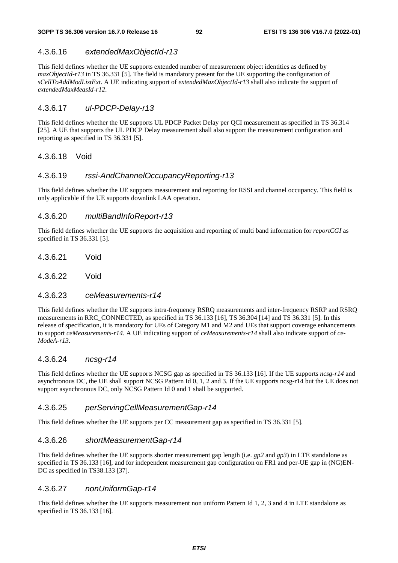### 4.3.6.16 *extendedMaxObjectId-r13*

This field defines whether the UE supports extended number of measurement object identities as defined by *maxObjectId-r13* in TS 36.331 [5]. The field is mandatory present for the UE supporting the configuration of *sCellToAddModListExt*. A UE indicating support of *extendedMaxObjectId-r13* shall also indicate the support of *extendedMaxMeasId-r12*.

### 4.3.6.17 *ul-PDCP-Delay-r13*

This field defines whether the UE supports UL PDCP Packet Delay per QCI measurement as specified in TS 36.314 [25]. A UE that supports the UL PDCP Delay measurement shall also support the measurement configuration and reporting as specified in TS 36.331 [5].

#### 4.3.6.18 Void

### 4.3.6.19 *rssi-AndChannelOccupancyReporting-r13*

This field defines whether the UE supports measurement and reporting for RSSI and channel occupancy. This field is only applicable if the UE supports downlink LAA operation.

### 4.3.6.20 *multiBandInfoReport-r13*

This field defines whether the UE supports the acquisition and reporting of multi band information for *reportCGI* as specified in TS 36.331 [5].

- 4.3.6.21 Void
- 4.3.6.22 Void

#### 4.3.6.23 *ceMeasurements-r14*

This field defines whether the UE supports intra-frequency RSRQ measurements and inter-frequency RSRP and RSRQ measurements in RRC\_CONNECTED, as specified in TS 36.133 [16], TS 36.304 [14] and TS 36.331 [5]. In this release of specification, it is mandatory for UEs of Category M1 and M2 and UEs that support coverage enhancements to support *ceMeasurements-r14*. A UE indicating support of *ceMeasurements-r14* shall also indicate support of *ce-ModeA-r13*.

#### 4.3.6.24 *ncsg-r14*

This field defines whether the UE supports NCSG gap as specified in TS 36.133 [16]. If the UE supports *ncsg-r14* and asynchronous DC, the UE shall support NCSG Pattern Id 0, 1, 2 and 3. If the UE supports ncsg-r14 but the UE does not support asynchronous DC, only NCSG Pattern Id 0 and 1 shall be supported.

#### 4.3.6.25 *perServingCellMeasurementGap-r14*

This field defines whether the UE supports per CC measurement gap as specified in TS 36.331 [5].

### 4.3.6.26 *shortMeasurementGap-r14*

This field defines whether the UE supports shorter measurement gap length (i.e. *gp2* and *gp3*) in LTE standalone as specified in TS 36.133 [16], and for independent measurement gap configuration on FR1 and per-UE gap in (NG)EN-DC as specified in TS38.133 [37].

#### 4.3.6.27 *nonUniformGap-r14*

This field defines whether the UE supports measurement non uniform Pattern Id 1, 2, 3 and 4 in LTE standalone as specified in TS 36.133 [16].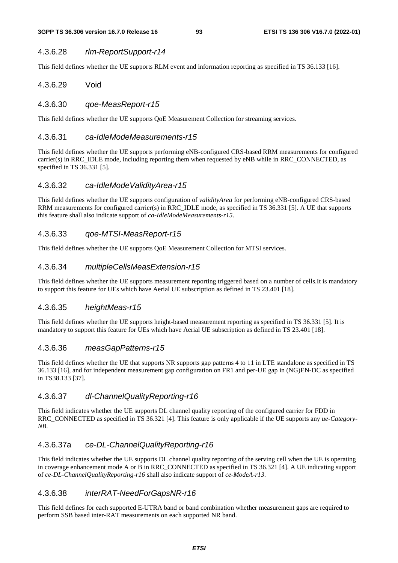### 4.3.6.28 *rlm-ReportSupport-r14*

This field defines whether the UE supports RLM event and information reporting as specified in TS 36.133 [16].

### 4.3.6.29 Void

### 4.3.6.30 *qoe-MeasReport-r15*

This field defines whether the UE supports QoE Measurement Collection for streaming services.

#### 4.3.6.31 *ca-IdleModeMeasurements-r15*

This field defines whether the UE supports performing eNB-configured CRS-based RRM measurements for configured carrier(s) in RRC\_IDLE mode, including reporting them when requested by eNB while in RRC\_CONNECTED, as specified in TS 36.331 [5].

### 4.3.6.32 *ca-IdleModeValidityArea-r15*

This field defines whether the UE supports configuration of *validityArea* for performing eNB-configured CRS-based RRM measurements for configured carrier(s) in RRC\_IDLE mode, as specified in TS 36.331 [5]. A UE that supports this feature shall also indicate support of *ca-IdleModeMeasurements-r15*.

### 4.3.6.33 *qoe-MTSI-MeasReport-r15*

This field defines whether the UE supports QoE Measurement Collection for MTSI services.

### 4.3.6.34 *multipleCellsMeasExtension-r15*

This field defines whether the UE supports measurement reporting triggered based on a number of cells.It is mandatory to support this feature for UEs which have Aerial UE subscription as defined in TS 23.401 [18].

#### 4.3.6.35 *heightMeas-r15*

This field defines whether the UE supports height-based measurement reporting as specified in TS 36.331 [5]. It is mandatory to support this feature for UEs which have Aerial UE subscription as defined in TS 23.401 [18].

### 4.3.6.36 *measGapPatterns-r15*

This field defines whether the UE that supports NR supports gap patterns 4 to 11 in LTE standalone as specified in TS 36.133 [16], and for independent measurement gap configuration on FR1 and per-UE gap in (NG)EN-DC as specified in TS38.133 [37].

### 4.3.6.37 *dl-ChannelQualityReporting-r16*

This field indicates whether the UE supports DL channel quality reporting of the configured carrier for FDD in RRC\_CONNECTED as specified in TS 36.321 [4]. This feature is only applicable if the UE supports any *ue-Category-NB*.

### 4.3.6.37a *ce-DL-ChannelQualityReporting-r16*

This field indicates whether the UE supports DL channel quality reporting of the serving cell when the UE is operating in coverage enhancement mode A or B in RRC\_CONNECTED as specified in TS 36.321 [4]. A UE indicating support of *ce-DL-ChannelQualityReporting-r16* shall also indicate support of *ce-ModeA-r13*.

#### 4.3.6.38 *interRAT-NeedForGapsNR-r16*

This field defines for each supported E-UTRA band or band combination whether measurement gaps are required to perform SSB based inter-RAT measurements on each supported NR band.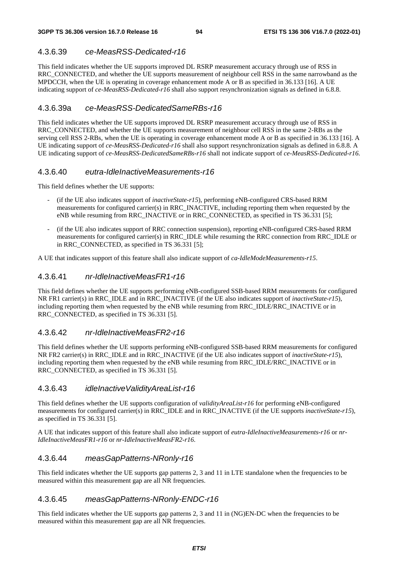# 4.3.6.39 *ce-MeasRSS-Dedicated-r16*

This field indicates whether the UE supports improved DL RSRP measurement accuracy through use of RSS in RRC\_CONNECTED, and whether the UE supports measurement of neighbour cell RSS in the same narrowband as the MPDCCH, when the UE is operating in coverage enhancement mode A or B as specified in 36.133 [16]. A UE indicating support of *ce-MeasRSS-Dedicated-r16* shall also support resynchronization signals as defined in 6.8.8.

### 4.3.6.39a *ce-MeasRSS-DedicatedSameRBs-r16*

This field indicates whether the UE supports improved DL RSRP measurement accuracy through use of RSS in RRC\_CONNECTED, and whether the UE supports measurement of neighbour cell RSS in the same 2-RBs as the serving cell RSS 2-RBs, when the UE is operating in coverage enhancement mode A or B as specified in 36.133 [16]. A UE indicating support of *ce-MeasRSS-Dedicated-r16* shall also support resynchronization signals as defined in 6.8.8. A UE indicating support of *ce-MeasRSS-DedicatedSameRBs-r16* shall not indicate support of *ce-MeasRSS-Dedicated-r16.*

### 4.3.6.40 *eutra-IdleInactiveMeasurements-r16*

This field defines whether the UE supports:

- (if the UE also indicates support of *inactiveState-r15*), performing eNB-configured CRS-based RRM measurements for configured carrier(s) in RRC\_INACTIVE, including reporting them when requested by the eNB while resuming from RRC\_INACTIVE or in RRC\_CONNECTED, as specified in TS 36.331 [5];
- (if the UE also indicates support of RRC connection suspension), reporting eNB-configured CRS-based RRM measurements for configured carrier(s) in RRC\_IDLE while resuming the RRC connection from RRC\_IDLE or in RRC\_CONNECTED, as specified in TS 36.331 [5];

A UE that indicates support of this feature shall also indicate support of *ca-IdleModeMeasurements-r15*.

### 4.3.6.41 *nr-IdleInactiveMeasFR1-r16*

This field defines whether the UE supports performing eNB-configured SSB-based RRM measurements for configured NR FR1 carrier(s) in RRC\_IDLE and in RRC\_INACTIVE (if the UE also indicates support of *inactiveState-r15*), including reporting them when requested by the eNB while resuming from RRC\_IDLE/RRC\_INACTIVE or in RRC\_CONNECTED, as specified in TS 36.331 [5].

### 4.3.6.42 *nr-IdleInactiveMeasFR2-r16*

This field defines whether the UE supports performing eNB-configured SSB-based RRM measurements for configured NR FR2 carrier(s) in RRC\_IDLE and in RRC\_INACTIVE (if the UE also indicates support of *inactiveState-r15*), including reporting them when requested by the eNB while resuming from RRC\_IDLE/RRC\_INACTIVE or in RRC\_CONNECTED, as specified in TS 36.331 [5].

### 4.3.6.43 *idleInactiveValidityAreaList-r16*

This field defines whether the UE supports configuration of *validityAreaList-r16* for performing eNB-configured measurements for configured carrier(s) in RRC\_IDLE and in RRC\_INACTIVE (if the UE supports *inactiveState-r15*), as specified in TS 36.331 [5].

A UE that indicates support of this feature shall also indicate support of *eutra-IdleInactiveMeasurements-r16* or *nr-IdleInactiveMeasFR1-r16* or *nr-IdleInactiveMeasFR2-r16*.

### 4.3.6.44 *measGapPatterns-NRonly-r16*

This field indicates whether the UE supports gap patterns 2, 3 and 11 in LTE standalone when the frequencies to be measured within this measurement gap are all NR frequencies.

### 4.3.6.45 *measGapPatterns-NRonly-ENDC-r16*

This field indicates whether the UE supports gap patterns 2, 3 and 11 in (NG)EN-DC when the frequencies to be measured within this measurement gap are all NR frequencies.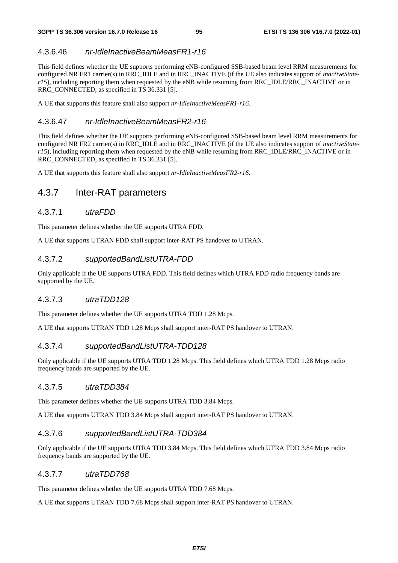### 4.3.6.46 *nr-IdleInactiveBeamMeasFR1-r16*

This field defines whether the UE supports performing eNB-configured SSB-based beam level RRM measurements for configured NR FR1 carrier(s) in RRC\_IDLE and in RRC\_INACTIVE (if the UE also indicates support of *inactiveStater15*), including reporting them when requested by the eNB while resuming from RRC\_IDLE/RRC\_INACTIVE or in RRC\_CONNECTED, as specified in TS 36.331 [5].

A UE that supports this feature shall also support *nr-IdleInactiveMeasFR1-r16*.

### 4.3.6.47 *nr-IdleInactiveBeamMeasFR2-r16*

This field defines whether the UE supports performing eNB-configured SSB-based beam level RRM measurements for configured NR FR2 carrier(s) in RRC\_IDLE and in RRC\_INACTIVE (if the UE also indicates support of *inactiveStater15*), including reporting them when requested by the eNB while resuming from RRC\_IDLE/RRC\_INACTIVE or in RRC\_CONNECTED, as specified in TS 36.331 [5].

A UE that supports this feature shall also support *nr-IdleInactiveMeasFR2-r16*.

# 4.3.7 Inter-RAT parameters

### 4.3.7.1 *utraFDD*

This parameter defines whether the UE supports UTRA FDD.

A UE that supports UTRAN FDD shall support inter-RAT PS handover to UTRAN.

### 4.3.7.2 *supportedBandListUTRA-FDD*

Only applicable if the UE supports UTRA FDD. This field defines which UTRA FDD radio frequency bands are supported by the UE.

### 4.3.7.3 *utraTDD128*

This parameter defines whether the UE supports UTRA TDD 1.28 Mcps.

A UE that supports UTRAN TDD 1.28 Mcps shall support inter-RAT PS handover to UTRAN.

#### 4.3.7.4 *supportedBandListUTRA-TDD128*

Only applicable if the UE supports UTRA TDD 1.28 Mcps. This field defines which UTRA TDD 1.28 Mcps radio frequency bands are supported by the UE.

#### 4.3.7.5 *utraTDD384*

This parameter defines whether the UE supports UTRA TDD 3.84 Mcps.

A UE that supports UTRAN TDD 3.84 Mcps shall support inter-RAT PS handover to UTRAN.

#### 4.3.7.6 *supportedBandListUTRA-TDD384*

Only applicable if the UE supports UTRA TDD 3.84 Mcps. This field defines which UTRA TDD 3.84 Mcps radio frequency bands are supported by the UE.

#### 4.3.7.7 *utraTDD768*

This parameter defines whether the UE supports UTRA TDD 7.68 Mcps.

A UE that supports UTRAN TDD 7.68 Mcps shall support inter-RAT PS handover to UTRAN.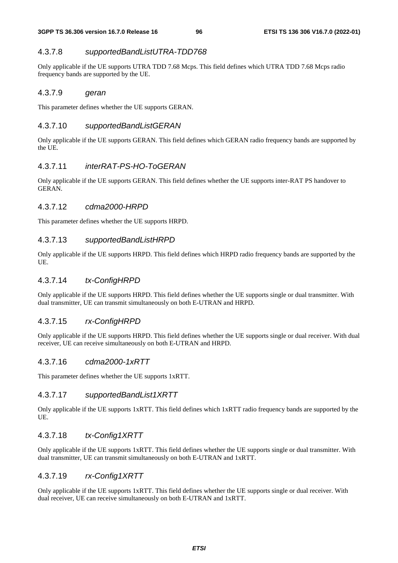### 4.3.7.8 *supportedBandListUTRA-TDD768*

Only applicable if the UE supports UTRA TDD 7.68 Mcps. This field defines which UTRA TDD 7.68 Mcps radio frequency bands are supported by the UE.

#### 4.3.7.9 *geran*

This parameter defines whether the UE supports GERAN.

#### 4.3.7.10 *supportedBandListGERAN*

Only applicable if the UE supports GERAN. This field defines which GERAN radio frequency bands are supported by the UE.

### 4.3.7.11 *interRAT-PS-HO-ToGERAN*

Only applicable if the UE supports GERAN. This field defines whether the UE supports inter-RAT PS handover to GER AN

#### 4.3.7.12 *cdma2000-HRPD*

This parameter defines whether the UE supports HRPD.

#### 4.3.7.13 *supportedBandListHRPD*

Only applicable if the UE supports HRPD. This field defines which HRPD radio frequency bands are supported by the UE.

#### 4.3.7.14 *tx-ConfigHRPD*

Only applicable if the UE supports HRPD. This field defines whether the UE supports single or dual transmitter. With dual transmitter, UE can transmit simultaneously on both E-UTRAN and HRPD.

### 4.3.7.15 *rx-ConfigHRPD*

Only applicable if the UE supports HRPD. This field defines whether the UE supports single or dual receiver. With dual receiver, UE can receive simultaneously on both E-UTRAN and HRPD.

#### 4.3.7.16 *cdma2000-1xRTT*

This parameter defines whether the UE supports 1xRTT.

#### 4.3.7.17 *supportedBandList1XRTT*

Only applicable if the UE supports 1xRTT. This field defines which 1xRTT radio frequency bands are supported by the UE.

### 4.3.7.18 *tx-Config1XRTT*

Only applicable if the UE supports 1xRTT. This field defines whether the UE supports single or dual transmitter. With dual transmitter, UE can transmit simultaneously on both E-UTRAN and 1xRTT.

#### 4.3.7.19 *rx-Config1XRTT*

Only applicable if the UE supports 1xRTT. This field defines whether the UE supports single or dual receiver. With dual receiver, UE can receive simultaneously on both E-UTRAN and 1xRTT.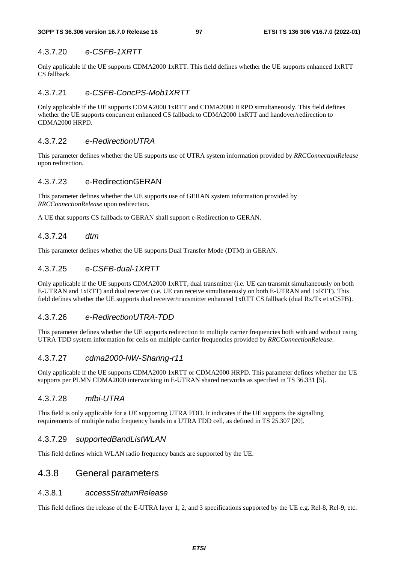#### 4.3.7.20 *e-CSFB-1XRTT*

Only applicable if the UE supports CDMA2000 1xRTT. This field defines whether the UE supports enhanced 1xRTT CS fallback.

### 4.3.7.21 *e-CSFB-ConcPS-Mob1XRTT*

Only applicable if the UE supports CDMA2000 1xRTT and CDMA2000 HRPD simultaneously. This field defines whether the UE supports concurrent enhanced CS fallback to CDMA2000 1xRTT and handover/redirection to CDMA2000 HRPD.

### 4.3.7.22 *e-RedirectionUTRA*

This parameter defines whether the UE supports use of UTRA system information provided by *RRCConnectionRelease* upon redirection.

### 4.3.7.23 e-RedirectionGERAN

This parameter defines whether the UE supports use of GERAN system information provided by *RRCConnectionRelease* upon redirection.

A UE that supports CS fallback to GERAN shall support e-Redirection to GERAN.

#### 4.3.7.24 *dtm*

This parameter defines whether the UE supports Dual Transfer Mode (DTM) in GERAN.

### 4.3.7.25 *e-CSFB-dual-1XRTT*

Only applicable if the UE supports CDMA2000 1xRTT, dual transmitter (i.e. UE can transmit simultaneously on both E-UTRAN and 1xRTT) and dual receiver (i.e. UE can receive simultaneously on both E-UTRAN and 1xRTT). This field defines whether the UE supports dual receiver/transmitter enhanced 1xRTT CS fallback (dual Rx/Tx e1xCSFB).

#### 4.3.7.26 *e-RedirectionUTRA-TDD*

This parameter defines whether the UE supports redirection to multiple carrier frequencies both with and without using UTRA TDD system information for cells on multiple carrier frequencies provided by *RRCConnectionRelease*.

#### 4.3.7.27 *cdma2000-NW-Sharing-r11*

Only applicable if the UE supports CDMA2000 1xRTT or CDMA2000 HRPD. This parameter defines whether the UE supports per PLMN CDMA2000 interworking in E-UTRAN shared networks as specified in TS 36.331 [5].

### 4.3.7.28 *mfbi-UTRA*

This field is only applicable for a UE supporting UTRA FDD. It indicates if the UE supports the signalling requirements of multiple radio frequency bands in a UTRA FDD cell, as defined in TS 25.307 [20].

#### 4.3.7.29 *supportedBandListWLAN*

This field defines which WLAN radio frequency bands are supported by the UE.

# 4.3.8 General parameters

#### 4.3.8.1 *accessStratumRelease*

This field defines the release of the E-UTRA layer 1, 2, and 3 specifications supported by the UE e.g. Rel-8, Rel-9, etc.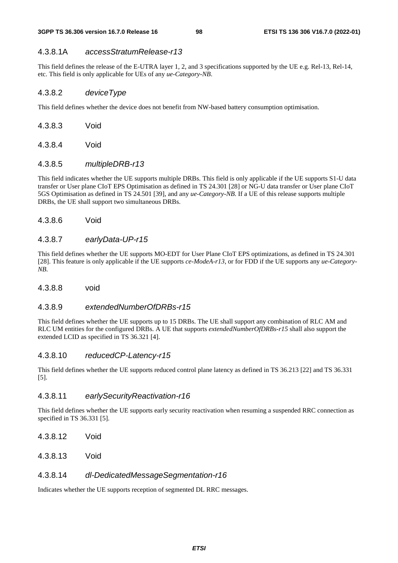### 4.3.8.1A *accessStratumRelease-r13*

This field defines the release of the E-UTRA layer 1, 2, and 3 specifications supported by the UE e.g. Rel-13, Rel-14, etc. This field is only applicable for UEs of any *ue-Category-NB*.

### 4.3.8.2 *deviceType*

This field defines whether the device does not benefit from NW-based battery consumption optimisation.

- 4.3.8.3 Void
- 4.3.8.4 Void

#### 4.3.8.5 *multipleDRB-r13*

This field indicates whether the UE supports multiple DRBs. This field is only applicable if the UE supports S1-U data transfer or User plane CIoT EPS Optimisation as defined in TS 24.301 [28] or NG-U data transfer or User plane CIoT 5GS Optimisation as defined in TS 24.501 [39], and any *ue-Category-NB*. If a UE of this release supports multiple DRBs, the UE shall support two simultaneous DRBs.

4.3.8.6 Void

#### 4.3.8.7 *earlyData-UP-r15*

This field defines whether the UE supports MO-EDT for User Plane CIoT EPS optimizations, as defined in TS 24.301 [28]. This feature is only applicable if the UE supports *ce-ModeA-r13*, or for FDD if the UE supports any *ue-Category-NB*.

4.3.8.8 void

### 4.3.8.9 *extendedNumberOfDRBs-r15*

This field defines whether the UE supports up to 15 DRBs. The UE shall support any combination of RLC AM and RLC UM entities for the configured DRBs. A UE that supports *extendedNumberOfDRBs-r15* shall also support the extended LCID as specified in TS 36.321 [4].

#### 4.3.8.10 *reducedCP-Latency-r15*

This field defines whether the UE supports reduced control plane latency as defined in TS 36.213 [22] and TS 36.331 [5].

### 4.3.8.11 *earlySecurityReactivation-r16*

This field defines whether the UE supports early security reactivation when resuming a suspended RRC connection as specified in TS 36.331 [5].

- 4.3.8.12 Void
- 4.3.8.13 Void

#### 4.3.8.14 *dl-DedicatedMessageSegmentation-r16*

Indicates whether the UE supports reception of segmented DL RRC messages.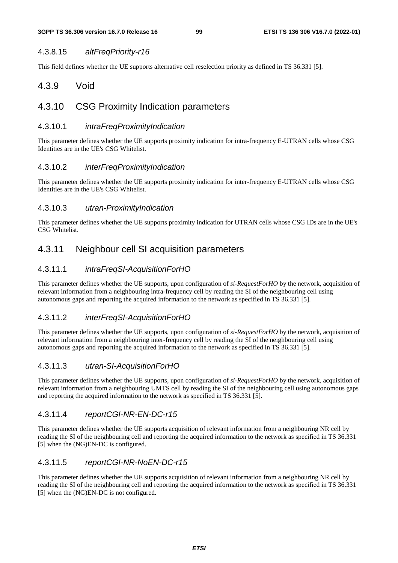### 4.3.8.15 *altFreqPriority-r16*

This field defines whether the UE supports alternative cell reselection priority as defined in TS 36.331 [5].

# 4.3.9 Void

# 4.3.10 CSG Proximity Indication parameters

### 4.3.10.1 *intraFreqProximityIndication*

This parameter defines whether the UE supports proximity indication for intra-frequency E-UTRAN cells whose CSG Identities are in the UE's CSG Whitelist.

### 4.3.10.2 *interFreqProximityIndication*

This parameter defines whether the UE supports proximity indication for inter-frequency E-UTRAN cells whose CSG Identities are in the UE's CSG Whitelist.

### 4.3.10.3 *utran-ProximityIndication*

This parameter defines whether the UE supports proximity indication for UTRAN cells whose CSG IDs are in the UE's CSG Whitelist.

# 4.3.11 Neighbour cell SI acquisition parameters

# 4.3.11.1 *intraFreqSI-AcquisitionForHO*

This parameter defines whether the UE supports, upon configuration of *si-RequestForHO* by the network, acquisition of relevant information from a neighbouring intra-frequency cell by reading the SI of the neighbouring cell using autonomous gaps and reporting the acquired information to the network as specified in TS 36.331 [5].

### 4.3.11.2 *interFreqSI-AcquisitionForHO*

This parameter defines whether the UE supports, upon configuration of *si-RequestForHO* by the network, acquisition of relevant information from a neighbouring inter-frequency cell by reading the SI of the neighbouring cell using autonomous gaps and reporting the acquired information to the network as specified in TS 36.331 [5].

### 4.3.11.3 *utran-SI-AcquisitionForHO*

This parameter defines whether the UE supports, upon configuration of *si-RequestForHO* by the network, acquisition of relevant information from a neighbouring UMTS cell by reading the SI of the neighbouring cell using autonomous gaps and reporting the acquired information to the network as specified in TS 36.331 [5].

### 4.3.11.4 *reportCGI-NR-EN-DC-r15*

This parameter defines whether the UE supports acquisition of relevant information from a neighbouring NR cell by reading the SI of the neighbouring cell and reporting the acquired information to the network as specified in TS 36.331 [5] when the (NG)EN-DC is configured.

### 4.3.11.5 *reportCGI-NR-NoEN-DC-r15*

This parameter defines whether the UE supports acquisition of relevant information from a neighbouring NR cell by reading the SI of the neighbouring cell and reporting the acquired information to the network as specified in TS 36.331 [5] when the (NG)EN-DC is not configured.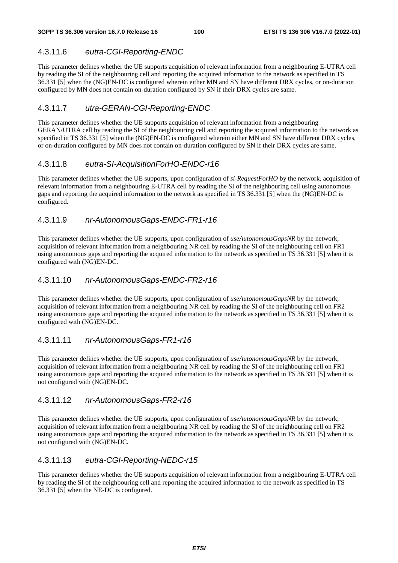# 4.3.11.6 *eutra-CGI-Reporting-ENDC*

This parameter defines whether the UE supports acquisition of relevant information from a neighbouring E-UTRA cell by reading the SI of the neighbouring cell and reporting the acquired information to the network as specified in TS 36.331 [5] when the (NG)EN-DC is configured wherein either MN and SN have different DRX cycles, or on-duration configured by MN does not contain on-duration configured by SN if their DRX cycles are same.

# 4.3.11.7 *utra-GERAN-CGI-Reporting-ENDC*

This parameter defines whether the UE supports acquisition of relevant information from a neighbouring GERAN/UTRA cell by reading the SI of the neighbouring cell and reporting the acquired information to the network as specified in TS 36.331 [5] when the (NG)EN-DC is configured wherein either MN and SN have different DRX cycles, or on-duration configured by MN does not contain on-duration configured by SN if their DRX cycles are same.

### 4.3.11.8 *eutra-SI-AcquisitionForHO-ENDC-r16*

This parameter defines whether the UE supports, upon configuration of *si-RequestForHO* by the network, acquisition of relevant information from a neighbouring E-UTRA cell by reading the SI of the neighbouring cell using autonomous gaps and reporting the acquired information to the network as specified in TS 36.331 [5] when the (NG)EN-DC is configured.

# 4.3.11.9 *nr-AutonomousGaps-ENDC-FR1-r16*

This parameter defines whether the UE supports, upon configuration of *useAutonomousGapsNR* by the network, acquisition of relevant information from a neighbouring NR cell by reading the SI of the neighbouring cell on FR1 using autonomous gaps and reporting the acquired information to the network as specified in TS 36.331 [5] when it is configured with (NG)EN-DC.

# 4.3.11.10 *nr-AutonomousGaps-ENDC-FR2-r16*

This parameter defines whether the UE supports, upon configuration of *useAutonomousGapsNR* by the network, acquisition of relevant information from a neighbouring NR cell by reading the SI of the neighbouring cell on FR2 using autonomous gaps and reporting the acquired information to the network as specified in TS 36.331 [5] when it is configured with (NG)EN-DC.

### 4.3.11.11 *nr-AutonomousGaps-FR1-r16*

This parameter defines whether the UE supports, upon configuration of *useAutonomousGapsNR* by the network, acquisition of relevant information from a neighbouring NR cell by reading the SI of the neighbouring cell on FR1 using autonomous gaps and reporting the acquired information to the network as specified in TS 36.331 [5] when it is not configured with (NG)EN-DC.

### 4.3.11.12 *nr-AutonomousGaps-FR2-r16*

This parameter defines whether the UE supports, upon configuration of *useAutonomousGapsNR* by the network, acquisition of relevant information from a neighbouring NR cell by reading the SI of the neighbouring cell on FR2 using autonomous gaps and reporting the acquired information to the network as specified in TS 36.331 [5] when it is not configured with (NG)EN-DC.

# 4.3.11.13 *eutra-CGI-Reporting-NEDC-r15*

This parameter defines whether the UE supports acquisition of relevant information from a neighbouring E-UTRA cell by reading the SI of the neighbouring cell and reporting the acquired information to the network as specified in TS 36.331 [5] when the NE-DC is configured.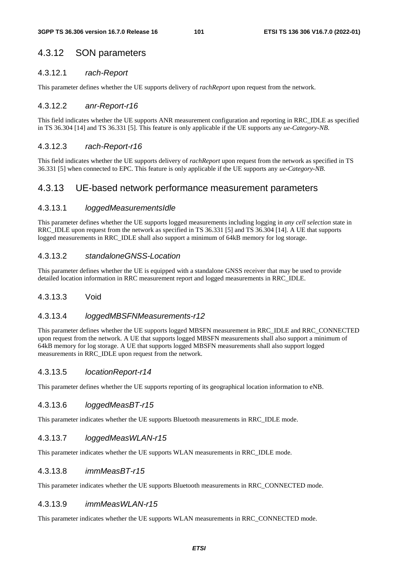# 4.3.12 SON parameters

### 4.3.12.1 *rach-Report*

This parameter defines whether the UE supports delivery of *rachReport* upon request from the network.

### 4.3.12.2 *anr-Report-r16*

This field indicates whether the UE supports ANR measurement configuration and reporting in RRC\_IDLE as specified in TS 36.304 [14] and TS 36.331 [5]. This feature is only applicable if the UE supports any *ue-Category-NB*.

### 4.3.12.3 *rach-Report-r16*

This field indicates whether the UE supports delivery of *rachReport* upon request from the network as specified in TS 36.331 [5] when connected to EPC. This feature is only applicable if the UE supports any *ue-Category-NB*.

# 4.3.13 UE-based network performance measurement parameters

### 4.3.13.1 *loggedMeasurementsIdle*

This parameter defines whether the UE supports logged measurements including logging in *any cell selection* state in RRC\_IDLE upon request from the network as specified in TS 36.331 [5] and TS 36.304 [14]. A UE that supports logged measurements in RRC\_IDLE shall also support a minimum of 64kB memory for log storage.

### 4.3.13.2 *standaloneGNSS-Location*

This parameter defines whether the UE is equipped with a standalone GNSS receiver that may be used to provide detailed location information in RRC measurement report and logged measurements in RRC\_IDLE.

### 4.3.13.3 Void

#### 4.3.13.4 *loggedMBSFNMeasurements-r12*

This parameter defines whether the UE supports logged MBSFN measurement in RRC\_IDLE and RRC\_CONNECTED upon request from the network. A UE that supports logged MBSFN measurements shall also support a minimum of 64kB memory for log storage. A UE that supports logged MBSFN measurements shall also support logged measurements in RRC\_IDLE upon request from the network.

### 4.3.13.5 *locationReport-r14*

This parameter defines whether the UE supports reporting of its geographical location information to eNB.

#### 4.3.13.6 *loggedMeasBT-r15*

This parameter indicates whether the UE supports Bluetooth measurements in RRC\_IDLE mode.

#### 4.3.13.7 *loggedMeasWLAN-r15*

This parameter indicates whether the UE supports WLAN measurements in RRC\_IDLE mode.

#### 4.3.13.8 *immMeasBT-r15*

This parameter indicates whether the UE supports Bluetooth measurements in RRC\_CONNECTED mode.

#### 4.3.13.9 *immMeasWLAN-r15*

This parameter indicates whether the UE supports WLAN measurements in RRC\_CONNECTED mode.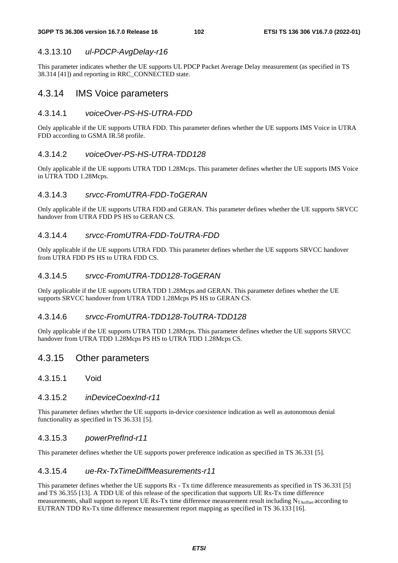### 4.3.13.10 *ul-PDCP-AvgDelay-r16*

This parameter indicates whether the UE supports UL PDCP Packet Average Delay measurement (as specified in TS 38.314 [41]) and reporting in RRC\_CONNECTED state.

# 4.3.14 IMS Voice parameters

### 4.3.14.1 *voiceOver-PS-HS-UTRA-FDD*

Only applicable if the UE supports UTRA FDD. This parameter defines whether the UE supports IMS Voice in UTRA FDD according to GSMA IR.58 profile.

#### 4.3.14.2 *voiceOver-PS-HS-UTRA-TDD128*

Only applicable if the UE supports UTRA TDD 1.28Mcps. This parameter defines whether the UE supports IMS Voice in UTRA TDD 1.28Mcps.

### 4.3.14.3 *srvcc-FromUTRA-FDD-ToGERAN*

Only applicable if the UE supports UTRA FDD and GERAN. This parameter defines whether the UE supports SRVCC handover from UTRA FDD PS HS to GERAN CS.

### 4.3.14.4 *srvcc-FromUTRA-FDD-ToUTRA-FDD*

Only applicable if the UE supports UTRA FDD. This parameter defines whether the UE supports SRVCC handover from UTRA FDD PS HS to UTRA FDD CS.

### 4.3.14.5 *srvcc-FromUTRA-TDD128-ToGERAN*

Only applicable if the UE supports UTRA TDD 1.28Mcps and GERAN. This parameter defines whether the UE supports SRVCC handover from UTRA TDD 1.28Mcps PS HS to GERAN CS.

#### 4.3.14.6 *srvcc-FromUTRA-TDD128-ToUTRA-TDD128*

Only applicable if the UE supports UTRA TDD 1.28Mcps. This parameter defines whether the UE supports SRVCC handover from UTRA TDD 1.28Mcps PS HS to UTRA TDD 1.28Mcps CS.

# 4.3.15 Other parameters

4.3.15.1 Void

#### 4.3.15.2 *inDeviceCoexInd-r11*

This parameter defines whether the UE supports in-device coexistence indication as well as autonomous denial functionality as specified in TS 36.331 [5].

#### 4.3.15.3 *powerPrefInd-r11*

This parameter defines whether the UE supports power preference indication as specified in TS 36.331 [5].

#### 4.3.15.4 *ue-Rx-TxTimeDiffMeasurements-r11*

This parameter defines whether the UE supports  $Rx - Tx$  time difference measurements as specified in TS 36.331 [5] and TS 36.355 [13]. A TDD UE of this release of the specification that supports UE Rx-Tx time difference measurements, shall support to report UE Rx-Tx time difference measurement result including  $N_{\text{Tooffset}}$  according to EUTRAN TDD Rx-Tx time difference measurement report mapping as specified in TS 36.133 [16].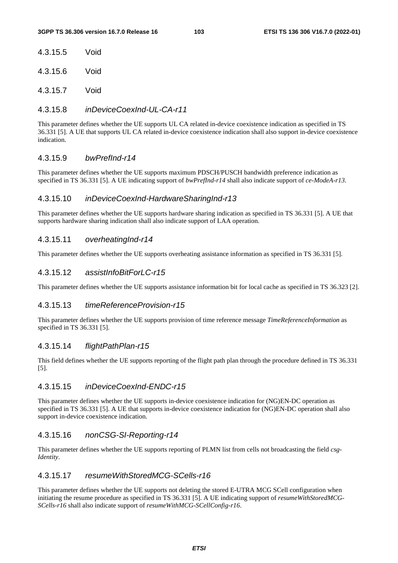4.3.15.6 Void

4.3.15.7 Void

### 4.3.15.8 *inDeviceCoexInd-UL-CA-r11*

This parameter defines whether the UE supports UL CA related in-device coexistence indication as specified in TS 36.331 [5]. A UE that supports UL CA related in-device coexistence indication shall also support in-device coexistence indication.

### 4.3.15.9 *bwPrefInd-r14*

This parameter defines whether the UE supports maximum PDSCH/PUSCH bandwidth preference indication as specified in TS 36.331 [5]. A UE indicating support of *bwPrefInd-r14* shall also indicate support of *ce-ModeA-r13*.

### 4.3.15.10 *inDeviceCoexInd-HardwareSharingInd-r13*

This parameter defines whether the UE supports hardware sharing indication as specified in TS 36.331 [5]. A UE that supports hardware sharing indication shall also indicate support of LAA operation.

#### 4.3.15.11 *overheatingInd-r14*

This parameter defines whether the UE supports overheating assistance information as specified in TS 36.331 [5].

### 4.3.15.12 *assistInfoBitForLC-r15*

This parameter defines whether the UE supports assistance information bit for local cache as specified in TS 36.323 [2].

#### 4.3.15.13 *timeReferenceProvision-r15*

This parameter defines whether the UE supports provision of time reference message *TimeReferenceInformation* as specified in TS 36.331 [5].

#### 4.3.15.14 *flightPathPlan-r15*

This field defines whether the UE supports reporting of the flight path plan through the procedure defined in TS 36.331 [5].

### 4.3.15.15 *inDeviceCoexInd-ENDC-r15*

This parameter defines whether the UE supports in-device coexistence indication for (NG)EN-DC operation as specified in TS 36.331 [5]. A UE that supports in-device coexistence indication for (NG)EN-DC operation shall also support in-device coexistence indication.

#### 4.3.15.16 *nonCSG-SI-Reporting-r14*

This parameter defines whether the UE supports reporting of PLMN list from cells not broadcasting the field *csg-Identity*.

### 4.3.15.17 *resumeWithStoredMCG-SCells-r16*

This parameter defines whether the UE supports not deleting the stored E-UTRA MCG SCell configuration when initiating the resume procedure as specified in TS 36.331 [5]. A UE indicating support of *resumeWithStoredMCG*-*SCells-r16* shall also indicate support of *resumeWithMCG-SCellConfig-r16*.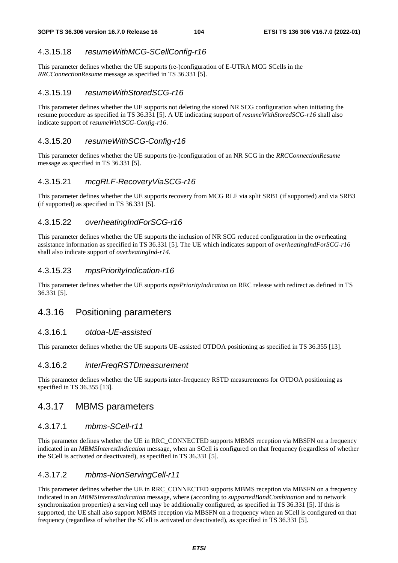### 4.3.15.18 *resumeWithMCG-SCellConfig-r16*

This parameter defines whether the UE supports (re-)configuration of E-UTRA MCG SCells in the *RRCConnectionResume* message as specified in TS 36.331 [5].

### 4.3.15.19 *resumeWithStoredSCG-r16*

This parameter defines whether the UE supports not deleting the stored NR SCG configuration when initiating the resume procedure as specified in TS 36.331 [5]. A UE indicating support of *resumeWithStoredSCG-r16* shall also indicate support of *resumeWithSCG-Config-r16*.

#### 4.3.15.20 *resumeWithSCG-Config-r16*

This parameter defines whether the UE supports (re-)configuration of an NR SCG in the *RRCConnectionResume* message as specified in TS 36.331 [5].

### 4.3.15.21 *mcgRLF-RecoveryViaSCG-r16*

This parameter defines whether the UE supports recovery from MCG RLF via split SRB1 (if supported) and via SRB3 (if supported) as specified in TS 36.331 [5].

### 4.3.15.22 *overheatingIndForSCG-r16*

This parameter defines whether the UE supports the inclusion of NR SCG reduced configuration in the overheating assistance information as specified in TS 36.331 [5]. The UE which indicates support of *overheatingIndForSCG-r16* shall also indicate support of *overheatingInd-r14*.

### 4.3.15.23 *mpsPriorityIndication-r16*

This parameter defines whether the UE supports *mpsPriorityIndication* on RRC release with redirect as defined in TS 36.331 [5].

# 4.3.16 Positioning parameters

#### 4.3.16.1 *otdoa-UE-assisted*

This parameter defines whether the UE supports UE-assisted OTDOA positioning as specified in TS 36.355 [13].

### 4.3.16.2 *interFreqRSTDmeasurement*

This parameter defines whether the UE supports inter-frequency RSTD measurements for OTDOA positioning as specified in TS 36.355 [13].

# 4.3.17 MBMS parameters

#### 4.3.17.1 *mbms-SCell-r11*

This parameter defines whether the UE in RRC\_CONNECTED supports MBMS reception via MBSFN on a frequency indicated in an *MBMSInterestIndication* message, when an SCell is configured on that frequency (regardless of whether the SCell is activated or deactivated), as specified in TS 36.331 [5].

#### 4.3.17.2 *mbms-NonServingCell-r11*

This parameter defines whether the UE in RRC\_CONNECTED supports MBMS reception via MBSFN on a frequency indicated in an *MBMSInterestIndication* message, where (according to *supportedBandCombination* and to network synchronization properties) a serving cell may be additionally configured, as specified in TS 36.331 [5]. If this is supported, the UE shall also support MBMS reception via MBSFN on a frequency when an SCell is configured on that frequency (regardless of whether the SCell is activated or deactivated), as specified in TS 36.331 [5].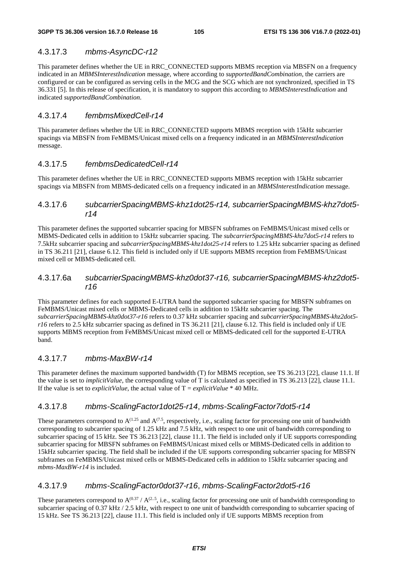### 4.3.17.3 *mbms-AsyncDC-r12*

This parameter defines whether the UE in RRC\_CONNECTED supports MBMS reception via MBSFN on a frequency indicated in an *MBMSInterestIndication* message, where according to *supportedBandCombination*, the carriers are configured or can be configured as serving cells in the MCG and the SCG which are not synchronized, specified in TS 36.331 [5]. In this release of specification, it is mandatory to support this according to *MBMSInterestIndication* and indicated *supportedBandCombination*.

### 4.3.17.4 *fembmsMixedCell-r14*

This parameter defines whether the UE in RRC\_CONNECTED supports MBMS reception with 15kHz subcarrier spacings via MBSFN from FeMBMS/Unicast mixed cells on a frequency indicated in an *MBMSInterestIndication* message.

### 4.3.17.5 *fembmsDedicatedCell-r14*

This parameter defines whether the UE in RRC\_CONNECTED supports MBMS reception with 15kHz subcarrier spacings via MBSFN from MBMS-dedicated cells on a frequency indicated in an *MBMSInterestIndication* message.

### 4.3.17.6 *subcarrierSpacingMBMS-khz1dot25-r14, subcarrierSpacingMBMS-khz7dot5 r14*

This parameter defines the supported subcarrier spacing for MBSFN subframes on FeMBMS/Unicast mixed cells or MBMS-Dedicated cells in addition to 15kHz subcarrier spacing. The *subcarrierSpacingMBMS-khz7dot5-r14* refers to 7.5kHz subcarrier spacing and *subcarrierSpacingMBMS-khz1dot25-r14* refers to 1.25 kHz subcarrier spacing as defined in TS 36.211 [21], clause 6.12. This field is included only if UE supports MBMS reception from FeMBMS/Unicast mixed cell or MBMS-dedicated cell.

# 4.3.17.6a *subcarrierSpacingMBMS-khz0dot37-r16, subcarrierSpacingMBMS-khz2dot5 r16*

This parameter defines for each supported E-UTRA band the supported subcarrier spacing for MBSFN subframes on FeMBMS/Unicast mixed cells or MBMS-Dedicated cells in addition to 15kHz subcarrier spacing. The *subcarrierSpacingMBMS-khz0dot37-r16* refers to 0.37 kHz subcarrier spacing and *subcarrierSpacingMBMS-khz2dot5 r16* refers to 2.5 kHz subcarrier spacing as defined in TS 36.211 [21], clause 6.12. This field is included only if UE supports MBMS reception from FeMBMS/Unicast mixed cell or MBMS-dedicated cell for the supported E-UTRA band.

### 4.3.17.7 *mbms-MaxBW-r14*

This parameter defines the maximum supported bandwidth (T) for MBMS reception, see TS 36.213 [22], clause 11.1. If the value is set to *implicitValue*, the corresponding value of T is calculated as specified in TS 36.213 [22], clause 11.1. If the value is set to *explicitValue*, the actual value of  $T = explicitValue * 40 MHz$ .

### 4.3.17.8 *mbms-ScalingFactor1dot25-r14*, *mbms-ScalingFactor7dot5-r14*

These parameters correspond to  $A^{(1.25)}$  and  $A^{(7.5)}$ , respectively, i.e., scaling factor for processing one unit of bandwidth corresponding to subcarrier spacing of 1.25 kHz and 7.5 kHz, with respect to one unit of bandwidth corresponding to subcarrier spacing of 15 kHz. See TS 36.213 [22], clause 11.1. The field is included only if UE supports corresponding subcarrier spacing for MBSFN subframes on FeMBMS/Unicast mixed cells or MBMS-Dedicated cells in addition to 15kHz subcarrier spacing. The field shall be included if the UE supports corresponding subcarrier spacing for MBSFN subframes on FeMBMS/Unicast mixed cells or MBMS-Dedicated cells in addition to 15kHz subcarrier spacing and *mbms-MaxBW-r14* is included.

#### 4.3.17.9 *mbms-ScalingFactor0dot37-r16*, *mbms-ScalingFactor2dot5-r16*

These parameters correspond to  $A^{(0.37)}/A^{(2.5)}$ , i.e., scaling factor for processing one unit of bandwidth corresponding to subcarrier spacing of 0.37 kHz / 2.5 kHz, with respect to one unit of bandwidth corresponding to subcarrier spacing of 15 kHz. See TS 36.213 [22], clause 11.1. This field is included only if UE supports MBMS reception from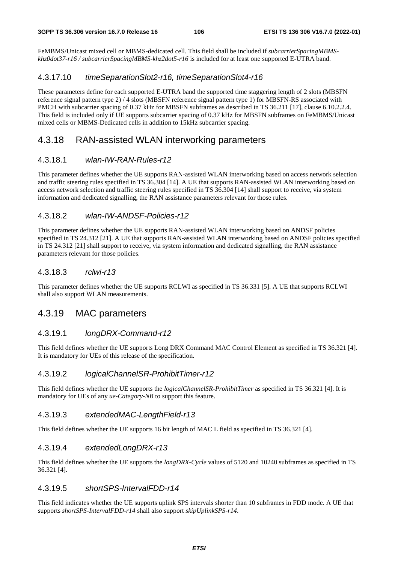FeMBMS/Unicast mixed cell or MBMS-dedicated cell. This field shall be included if *subcarrierSpacingMBMSkhz0dot37-r16 / subcarrierSpacingMBMS-khz2dot5-r16* is included for at least one supported E-UTRA band.

## 4.3.17.10 *timeSeparationSlot2-r16, timeSeparationSlot4-r16*

These parameters define for each supported E-UTRA band the supported time staggering length of 2 slots (MBSFN reference signal pattern type 2) / 4 slots (MBSFN reference signal pattern type 1) for MBSFN-RS associated with PMCH with subcarrier spacing of 0.37 kHz for MBSFN subframes as described in TS 36.211 [17], clause 6.10.2.2.4. This field is included only if UE supports subcarrier spacing of 0.37 kHz for MBSFN subframes on FeMBMS/Unicast mixed cells or MBMS-Dedicated cells in addition to 15kHz subcarrier spacing.

# 4.3.18 RAN-assisted WLAN interworking parameters

### 4.3.18.1 *wlan-IW-RAN-Rules-r12*

This parameter defines whether the UE supports RAN-assisted WLAN interworking based on access network selection and traffic steering rules specified in TS 36.304 [14]. A UE that supports RAN-assisted WLAN interworking based on access network selection and traffic steering rules specified in TS 36.304 [14] shall support to receive, via system information and dedicated signalling, the RAN assistance parameters relevant for those rules.

### 4.3.18.2 *wlan-IW-ANDSF-Policies-r12*

This parameter defines whether the UE supports RAN-assisted WLAN interworking based on ANDSF policies specified in TS 24.312 [21]. A UE that supports RAN-assisted WLAN interworking based on ANDSF policies specified in TS 24.312 [21] shall support to receive, via system information and dedicated signalling, the RAN assistance parameters relevant for those policies.

### 4.3.18.3 *rclwi-r13*

This parameter defines whether the UE supports RCLWI as specified in TS 36.331 [5]. A UE that supports RCLWI shall also support WLAN measurements.

# 4.3.19 MAC parameters

### 4.3.19.1 *longDRX-Command-r12*

This field defines whether the UE supports Long DRX Command MAC Control Element as specified in TS 36.321 [4]. It is mandatory for UEs of this release of the specification.

#### 4.3.19.2 *logicalChannelSR-ProhibitTimer-r12*

This field defines whether the UE supports the *logicalChannelSR-ProhibitTimer* as specified in TS 36.321 [4]. It is mandatory for UEs of any *ue-Category-NB* to support this feature.

### 4.3.19.3 *extendedMAC-LengthField-r13*

This field defines whether the UE supports 16 bit length of MAC L field as specified in TS 36.321 [4].

#### 4.3.19.4 *extendedLongDRX-r13*

This field defines whether the UE supports the *longDRX-Cycle* values of 5120 and 10240 subframes as specified in TS 36.321 [4].

#### 4.3.19.5 *shortSPS-IntervalFDD-r14*

This field indicates whether the UE supports uplink SPS intervals shorter than 10 subframes in FDD mode. A UE that supports *shortSPS-IntervalFDD-r14* shall also support *skipUplinkSPS-r14*.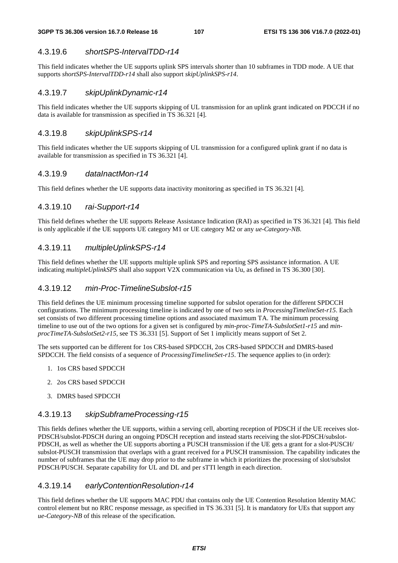### 4.3.19.6 *shortSPS-IntervalTDD-r14*

This field indicates whether the UE supports uplink SPS intervals shorter than 10 subframes in TDD mode. A UE that supports *shortSPS-IntervalTDD-r14* shall also support *skipUplinkSPS-r14*.

#### 4.3.19.7 *skipUplinkDynamic-r14*

This field indicates whether the UE supports skipping of UL transmission for an uplink grant indicated on PDCCH if no data is available for transmission as specified in TS 36.321 [4].

### 4.3.19.8 *skipUplinkSPS-r14*

This field indicates whether the UE supports skipping of UL transmission for a configured uplink grant if no data is available for transmission as specified in TS 36.321 [4].

#### 4.3.19.9 *dataInactMon-r14*

This field defines whether the UE supports data inactivity monitoring as specified in TS 36.321 [4].

### 4.3.19.10 *rai-Support-r14*

This field defines whether the UE supports Release Assistance Indication (RAI) as specified in TS 36.321 [4]. This field is only applicable if the UE supports UE category M1 or UE category M2 or any *ue-Category-NB*.

### 4.3.19.11 *multipleUplinkSPS-r14*

This field defines whether the UE supports multiple uplink SPS and reporting SPS assistance information. A UE indicating *multipleUplinkSPS* shall also support V2X communication via Uu, as defined in TS 36.300 [30].

#### 4.3.19.12 *min-Proc-TimelineSubslot-r15*

This field defines the UE minimum processing timeline supported for subslot operation for the different SPDCCH configurations. The minimum processing timeline is indicated by one of two sets in *ProcessingTimelineSet-r15*. Each set consists of two different processing timeline options and associated maximum TA. The minimum processing timeline to use out of the two options for a given set is configured by *min-proc-TimeTA-SubslotSet1-r15* and *minprocTimeTA-SubslotSet2-r15,* see TS 36.331 [5]. Support of Set 1 implicitly means support of Set 2.

The sets supported can be different for 1os CRS-based SPDCCH, 2os CRS-based SPDCCH and DMRS-based SPDCCH. The field consists of a sequence of *ProcessingTimelineSet-r15*. The sequence applies to (in order):

- 1. 1os CRS based SPDCCH
- 2. 2os CRS based SPDCCH
- 3. DMRS based SPDCCH

#### 4.3.19.13 *skipSubframeProcessing-r15*

This fields defines whether the UE supports, within a serving cell, aborting reception of PDSCH if the UE receives slot-PDSCH/subslot-PDSCH during an ongoing PDSCH reception and instead starts receiving the slot-PDSCH/subslot-PDSCH, as well as whether the UE supports aborting a PUSCH transmission if the UE gets a grant for a slot-PUSCH/ subslot-PUSCH transmission that overlaps with a grant received for a PUSCH transmission. The capability indicates the number of subframes that the UE may drop prior to the subframe in which it prioritizes the processing of slot/subslot PDSCH/PUSCH. Separate capability for UL and DL and per sTTI length in each direction.

### 4.3.19.14 *earlyContentionResolution-r14*

This field defines whether the UE supports MAC PDU that contains only the UE Contention Resolution Identity MAC control element but no RRC response message, as specified in TS 36.331 [5]. It is mandatory for UEs that support any *ue-Category-NB* of this release of the specification.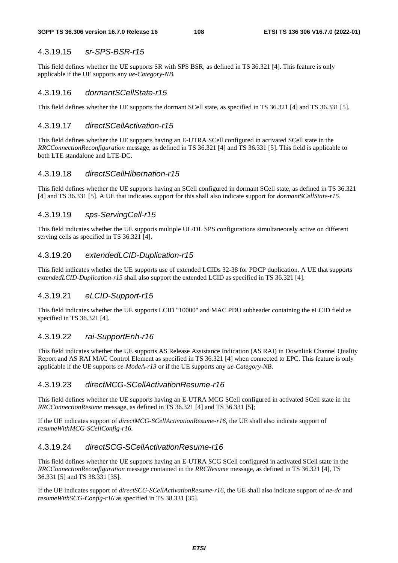#### 4.3.19.15 *sr-SPS-BSR-r15*

This field defines whether the UE supports SR with SPS BSR, as defined in TS 36.321 [4]. This feature is only applicable if the UE supports any *ue-Category-NB*.

#### 4.3.19.16 *dormantSCellState-r15*

This field defines whether the UE supports the dormant SCell state, as specified in TS 36.321 [4] and TS 36.331 [5].

#### 4.3.19.17 *directSCellActivation-r15*

This field defines whether the UE supports having an E-UTRA SCell configured in activated SCell state in the *RRCConnectionReconfiguration* message, as defined in TS 36.321 [4] and TS 36.331 [5]. This field is applicable to both LTE standalone and LTE-DC.

#### 4.3.19.18 *directSCellHibernation-r15*

This field defines whether the UE supports having an SCell configured in dormant SCell state, as defined in TS 36.321 [4] and TS 36.331 [5]. A UE that indicates support for this shall also indicate support for *dormantSCellState-r15*.

#### 4.3.19.19 *sps-ServingCell-r15*

This field indicates whether the UE supports multiple UL/DL SPS configurations simultaneously active on different serving cells as specified in TS 36.321 [4].

#### 4.3.19.20 *extendedLCID-Duplication-r15*

This field indicates whether the UE supports use of extended LCIDs 32-38 for PDCP duplication. A UE that supports *extendedLCID-Duplication-r15* shall also support the extended LCID as specified in TS 36.321 [4].

### 4.3.19.21 *eLCID-Support-r15*

This field indicates whether the UE supports LCID "10000" and MAC PDU subheader containing the eLCID field as specified in TS 36.321 [4].

### 4.3.19.22 *rai-SupportEnh-r16*

This field indicates whether the UE supports AS Release Assistance Indication (AS RAI) in Downlink Channel Quality Report and AS RAI MAC Control Element as specified in TS 36.321 [4] when connected to EPC. This feature is only applicable if the UE supports *ce-ModeA-r13* or if the UE supports any *ue-Category-NB*.

#### 4.3.19.23 *directMCG-SCellActivationResume-r16*

This field defines whether the UE supports having an E-UTRA MCG SCell configured in activated SCell state in the *RRCConnectionResume* message, as defined in TS 36.321 [4] and TS 36.331 [5];

If the UE indicates support of *directMCG-SCellActivationResume-r16*, the UE shall also indicate support of *resumeWithMCG-SCellConfig-r16*.

#### 4.3.19.24 *directSCG-SCellActivationResume-r16*

This field defines whether the UE supports having an E-UTRA SCG SCell configured in activated SCell state in the *RRCConnectionReconfiguration* message contained in the *RRCResume* message, as defined in TS 36.321 [4], TS 36.331 [5] and TS 38.331 [35].

If the UE indicates support of *directSCG-SCellActivationResume-r16*, the UE shall also indicate support of *ne-dc* and *resumeWithSCG-Config-r16* as specified in TS 38.331 [35].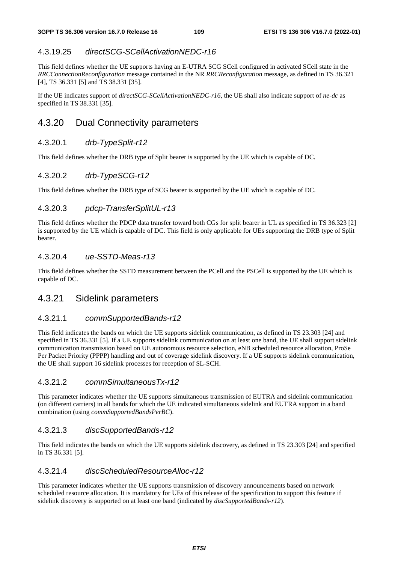### 4.3.19.25 *directSCG-SCellActivationNEDC-r16*

This field defines whether the UE supports having an E-UTRA SCG SCell configured in activated SCell state in the *RRCConnectionReconfiguration* message contained in the NR *RRCReconfiguration* message, as defined in TS 36.321 [4], TS 36.331 [5] and TS 38.331 [35].

If the UE indicates support of *directSCG-SCellActivationNEDC-r16*, the UE shall also indicate support of *ne-dc* as specified in TS 38.331 [35].

## 4.3.20 Dual Connectivity parameters

### 4.3.20.1 *drb-TypeSplit-r12*

This field defines whether the DRB type of Split bearer is supported by the UE which is capable of DC.

### 4.3.20.2 *drb-TypeSCG-r12*

This field defines whether the DRB type of SCG bearer is supported by the UE which is capable of DC.

### 4.3.20.3 *pdcp-TransferSplitUL-r13*

This field defines whether the PDCP data transfer toward both CGs for split bearer in UL as specified in TS 36.323 [2] is supported by the UE which is capable of DC. This field is only applicable for UEs supporting the DRB type of Split bearer.

#### 4.3.20.4 *ue-SSTD-Meas-r13*

This field defines whether the SSTD measurement between the PCell and the PSCell is supported by the UE which is capable of DC.

### 4.3.21 Sidelink parameters

#### 4.3.21.1 *commSupportedBands-r12*

This field indicates the bands on which the UE supports sidelink communication, as defined in TS 23.303 [24] and specified in TS 36.331 [5]. If a UE supports sidelink communication on at least one band, the UE shall support sidelink communication transmission based on UE autonomous resource selection, eNB scheduled resource allocation, ProSe Per Packet Priority (PPPP) handling and out of coverage sidelink discovery. If a UE supports sidelink communication, the UE shall support 16 sidelink processes for reception of SL-SCH.

### 4.3.21.2 *commSimultaneousTx-r12*

This parameter indicates whether the UE supports simultaneous transmission of EUTRA and sidelink communication (on different carriers) in all bands for which the UE indicated simultaneous sidelink and EUTRA support in a band combination (using *commSupportedBandsPerBC*).

### 4.3.21.3 *discSupportedBands-r12*

This field indicates the bands on which the UE supports sidelink discovery, as defined in TS 23.303 [24] and specified in TS 36.331 [5].

#### 4.3.21.4 *discScheduledResourceAlloc-r12*

This parameter indicates whether the UE supports transmission of discovery announcements based on network scheduled resource allocation. It is mandatory for UEs of this release of the specification to support this feature if sidelink discovery is supported on at least one band (indicated by *discSupportedBands-r12*).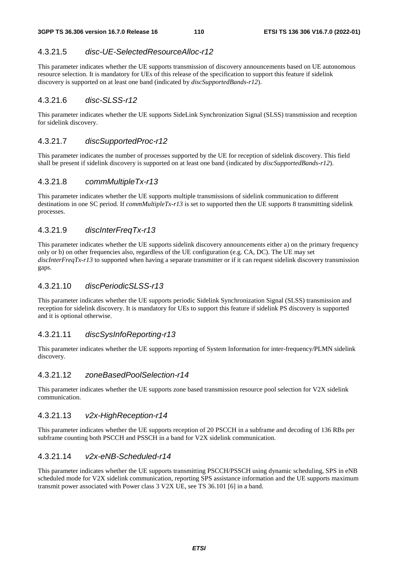### 4.3.21.5 *disc-UE-SelectedResourceAlloc-r12*

This parameter indicates whether the UE supports transmission of discovery announcements based on UE autonomous resource selection. It is mandatory for UEs of this release of the specification to support this feature if sidelink discovery is supported on at least one band (indicated by *discSupportedBands-r12*).

#### 4.3.21.6 *disc-SLSS-r12*

This parameter indicates whether the UE supports SideLink Synchronization Signal (SLSS) transmission and reception for sidelink discovery.

#### 4.3.21.7 *discSupportedProc-r12*

This parameter indicates the number of processes supported by the UE for reception of sidelink discovery. This field shall be present if sidelink discovery is supported on at least one band (indicated by *discSupportedBands-r12*).

#### 4.3.21.8 *commMultipleTx-r13*

This parameter indicates whether the UE supports multiple transmissions of sidelink communication to different destinations in one SC period. If *commMultipleTx-r13* is set to supported then the UE supports 8 transmitting sidelink processes.

### 4.3.21.9 *discInterFreqTx-r13*

This parameter indicates whether the UE supports sidelink discovery announcements either a) on the primary frequency only or b) on other frequencies also, regardless of the UE configuration (e.g. CA, DC). The UE may set *discInterFreqTx-r13* to supported when having a separate transmitter or if it can request sidelink discovery transmission gaps.

### 4.3.21.10 *discPeriodicSLSS-r13*

This parameter indicates whether the UE supports periodic Sidelink Synchronization Signal (SLSS) transmission and reception for sidelink discovery. It is mandatory for UEs to support this feature if sidelink PS discovery is supported and it is optional otherwise.

### 4.3.21.11 *discSysInfoReporting-r13*

This parameter indicates whether the UE supports reporting of System Information for inter-frequency/PLMN sidelink discovery.

#### 4.3.21.12 *zoneBasedPoolSelection-r14*

This parameter indicates whether the UE supports zone based transmission resource pool selection for V2X sidelink communication.

### 4.3.21.13 *v2x-HighReception-r14*

This parameter indicates whether the UE supports reception of 20 PSCCH in a subframe and decoding of 136 RBs per subframe counting both PSCCH and PSSCH in a band for V2X sidelink communication.

### 4.3.21.14 *v2x-eNB-Scheduled-r14*

This parameter indicates whether the UE supports transmitting PSCCH/PSSCH using dynamic scheduling, SPS in eNB scheduled mode for V2X sidelink communication, reporting SPS assistance information and the UE supports maximum transmit power associated with Power class 3 V2X UE, see TS 36.101 [6] in a band.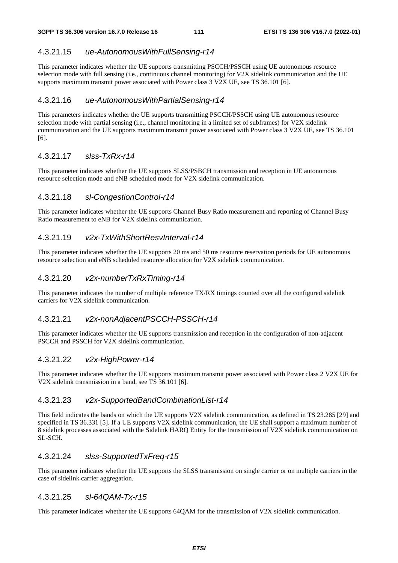### 4.3.21.15 *ue-AutonomousWithFullSensing-r14*

This parameter indicates whether the UE supports transmitting PSCCH/PSSCH using UE autonomous resource selection mode with full sensing (i.e., continuous channel monitoring) for V2X sidelink communication and the UE supports maximum transmit power associated with Power class 3 V2X UE, see TS 36.101 [6].

### 4.3.21.16 *ue-AutonomousWithPartialSensing-r14*

This parameters indicates whether the UE supports transmitting PSCCH/PSSCH using UE autonomous resource selection mode with partial sensing (i.e., channel monitoring in a limited set of subframes) for V2X sidelink communication and the UE supports maximum transmit power associated with Power class 3 V2X UE, see TS 36.101 [6].

### 4.3.21.17 *slss-TxRx-r14*

This parameter indicates whether the UE supports SLSS/PSBCH transmission and reception in UE autonomous resource selection mode and eNB scheduled mode for V2X sidelink communication.

### 4.3.21.18 *sl-CongestionControl-r14*

This parameter indicates whether the UE supports Channel Busy Ratio measurement and reporting of Channel Busy Ratio measurement to eNB for V2X sidelink communication.

### 4.3.21.19 *v2x-TxWithShortResvInterval-r14*

This parameter indicates whether the UE supports 20 ms and 50 ms resource reservation periods for UE autonomous resource selection and eNB scheduled resource allocation for V2X sidelink communication.

### 4.3.21.20 *v2x-numberTxRxTiming-r14*

This parameter indicates the number of multiple reference TX/RX timings counted over all the configured sidelink carriers for V2X sidelink communication.

### 4.3.21.21 *v2x-nonAdjacentPSCCH-PSSCH-r14*

This parameter indicates whether the UE supports transmission and reception in the configuration of non-adjacent PSCCH and PSSCH for V2X sidelink communication.

### 4.3.21.22 *v2x-HighPower-r14*

This parameter indicates whether the UE supports maximum transmit power associated with Power class 2 V2X UE for V2X sidelink transmission in a band, see TS 36.101 [6].

### 4.3.21.23 *v2x-SupportedBandCombinationList-r14*

This field indicates the bands on which the UE supports V2X sidelink communication, as defined in TS 23.285 [29] and specified in TS 36.331 [5]. If a UE supports V2X sidelink communication, the UE shall support a maximum number of 8 sidelink processes associated with the Sidelink HARQ Entity for the transmission of V2X sidelink communication on SL-SCH.

### 4.3.21.24 *slss-SupportedTxFreq-r15*

This parameter indicates whether the UE supports the SLSS transmission on single carrier or on multiple carriers in the case of sidelink carrier aggregation.

### 4.3.21.25 *sl-64QAM-Tx-r15*

This parameter indicates whether the UE supports 64QAM for the transmission of V2X sidelink communication.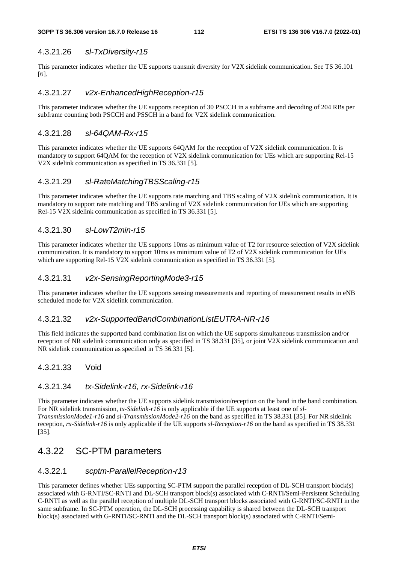#### 4.3.21.26 *sl-TxDiversity-r15*

This parameter indicates whether the UE supports transmit diversity for V2X sidelink communication. See TS 36.101 [6].

#### 4.3.21.27 *v2x-EnhancedHighReception-r15*

This parameter indicates whether the UE supports reception of 30 PSCCH in a subframe and decoding of 204 RBs per subframe counting both PSCCH and PSSCH in a band for V2X sidelink communication.

#### 4.3.21.28 *sl-64QAM-Rx-r15*

This parameter indicates whether the UE supports 64QAM for the reception of V2X sidelink communication. It is mandatory to support 64QAM for the reception of V2X sidelink communication for UEs which are supporting Rel-15 V2X sidelink communication as specified in TS 36.331 [5].

#### 4.3.21.29 *sl-RateMatchingTBSScaling-r15*

This parameter indicates whether the UE supports rate matching and TBS scaling of V2X sidelink communication. It is mandatory to support rate matching and TBS scaling of V2X sidelink communication for UEs which are supporting Rel-15 V2X sidelink communication as specified in TS 36.331 [5].

### 4.3.21.30 *sl-LowT2min-r15*

This parameter indicates whether the UE supports 10ms as minimum value of T2 for resource selection of V2X sidelink communication. It is mandatory to support 10ms as minimum value of T2 of V2X sidelink communication for UEs which are supporting Rel-15 V2X sidelink communication as specified in TS 36.331 [5].

### 4.3.21.31 *v2x-SensingReportingMode3-r15*

This parameter indicates whether the UE supports sensing measurements and reporting of measurement results in eNB scheduled mode for V2X sidelink communication.

#### 4.3.21.32 *v2x-SupportedBandCombinationListEUTRA-NR-r16*

This field indicates the supported band combination list on which the UE supports simultaneous transmission and/or reception of NR sidelink communication only as specified in TS 38.331 [35], or joint V2X sidelink communication and NR sidelink communication as specified in TS 36.331 [5].

### 4.3.21.33 Void

#### 4.3.21.34 *tx-Sidelink-r16, rx-Sidelink-r16*

This parameter indicates whether the UE supports sidelink transmission/reception on the band in the band combination. For NR sidelink transmission, *tx-Sidelink-r16* is only applicable if the UE supports at least one of *sl-TransmissionMode1-r16* and *sl-TransmissionMode2-r16* on the band as specified in TS 38.331 [35]. For NR sidelink reception, *rx-Sidelink-r16* is only applicable if the UE supports *sl-Reception-r16* on the band as specified in TS 38.331 [35].

### 4.3.22 SC-PTM parameters

#### 4.3.22.1 *scptm-ParallelReception-r13*

This parameter defines whether UEs supporting SC-PTM support the parallel reception of DL-SCH transport block(s) associated with G-RNTI/SC-RNTI and DL-SCH transport block(s) associated with C-RNTI/Semi-Persistent Scheduling C-RNTI as well as the parallel reception of multiple DL-SCH transport blocks associated with G-RNTI/SC-RNTI in the same subframe. In SC-PTM operation, the DL-SCH processing capability is shared between the DL-SCH transport block(s) associated with G-RNTI/SC-RNTI and the DL-SCH transport block(s) associated with C-RNTI/Semi-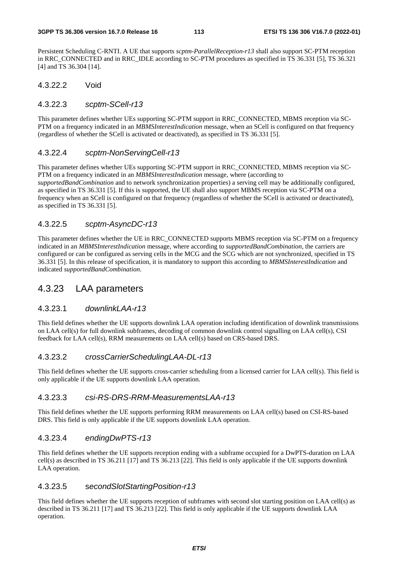Persistent Scheduling C-RNTI. A UE that supports *scptm-ParallelReception-r13* shall also support SC-PTM reception in RRC\_CONNECTED and in RRC\_IDLE according to SC-PTM procedures as specified in TS 36.331 [5], TS 36.321 [4] and TS 36.304 [14].

#### 4.3.22.2 Void

#### 4.3.22.3 *scptm-SCell-r13*

This parameter defines whether UEs supporting SC-PTM support in RRC\_CONNECTED, MBMS reception via SC-PTM on a frequency indicated in an *MBMSInterestIndication* message, when an SCell is configured on that frequency (regardless of whether the SCell is activated or deactivated), as specified in TS 36.331 [5].

#### 4.3.22.4 *scptm-NonServingCell-r13*

This parameter defines whether UEs supporting SC-PTM support in RRC\_CONNECTED, MBMS reception via SC-PTM on a frequency indicated in an *MBMSInterestIndication* message, where (according to *supportedBandCombination* and to network synchronization properties) a serving cell may be additionally configured, as specified in TS 36.331 [5]. If this is supported, the UE shall also support MBMS reception via SC-PTM on a frequency when an SCell is configured on that frequency (regardless of whether the SCell is activated or deactivated), as specified in TS 36.331 [5].

### 4.3.22.5 *scptm-AsyncDC-r13*

This parameter defines whether the UE in RRC\_CONNECTED supports MBMS reception via SC-PTM on a frequency indicated in an *MBMSInterestIndication* message, where according to *supportedBandCombination*, the carriers are configured or can be configured as serving cells in the MCG and the SCG which are not synchronized, specified in TS 36.331 [5]. In this release of specification, it is mandatory to support this according to *MBMSInterestIndication* and indicated *supportedBandCombination*.

## 4.3.23 LAA parameters

### 4.3.23.1 *downlinkLAA-r13*

This field defines whether the UE supports downlink LAA operation including identification of downlink transmissions on LAA cell(s) for full downlink subframes, decoding of common downlink control signalling on LAA cell(s), CSI feedback for LAA cell(s), RRM measurements on LAA cell(s) based on CRS-based DRS.

### 4.3.23.2 *crossCarrierSchedulingLAA-DL-r13*

This field defines whether the UE supports cross-carrier scheduling from a licensed carrier for LAA cell(s). This field is only applicable if the UE supports downlink LAA operation.

#### 4.3.23.3 *csi-RS-DRS-RRM-MeasurementsLAA-r13*

This field defines whether the UE supports performing RRM measurements on LAA cell(s) based on CSI-RS-based DRS. This field is only applicable if the UE supports downlink LAA operation.

### 4.3.23.4 *endingDwPTS-r13*

This field defines whether the UE supports reception ending with a subframe occupied for a DwPTS-duration on LAA cell(s) as described in TS 36.211 [17] and TS 36.213 [22]. This field is only applicable if the UE supports downlink LAA operation.

#### 4.3.23.5 s*econdSlotStartingPosition-r13*

This field defines whether the UE supports reception of subframes with second slot starting position on LAA cell(s) as described in TS 36.211 [17] and TS 36.213 [22]. This field is only applicable if the UE supports downlink LAA operation.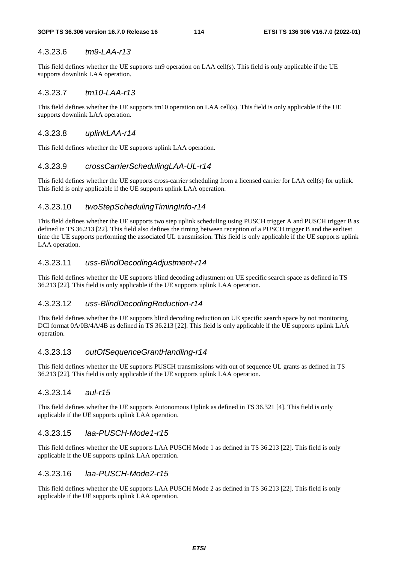#### 4.3.23.6 *tm9-LAA-r13*

This field defines whether the UE supports tm9 operation on LAA cell(s). This field is only applicable if the UE supports downlink LAA operation.

#### 4.3.23.7 *tm10-LAA-r13*

This field defines whether the UE supports tm10 operation on LAA cell(s). This field is only applicable if the UE supports downlink LAA operation.

#### 4.3.23.8 *uplinkLAA-r14*

This field defines whether the UE supports uplink LAA operation.

#### 4.3.23.9 *crossCarrierSchedulingLAA-UL-r14*

This field defines whether the UE supports cross-carrier scheduling from a licensed carrier for LAA cell(s) for uplink. This field is only applicable if the UE supports uplink LAA operation.

#### 4.3.23.10 *twoStepSchedulingTimingInfo-r14*

This field defines whether the UE supports two step uplink scheduling using PUSCH trigger A and PUSCH trigger B as defined in TS 36.213 [22]. This field also defines the timing between reception of a PUSCH trigger B and the earliest time the UE supports performing the associated UL transmission. This field is only applicable if the UE supports uplink LAA operation.

#### 4.3.23.11 *uss-BlindDecodingAdjustment-r14*

This field defines whether the UE supports blind decoding adjustment on UE specific search space as defined in TS 36.213 [22]. This field is only applicable if the UE supports uplink LAA operation.

#### 4.3.23.12 *uss-BlindDecodingReduction-r14*

This field defines whether the UE supports blind decoding reduction on UE specific search space by not monitoring DCI format 0A/0B/4A/4B as defined in TS 36.213 [22]. This field is only applicable if the UE supports uplink LAA operation.

#### 4.3.23.13 *outOfSequenceGrantHandling-r14*

This field defines whether the UE supports PUSCH transmissions with out of sequence UL grants as defined in TS 36.213 [22]. This field is only applicable if the UE supports uplink LAA operation.

#### 4.3.23.14 *aul-r15*

This field defines whether the UE supports Autonomous Uplink as defined in TS 36.321 [4]. This field is only applicable if the UE supports uplink LAA operation.

#### 4.3.23.15 *laa-PUSCH-Mode1-r15*

This field defines whether the UE supports LAA PUSCH Mode 1 as defined in TS 36.213 [22]. This field is only applicable if the UE supports uplink LAA operation.

#### 4.3.23.16 *laa-PUSCH-Mode2-r15*

This field defines whether the UE supports LAA PUSCH Mode 2 as defined in TS 36.213 [22]. This field is only applicable if the UE supports uplink LAA operation.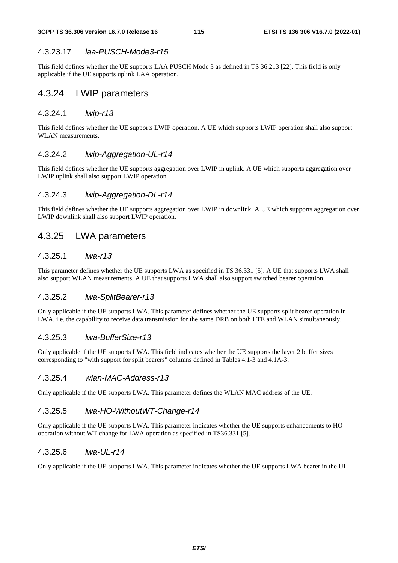#### 4.3.23.17 *laa-PUSCH-Mode3-r15*

This field defines whether the UE supports LAA PUSCH Mode 3 as defined in TS 36.213 [22]. This field is only applicable if the UE supports uplink LAA operation.

### 4.3.24 LWIP parameters

#### 4.3.24.1 *lwip-r13*

This field defines whether the UE supports LWIP operation. A UE which supports LWIP operation shall also support WLAN measurements.

#### 4.3.24.2 *lwip-Aggregation-UL-r14*

This field defines whether the UE supports aggregation over LWIP in uplink. A UE which supports aggregation over LWIP uplink shall also support LWIP operation.

#### 4.3.24.3 *lwip-Aggregation-DL-r14*

This field defines whether the UE supports aggregation over LWIP in downlink. A UE which supports aggregation over LWIP downlink shall also support LWIP operation.

### 4.3.25 LWA parameters

#### 4.3.25.1 *lwa-r13*

This parameter defines whether the UE supports LWA as specified in TS 36.331 [5]. A UE that supports LWA shall also support WLAN measurements. A UE that supports LWA shall also support switched bearer operation.

#### 4.3.25.2 *lwa-SplitBearer-r13*

Only applicable if the UE supports LWA. This parameter defines whether the UE supports split bearer operation in LWA, i.e. the capability to receive data transmission for the same DRB on both LTE and WLAN simultaneously.

#### 4.3.25.3 *lwa-BufferSize-r13*

Only applicable if the UE supports LWA. This field indicates whether the UE supports the layer 2 buffer sizes corresponding to "with support for split bearers" columns defined in Tables 4.1-3 and 4.1A-3.

#### 4.3.25.4 *wlan-MAC-Address-r13*

Only applicable if the UE supports LWA. This parameter defines the WLAN MAC address of the UE.

### 4.3.25.5 *lwa-HO-WithoutWT-Change-r14*

Only applicable if the UE supports LWA. This parameter indicates whether the UE supports enhancements to HO operation without WT change for LWA operation as specified in TS36.331 [5].

### 4.3.25.6 *lwa-UL-r14*

Only applicable if the UE supports LWA. This parameter indicates whether the UE supports LWA bearer in the UL.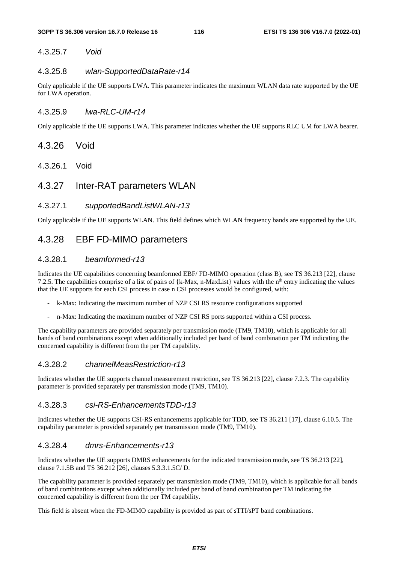### 4.3.25.7 *Void*

#### 4.3.25.8 *wlan-SupportedDataRate-r14*

Only applicable if the UE supports LWA. This parameter indicates the maximum WLAN data rate supported by the UE for LWA operation.

#### 4.3.25.9 *lwa-RLC-UM-r14*

Only applicable if the UE supports LWA. This parameter indicates whether the UE supports RLC UM for LWA bearer.

- 4.3.26 Void
- 4.3.26.1 Void
- 4.3.27 Inter-RAT parameters WLAN

#### 4.3.27.1 *supportedBandListWLAN-r13*

Only applicable if the UE supports WLAN. This field defines which WLAN frequency bands are supported by the UE.

### 4.3.28 EBF FD-MIMO parameters

#### 4.3.28.1 *beamformed-r13*

Indicates the UE capabilities concerning beamformed EBF/ FD-MIMO operation (class B), see TS 36.213 [22], clause 7.2.5. The capabilities comprise of a list of pairs of  $\{k-Max, n-MaxList\}$  values with the n<sup>th</sup> entry indicating the values that the UE supports for each CSI process in case n CSI processes would be configured, with:

- k-Max: Indicating the maximum number of NZP CSI RS resource configurations supported
- n-Max: Indicating the maximum number of NZP CSI RS ports supported within a CSI process.

The capability parameters are provided separately per transmission mode (TM9, TM10), which is applicable for all bands of band combinations except when additionally included per band of band combination per TM indicating the concerned capability is different from the per TM capability.

#### 4.3.28.2 *channelMeasRestriction-r13*

Indicates whether the UE supports channel measurement restriction, see TS 36.213 [22], clause 7.2.3. The capability parameter is provided separately per transmission mode (TM9, TM10).

#### 4.3.28.3 *csi-RS-EnhancementsTDD-r13*

Indicates whether the UE supports CSI-RS enhancements applicable for TDD, see TS 36.211 [17], clause 6.10.5. The capability parameter is provided separately per transmission mode (TM9, TM10).

#### 4.3.28.4 *dmrs-Enhancements-r13*

Indicates whether the UE supports DMRS enhancements for the indicated transmission mode, see TS 36.213 [22], clause 7.1.5B and TS 36.212 [26], clauses 5.3.3.1.5C/ D.

The capability parameter is provided separately per transmission mode (TM9, TM10), which is applicable for all bands of band combinations except when additionally included per band of band combination per TM indicating the concerned capability is different from the per TM capability.

This field is absent when the FD-MIMO capability is provided as part of sTTI/sPT band combinations.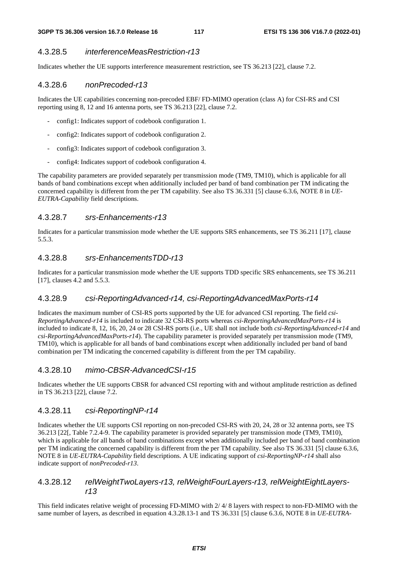#### 4.3.28.5 *interferenceMeasRestriction-r13*

Indicates whether the UE supports interference measurement restriction, see TS 36.213 [22], clause 7.2.

#### 4.3.28.6 *nonPrecoded-r13*

Indicates the UE capabilities concerning non-precoded EBF/ FD-MIMO operation (class A) for CSI-RS and CSI reporting using 8, 12 and 16 antenna ports, see TS 36.213 [22], clause 7.2.

- config1: Indicates support of codebook configuration 1.
- config2: Indicates support of codebook configuration 2.
- config3: Indicates support of codebook configuration 3.
- config4: Indicates support of codebook configuration 4.

The capability parameters are provided separately per transmission mode (TM9, TM10), which is applicable for all bands of band combinations except when additionally included per band of band combination per TM indicating the concerned capability is different from the per TM capability. See also TS 36.331 [5] clause 6.3.6, NOTE 8 in *UE-EUTRA-Capability* field descriptions.

### 4.3.28.7 *srs-Enhancements-r13*

Indicates for a particular transmission mode whether the UE supports SRS enhancements, see TS 36.211 [17], clause 5.5.3.

#### 4.3.28.8 *srs-EnhancementsTDD-r13*

Indicates for a particular transmission mode whether the UE supports TDD specific SRS enhancements, see TS 36.211 [17], clauses 4.2 and 5.5.3.

#### 4.3.28.9 *csi-ReportingAdvanced-r14, csi-ReportingAdvancedMaxPorts-r14*

Indicates the maximum number of CSI-RS ports supported by the UE for advanced CSI reporting. The field *csi-ReportingAdvanced-r14* is included to indicate 32 CSI-RS ports whereas *csi-ReportingAdvancedMaxPorts-r14* is included to indicate 8, 12, 16, 20, 24 or 28 CSI-RS ports (i.e., UE shall not include both *csi-ReportingAdvanced-r14* and *csi-ReportingAdvancedMaxPorts-r14*). The capability parameter is provided separately per transmission mode (TM9, TM10), which is applicable for all bands of band combinations except when additionally included per band of band combination per TM indicating the concerned capability is different from the per TM capability.

#### 4.3.28.10 *mimo-CBSR-AdvancedCSI-r15*

Indicates whether the UE supports CBSR for advanced CSI reporting with and without amplitude restriction as defined in TS 36.213 [22], clause 7.2.

#### 4.3.28.11 *csi-ReportingNP-r14*

Indicates whether the UE supports CSI reporting on non-precoded CSI-RS with 20, 24, 28 or 32 antenna ports, see TS 36.213 [22[, Table 7.2.4-9. The capability parameter is provided separately per transmission mode (TM9, TM10), which is applicable for all bands of band combinations except when additionally included per band of band combination per TM indicating the concerned capability is different from the per TM capability. See also TS 36.331 [5] clause 6.3.6, NOTE 8 in *UE-EUTRA-Capability* field descriptions. A UE indicating support of *csi-ReportingNP-r14* shall also indicate support of *nonPrecoded-r13*.

#### 4.3.28.12 *relWeightTwoLayers-r13, relWeightFourLayers-r13, relWeightEightLayersr13*

This field indicates relative weight of processing FD-MIMO with 2/ 4/ 8 layers with respect to non-FD-MIMO with the same number of layers, as described in equation 4.3.28.13-1 and TS 36.331 [5] clause 6.3.6, NOTE 8 in *UE-EUTRA-*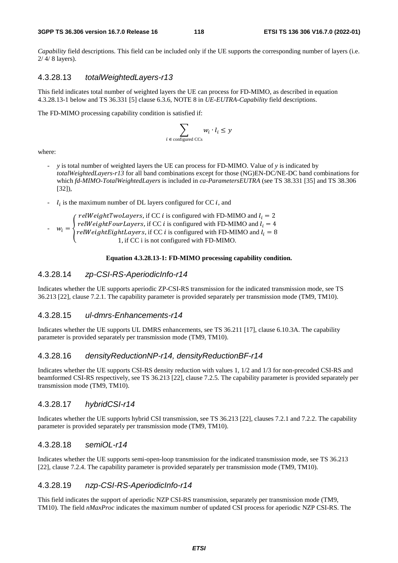*Capability* field descriptions. This field can be included only if the UE supports the corresponding number of layers (i.e. 2/ 4/ 8 layers).

#### 4.3.28.13 *totalWeightedLayers-r13*

This field indicates total number of weighted layers the UE can process for FD-MIMO, as described in equation 4.3.28.13-1 below and TS 36.331 [5] clause 6.3.6, NOTE 8 in *UE-EUTRA-Capability* field descriptions.

The FD-MIMO processing capability condition is satisfied if:

$$
\sum_{i \in \text{ configured CCs}} w_i \cdot l_i \leq y
$$

where:

- *y* is total number of weighted layers the UE can process for FD-MIMO. Value of *y* is indicated by *totalWeightedLayers-r13* for all band combinations except for those (NG)EN-DC/NE-DC band combinations for which *fd-MIMO-TotalWeightedLayers* is included in *ca-ParametersEUTRA* (see TS 38.331 [35] and TS 38.306 [32]),
- $l_i$  is the maximum number of DL layers configured for CC *i*, and i

- 
$$
w_i = \begin{cases} \n\text{relWeightTwoLayers, if CC } i \text{ is configured with FD-MIMO and } l_i = 2\\ \n\text{relWeightFourLayers, if CC } i \text{ is configured with FD-MIMO and } l_i = 4\\ \n\text{relWeightEightLayers, if CC } i \text{ is configured with FD-MIMO and } l_i = 8\\ \n1, \text{ if CC } i \text{ is not configured with FD-MIMO.} \n\end{cases}
$$

#### **Equation 4.3.28.13-1: FD-MIMO processing capability condition.**

#### 4.3.28.14 *zp-CSI-RS-AperiodicInfo-r14*

Indicates whether the UE supports aperiodic ZP-CSI-RS transmission for the indicated transmission mode, see TS 36.213 [22], clause 7.2.1. The capability parameter is provided separately per transmission mode (TM9, TM10).

#### 4.3.28.15 *ul-dmrs-Enhancements-r14*

Indicates whether the UE supports UL DMRS enhancements, see TS 36.211 [17], clause 6.10.3A. The capability parameter is provided separately per transmission mode (TM9, TM10).

#### 4.3.28.16 *densityReductionNP-r14, densityReductionBF-r14*

Indicates whether the UE supports CSI-RS density reduction with values 1, 1/2 and 1/3 for non-precoded CSI-RS and beamformed CSI-RS respectively, see TS 36.213 [22], clause 7.2.5. The capability parameter is provided separately per transmission mode (TM9, TM10).

#### 4.3.28.17 *hybridCSI-r14*

Indicates whether the UE supports hybrid CSI transmission, see TS 36.213 [22], clauses 7.2.1 and 7.2.2. The capability parameter is provided separately per transmission mode (TM9, TM10).

#### 4.3.28.18 *semiOL-r14*

Indicates whether the UE supports semi-open-loop transmission for the indicated transmission mode, see TS 36.213 [22], clause 7.2.4. The capability parameter is provided separately per transmission mode (TM9, TM10).

### 4.3.28.19 *nzp-CSI-RS-AperiodicInfo-r14*

This field indicates the support of aperiodic NZP CSI-RS transmission, separately per transmission mode (TM9, TM10). The field *nMaxProc* indicates the maximum number of updated CSI process for aperiodic NZP CSI-RS. The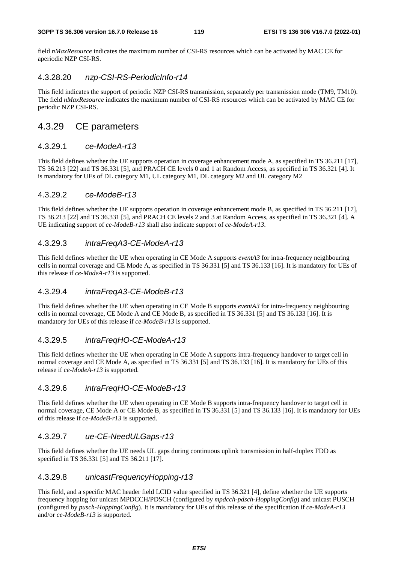field *nMaxResource* indicates the maximum number of CSI-RS resources which can be activated by MAC CE for aperiodic NZP CSI-RS.

### 4.3.28.20 *nzp-CSI-RS-PeriodicInfo-r14*

This field indicates the support of periodic NZP CSI-RS transmission, separately per transmission mode (TM9, TM10). The field *nMaxResource* indicates the maximum number of CSI-RS resources which can be activated by MAC CE for periodic NZP CSI-RS.

## 4.3.29 CE parameters

#### 4.3.29.1 *ce-ModeA-r13*

This field defines whether the UE supports operation in coverage enhancement mode A, as specified in TS 36.211 [17], TS 36.213 [22] and TS 36.331 [5], and PRACH CE levels 0 and 1 at Random Access, as specified in TS 36.321 [4]. It is mandatory for UEs of DL category M1, UL category M1, DL category M2 and UL category M2

#### 4.3.29.2 *ce-ModeB-r13*

This field defines whether the UE supports operation in coverage enhancement mode B, as specified in TS 36.211 [17], TS 36.213 [22] and TS 36.331 [5], and PRACH CE levels 2 and 3 at Random Access, as specified in TS 36.321 [4]. A UE indicating support of *ce-ModeB-r13* shall also indicate support of *ce-ModeA-r13*.

### 4.3.29.3 *intraFreqA3-CE-ModeA-r13*

This field defines whether the UE when operating in CE Mode A supports *eventA3* for intra-frequency neighbouring cells in normal coverage and CE Mode A, as specified in TS 36.331 [5] and TS 36.133 [16]. It is mandatory for UEs of this release if *ce-ModeA-r13* is supported.

### 4.3.29.4 *intraFreqA3-CE-ModeB-r13*

This field defines whether the UE when operating in CE Mode B supports *eventA3* for intra-frequency neighbouring cells in normal coverage, CE Mode A and CE Mode B, as specified in TS 36.331 [5] and TS 36.133 [16]. It is mandatory for UEs of this release if *ce-ModeB-r13* is supported.

### 4.3.29.5 *intraFreqHO-CE-ModeA-r13*

This field defines whether the UE when operating in CE Mode A supports intra-frequency handover to target cell in normal coverage and CE Mode A, as specified in TS 36.331 [5] and TS 36.133 [16]. It is mandatory for UEs of this release if *ce-ModeA-r13* is supported.

#### 4.3.29.6 *intraFreqHO-CE-ModeB-r13*

This field defines whether the UE when operating in CE Mode B supports intra-frequency handover to target cell in normal coverage, CE Mode A or CE Mode B, as specified in TS 36.331 [5] and TS 36.133 [16]. It is mandatory for UEs of this release if *ce-ModeB-r13* is supported.

#### 4.3.29.7 *ue-CE-NeedULGaps-r13*

This field defines whether the UE needs UL gaps during continuous uplink transmission in half-duplex FDD as specified in TS 36.331 [5] and TS 36.211 [17].

#### 4.3.29.8 *unicastFrequencyHopping-r13*

This field, and a specific MAC header field LCID value specified in TS 36.321 [4], define whether the UE supports frequency hopping for unicast MPDCCH/PDSCH (configured by *mpdcch-pdsch-HoppingConfig*) and unicast PUSCH (configured by *pusch-HoppingConfig*). It is mandatory for UEs of this release of the specification if *ce-ModeA-r13* and/or *ce-ModeB-r13* is supported.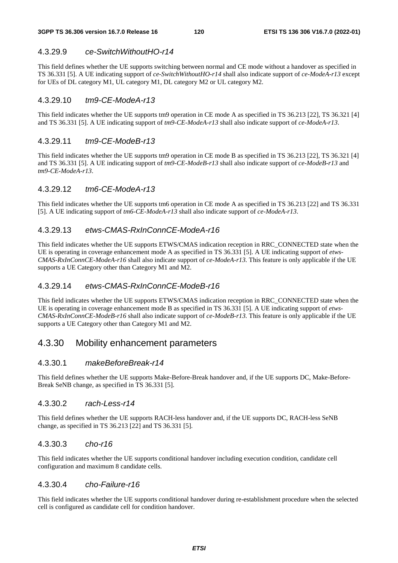### 4.3.29.9 *ce-SwitchWithoutHO-r14*

This field defines whether the UE supports switching between normal and CE mode without a handover as specified in TS 36.331 [5]. A UE indicating support of *ce-SwitchWithoutHO-r14* shall also indicate support of *ce-ModeA-r13* except for UEs of DL category M1, UL category M1, DL category M2 or UL category M2.

#### 4.3.29.10 *tm9-CE-ModeA-r13*

This field indicates whether the UE supports tm9 operation in CE mode A as specified in TS 36.213 [22], TS 36.321 [4] and TS 36.331 [5]. A UE indicating support of *tm9-CE-ModeA-r13* shall also indicate support of *ce-ModeA-r13*.

#### 4.3.29.11 *tm9-CE-ModeB-r13*

This field indicates whether the UE supports tm9 operation in CE mode B as specified in TS 36.213 [22], TS 36.321 [4] and TS 36.331 [5]. A UE indicating support of *tm9-CE-ModeB-r13* shall also indicate support of *ce-ModeB-r13* and *tm9-CE-ModeA-r13*.

#### 4.3.29.12 *tm6-CE-ModeA-r13*

This field indicates whether the UE supports tm6 operation in CE mode A as specified in TS 36.213 [22] and TS 36.331 [5]. A UE indicating support of *tm6-CE-ModeA-r13* shall also indicate support of *ce-ModeA-r13*.

#### 4.3.29.13 *etws-CMAS-RxInConnCE-ModeA-r16*

This field indicates whether the UE supports ETWS/CMAS indication reception in RRC\_CONNECTED state when the UE is operating in coverage enhancement mode A as specified in TS 36.331 [5]. A UE indicating support of *etws-CMAS-RxInConnCE-ModeA-r16* shall also indicate support of *ce-ModeA-r13.* This feature is only applicable if the UE supports a UE Category other than Category M1 and M2.

### 4.3.29.14 *etws-CMAS-RxInConnCE-ModeB-r16*

This field indicates whether the UE supports ETWS/CMAS indication reception in RRC\_CONNECTED state when the UE is operating in coverage enhancement mode B as specified in TS 36.331 [5]. A UE indicating support of *etws-CMAS-RxInConnCE-ModeB-r16* shall also indicate support of *ce-ModeB-r13.* This feature is only applicable if the UE supports a UE Category other than Category M1 and M2.

### 4.3.30 Mobility enhancement parameters

#### 4.3.30.1 *makeBeforeBreak-r14*

This field defines whether the UE supports Make-Before-Break handover and, if the UE supports DC, Make-Before-Break SeNB change, as specified in TS 36.331 [5].

#### 4.3.30.2 *rach-Less-r14*

This field defines whether the UE supports RACH-less handover and, if the UE supports DC, RACH-less SeNB change, as specified in TS 36.213 [22] and TS 36.331 [5].

#### 4.3.30.3 *cho-r16*

This field indicates whether the UE supports conditional handover including execution condition, candidate cell configuration and maximum 8 candidate cells.

#### 4.3.30.4 *cho-Failure-r16*

This field indicates whether the UE supports conditional handover during re-establishment procedure when the selected cell is configured as candidate cell for condition handover.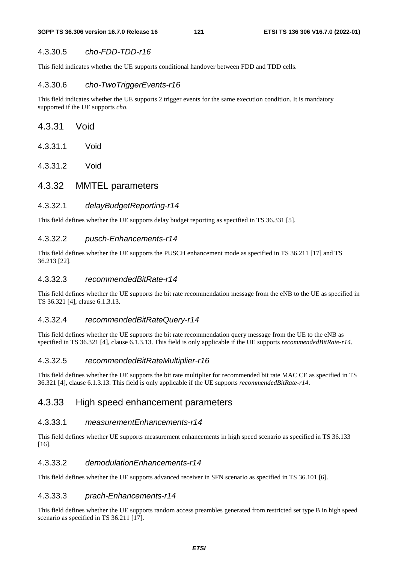### 4.3.30.5 *cho-FDD-TDD-r16*

This field indicates whether the UE supports conditional handover between FDD and TDD cells.

#### 4.3.30.6 *cho-TwoTriggerEvents-r16*

This field indicates whether the UE supports 2 trigger events for the same execution condition. It is mandatory supported if the UE supports *cho*.

- 4.3.31 Void
- 4.3.31.1 Void
- 4.3.31.2 Void
- 4.3.32 MMTEL parameters

### 4.3.32.1 *delayBudgetReporting-r14*

This field defines whether the UE supports delay budget reporting as specified in TS 36.331 [5].

#### 4.3.32.2 *pusch-Enhancements-r14*

This field defines whether the UE supports the PUSCH enhancement mode as specified in TS 36.211 [17] and TS 36.213 [22].

#### 4.3.32.3 *recommendedBitRate-r14*

This field defines whether the UE supports the bit rate recommendation message from the eNB to the UE as specified in TS 36.321 [4], clause 6.1.3.13.

#### 4.3.32.4 *recommendedBitRateQuery-r14*

This field defines whether the UE supports the bit rate recommendation query message from the UE to the eNB as specified in TS 36.321 [4], clause 6.1.3.13. This field is only applicable if the UE supports *recommendedBitRate-r14*.

### 4.3.32.5 *recommendedBitRateMultiplier-r16*

This field defines whether the UE supports the bit rate multiplier for recommended bit rate MAC CE as specified in TS 36.321 [4], clause 6.1.3.13. This field is only applicable if the UE supports *recommendedBitRate-r14*.

### 4.3.33 High speed enhancement parameters

#### 4.3.33.1 *measurementEnhancements-r14*

This field defines whether UE supports measurement enhancements in high speed scenario as specified in TS 36.133 [16].

#### 4.3.33.2 *demodulationEnhancements-r14*

This field defines whether the UE supports advanced receiver in SFN scenario as specified in TS 36.101 [6].

#### 4.3.33.3 *prach-Enhancements-r14*

This field defines whether the UE supports random access preambles generated from restricted set type B in high speed scenario as specified in TS 36.211 [17].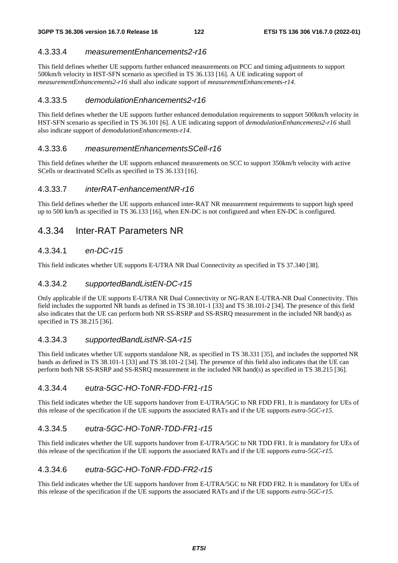### 4.3.33.4 *measurementEnhancements2-r16*

This field defines whether UE supports further enhanced measurements on PCC and timing adjustments to support 500km/h velocity in HST-SFN scenario as specified in TS 36.133 [16]. A UE indicating support of *measurementEnhancements2-r16* shall also indicate support of *measurementEnhancements-r14*.

### 4.3.33.5 *demodulationEnhancements2-r16*

This field defines whether the UE supports further enhanced demodulation requirements to support 500km/h velocity in HST-SFN scenario as specified in TS 36.101 [6]. A UE indicating support of *demodulationEnhancements2-r16* shall also indicate support of *demodulationEnhancements-r14*.

#### 4.3.33.6 *measurementEnhancementsSCell-r16*

This field defines whether the UE supports enhanced measurements on SCC to support 350km/h velocity with active SCells or deactivated SCells as specified in TS 36.133 [16].

#### 4.3.33.7 *interRAT-enhancementNR-r16*

This field defines whether the UE supports enhanced inter-RAT NR measurement requirements to support high speed up to 500 km/h as specified in TS 36.133 [16], when EN-DC is not configured and when EN-DC is configured.

## 4.3.34 Inter-RAT Parameters NR

### 4.3.34.1 *en-DC-r15*

This field indicates whether UE supports E-UTRA NR Dual Connectivity as specified in TS 37.340 [38].

### 4.3.34.2 *supportedBandListEN-DC-r15*

Only applicable if the UE supports E-UTRA NR Dual Connectivity or NG-RAN E-UTRA-NR Dual Connectivity. This field includes the supported NR bands as defined in TS 38.101-1 [33] and TS 38.101-2 [34]. The presence of this field also indicates that the UE can perform both NR SS-RSRP and SS-RSRQ measurement in the included NR band(s) as specified in TS 38.215 [36].

#### 4.3.34.3 *supportedBandListNR-SA-r15*

This field indicates whether UE supports standalone NR, as specified in TS 38.331 [35], and includes the supported NR bands as defined in TS 38.101-1 [33] and TS 38.101-2 [34]. The presence of this field also indicates that the UE can perform both NR SS-RSRP and SS-RSRQ measurement in the included NR band(s) as specified in TS 38.215 [36].

#### 4.3.34.4 *eutra-5GC-HO-ToNR-FDD-FR1-r15*

This field indicates whether the UE supports handover from E-UTRA/5GC to NR FDD FR1. It is mandatory for UEs of this release of the specification if the UE supports the associated RATs and if the UE supports *eutra-5GC-r15*.

### 4.3.34.5 *eutra-5GC-HO-ToNR-TDD-FR1-r15*

This field indicates whether the UE supports handover from E-UTRA/5GC to NR TDD FR1. It is mandatory for UEs of this release of the specification if the UE supports the associated RATs and if the UE supports *eutra-5GC-r15*.

#### 4.3.34.6 *eutra-5GC-HO-ToNR-FDD-FR2-r15*

This field indicates whether the UE supports handover from E-UTRA/5GC to NR FDD FR2. It is mandatory for UEs of this release of the specification if the UE supports the associated RATs and if the UE supports *eutra-5GC-r15*.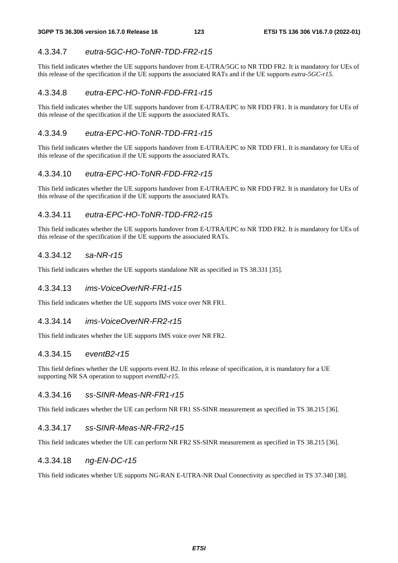### 4.3.34.7 *eutra-5GC-HO-ToNR-TDD-FR2-r15*

This field indicates whether the UE supports handover from E-UTRA/5GC to NR TDD FR2. It is mandatory for UEs of this release of the specification if the UE supports the associated RATs and if the UE supports *eutra-5GC-r15*.

### 4.3.34.8 *eutra-EPC-HO-ToNR-FDD-FR1-r15*

This field indicates whether the UE supports handover from E-UTRA/EPC to NR FDD FR1. It is mandatory for UEs of this release of the specification if the UE supports the associated RATs.

#### 4.3.34.9 *eutra-EPC-HO-ToNR-TDD-FR1-r15*

This field indicates whether the UE supports handover from E-UTRA/EPC to NR TDD FR1. It is mandatory for UEs of this release of the specification if the UE supports the associated RATs.

#### 4.3.34.10 *eutra-EPC-HO-ToNR-FDD-FR2-r15*

This field indicates whether the UE supports handover from E-UTRA/EPC to NR FDD FR2. It is mandatory for UEs of this release of the specification if the UE supports the associated RATs.

#### 4.3.34.11 *eutra-EPC-HO-ToNR-TDD-FR2-r15*

This field indicates whether the UE supports handover from E-UTRA/EPC to NR TDD FR2. It is mandatory for UEs of this release of the specification if the UE supports the associated RATs.

#### 4.3.34.12 *sa-NR-r15*

This field indicates whether the UE supports standalone NR as specified in TS 38.331 [35].

#### 4.3.34.13 *ims-VoiceOverNR-FR1-r15*

This field indicates whether the UE supports IMS voice over NR FR1.

#### 4.3.34.14 *ims-VoiceOverNR-FR2-r15*

This field indicates whether the UE supports IMS voice over NR FR2.

#### 4.3.34.15 *eventB2-r15*

This field defines whether the UE supports event B2. In this release of specification, it is mandatory for a UE supporting NR SA operation to support *eventB2-r15*.

### 4.3.34.16 *ss-SINR-Meas-NR-FR1-r15*

This field indicates whether the UE can perform NR FR1 SS-SINR measurement as specified in TS 38.215 [36].

#### 4.3.34.17 *ss-SINR-Meas-NR-FR2-r15*

This field indicates whether the UE can perform NR FR2 SS-SINR measurement as specified in TS 38.215 [36].

#### 4.3.34.18 *ng-EN-DC-r15*

This field indicates whether UE supports NG-RAN E-UTRA-NR Dual Connectivity as specified in TS 37.340 [38].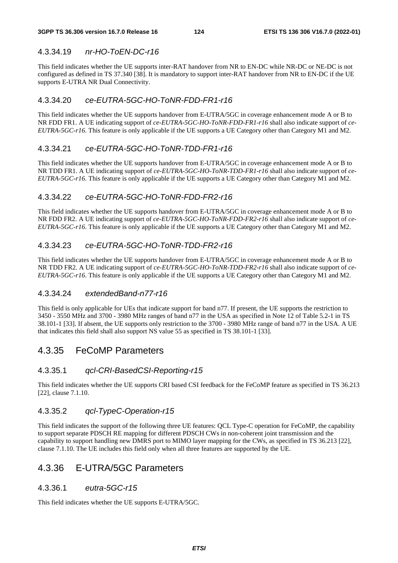### 4.3.34.19 *nr-HO-ToEN-DC-r16*

This field indicates whether the UE supports inter-RAT handover from NR to EN-DC while NR-DC or NE-DC is not configured as defined in TS 37.340 [38]. It is mandatory to support inter-RAT handover from NR to EN-DC if the UE supports E-UTRA NR Dual Connectivity.

### 4.3.34.20 *ce-EUTRA-5GC-HO-ToNR-FDD-FR1-r16*

This field indicates whether the UE supports handover from E-UTRA/5GC in coverage enhancement mode A or B to NR FDD FR1. A UE indicating support of *ce-EUTRA-5GC-HO-ToNR-FDD-FR1-r16* shall also indicate support of *ce-EUTRA-5GC-r16*. This feature is only applicable if the UE supports a UE Category other than Category M1 and M2.

### 4.3.34.21 *ce-EUTRA-5GC-HO-ToNR-TDD-FR1-r16*

This field indicates whether the UE supports handover from E-UTRA/5GC in coverage enhancement mode A or B to NR TDD FR1. A UE indicating support of *ce-EUTRA-5GC-HO-ToNR-TDD-FR1-r16* shall also indicate support of *ce-EUTRA-5GC-r16*. This feature is only applicable if the UE supports a UE Category other than Category M1 and M2.

### 4.3.34.22 *ce-EUTRA-5GC-HO-ToNR-FDD-FR2-r16*

This field indicates whether the UE supports handover from E-UTRA/5GC in coverage enhancement mode A or B to NR FDD FR2. A UE indicating support of *ce-EUTRA-5GC-HO-ToNR-FDD-FR2-r16* shall also indicate support of *ce-EUTRA-5GC-r16*. This feature is only applicable if the UE supports a UE Category other than Category M1 and M2.

### 4.3.34.23 *ce-EUTRA-5GC-HO-ToNR-TDD-FR2-r16*

This field indicates whether the UE supports handover from E-UTRA/5GC in coverage enhancement mode A or B to NR TDD FR2. A UE indicating support of *ce-EUTRA-5GC-HO-ToNR-TDD-FR2-r16* shall also indicate support of *ce-EUTRA-5GC-r16*. This feature is only applicable if the UE supports a UE Category other than Category M1 and M2.

### 4.3.34.24 *extendedBand-n77-r16*

This field is only applicable for UEs that indicate support for band n77. If present, the UE supports the restriction to 3450 - 3550 MHz and 3700 - 3980 MHz ranges of band n77 in the USA as specified in Note 12 of Table 5.2-1 in TS 38.101-1 [33]. If absent, the UE supports only restriction to the 3700 - 3980 MHz range of band n77 in the USA. A UE that indicates this field shall also support NS value 55 as specified in TS 38.101-1 [33].

## 4.3.35 FeCoMP Parameters

### 4.3.35.1 *qcl-CRI-BasedCSI-Reporting-r15*

This field indicates whether the UE supports CRI based CSI feedback for the FeCoMP feature as specified in TS 36.213 [22], clause 7.1.10.

### 4.3.35.2 *qcl-TypeC-Operation-r15*

This field indicates the support of the following three UE features: QCL Type-C operation for FeCoMP, the capability to support separate PDSCH RE mapping for different PDSCH CWs in non-coherent joint transmission and the capability to support handling new DMRS port to MIMO layer mapping for the CWs, as specified in TS 36.213 [22], clause 7.1.10. The UE includes this field only when all three features are supported by the UE.

## 4.3.36 E-UTRA/5GC Parameters

### 4.3.36.1 *eutra-5GC-r15*

This field indicates whether the UE supports E-UTRA/5GC.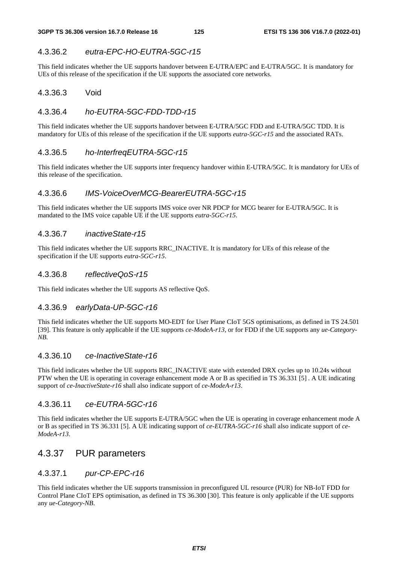### 4.3.36.2 *eutra-EPC-HO-EUTRA-5GC-r15*

This field indicates whether the UE supports handover between E-UTRA/EPC and E-UTRA/5GC. It is mandatory for UEs of this release of the specification if the UE supports the associated core networks.

#### 4.3.36.3 Void

#### 4.3.36.4 *ho-EUTRA-5GC-FDD-TDD-r15*

This field indicates whether the UE supports handover between E-UTRA/5GC FDD and E-UTRA/5GC TDD. It is mandatory for UEs of this release of the specification if the UE supports *eutra-5GC-r15* and the associated RATs.

#### 4.3.36.5 *ho-InterfreqEUTRA-5GC-r15*

This field indicates whether the UE supports inter frequency handover within E-UTRA/5GC. It is mandatory for UEs of this release of the specification.

#### 4.3.36.6 *IMS-VoiceOverMCG-BearerEUTRA-5GC-r15*

This field indicates whether the UE supports IMS voice over NR PDCP for MCG bearer for E-UTRA/5GC. It is mandated to the IMS voice capable UE if the UE supports *eutra-5GC-r15*.

#### 4.3.36.7 *inactiveState-r15*

This field indicates whether the UE supports RRC\_INACTIVE. It is mandatory for UEs of this release of the specification if the UE supports *eutra-5GC-r15*.

#### 4.3.36.8 *reflectiveQoS-r15*

This field indicates whether the UE supports AS reflective QoS.

#### 4.3.36.9 *earlyData-UP-5GC-r16*

This field indicates whether the UE supports MO-EDT for User Plane CIoT 5GS optimisations, as defined in TS 24.501 [39]. This feature is only applicable if the UE supports *ce-ModeA-r13,* or for FDD if the UE supports any *ue-Category-NB*.

#### 4.3.36.10 *ce-InactiveState-r16*

This field indicates whether the UE supports RRC\_INACTIVE state with extended DRX cycles up to 10.24s without PTW when the UE is operating in coverage enhancement mode A or B as specified in TS 36.331 [5] . A UE indicating support of *ce-InactiveState-r16* shall also indicate support of *ce-ModeA-r13*.

#### 4.3.36.11 *ce-EUTRA-5GC-r16*

This field indicates whether the UE supports E-UTRA/5GC when the UE is operating in coverage enhancement mode A or B as specified in TS 36.331 [5]. A UE indicating support of *ce-EUTRA-5GC-r16* shall also indicate support of *ce-ModeA-r13*.

### 4.3.37 PUR parameters

#### 4.3.37.1 *pur-CP-EPC-r16*

This field indicates whether the UE supports transmission in preconfigured UL resource (PUR) for NB-IoT FDD for Control Plane CIoT EPS optimisation, as defined in TS 36.300 [30]. This feature is only applicable if the UE supports any *ue-Category-NB*.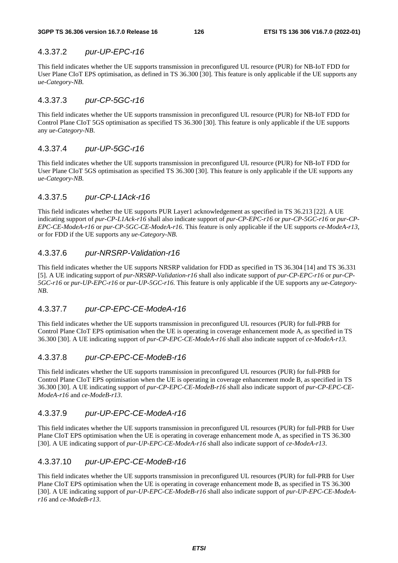### 4.3.37.2 *pur-UP-EPC-r16*

This field indicates whether the UE supports transmission in preconfigured UL resource (PUR) for NB-IoT FDD for User Plane CIoT EPS optimisation, as defined in TS 36.300 [30]. This feature is only applicable if the UE supports any *ue-Category-NB*.

### 4.3.37.3 *pur-CP-5GC-r16*

This field indicates whether the UE supports transmission in preconfigured UL resource (PUR) for NB-IoT FDD for Control Plane CIoT 5GS optimisation as specified TS 36.300 [30]. This feature is only applicable if the UE supports any *ue-Category-NB*.

### 4.3.37.4 *pur-UP-5GC-r16*

This field indicates whether the UE supports transmission in preconfigured UL resource (PUR) for NB-IoT FDD for User Plane CIoT 5GS optimisation as specified TS 36.300 [30]. This feature is only applicable if the UE supports any *ue-Category-NB*.

### 4.3.37.5 *pur-CP-L1Ack-r16*

This field indicates whether the UE supports PUR Layer1 acknowledgement as specified in TS 36.213 [22]. A UE indicating support of *pur-CP-L1Ack-r16* shall also indicate support of *pur-CP-EPC-r16* or *pur-CP-5GC-r16* or *pur-CP-EPC-CE-ModeA-r16* or *pur-CP-5GC-CE-ModeA-r16*. This feature is only applicable if the UE supports *ce-ModeA-r13*, or for FDD if the UE supports any *ue-Category-NB*.

### 4.3.37.6 *pur-NRSRP-Validation-r16*

This field indicates whether the UE supports NRSRP validation for FDD as specified in TS 36.304 [14] and TS 36.331 [5]. A UE indicating support of *pur-NRSRP-Validation-r16* shall also indicate support of *pur-CP-EPC-r16* or *pur-CP-5GC-r16* or *pur-UP-EPC-r16* or *pur-UP-5GC-r16.* This feature is only applicable if the UE supports any *ue-Category-NB*.

### 4.3.37.7 *pur-CP-EPC-CE-ModeA-r16*

This field indicates whether the UE supports transmission in preconfigured UL resources (PUR) for full-PRB for Control Plane CIoT EPS optimisation when the UE is operating in coverage enhancement mode A, as specified in TS 36.300 [30]. A UE indicating support of *pur-CP-EPC-CE-ModeA-r16* shall also indicate support of *ce-ModeA-r13*.

### 4.3.37.8 *pur-CP-EPC-CE-ModeB-r16*

This field indicates whether the UE supports transmission in preconfigured UL resources (PUR) for full-PRB for Control Plane CIoT EPS optimisation when the UE is operating in coverage enhancement mode B, as specified in TS 36.300 [30]. A UE indicating support of *pur-CP-EPC-CE-ModeB-r16* shall also indicate support of *pur-CP-EPC-CE-ModeA-r16* and *ce-ModeB-r13*.

### 4.3.37.9 *pur-UP-EPC-CE-ModeA-r16*

This field indicates whether the UE supports transmission in preconfigured UL resources (PUR) for full-PRB for User Plane CIoT EPS optimisation when the UE is operating in coverage enhancement mode A, as specified in TS 36.300 [30]. A UE indicating support of *pur-UP-EPC-CE-ModeA-r16* shall also indicate support of *ce-ModeA-r13*.

### 4.3.37.10 *pur-UP-EPC-CE-ModeB-r16*

This field indicates whether the UE supports transmission in preconfigured UL resources (PUR) for full-PRB for User Plane CIoT EPS optimisation when the UE is operating in coverage enhancement mode B, as specified in TS 36.300 [30]. A UE indicating support of *pur-UP-EPC-CE-ModeB-r16* shall also indicate support of *pur-UP-EPC-CE-ModeAr16* and *ce-ModeB-r13*.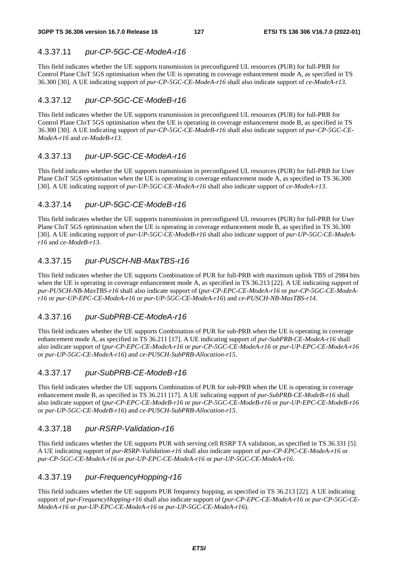### 4.3.37.11 *pur-CP-5GC-CE-ModeA-r16*

This field indicates whether the UE supports transmission in preconfigured UL resources (PUR) for full-PRB for Control Plane CIoT 5GS optimisation when the UE is operating in coverage enhancement mode A, as specified in TS 36.300 [30]. A UE indicating support of *pur-CP-5GC-CE-ModeA-r16* shall also indicate support of *ce-ModeA-r13*.

### 4.3.37.12 *pur-CP-5GC-CE-ModeB-r16*

This field indicates whether the UE supports transmission in preconfigured UL resources (PUR) for full-PRB for Control Plane CIoT 5GS optimisation when the UE is operating in coverage enhancement mode B, as specified in TS 36.300 [30]. A UE indicating support of *pur-CP-5GC-CE-ModeB-r16* shall also indicate support of *pur-CP-5GC-CE-ModeA-r16* and *ce-ModeB-r13*.

### 4.3.37.13 *pur-UP-5GC-CE-ModeA-r16*

This field indicates whether the UE supports transmission in preconfigured UL resources (PUR) for full-PRB for User Plane CIoT 5GS optimisation when the UE is operating in coverage enhancement mode A, as specified in TS 36.300 [30]. A UE indicating support of *pur-UP-5GC-CE-ModeA-r16* shall also indicate support of *ce-ModeA-r13*.

### 4.3.37.14 *pur-UP-5GC-CE-ModeB-r16*

This field indicates whether the UE supports transmission in preconfigured UL resources (PUR) for full-PRB for User Plane CIoT 5GS optimisation when the UE is operating in coverage enhancement mode B, as specified in TS 36.300 [30]. A UE indicating support of *pur-UP-5GC-CE-ModeB-r16* shall also indicate support of *pur-UP-5GC-CE-ModeAr16* and *ce-ModeB-r13*.

### 4.3.37.15 *pur-PUSCH-NB-MaxTBS-r16*

This field indicates whether the UE supports Combination of PUR for full-PRB with maximum uplink TBS of 2984 bits when the UE is operating in coverage enhancement mode A, as specified in TS 36.213 [22]. A UE indicating support of *pur-PUSCH-NB-MaxTBS-r16* shall also indicate support of (*pur-CP-EPC-CE-ModeA-r16* or *pur-CP-5GC-CE-ModeAr16* or *pur-UP-EPC-CE-ModeA-r16* or *pur-UP-5GC-CE-ModeA-r16*) and *ce-PUSCH-NB-MaxTBS-r14*.

### 4.3.37.16 *pur-SubPRB-CE-ModeA-r16*

This field indicates whether the UE supports Combination of PUR for sub-PRB when the UE is operating in coverage enhancement mode A, as specified in TS 36.211 [17]. A UE indicating support of *pur-SubPRB-CE-ModeA-r16* shall also indicate support of (*pur-CP-EPC-CE-ModeA-r16* or *pur-CP-5GC-CE-ModeA-r16* or *pur-UP-EPC-CE-ModeA-r16* or *pur-UP-5GC-CE-ModeA-r16*) and *ce-PUSCH-SubPRB-Allocation-r15*.

### 4.3.37.17 *pur-SubPRB-CE-ModeB-r16*

This field indicates whether the UE supports Combination of PUR for sub-PRB when the UE is operating in coverage enhancement mode B, as specified in TS 36.211 [17]. A UE indicating support of *pur-SubPRB-CE-ModeB-r16* shall also indicate support of (*pur-CP-EPC-CE-ModeB-r16* or *pur-CP-5GC-CE-ModeB-r16* or *pur-UP-EPC-CE-ModeB-r16* or *pur-UP-5GC-CE-ModeB-r16*) and *ce-PUSCH-SubPRB-Allocation-r15*.

### 4.3.37.18 *pur-RSRP-Validation-r16*

This field indicates whether the UE supports PUR with serving cell RSRP TA validation, as specified in TS 36.331 [5]. A UE indicating support of *pur-RSRP-Validation-r16* shall also indicate support of *pur-CP-EPC-CE-ModeA-r16* or *pur-CP-5GC-CE-ModeA-r16* or *pur-UP-EPC-CE-ModeA-r16* or *pur-UP-5GC-CE-ModeA-r16*.

### 4.3.37.19 *pur-FrequencyHopping-r16*

This field indicates whether the UE supports PUR frequency hopping, as specified in TS 36.213 [22]. A UE indicating support of *pur-FrequencyHopping-r16* shall also indicate support of (*pur-CP-EPC-CE-ModeA-r16* or *pur-CP-5GC-CE-ModeA-r16* or *pur-UP-EPC-CE-ModeA-r16* or *pur-UP-5GC-CE-ModeA-r16*).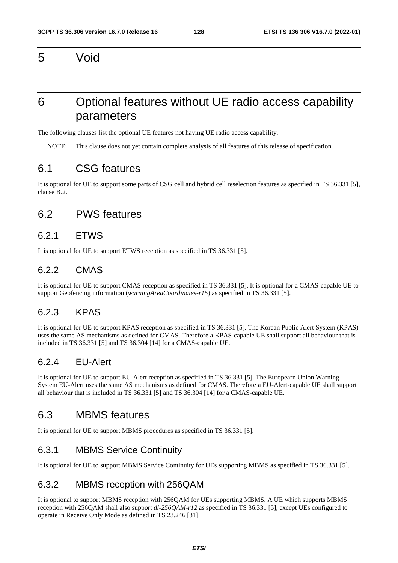5 Void

## 6 Optional features without UE radio access capability parameters

The following clauses list the optional UE features not having UE radio access capability.

NOTE: This clause does not yet contain complete analysis of all features of this release of specification.

## 6.1 CSG features

It is optional for UE to support some parts of CSG cell and hybrid cell reselection features as specified in TS 36.331 [5], clause B.2.

## 6.2 PWS features

### 6.2.1 ETWS

It is optional for UE to support ETWS reception as specified in TS 36.331 [5].

### 6.2.2 CMAS

It is optional for UE to support CMAS reception as specified in TS 36.331 [5]. It is optional for a CMAS-capable UE to support Geofencing information (*warningAreaCoordinates-r15*) as specified in TS 36.331 [5].

### 6.2.3 KPAS

It is optional for UE to support KPAS reception as specified in TS 36.331 [5]. The Korean Public Alert System (KPAS) uses the same AS mechanisms as defined for CMAS. Therefore a KPAS-capable UE shall support all behaviour that is included in TS 36.331 [5] and TS 36.304 [14] for a CMAS-capable UE.

### 6.2.4 EU-Alert

It is optional for UE to support EU-Alert reception as specified in TS 36.331 [5]. The Europearn Union Warning System EU-Alert uses the same AS mechanisms as defined for CMAS. Therefore a EU-Alert-capable UE shall support all behaviour that is included in TS 36.331 [5] and TS 36.304 [14] for a CMAS-capable UE.

## 6.3 MBMS features

It is optional for UE to support MBMS procedures as specified in TS 36.331 [5].

### 6.3.1 MBMS Service Continuity

It is optional for UE to support MBMS Service Continuity for UEs supporting MBMS as specified in TS 36.331 [5].

### 6.3.2 MBMS reception with 256QAM

It is optional to support MBMS reception with 256QAM for UEs supporting MBMS. A UE which supports MBMS reception with 256QAM shall also support *dl-256QAM-r12* as specified in TS 36.331 [5], except UEs configured to operate in Receive Only Mode as defined in TS 23.246 [31].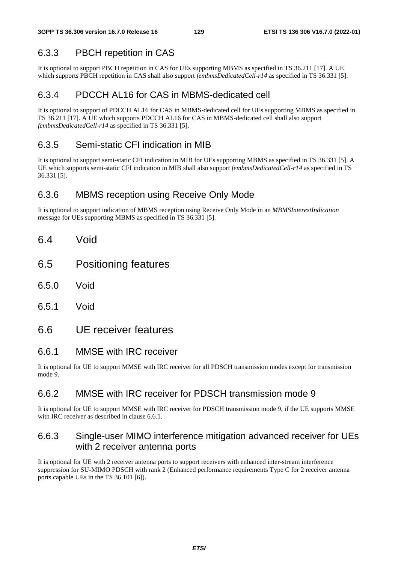## 6.3.3 PBCH repetition in CAS

It is optional to support PBCH repetition in CAS for UEs supporting MBMS as specified in TS 36.211 [17]. A UE which supports PBCH repetition in CAS shall also support *fembmsDedicatedCell-r14* as specified in TS 36.331 [5].

## 6.3.4 PDCCH AL16 for CAS in MBMS-dedicated cell

It is optional to support of PDCCH AL16 for CAS in MBMS-dedicated cell for UEs supporting MBMS as specified in TS 36.211 [17]. A UE which supports PDCCH AL16 for CAS in MBMS-dedicated cell shall also support *fembmsDedicatedCell-r14* as specified in TS 36.331 [5].

## 6.3.5 Semi-static CFI indication in MIB

It is optional to support semi-static CFI indication in MIB for UEs supporting MBMS as specified in TS 36.331 [5]. A UE which supports semi-static CFI indication in MIB shall also support *fembmsDedicatedCell-r14* as specified in TS 36.331 [5].

## 6.3.6 MBMS reception using Receive Only Mode

It is optional to support indication of MBMS reception using Receive Only Mode in an *MBMSInterestIndication* message for UEs supporting MBMS as specified in TS 36.331 [5].

- 6.4 Void
- 6.5 Positioning features
- 6.5.0 Void
- 6.5.1 Void

## 6.6 UE receiver features

### 6.6.1 MMSE with IRC receiver

It is optional for UE to support MMSE with IRC receiver for all PDSCH transmission modes except for transmission mode 9.

## 6.6.2 MMSE with IRC receiver for PDSCH transmission mode 9

It is optional for UE to support MMSE with IRC receiver for PDSCH transmission mode 9, if the UE supports MMSE with IRC receiver as described in clause 6.6.1.

## 6.6.3 Single-user MIMO interference mitigation advanced receiver for UEs with 2 receiver antenna ports

It is optional for UE with 2 receiver antenna ports to support receivers with enhanced inter-stream interference suppression for SU-MIMO PDSCH with rank 2 (Enhanced performance requirements Type C for 2 receiver antenna ports capable UEs in the TS 36.101 [6]).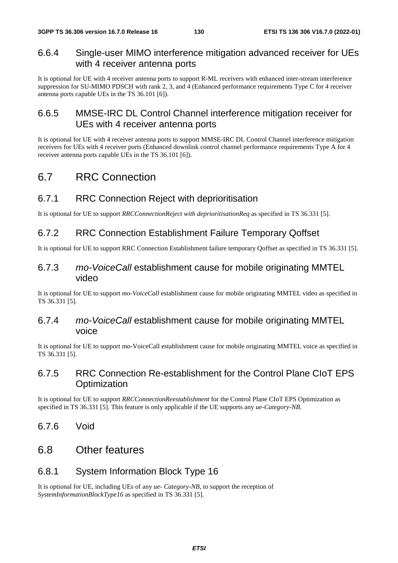## 6.6.4 Single-user MIMO interference mitigation advanced receiver for UEs with 4 receiver antenna ports

It is optional for UE with 4 receiver antenna ports to support R-ML receivers with enhanced inter-stream interference suppression for SU-MIMO PDSCH with rank 2, 3, and 4 (Enhanced performance requirements Type C for 4 receiver antenna ports capable UEs in the TS 36.101 [6]).

## 6.6.5 MMSE-IRC DL Control Channel interference mitigation receiver for UEs with 4 receiver antenna ports

It is optional for UE with 4 receiver antenna ports to support MMSE-IRC DL Control Channel interference mitigation receivers for UEs with 4 receiver ports (Enhanced downlink control channel performance requirements Type A for 4 receiver antenna ports capable UEs in the TS 36.101 [6]).

## 6.7 RRC Connection

## 6.7.1 RRC Connection Reject with deprioritisation

It is optional for UE to support *RRCConnectionReject with deprioritisationReq* as specified in TS 36.331 [5].

## 6.7.2 RRC Connection Establishment Failure Temporary Qoffset

It is optional for UE to support RRC Connection Establishment failure temporary Qoffset as specified in TS 36.331 [5].

### 6.7.3 *mo-VoiceCall* establishment cause for mobile originating MMTEL video

It is optional for UE to support *mo-VoiceCall* establishment cause for mobile originating MMTEL video as specified in TS 36.331 [5].

## 6.7.4 *mo-VoiceCall* establishment cause for mobile originating MMTEL voice

It is optional for UE to support mo-VoiceCall establishment cause for mobile originating MMTEL voice as specified in TS 36.331 [5].

## 6.7.5 RRC Connection Re-establishment for the Control Plane CIoT EPS **Optimization**

It is optional for UE to support *RRCConnectionReestablishment* for the Control Plane CIoT EPS Optimization as specified in TS 36.331 [5]. This feature is only applicable if the UE supports any *ue-Category-NB*.

6.7.6 Void

## 6.8 Other features

## 6.8.1 System Information Block Type 16

It is optional for UE, including UEs of any *ue- Category-NB*, to support the reception of *SystemInformationBlockType16* as specified in TS 36.331 [5].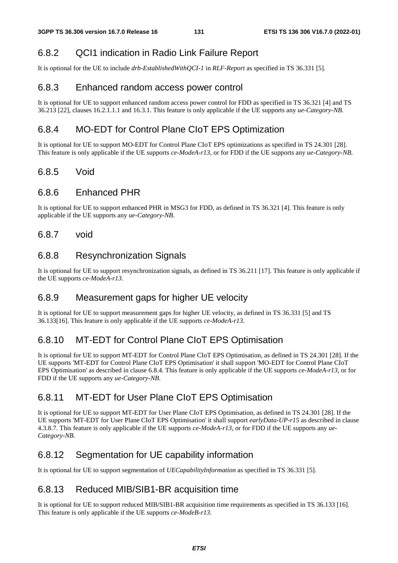## 6.8.2 QCI1 indication in Radio Link Failure Report

It is optional for the UE to include *drb-EstablishedWithQCI-1* in *RLF-Report* as specified in TS 36.331 [5].

## 6.8.3 Enhanced random access power control

It is optional for UE to support enhanced random access power control for FDD as specified in TS 36.321 [4] and TS 36.213 [22], clauses 16.2.1.1.1 and 16.3.1. This feature is only applicable if the UE supports any *ue-Category-NB*.

## 6.8.4 MO-EDT for Control Plane CIoT EPS Optimization

It is optional for UE to support MO-EDT for Control Plane CIoT EPS optimizations as specified in TS 24.301 [28]. This feature is only applicable if the UE supports *ce-ModeA-r13*, or for FDD if the UE supports any *ue-Category-NB*.

## 6.8.5 Void

## 6.8.6 Enhanced PHR

It is optional for UE to support enhanced PHR in MSG3 for FDD, as defined in TS 36.321 [4]. This feature is only applicable if the UE supports any *ue-Category-NB*.

### 6.8.7 void

## 6.8.8 Resynchronization Signals

It is optional for UE to support resynchronization signals, as defined in TS 36.211 [17]. This feature is only applicable if the UE supports *ce-ModeA-r13*.

## 6.8.9 Measurement gaps for higher UE velocity

It is optional for UE to support measurement gaps for higher UE velocity, as defined in TS 36.331 [5] and TS 36.133[16]. This feature is only applicable if the UE supports *ce-ModeA-r13*.

## 6.8.10 MT-EDT for Control Plane CIoT EPS Optimisation

It is optional for UE to support MT-EDT for Control Plane CIoT EPS Optimisation, as defined in TS 24.301 [28]. If the UE supports 'MT-EDT for Control Plane CIoT EPS Optimisation' it shall support 'MO-EDT for Control Plane CIoT EPS Optimisation' as described in clause 6.8.4. This feature is only applicable if the UE supports *ce-ModeA-r13,* or for FDD if the UE supports any *ue-Category-NB*.

## 6.8.11 MT-EDT for User Plane CIoT EPS Optimisation

It is optional for UE to support MT-EDT for User Plane CIoT EPS Optimisation, as defined in TS 24.301 [28]. If the UE supports 'MT-EDT for User Plane CIoT EPS Optimisation' it shall support *earlyData-UP-r15* as described in clause 4.3.8.7. This feature is only applicable if the UE supports *ce-ModeA-r13,* or for FDD if the UE supports any *ue-Category-NB*.

## 6.8.12 Segmentation for UE capability information

It is optional for UE to support segmentation of *UECapabilityInformation* as specified in TS 36.331 [5].

## 6.8.13 Reduced MIB/SIB1-BR acquisition time

It is optional for UE to support reduced MIB/SIB1-BR acquisition time requirements as specified in TS 36.133 [16]. This feature is only applicable if the UE supports *ce-ModeB-r13.*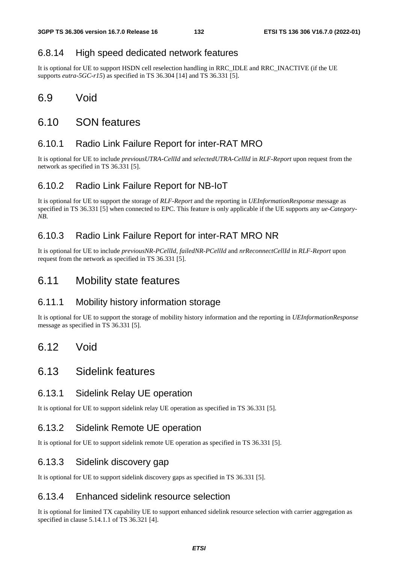### 6.8.14 High speed dedicated network features

It is optional for UE to support HSDN cell reselection handling in RRC\_IDLE and RRC\_INACTIVE (if the UE supports *eutra-5GC-r15*) as specified in TS 36.304 [14] and TS 36.331 [5].

## 6.9 Void

## 6.10 SON features

## 6.10.1 Radio Link Failure Report for inter-RAT MRO

It is optional for UE to include *previousUTRA-CellId* and *selectedUTRA-CellId* in *RLF-Report* upon request from the network as specified in TS 36.331 [5].

### 6.10.2 Radio Link Failure Report for NB-IoT

It is optional for UE to support the storage of *RLF-Report* and the reporting in *UEInformationResponse* message as specified in TS 36.331 [5] when connected to EPC. This feature is only applicable if the UE supports any *ue-Category-NB*.

### 6.10.3 Radio Link Failure Report for inter-RAT MRO NR

It is optional for UE to include *previousNR-PCellId*, *failedNR-PCellId* and *nrReconnectCellId* in *RLF-Report* upon request from the network as specified in TS 36.331 [5].

## 6.11 Mobility state features

## 6.11.1 Mobility history information storage

It is optional for UE to support the storage of mobility history information and the reporting in *UEInformationResponse* message as specified in TS 36.331 [5].

## 6.12 Void

## 6.13 Sidelink features

### 6.13.1 Sidelink Relay UE operation

It is optional for UE to support sidelink relay UE operation as specified in TS 36.331 [5].

## 6.13.2 Sidelink Remote UE operation

It is optional for UE to support sidelink remote UE operation as specified in TS 36.331 [5].

### 6.13.3 Sidelink discovery gap

It is optional for UE to support sidelink discovery gaps as specified in TS 36.331 [5].

### 6.13.4 Enhanced sidelink resource selection

It is optional for limited TX capability UE to support enhanced sidelink resource selection with carrier aggregation as specified in clause 5.14.1.1 of TS 36.321 [4].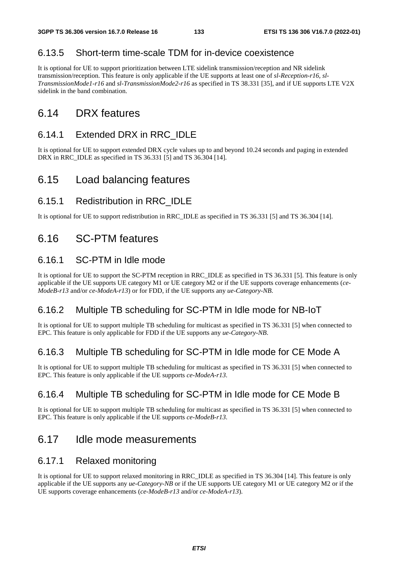## 6.13.5 Short-term time-scale TDM for in-device coexistence

It is optional for UE to support prioritization between LTE sidelink transmission/reception and NR sidelink transmission/reception. This feature is only applicable if the UE supports at least one of *sl-Reception-r16, sl-TransmissionMode1-r16* and *sl-TransmissionMode2-r16* as specified in TS 38.331 [35], and if UE supports LTE V2X sidelink in the band combination.

## 6.14 DRX features

## 6.14.1 Extended DRX in RRC\_IDLE

It is optional for UE to support extended DRX cycle values up to and beyond 10.24 seconds and paging in extended DRX in RRC\_IDLE as specified in TS 36.331 [5] and TS 36.304 [14].

## 6.15 Load balancing features

## 6.15.1 Redistribution in RRC\_IDLE

It is optional for UE to support redistribution in RRC\_IDLE as specified in TS 36.331 [5] and TS 36.304 [14].

## 6.16 SC-PTM features

## 6.16.1 SC-PTM in Idle mode

It is optional for UE to support the SC-PTM reception in RRC\_IDLE as specified in TS 36.331 [5]. This feature is only applicable if the UE supports UE category M1 or UE category M2 or if the UE supports coverage enhancements (*ce-ModeB-r13* and/or *ce-ModeA-r13*) or for FDD, if the UE supports any *ue-Category-NB*.

## 6.16.2 Multiple TB scheduling for SC-PTM in Idle mode for NB-IoT

It is optional for UE to support multiple TB scheduling for multicast as specified in TS 36.331 [5] when connected to EPC. This feature is only applicable for FDD if the UE supports any *ue-Category-NB*.

## 6.16.3 Multiple TB scheduling for SC-PTM in Idle mode for CE Mode A

It is optional for UE to support multiple TB scheduling for multicast as specified in TS 36.331 [5] when connected to EPC. This feature is only applicable if the UE supports *ce-ModeA-r13*.

## 6.16.4 Multiple TB scheduling for SC-PTM in Idle mode for CE Mode B

It is optional for UE to support multiple TB scheduling for multicast as specified in TS 36.331 [5] when connected to EPC. This feature is only applicable if the UE supports *ce-ModeB-r13*.

## 6.17 Idle mode measurements

## 6.17.1 Relaxed monitoring

It is optional for UE to support relaxed monitoring in RRC\_IDLE as specified in TS 36.304 [14]. This feature is only applicable if the UE supports any *ue-Category-NB* or if the UE supports UE category M1 or UE category M2 or if the UE supports coverage enhancements (*ce-ModeB-r13* and/or *ce-ModeA-r13*).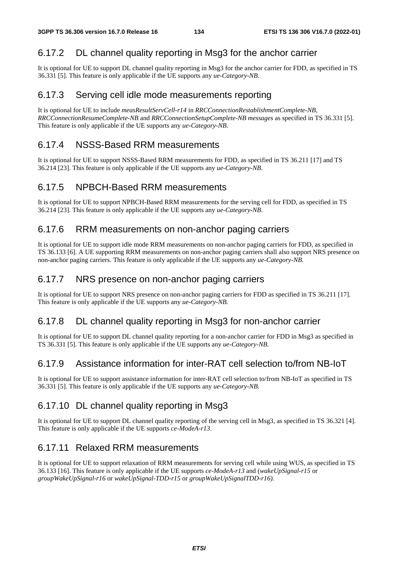## 6.17.2 DL channel quality reporting in Msg3 for the anchor carrier

It is optional for UE to support DL channel quality reporting in Msg3 for the anchor carrier for FDD, as specified in TS 36.331 [5]. This feature is only applicable if the UE supports any *ue-Category-NB*.

## 6.17.3 Serving cell idle mode measurements reporting

It is optional for UE to include *measResultServCell-r14* in *RRCConnectionRestablishmentComplete-NB, RRCConnectionResumeComplete-NB* and *RRCConnectionSetupComplete-NB messages* as specified in TS 36.331 [5]. This feature is only applicable if the UE supports any *ue-Category-NB*.

## 6.17.4 NSSS-Based RRM measurements

It is optional for UE to support NSSS-Based RRM measurements for FDD, as specified in TS 36.211 [17] and TS 36.214 [23]. This feature is only applicable if the UE supports any *ue-Category-NB*.

## 6.17.5 NPBCH-Based RRM measurements

It is optional for UE to support NPBCH-Based RRM measurements for the serving cell for FDD, as specified in TS 36.214 [23]. This feature is only applicable if the UE supports any *ue-Category-NB*.

### 6.17.6 RRM measurements on non-anchor paging carriers

It is optional for UE to support idle mode RRM measurements on non-anchor paging carriers for FDD, as specified in TS 36.133 [6]. A UE supporting RRM measurements on non-anchor paging carriers shall also support NRS presence on non-anchor paging carriers. This feature is only applicable if the UE supports any *ue-Category-NB*.

### 6.17.7 NRS presence on non-anchor paging carriers

It is optional for UE to support NRS presence on non-anchor paging carriers for FDD as specified in TS 36.211 [17]. This feature is only applicable if the UE supports any *ue-Category-NB.* 

## 6.17.8 DL channel quality reporting in Msg3 for non-anchor carrier

It is optional for UE to support DL channel quality reporting for a non-anchor carrier for FDD in Msg3 as specified in TS 36.331 [5]. This feature is only applicable if the UE supports any *ue-Category-NB.* 

## 6.17.9 Assistance information for inter-RAT cell selection to/from NB-IoT

It is optional for UE to support assistance information for inter-RAT cell selection to/from NB-IoT as specified in TS 36.331 [5]. This feature is only applicable if the UE supports any *ue-Category-NB.* 

## 6.17.10 DL channel quality reporting in Msg3

It is optional for UE to support DL channel quality reporting of the serving cell in Msg3, as specified in TS 36.321 [4]. This feature is only applicable if the UE supports *ce-ModeA-r13*.

## 6.17.11 Relaxed RRM measurements

It is optional for UE to support relaxation of RRM measurements for serving cell while using WUS, as specified in TS 36.133 [16]. This feature is only applicable if the UE supports *ce-ModeA-r13* and (*wakeUpSignal-r15* or *groupWakeUpSignal-r16* or *wakeUpSignal-TDD-r15* or *groupWakeUpSignalTDD-r16).*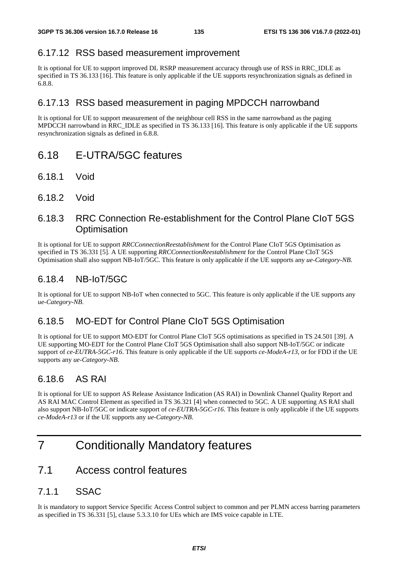## 6.17.12 RSS based measurement improvement

It is optional for UE to support improved DL RSRP measurement accuracy through use of RSS in RRC\_IDLE as specified in TS 36.133 [16]. This feature is only applicable if the UE supports resynchronization signals as defined in 6.8.8.

## 6.17.13 RSS based measurement in paging MPDCCH narrowband

It is optional for UE to support measurement of the neighbour cell RSS in the same narrowband as the paging MPDCCH narrowband in RRC\_IDLE as specified in TS 36.133 [16]. This feature is only applicable if the UE supports resynchronization signals as defined in 6.8.8.

## 6.18 E-UTRA/5GC features

- 6.18.1 Void
- 6.18.2 Void

## 6.18.3 RRC Connection Re-establishment for the Control Plane CIoT 5GS **Optimisation**

It is optional for UE to support *RRCConnectionReestablishment* for the Control Plane CIoT 5GS Optimisation as specified in TS 36.331 [5]. A UE supporting *RRCConnectionReestablishment* for the Control Plane CIoT 5GS Optimisation shall also support NB-IoT/5GC. This feature is only applicable if the UE supports any *ue-Category-NB*.

## 6.18.4 NB-IoT/5GC

It is optional for UE to support NB-IoT when connected to 5GC. This feature is only applicable if the UE supports any *ue-Category-NB*.

## 6.18.5 MO-EDT for Control Plane CIoT 5GS Optimisation

It is optional for UE to support MO-EDT for Control Plane CIoT 5GS optimisations as specified in TS 24.501 [39]. A UE supporting MO-EDT for the Control Plane CIoT 5GS Optimisation shall also support NB-IoT/5GC or indicate support of *ce-EUTRA-5GC-r16*. This feature is only applicable if the UE supports *ce-ModeA-r13*, or for FDD if the UE supports any *ue-Category-NB*.

## 6.18.6 AS RAI

It is optional for UE to support AS Release Assistance Indication (AS RAI) in Downlink Channel Quality Report and AS RAI MAC Control Element as specified in TS 36.321 [4] when connected to 5GC. A UE supporting AS RAI shall also support NB-IoT/5GC or indicate support of *ce-EUTRA-5GC-r16*. This feature is only applicable if the UE supports *ce-ModeA-r13* or if the UE supports any *ue-Category-NB*.

## 7 Conditionally Mandatory features

## 7.1 Access control features

## 7.1.1 SSAC

It is mandatory to support Service Specific Access Control subject to common and per PLMN access barring parameters as specified in TS 36.331 [5], clause 5.3.3.10 for UEs which are IMS voice capable in LTE.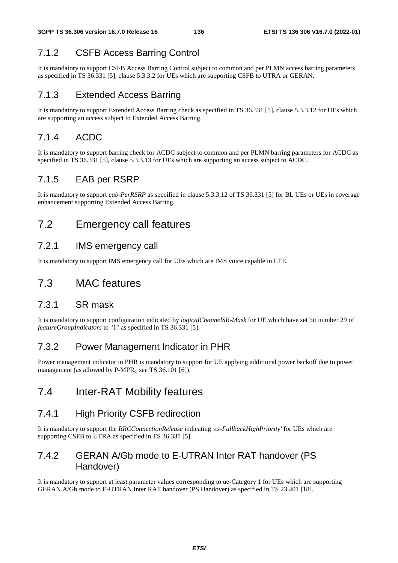## 7.1.2 CSFB Access Barring Control

It is mandatory to support CSFB Access Barring Control subject to common and per PLMN access barring parameters as specified in TS 36.331 [5], clause 5.3.3.2 for UEs which are supporting CSFB to UTRA or GERAN.

## 7.1.3 Extended Access Barring

It is mandatory to support Extended Access Barring check as specified in TS 36.331 [5], clause 5.3.3.12 for UEs which are supporting an access subject to Extended Access Barring.

## 7.1.4 ACDC

It is mandatory to support barring check for ACDC subject to common and per PLMN barring parameters for ACDC as specified in TS 36.331 [5], clause 5.3.3.13 for UEs which are supporting an access subject to ACDC.

## 7.1.5 EAB per RSRP

It is mandatory to support *eab-PerRSRP* as specified in clause 5.3.3.12 of TS 36.331 [5] for BL UEs or UEs in coverage enhancement supporting Extended Access Barring.

## 7.2 Emergency call features

## 7.2.1 IMS emergency call

It is mandatory to support IMS emergency call for UEs which are IMS voice capable in LTE.

## 7.3 MAC features

## 7.3.1 SR mask

It is mandatory to support configuration indicated by *logicalChannelSR-Mask* for UE which have set bit number 29 of *featureGroupIndicators* to "1" as specified in TS 36.331 [5].

## 7.3.2 Power Management Indicator in PHR

Power management indicator in PHR is mandatory to support for UE applying additional power backoff due to power management (as allowed by  $P-MPR<sub>c</sub>$  see TS 36.101 [6]).

## 7.4 Inter-RAT Mobility features

## 7.4.1 High Priority CSFB redirection

It is mandatory to support the *RRCConnectionRelease* indicating *'cs-FallbackHighPriority'* for UEs which are supporting CSFB to UTRA as specified in TS 36.331 [5].

## 7.4.2 GERAN A/Gb mode to E-UTRAN Inter RAT handover (PS Handover)

It is mandatory to support at least parameter values corresponding to ue-Category 1 for UEs which are supporting GERAN A/Gb mode to E-UTRAN Inter RAT handover (PS Handover) as specified in TS 23.401 [18].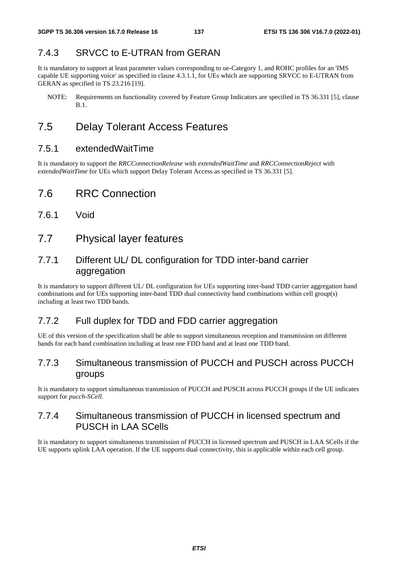## 7.4.3 SRVCC to E-UTRAN from GERAN

It is mandatory to support at least parameter values corresponding to ue-Category 1, and ROHC profiles for an 'IMS capable UE supporting voice' as specified in clause 4.3.1.1, for UEs which are supporting SRVCC to E-UTRAN from GERAN as specified in TS 23.216 [19].

NOTE: Requirements on functionality covered by Feature Group Indicators are specified in TS 36.331 [5], clause B.1.

## 7.5 Delay Tolerant Access Features

### 7.5.1 extendedWaitTime

It is mandatory to support the *RRCConnectionRelease* with *extendedWaitTime* and *RRCConnectionReject* with *extendedWaitTime* for UEs which support Delay Tolerant Access as specified in TS 36.331 [5].

## 7.6 RRC Connection

- 7.6.1 Void
- 7.7 Physical layer features

## 7.7.1 Different UL/ DL configuration for TDD inter-band carrier aggregation

It is mandatory to support different UL/ DL configuration for UEs supporting inter-band TDD carrier aggregation band combinations and for UEs supporting inter-band TDD dual connectivity band combinations within cell group(s) including at least two TDD bands.

## 7.7.2 Full duplex for TDD and FDD carrier aggregation

UE of this version of the specification shall be able to support simultaneous reception and transmission on different bands for each band combination including at least one FDD band and at least one TDD band.

## 7.7.3 Simultaneous transmission of PUCCH and PUSCH across PUCCH groups

It is mandatory to support simultaneous transmission of PUCCH and PUSCH across PUCCH groups if the UE indicates support for *pucch-SCell*.

## 7.7.4 Simultaneous transmission of PUCCH in licensed spectrum and PUSCH in LAA SCells

It is mandatory to support simultaneous transmission of PUCCH in licensed spectrum and PUSCH in LAA SCells if the UE supports uplink LAA operation. If the UE supports dual connectivity, this is applicable within each cell group.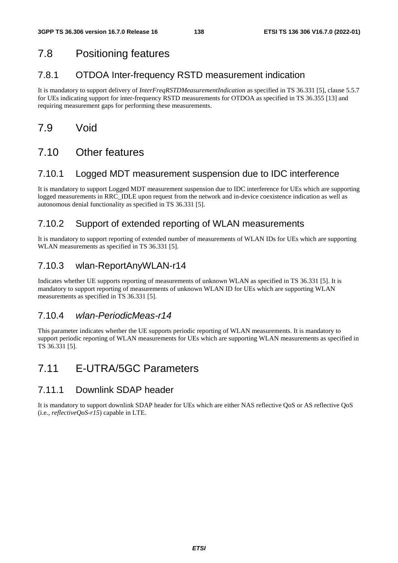## 7.8 Positioning features

## 7.8.1 OTDOA Inter-frequency RSTD measurement indication

It is mandatory to support delivery of *InterFreqRSTDMeasurementIndication* as specified in TS 36.331 [5], clause 5.5.7 for UEs indicating support for inter-frequency RSTD measurements for OTDOA as specified in TS 36.355 [13] and requiring measurement gaps for performing these measurements.

## 7.9 Void

## 7.10 Other features

### 7.10.1 Logged MDT measurement suspension due to IDC interference

It is mandatory to support Logged MDT measurement suspension due to IDC interference for UEs which are supporting logged measurements in RRC\_IDLE upon request from the network and in-device coexistence indication as well as autonomous denial functionality as specified in TS 36.331 [5].

## 7.10.2 Support of extended reporting of WLAN measurements

It is mandatory to support reporting of extended number of measurements of WLAN IDs for UEs which are supporting WLAN measurements as specified in TS 36.331 [5].

## 7.10.3 wlan-ReportAnyWLAN-r14

Indicates whether UE supports reporting of measurements of unknown WLAN as specified in TS 36.331 [5]. It is mandatory to support reporting of measurements of unknown WLAN ID for UEs which are supporting WLAN measurements as specified in TS 36.331 [5].

## 7.10.4 *wlan-PeriodicMeas-r14*

This parameter indicates whether the UE supports periodic reporting of WLAN measurements. It is mandatory to support periodic reporting of WLAN measurements for UEs which are supporting WLAN measurements as specified in TS 36.331 [5].

## 7.11 E-UTRA/5GC Parameters

## 7.11.1 Downlink SDAP header

It is mandatory to support downlink SDAP header for UEs which are either NAS reflective QoS or AS reflective QoS (i.e., *reflectiveQoS-r15*) capable in LTE.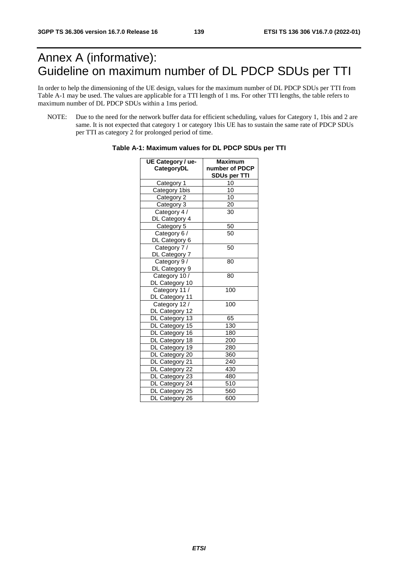# Annex A (informative): Guideline on maximum number of DL PDCP SDUs per TTI

In order to help the dimensioning of the UE design, values for the maximum number of DL PDCP SDUs per TTI from Table A-1 may be used. The values are applicable for a TTI length of 1 ms. For other TTI lengths, the table refers to maximum number of DL PDCP SDUs within a 1ms period.

NOTE: Due to the need for the network buffer data for efficient scheduling, values for Category 1, 1bis and 2 are same. It is not expected that category 1 or category 1bis UE has to sustain the same rate of PDCP SDUs per TTI as category 2 for prolonged period of time.

| UE Category / ue- | Maximum             |  |  |  |
|-------------------|---------------------|--|--|--|
| CategoryDL        | number of PDCP      |  |  |  |
|                   | <b>SDUs per TTI</b> |  |  |  |
| Category 1        | 10                  |  |  |  |
| Category 1bis     | $\overline{10}$     |  |  |  |
| Category 2        | 10                  |  |  |  |
| Category 3        | 20                  |  |  |  |
| Category 4 /      | 30                  |  |  |  |
| DL Category 4     |                     |  |  |  |
| Category 5        | 50                  |  |  |  |
| Category 6 /      | 50                  |  |  |  |
| DL Category 6     |                     |  |  |  |
| Category 7 /      | 50                  |  |  |  |
| DL Category 7     |                     |  |  |  |
| Category 9/       | 80                  |  |  |  |
| DL Category 9     |                     |  |  |  |
| Category 10 /     | 80                  |  |  |  |
| DL Category 10    |                     |  |  |  |
| Category 11 /     | 100                 |  |  |  |
| DL Category 11    |                     |  |  |  |
| Category 12 /     | 100                 |  |  |  |
| DL Category 12    |                     |  |  |  |
| DL Category 13    | 65                  |  |  |  |
| DL Category 15    | 130                 |  |  |  |
| DL Category 16    | 180                 |  |  |  |
| DL Category 18    | 200                 |  |  |  |
| DL Category 19    | 280                 |  |  |  |
| DL Category 20    | 360                 |  |  |  |
| DL Category 21    | 240                 |  |  |  |
| DL Category 22    | 430                 |  |  |  |
| DL Category 23    | 480                 |  |  |  |
| DL Category 24    | 510                 |  |  |  |
| DL Category 25    | 560                 |  |  |  |
| DL Category 26    | 600                 |  |  |  |

**Table A-1: Maximum values for DL PDCP SDUs per TTI**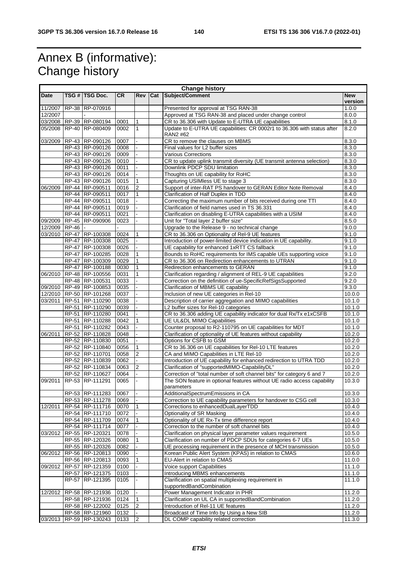# Annex B (informative): Change history

| <b>Change history</b> |              |                                    |              |                              |     |                                                                                                                             |                  |
|-----------------------|--------------|------------------------------------|--------------|------------------------------|-----|-----------------------------------------------------------------------------------------------------------------------------|------------------|
| <b>Date</b>           |              | TSG # TSG Doc.                     | <b>CR</b>    | <b>Rev</b>                   | Cat | Subject/Comment                                                                                                             | <b>New</b>       |
|                       |              |                                    |              |                              |     |                                                                                                                             | version          |
| 11/2007               |              | RP-38 RP-070916                    |              |                              |     | Presented for approval at TSG RAN-38                                                                                        | 1.0.0            |
| 12/2007               |              | 03/2008 RP-39 RP-080194            |              |                              |     | Approved at TSG RAN-38 and placed under change control                                                                      | 8.0.0            |
| 05/2008               |              | RP-40 RP-080409                    | 0001<br>0002 | $\mathbf{1}$<br>$\mathbf{1}$ |     | CR to 36.306 with Update to E-UTRA UE capabilities                                                                          | 8.1.0<br>8.2.0   |
|                       |              |                                    |              |                              |     | Update to E-UTRA UE capabilities: CR 0002r1 to 36.306 with status after<br>RAN2 #62                                         |                  |
| 03/2009               |              | RP-43 RP-090126                    | 0007         |                              |     | CR to remove the clauses on MBMS                                                                                            | 8.3.0            |
|                       |              | RP-43 RP-090126                    | 0008         |                              |     | Final values for L2 buffer sizes                                                                                            | 8.3.0            |
|                       |              | RP-43 RP-090126                    | 0009         |                              |     | Various Corrections                                                                                                         | 8.3.0            |
|                       |              | RP-43 RP-090126                    | 0010         |                              |     | CR to update uplink transmit diversity (UE transmit antenna selection)                                                      | 8.3.0            |
|                       |              | RP-43 RP-090126                    | 0011         |                              |     | Downlink PDCP SDU limitation                                                                                                | 8.3.0            |
|                       |              | RP-43 RP-090126                    | 0014         |                              |     | Thoughts on UE capability for RoHC                                                                                          | 8.3.0            |
|                       |              | RP-43 RP-090126                    | 0015         | $\mathbf{1}$                 |     | Capturing USIMless UE to stage 3                                                                                            | 8.3.0            |
| 06/2009               |              | RP-44 RP-090511                    | 0016         | $\overline{2}$               |     | Support of inter-RAT PS handover to GERAN Editor Note Removal                                                               | 8.4.0            |
|                       |              | RP-44 RP-090511                    | 0017         | $\mathbf{1}$                 |     | Clarification of Half Duplex in TDD                                                                                         | 8.4.0            |
|                       |              | RP-44 RP-090511                    | 0018         |                              |     | Correcting the maximum number of bits received during one TTI                                                               | 8.4.0            |
|                       |              | RP-44 RP-090511                    | 0019         |                              |     | Clarification of field names used in TS 36.331                                                                              | 8.4.0            |
|                       |              | RP-44 RP-090511                    | 0021         |                              |     | Clarification on disabling E-UTRA capabilities with a USIM                                                                  | 8.4.0            |
| 09/2009               |              | RP-45 RP-090906                    | 0023         |                              |     | Unit for "Total layer 2 buffer size"                                                                                        | 8.5.0            |
| 12/2009               | <b>RP-46</b> |                                    |              |                              |     | Upgrade to the Release 9 - no technical change                                                                              | 9.0.0            |
| 03/2010               |              | RP-47 RP-100308                    | 0024         | 1                            |     | CR to 36.306 on Optionality of Rel-9 UE features                                                                            | 9.1.0            |
|                       |              | RP-47 RP-100308                    | 0025         |                              |     | Introduction of power-limited device indication in UE capability.                                                           | 9.1.0            |
|                       |              | RP-47 RP-100308                    | 0026         |                              |     | UE capability for enhanced 1xRTT CS fallback                                                                                | 9.1.0            |
|                       |              | RP-47 RP-100285                    | 0028         | 1                            |     | Bounds to RoHC requirements for IMS capable UEs supporting voice                                                            | 9.1.0            |
|                       |              | RP-47 RP-100309                    | 0029         | $\mathbf{1}$                 |     | CR to 36.306 on Redirection enhancements to UTRAN                                                                           | 9.1.0            |
|                       |              | RP-47 RP-100188<br>RP-48 RP-100556 | 0030<br>0031 | $\mathbf{1}$<br>1            |     | Redirection enhancements to GERAN                                                                                           | 9.1.0<br>9.2.0   |
| 06/2010               |              | RP-48 RP-100531                    | 0033         |                              |     | Clarification regarding / alignment of REL-9 UE capabilities<br>Correction on the definition of ue-SpecificRefSigsSupported | 9.2.0            |
| 09/2010               |              | RP-49 RP-100853                    | 0035         |                              |     | Clarification of MBMS UE capability                                                                                         | 9.3.0            |
| 12/2010               |              | RP-50 RP-101268                    | 0037         |                              |     | Inclusion of new UE categories in Rel-10                                                                                    | 10.0.0           |
| 03/2011               |              | RP-51 RP-110290                    | 0038         |                              |     | Description of carrier aggregation and MIMO capabilities                                                                    | 10.1.0           |
|                       |              | RP-51 RP-110290                    | 0039         |                              |     | L2 buffer sizes for Rel-10 categories                                                                                       | 10.1.0           |
|                       |              | RP-51 RP-110280                    | 0041         |                              |     | CR to 36.306 adding UE capability indicator for dual Rx/Tx e1xCSFB                                                          | 10.1.0           |
|                       |              | RP-51 RP-110288                    | 0042         | 1                            |     | <b>UE UL&amp;DL MIMO Capabilities</b>                                                                                       | 10.1.0           |
|                       |              | RP-51 RP-110282                    | 0043         |                              |     | Counter proposal to R2-110795 on UE capabilities for MDT                                                                    | 10.1.0           |
| 06/2011               |              | RP-52 RP-110828                    | 0048         |                              |     | Clarification of optionality of UE features without capability                                                              | 10.2.0           |
|                       |              | RP-52 RP-110830                    | 0051         |                              |     | Options for CSFB to GSM                                                                                                     | 10.2.0           |
|                       |              | RP-52 RP-110840                    | 0056         | 1                            |     | CR to 36.306 on UE capabilities for Rel-10 LTE features                                                                     | 10.2.0           |
|                       |              | RP-52 RP-110701                    | 0058         | $\overline{\mathbf{c}}$      |     | CA and MIMO Capabilities in LTE Rel-10                                                                                      | 10.2.0           |
|                       |              | RP-52 RP-110839                    | 0062         |                              |     | Introduction of UE capability for enhanced redirection to UTRA TDD                                                          | 10.2.0           |
|                       |              | RP-52 RP-110834                    | 0063         | $\overline{2}$               |     | Clarification of "supportedMIMO-CapabilityDL"                                                                               | 10.2.0           |
|                       |              | RP-52 RP-110627                    | 0064         |                              |     | Correction of "total number of soft channel bits" for category 6 and 7                                                      | 10.2.0           |
| 09/2011               |              | RP-53 RP-111291                    | 0065         |                              |     | The SON feature in optional features without UE radio access capability                                                     | 10.3.0           |
|                       |              |                                    |              |                              |     | parameters                                                                                                                  |                  |
|                       |              | RP-53 RP-111283                    | 0067         | $\Box$                       |     | AdditionalSpectrumEmissions in CA                                                                                           | 10.3.0           |
|                       |              | RP-53 RP-111278                    | 0069         |                              |     | Correction to UE capability parameters for handover to CSG cell                                                             | 10.3.0           |
| 12/2011               |              | RP-54 RP-111716                    | 0070         | $\mathbf{1}$                 |     | Corrections to enhancedDualLayerTDD<br>Optionality of SR Masking                                                            | 10.4.0           |
|                       |              | RP-54 RP-111710<br>RP-54 RP-111709 | 0072<br>0074 | 1                            |     | Optionality of UE Rx-Tx time difference report                                                                              | 10.4.0<br>10.4.0 |
|                       |              | RP-54 RP-111714                    | 0077         |                              |     | Correction to the number of soft channel bits                                                                               | 10.4.0           |
| 03/2012               |              | RP-55 RP-120321                    | 0078         |                              |     | Clarification on physical layer parameter values requirement                                                                | 10.5.0           |
|                       |              | RP-55 RP-120326                    | 0080         | 1                            |     | Clarification on number of PDCP SDUs for categories 6-7 UEs                                                                 | 10.5.0           |
|                       |              | RP-55 RP-120326                    | 0082         |                              |     | UE processing requirement in the presence of MCH transmission                                                               | 10.5.0           |
| 06/2012               |              | RP-56 RP-120813                    | 0090         |                              |     | Korean Public Alert System (KPAS) in relation to CMAS                                                                       | 10.6.0           |
|                       |              | RP-56 RP-120813                    | 0093         |                              |     | EU-Alert in relation to CMAS                                                                                                | 11.0.0           |
| 09/2012               |              | RP-57 RP-121359                    | 0100         |                              |     | Voice support Capabilities                                                                                                  | 11.1.0           |
|                       |              | RP-57 RP-121375                    | 0103         |                              |     | Introducing MBMS enhancements                                                                                               | 11.1.0           |
|                       |              | RP-57 RP-121395                    | 0105         |                              |     | Clarification on spatial multiplexing requirement in                                                                        | 11.1.0           |
|                       |              |                                    |              |                              |     | supportedBandCombination                                                                                                    |                  |
| 12/2012               |              | RP-58 RP-121936                    | 0120         |                              |     | Power Management Indicator in PHR                                                                                           | 11.2.0           |
|                       |              | RP-58 RP-121936                    | 0124         | 1                            |     | Clarification on UL CA in supportedBandCombination                                                                          | 11.2.0           |
|                       |              | RP-58 RP-122002                    | 0125         | $\overline{2}$               |     | Introduction of Rel-11 UE features                                                                                          | 11.2.0           |
|                       |              | RP-58 RP-121960                    | 0132         |                              |     | Broadcast of Time Info by Using a New SIB                                                                                   | 11.2.0           |
| 03/2013               |              | RP-59 RP-130243                    | 0133         | 2                            |     | DL COMP capability related correction                                                                                       | 11.3.0           |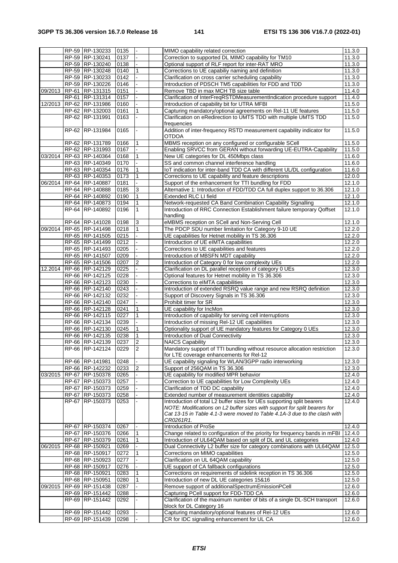|         |       | RP-59 RP-130233                    | 0135         |                | MIMO capability related correction                                                                             | 11.3.0           |
|---------|-------|------------------------------------|--------------|----------------|----------------------------------------------------------------------------------------------------------------|------------------|
|         |       | RP-59 RP-130241                    | 0137         |                | Correction to supported DL MIMO capability for TM10                                                            | 11.3.0           |
|         |       | RP-59 RP-130240                    | 0138         |                | Optional support of RLF report for inter-RAT MRO                                                               | 11.3.0           |
|         |       | RP-59 RP-130248                    | 0140         |                | Corrections to UE capabiliy naming and definition                                                              | 11.3.0           |
|         |       | RP-59 RP-130233                    | 0142         |                | Clarification on cross carrier scheduling capability                                                           | 11.3.0           |
|         |       | RP-59 RP-130226                    | 0146         |                | Introduction of PDSCH TM5 capabilities for FDD and TDD                                                         | 11.3.0           |
| 09/2013 |       | RP-61 RP-131315                    | 0151         |                | Remove TBD in max MCH TB size table                                                                            | 11.4.0           |
|         | RP-61 | RP-131314                          | 0157         |                | Clarification of InterFreqRSTDMeasurementIndication procedure support                                          | 11.4.0           |
| 12/2013 |       | RP-62 RP-131986                    | 0160         |                | Introduction of capability bit for UTRA MFBI                                                                   | 11.5.0           |
|         |       | RP-62 RP-132003                    | 0161         |                | Capturing mandatory/optional agreements on Rel-11 UE features                                                  | 11.5.0           |
|         |       | RP-62 RP-131991                    | 0163         |                | Clarification on eRedirection to UMTS TDD with multiple UMTS TDD                                               | 11.5.0           |
|         |       |                                    |              |                | frequencies                                                                                                    |                  |
|         |       | RP-62 RP-131984                    | 0165         |                | Addition of inter-frequency RSTD measurement capability indicator for                                          | 11.5.0           |
|         |       |                                    |              |                | <b>OTDOA</b>                                                                                                   |                  |
|         |       | RP-62 RP-131789                    | 0166         |                | MBMS reception on any configured or configurable SCell                                                         | 11.5.0           |
|         |       | RP-62 RP-131993                    | 0167         |                | Enabling SRVCC from GERAN without forwarding UE-EUTRA-Capability                                               | 11.5.0           |
| 03/2014 |       | RP-63 RP-140364                    | 0168         | $\mathbf{1}$   | New UE categories for DL 450Mbps class                                                                         | 11.6.0           |
|         |       | RP-63 RP-140349                    | 0170         |                | SS and common channel interference handling                                                                    | 11.6.0           |
|         |       | RP-63 RP-140354                    | 0176         |                | IoT indication for inter-band TDD CA with different UL/DL configuration                                        | 11.6.0           |
|         |       | RP-63 RP-140353                    | 0173         | 1              | Corrections to UE capability and feature descriptions                                                          | 12.0.0           |
| 06/2014 |       | RP-64 RP-140887                    | 0181         |                | Support of the enhancement for TTI bundling for FDD                                                            | 12.1.0           |
|         |       | RP-64 RP-140888                    | 0185         | $\mathsf 3$    | Alternative 1: Introduction of FDD/TDD CA full duplex support to 36.306                                        | 12.1.0           |
|         |       | RP-64 RP-140892                    | 0190         |                | Extended RLC LI field                                                                                          | 12.1.0           |
|         |       | RP-64 RP-140873                    | 0194         | 1              | Network-requested CA Band Combination Capability Signalling                                                    | 12.1.0           |
|         |       | RP-64 RP-140892                    | 0196         | $\mathbf{1}$   | Introduction of RRC Connection Establishment failure temporary Qoffset                                         | 12.1.0           |
|         |       |                                    |              |                | handling                                                                                                       |                  |
|         |       | RP-64 RP-141028                    | 0198         | 3              | eMBMS reception on SCell and Non-Serving Cell                                                                  | 12.1.0           |
| 09/2014 |       | RP-65 RP-141498                    | 0218         | $\mathbf{1}$   | The PDCP SDU number limitation for Category 9-10 UE                                                            | 12.2.0           |
|         |       | RP-65 RP-141505                    | 0215         |                | UE capabilities for Hetnet mobility in TS 36.306                                                               | 12.2.0           |
|         |       | RP-65 RP-141499                    | 0212         |                | Introduction of UE eIMTA capabilities                                                                          | 12.2.0           |
|         |       | RP-65 RP-141493                    | 0205         |                | Corrections to UE capabilities and features                                                                    | 12.2.0           |
|         |       | RP-65 RP-141507                    | 0209         | $\overline{2}$ | Introduction of MBSFN MDT capability                                                                           | 12.2.0           |
|         |       | RP-65 RP-141506                    | 0207         |                | Introduction of Category 0 for low complexity UEs                                                              | 12.2.0           |
| 12.2014 |       | RP-66 RP-142129<br>RP-66 RP-142125 | 0225<br>0228 |                | Clarification on DL parallel reception of category 0 UEs<br>Optional features for Hetnet mobility in TS 36.306 | 12.3.0<br>12.3.0 |
|         |       | RP-66 RP-142123                    | 0230         |                | Corrections to eIMTA capabilities                                                                              | 12.3.0           |
|         |       | RP-66 RP-142140                    | 0243         |                | Introduction of extended RSRQ value range and new RSRQ definition                                              | 12.3.0           |
|         |       | RP-66 RP-142132                    | 0232         |                | Support of Discovery Signals in TS 36.306                                                                      | 12.3.0           |
|         |       | RP-66 RP-142140                    | 0247         |                | Prohibit timer for SR                                                                                          | 12.3.0           |
|         |       | RP-66 RP-142128                    | 0241         | $\mathbf{1}$   | UE capability for IncMon                                                                                       | 12.3.0           |
|         |       | RP-66 RP-142115                    | 0227         | 1              | Introduction of capability for serving cell interruptions                                                      | 12.3.0           |
|         |       | RP-66 RP-142134                    | 0239         |                | Introduction of missing Rel-12 UE capabilities                                                                 | 12.3.0           |
|         |       | RP-66 RP-142130                    | 0245         | 1              | Optionality support of UE mandatory features for Category 0 UEs                                                | 12.3.0           |
|         |       | RP-66 RP-142135                    | 0238         | 1              | Introduction of Dual Connectivity                                                                              | 12.3.0           |
|         |       | RP-66 RP-142139                    | 0237         | $\mathbf 2$    | <b>NAICS Capability</b>                                                                                        | 12.3.0           |
|         |       | RP-66 RP-142124                    | 0229         | $\overline{2}$ | Mandatory support of TTI bundling without resource allocation restriction                                      | 12.3.0           |
|         |       |                                    |              |                | for LTE coverage enhancements for Rel-12                                                                       |                  |
|         |       | RP-66 RP-141981                    | 0248         |                | UE capability signaling for WLAN/3GPP radio interworking                                                       | 12.3.0           |
|         |       | RP-66 RP-142232                    | 0233         | 2              | Support of 256QAM in TS 36.306                                                                                 | 12.3.0           |
| 03/2015 |       | RP-67 RP-150378                    | 0265         |                | UE capability for modified MPR behavior                                                                        | 12.4.0           |
|         |       | RP-67 RP-150373                    | 0257         |                | Correction to UE capabilities for Low Complexity UEs                                                           | 12.4.0           |
|         |       | RP-67 RP-150373                    | 0259         |                | Clarification of TDD DC capability                                                                             | 12.4.0           |
|         |       | RP-67 RP-150373                    | 0258         |                | Extended number of measurement identities capability                                                           | 12.4.0           |
|         |       | RP-67 RP-150373                    | 0253         |                | Introduction of total L2 buffer sizes for UEs supporting split bearers                                         | 12.4.0           |
|         |       |                                    |              |                | NOTE: Modifications on L2 buffer sizes with support for split bearers for                                      |                  |
|         |       |                                    |              |                | Cat 13-15 in Table 4.1-3 were moved to Table 4.1A-3 due to the clash with                                      |                  |
|         |       |                                    |              |                | CR0261R1.                                                                                                      |                  |
|         |       | RP-67 RP-150374                    | 0267         |                | Introduction of ProSe                                                                                          | 12.4.0           |
|         |       | RP-67 RP-150376                    | 0266         | 1              | Change related to configuration of the priority for frequency bands in mFBI                                    | 12.4.0           |
|         |       | RP-67 RP-150379                    | 0261         |                | Introduction of UL64QAM based on split of DL and UL categories                                                 | 12.4.0           |
| 06/2015 |       | RP-68 RP-150921                    | 0269         |                | Dual Connectivity L2 buffer size for category combinations with UL64QAM                                        | 12.5.0           |
|         |       | RP-68 RP-150917                    | 0272         |                | Corrections on MIMO capabilities                                                                               | 12.5.0           |
|         |       | RP-68 RP-150923<br>RP-68 RP-150917 | 0277<br>0276 |                | Clarification on UL 64QAM capability<br>UE support of CA fallback configurations                               | 12.5.0<br>12.5.0 |
|         |       | RP-68 RP-150921                    | 0283         | $\mathbf{1}$   | Corrections on requirements of sidelink reception in TS 36.306                                                 | 12.5.0           |
|         |       | RP-68 RP-150951                    | 0280         |                | Introduction of new DL UE categories 15&16                                                                     | 12.5.0           |
| 09/2015 |       | RP-69 RP-151438                    | 0287         |                | Remove support of additionalSpectrumEmissionPCell                                                              | 12.6.0           |
|         |       | RP-69 RP-151442                    | 0288         |                | Capturing PCell support for FDD-TDD CA                                                                         | 12.6.0           |
|         | RP-69 | RP-151442                          | 0292         |                | Clarification of the maximum number of bits of a single DL-SCH transport                                       | 12.6.0           |
|         |       |                                    |              |                | block for DL Category 16                                                                                       |                  |
|         |       | RP-69 RP-151442                    | 0293         |                | Capturing mandatory/optional features of Rel-12 UEs                                                            | 12.6.0           |
|         |       | RP-69 RP-151439                    | 0298         |                | CR for IDC signalling enhancement for UL CA                                                                    | 12.6.0           |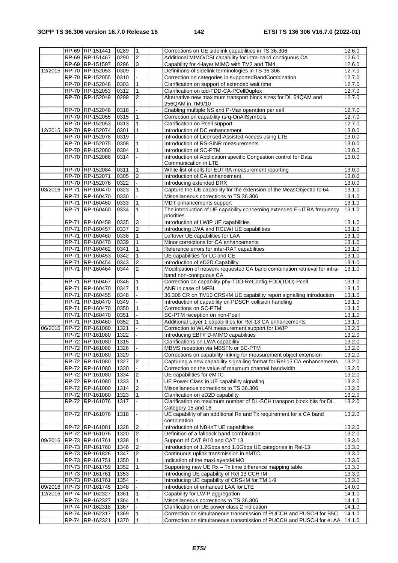|         |              | RP-69 RP-151441                    | 0289 | $\mathbf{1}$   | Corrections on UE sidelink capabilities in TS 36.306                       | 12.6.0              |
|---------|--------------|------------------------------------|------|----------------|----------------------------------------------------------------------------|---------------------|
|         |              | RP-69 RP-151467                    | 0290 | $\overline{2}$ | Additional MIMO/CSI capability for intra-band contiguous CA                | 12.6.0              |
|         |              |                                    |      |                |                                                                            |                     |
|         |              | RP-69 RP-151597                    | 0296 | 3              | Capability for 4-layer MIMO with TM3 and TM4                               | 12.6.0              |
| 12/2015 |              | RP-70 RP-152053                    | 0309 |                | Definitions of sidelink terminologies in TS 36.306                         | 12.7.0              |
|         |              | RP-70 RP-152055                    | 0310 |                | Correction on categories in supportedBandCombination                       | 12.7.0              |
|         |              | RP-70 RP-152048                    | 0303 | 1              | Clarification on support of extended wait time                             | 12.7.0              |
|         |              | RP-70 RP-152053                    | 0312 | $\mathbf{1}$   | Clarification on tdd-FDD-CA-PCellDuplex                                    | 12.7.0              |
|         |              | RP-70 RP-152049                    | 0299 | $\overline{2}$ | Alternative new maximum transport block sizes for DL 64QAM and             | 12.7.0              |
|         |              |                                    |      |                | 256QAM in TM9/10                                                           |                     |
|         |              |                                    |      |                |                                                                            |                     |
|         |              | RP-70 RP-152048                    | 0318 |                | Enabling multiple NS and P-Max operation per cell                          | $\overline{12.7.0}$ |
|         |              | RP-70 RP-152055                    | 0315 | $\mathbf{1}$   | Correction on capability rsrq-OnAllSymbols                                 | 12.7.0              |
|         |              | RP-70 RP-152053                    | 0313 | 1              | Clarification on Pcell support                                             | 12.7.0              |
| 12/2015 |              | RP-70 RP-152074                    | 0301 |                | Introduction of DC enhancement                                             | 13.0.0              |
|         |              | RP-70 RP-152078                    | 0319 |                | Introduction of Licensed-Assisted Access using LTE                         | 13.0.0              |
|         |              | RP-70 RP-152075                    | 0308 |                | Introduction of RS-SINR measurements                                       | 13.0.0              |
|         |              | RP-70 RP-152080                    | 0304 | 1              | Introduction of SC-PTM                                                     | 13.0.0              |
|         |              |                                    |      |                |                                                                            |                     |
|         |              | RP-70 RP-152066                    | 0314 |                | Introduction of Application specific Congestion control for Data           | 13.0.0              |
|         |              |                                    |      |                | Communication in LTE                                                       |                     |
|         |              | RP-70 RP-152084                    | 0311 | 1              | White-list of cells for EUTRA measurement reporting                        | 13.0.0              |
|         |              | RP-70 RP-152071                    | 0305 | 2              | Introduction of CA enhancement                                             | 13.0.0              |
|         |              | RP-70 RP-152076                    | 0322 |                | Introducing extended DRX                                                   | 13.0.0              |
| 03/2016 |              | RP-71 RP-160470                    | 0323 | $\mathbf{1}$   | Capture the UE capability for the extension of the MeasObjectId to 64      | 13.1.0              |
|         |              | RP-71 RP-160470                    | 0330 |                | Miscellaneous corrections to TS 36.306                                     | 13.1.0              |
|         | <b>RP-71</b> | RP-160460                          | 0333 | 1              | MDT enhancements support                                                   | 13.1.0              |
|         |              |                                    |      |                |                                                                            |                     |
|         |              | RP-71 RP-160460                    | 0334 | $\mathbf{1}$   | The introduction of UE capability concerning extended E-UTRA frequency     | 13.1.0              |
|         |              |                                    |      |                | priorities                                                                 |                     |
|         | <b>RP-71</b> | RP-160459                          | 0335 | $\mathsf 3$    | Introduction of LWIP UE capabilities                                       | 13.1.0              |
|         |              | RP-71 RP-160457                    | 0337 | $\overline{c}$ | Introducing LWA and RCLWI UE capabilities                                  | 13.1.0              |
|         | RP-71        | RP-160460                          | 0338 | 1              | Leftover UE capabilities for LAA                                           | 13.1.0              |
|         | <b>RP-71</b> | RP-160470                          | 0339 | 1              | Minor corrections for CA enhancements                                      | 13.1.0              |
|         |              | RP-71 RP-160462                    | 0341 | $\mathbf{1}$   | Reference errors for inter-RAT capabilities                                | 13.1.0              |
|         | RP-71        | RP-160453                          | 0342 | 1              | UE capabilities for LC and CE                                              | 13.1.0              |
|         |              |                                    |      |                |                                                                            |                     |
|         |              | RP-71 RP-160454                    | 0343 | $\overline{2}$ | Introduction of eD2D Capability                                            | 13.1.0              |
|         | <b>RP-71</b> | RP-160464                          | 0344 | $\overline{2}$ | Modification of network requested CA band combination retrieval for intra- | 13.1.0              |
|         |              |                                    |      |                | band non-contiguous CA                                                     |                     |
|         | RP-71        | RP-160467                          | 0346 | 1              | Correction on capability phy-TDD-ReConfig-FDD(TDD)-Pcell                   | 13.1.0              |
|         |              | RP-71 RP-160470                    | 0347 | 1              | ANR in case of MFBI                                                        | 13.1.0              |
|         |              | RP-71 RP-160455                    | 0348 |                | 36.306 CR on TM10 CRS-IM UE capability report signalling introduction      | 13.1.0              |
|         |              | RP-71 RP-160470                    | 0349 |                | Introduction of capability on PDSCH collision handling                     | 13.1.0              |
|         |              |                                    |      |                |                                                                            |                     |
|         | <b>RP-71</b> | RP-160470                          | 0350 | 1              | Corrections on SC-PTM                                                      | 13.1.0              |
|         | RP-71        | RP-160470                          | 0351 |                | SC-PTM reception on non-Pcell                                              | 13.1.0              |
|         |              | RP-71 RP-160460                    | 0352 | 1              | Additional Layer 1 capabilities for Rel-13 CA enhancements                 | 13.1.0              |
| 06/2016 |              | RP-72 RP-161080                    | 1321 |                | Correction to WLAN measurement support for LWIP                            | 13.2.0              |
|         |              | RP-72 RP-161080                    | 1322 |                | Introducing EBF/FD-MIMO capabilities                                       | 13.2.0              |
|         |              | RP-72 RP-161080                    | 1315 |                | Clarifications on LWA capability                                           | 13.2.0              |
|         |              | RP-72 RP-161080                    | 1326 |                | MBMS reception via MBSFN or SC-PTM                                         | 13.2.0              |
|         |              |                                    |      |                |                                                                            |                     |
|         |              | RP-72 RP-161080                    | 1329 |                | Corrections on capability linking for measurement object extension         | 13.2.0              |
|         |              | RP-72 RP-161080                    | 1327 | $\overline{2}$ | Capturing a new capability signalling format for Rel-13 CA enhancements    | 13.2.0              |
|         |              | RP-72 RP-161080                    | 1330 |                | Correction on the value of maxmum channel bandwidth                        | 13.2.0              |
|         |              | RP-72 RP-161080                    | 1334 | $\sqrt{2}$     | UE capabilities for eMTC                                                   | 13.2.0              |
|         |              | RP-72 RP-161080                    | 1333 | $\mathbf{1}$   | UE Power Class in UE capability signaling                                  | 13.2.0              |
|         |              | RP-72 RP-161080                    | 1314 | 2              | Miscellaneous corrections to TS 36.306                                     | 13.2.0              |
|         |              | RP-72 RP-161080                    | 1323 | 1              | Clarification on eD2D capability                                           | 13.2.0              |
|         |              | RP-72 RP-161076                    | 1317 |                | Clarification on maximum number of DL-SCH transport block bits for DL      | 13.2.0              |
|         |              |                                    |      |                | Category 15 and 16                                                         |                     |
|         |              | RP-72 RP-161076                    | 1318 |                | UE capability of an additional Rx and Tx requirement for a CA band         | 13.2.0              |
|         |              |                                    |      |                |                                                                            |                     |
|         |              |                                    |      |                | combination                                                                |                     |
|         |              | RP-72 RP-161081                    | 1328 | $\overline{2}$ | Introduction of NB-IoT UE capabilities                                     | 13.2.0              |
|         |              | RP-72 RP-161076                    | 1320 | $\overline{2}$ | Definition of a fallback band combination                                  | 13.2.0              |
| 09/2016 |              | RP-73 RP-161761                    | 1338 | 1              | Support of CAT 9/10 and CAT 13                                             | 13.3.0              |
|         |              | RP-73 RP-161760                    | 1346 | $\sqrt{2}$     | Introduction of 1.2Gbps and 1.6Gbps UE categories in Rel-13                | 13.3.0              |
|         |              | RP-73 RP-161826                    | 1347 | $\overline{2}$ | Continuous uplink transmission in eMTC                                     | 13.3.0              |
|         |              | RP-73 RP-161751                    | 1350 |                | Indication of the maxLayersMIMO                                            | 13.3.0              |
|         |              |                                    |      |                |                                                                            |                     |
|         |              | RP-73 RP-161759                    | 1352 | 1              | Supporting new UE Rx - Tx time difference mapping table                    | 13.3.0              |
|         |              | RP-73 RP-161761                    | 1353 |                | Introducing UE capability of Rel 13 CCH IM                                 | 13.3.0              |
|         |              | RP-73 RP-161761                    | 1354 |                | Introducing UE capability of CRS-IM for TM 1-9                             | 13.3.0              |
| 09/2016 |              | RP-73 RP-161745                    | 1348 |                | Introduction of enhanced LAA for LTE                                       | 14.0.0              |
|         |              | 12/2016 RP-74 RP-162327            | 1361 | $\mathbf{1}$   | Capability for LWIP aggregation                                            | 14.1.0              |
|         |              | RP-74 RP-162327                    | 1364 | 1              | Miscellaneous corrections to TS 36.306                                     | 14.1.0              |
|         |              | RP-74 RP-162318                    | 1367 |                | Clarification on UE power class 2 indication                               | 14.1.0              |
|         |              |                                    |      |                |                                                                            |                     |
|         |              | RP-74 RP-162317<br>RP-74 RP-162321 | 1369 | $\mathbf{1}$   | Correction on simultaneous transmission of PUCCH and PUSCH for B5C         | 14.1.0              |
|         |              |                                    | 1370 | $\mathbf{1}$   | Correction on simultaneous transmission of PUCCH and PUSCH for eLAA        | 14.1.0              |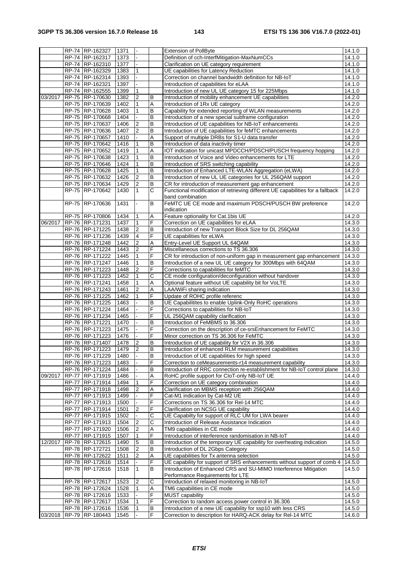|         |              | RP-74 RP-162327         | 1371 |                  |                       | <b>Extension of PollByte</b>                                                   | 14.1.0 |
|---------|--------------|-------------------------|------|------------------|-----------------------|--------------------------------------------------------------------------------|--------|
|         |              | RP-74 RP-162317         | 1373 | $\overline{a}$   |                       | Definition of cch-InterfMitigation-MaxNumCCs                                   | 14.1.0 |
|         |              | RP-74 RP-162310         | 1377 | $\Box$           |                       | Clarification on UE category requirement                                       | 14.1.0 |
|         |              | RP-74 RP-162329         | 1383 | $\mathbf{1}$     |                       | UE capabilities for Latency Reduction                                          | 14.1.0 |
|         |              | RP-74 RP-162314         | 1393 |                  |                       | Correction on channel bandwidth definition for NB-IoT                          | 14.1.0 |
|         |              | RP-74 RP-162321         | 1397 |                  |                       | Introduction of capabilities for eLAA                                          | 14.1.0 |
|         |              | RP-74 RP-162555         | 1399 | 1                |                       | Introduction of new UL UE category 15 for 225Mbps                              | 14.1.0 |
| 03/2017 |              | RP-75 RP-170630         | 1382 | $\boldsymbol{2}$ | B                     | Introduction of mobility enhancement UE capabilities                           | 14.2.0 |
|         |              | RP-75 RP-170639         | 1402 | $\mathbf{1}$     | $\overline{A}$        | Introduction of 1Rx UE category                                                | 14.2.0 |
|         |              | RP-75 RP-170628         | 1403 | $\mathbf{1}$     | $\,$ B                | Capability for extended reporting of WLAN measurements                         | 14.2.0 |
|         |              | RP-75 RP-170668         | 1404 |                  | $\overline{B}$        | Introduction of a new special subframe configuration                           | 14.2.0 |
|         |              | RP-75 RP-170637         | 1406 | $\overline{2}$   | $\sf B$               | Introduction of UE capabilities for NB-IoT enhancements                        | 14.2.0 |
|         |              | RP-75 RP-170636         | 1407 | $\overline{2}$   | B                     | Introduction of UE capabilities for feMTC enhancements                         | 14.2.0 |
|         |              | RP-75 RP-170657         | 1410 |                  | A                     | Support of multiple DRBs for S1-U data transfer                                | 14.2.0 |
|         |              | RP-75 RP-170642         | 1416 | 1                | $\overline{B}$        | Introduction of data inactivity timer                                          | 14.2.0 |
|         |              | RP-75 RP-170652         | 1419 | $\mathbf{1}$     | A                     | IOT indication for unicast MPDCCH/PDSCH/PUSCH frequency hopping                | 14.2.0 |
|         |              | RP-75 RP-170638         | 1423 | $\mathbf{1}$     | $\overline{B}$        | Introduction of Voice and Video enhancements for LTE                           | 14.2.0 |
|         |              | RP-75 RP-170646         | 1424 | $\mathbf{1}$     | $\overline{B}$        | Introduction of SRS switching capability                                       | 14.2.0 |
|         |              | RP-75 RP-170628         | 1425 | 1                | $\sf B$               | Introduction of Enhanced LTE-WLAN Aggregation (eLWA)                           | 14.2.0 |
|         |              | RP-75 RP-170632         | 1426 | $\overline{2}$   | $\,$ B                | Introduction of new UL UE categories for UL 256QAM support                     | 14.2.0 |
|         |              | RP-75 RP-170634         | 1429 | $\overline{2}$   | $\overline{B}$        | CR for introduction of measurement gap enhancement                             | 14.2.0 |
|         |              | RP-75 RP-170642         | 1430 | $\mathbf{1}$     | $\overline{\text{c}}$ | Functional modification of retrieving different UE capabilities for a fallback | 14.2.0 |
|         |              |                         |      |                  |                       | band combination                                                               |        |
|         |              | RP-75 RP-170636         | 1431 |                  | B                     | FeMTC UE CE mode and maximum PDSCH/PUSCH BW preference                         | 14.2.0 |
|         |              |                         |      |                  |                       | indication                                                                     |        |
|         |              | RP-75 RP-170806         | 1434 | 1                | Α                     | Feature optionality for Cat.1bis UE                                            | 14.2.0 |
| 06/2017 |              | RP-76 RP-171231         | 1437 | $\mathbf{1}$     | F                     | Correction on UE capabilities for eLAA                                         | 14.3.0 |
|         |              | RP-76 RP-171225         | 1438 | $\boldsymbol{2}$ | $\sf B$               | Introduction of new Transport Block Size for DL 256QAM                         | 14.3.0 |
|         |              | RP-76 RP-171236         | 1439 | 4                | F                     | UE capabilities for eLWA                                                       | 14.3.0 |
|         |              | RP-76 RP-171248         | 1442 | $\overline{2}$   | Α                     | Entry-Level UE Support UL 64QAM                                                | 14.3.0 |
|         |              | RP-76 RP-171224         | 1443 | $\overline{c}$   | F                     | Miscellaneous corrections to TS 36.306                                         | 14.3.0 |
|         |              | RP-76 RP-171222         | 1445 | 1                | F                     | CR for introduction of non-uniform gap in measurement gap enhancement          | 14.3.0 |
|         |              | RP-76 RP-171247         | 1446 | 1                | $\sf B$               | Introduction of a new UL UE category for 300Mbps with 64QAM                    | 14.3.0 |
|         |              | RP-76 RP-171223         | 1448 | $\overline{2}$   | F                     | Corrections to capabilities for feMTC                                          | 14.3.0 |
|         |              | RP-76 RP-171223         | 1452 | $\mathbf{1}$     | С                     | CE mode configuration/deconfiguration without handover                         | 14.3.0 |
|         |              | RP-76 RP-171241         | 1458 | $\mathbf{1}$     | Α                     | Optional feature without UE capability bit for VoLTE                           | 14.3.0 |
|         |              | RP-76 RP-171243         | 1461 | $\boldsymbol{2}$ | Α                     | LAA/WiFi sharing indication                                                    | 14.3.0 |
|         |              | RP-76 RP-171225         | 1462 | $\mathbf{1}$     | F                     | Update of ROHC profile referenc                                                | 14.3.0 |
|         |              | RP-76 RP-171225         | 1463 |                  | $\overline{B}$        | UE Capabilitites to enable Uplink-Only RoHC operations                         | 14.3.0 |
|         |              | RP-76 RP-171224         | 1464 |                  | F                     | Corrections to capabilities for NB-IoT                                         | 14.3.0 |
|         |              | RP-76 RP-171234         | 1465 |                  | F                     | UL 256QAM capability clarification                                             | 14.3.0 |
|         |              | RP-76 RP-171221         | 1470 |                  | $\sf B$               | Introduction of FeMBMS to 36.306                                               | 14.3.0 |
|         |              | RP-76 RP-171223         | 1475 |                  | F                     | Correction on the description of ce-srsEnhancement for FeMTC                   | 14.3.0 |
|         |              | RP-76 RP-171223         | 1476 |                  | $\overline{F}$        | Minor correction on TS 36.306 for FeMTC                                        | 14.3.0 |
|         |              | RP-76 RP-171407         | 1478 | $\overline{2}$   | $\overline{B}$        | Introduction of UE capability for V2X in 36.306                                | 14.3.0 |
|         |              | RP-76 RP-171223         | 1479 | $\overline{2}$   | B                     | Introduction of enhanced RLM measurement capabilities                          | 14.3.0 |
|         |              | RP-76 RP-171229         | 1480 |                  | $\overline{B}$        | Introduction of UE capabilities for high speed                                 | 14.3.0 |
|         |              | RP-76 RP-171223         | 1483 |                  | F                     | Correction to ceMeasurements-r14 measurement capability                        | 14.3.0 |
|         |              | RP-76 RP-171224         | 1484 |                  | B                     | Introduction of RRC connection re-establishment for NB-IoT control plane       | 14.3.0 |
| 09/2017 |              | RP-77 RP-171919         | 1486 |                  | Α                     | RoHC profile support for CloT-only NB-IoT UE                                   | 14.4.0 |
|         | <b>RP-77</b> | RP-171914               | 1494 | $\mathbf{1}$     | F                     | Correction on UE category combination                                          | 14.4.0 |
|         |              | RP-77 RP-171918         | 1498 | $\overline{2}$   | А                     | Clarification on MBMS reception with 256QAM                                    | 14.4.0 |
|         |              | RP-77 RP-171913         | 1499 |                  | F                     | Cat-M1 indication by Cat-M2 UE                                                 | 14.4.0 |
|         |              | RP-77 RP-171913         | 1500 |                  | F                     | Corrections on TS 36.306 for Rel-14 MTC                                        | 14.4.0 |
|         |              | RP-77 RP-171914         | 1501 | $\overline{2}$   | F                     | Clarification on NCSG UE capability                                            | 14.4.0 |
|         |              | RP-77 RP-171915         | 1502 |                  | C                     | UE Capabilty for support of RLC UM for LWA bearer                              | 14.4.0 |
|         | <b>RP-77</b> | RP-171913               | 1504 | $\overline{2}$   | $\overline{\text{c}}$ | Introduction of Release Assistance Indication                                  | 14.4.0 |
|         | RP-77        | RP-171920               | 1506 | $\boldsymbol{2}$ | Α                     | TM9 capabilities in CE mode                                                    | 14.4.0 |
|         |              | RP-77 RP-171915         | 1507 | $\mathbf{1}$     | $\overline{F}$        | Introduction of interference randomisation in NB-IoT                           | 14.4.0 |
| 12/2017 |              | RP-78 RP-172615         | 1490 | $\mathbf 5$      | B                     | Introduction of the temporary UE capability for overheating indication         | 14.5.0 |
|         |              | RP-78 RP-172721         | 1508 | $\boldsymbol{2}$ | B                     | Introduction of DL 2Gbps Category                                              | 14.5.0 |
|         |              | RP-78 RP-172622         | 1511 | $\boldsymbol{2}$ | Α                     | UE capabilities for Tx antenna selection                                       | 14.5.0 |
|         |              | RP-78 RP-172616         | 1514 |                  | F                     | UE capability for support of SRS enhancements without support of comb 4        | 14.5.0 |
|         |              | RP-78 RP-172616         | 1518 | $\mathbf{1}$     | B                     | Introduction of Enhanced CRS and SU-MIMO Interference Mitigation               | 14.5.0 |
|         |              |                         |      |                  |                       | Performance Requirements for LTE                                               |        |
|         |              | RP-78 RP-172617         | 1523 | $\overline{2}$   | $\overline{C}$        | Introduction of relaxed monitoring in NB-IoT                                   | 14.5.0 |
|         |              | RP-78 RP-172624         | 1528 | $\mathbf{1}$     | Α                     | TM6 capabilities in CE mode                                                    | 14.5.0 |
|         |              | RP-78 RP-172616         | 1533 |                  | F                     | MUST capability                                                                | 14.5.0 |
|         |              | RP-78 RP-172617         | 1534 | $\mathbf{1}$     | F                     | Correction to random access power control in 36.306                            | 14.5.0 |
|         |              | RP-78 RP-172616         | 1536 | $\mathbf{1}$     | $\, {\bf B}$          | Introduction of a new UE capability for ssp10 with less CRS                    | 14.5.0 |
|         |              | 03/2018 RP-79 RP-180443 | 1545 |                  | F                     | Correction to description for HARQ-ACK delay for Rel-14 MTC                    | 14.6.0 |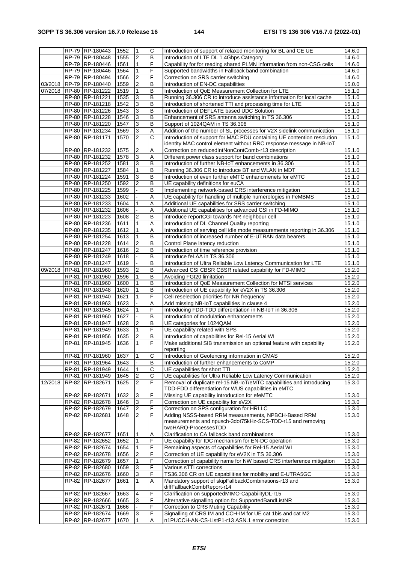|         |         | RP-79 RP-180443 | 1552 | 1                       | $\overline{\text{c}}$   | Introduction of support of relaxed monitoring for BL and CE UE          | 14.6.0 |
|---------|---------|-----------------|------|-------------------------|-------------------------|-------------------------------------------------------------------------|--------|
|         |         | RP-79 RP-180448 | 1555 | $\boldsymbol{2}$        | B                       | Introduction of LTE DL 1.4Gbps Category                                 | 14.6.0 |
|         |         | RP-79 RP-180446 | 1561 | 1                       | F                       | Capability for for reading shared PLMN information from non-CSG cells   | 14.6.0 |
|         |         | RP-79 RP-180446 | 1564 | 1                       | F                       | Supported bandwidths in Fallback band combination                       | 14.6.0 |
|         |         | RP-79 RP-180494 | 1566 | $\overline{c}$          | F                       | Correction on SRS carrier switching                                     | 14.6.0 |
| 03/2018 |         | RP-79 RP-180440 | 1559 | $\overline{\mathbf{c}}$ | B                       | Introduction of EN-DC capabilities                                      | 15.0.0 |
| 07/2018 |         | RP-80 RP-181222 | 1519 | 1                       | B                       | Introduction of QoE Measurement Collection for LTE                      | 15.1.0 |
|         |         | RP-80 RP-181221 |      |                         | B                       |                                                                         |        |
|         |         |                 | 1535 | 3                       |                         | Running 36.306 CR to introduce assistance information for local cache   | 15.1.0 |
|         |         | RP-80 RP-181218 | 1542 | 3                       | B                       | Introduction of shortened TTI and processing time for LTE               | 15.1.0 |
|         |         | RP-80 RP-181226 | 1543 | 3                       | B                       | Introduction of DEFLATE based UDC Solution                              | 15.1.0 |
|         |         | RP-80 RP-181228 | 1546 | 3                       | B                       | Enhancement of SRS antenna switching in TS 36.306                       | 15.1.0 |
|         |         | RP-80 RP-181220 | 1547 | 3                       | B                       | Support of 1024QAM in TS 36.306                                         | 15.1.0 |
|         |         | RP-80 RP-181234 | 1569 | $\overline{3}$          | Ā                       | Addition of the number of SL processes for V2X sidelink communication   | 15.1.0 |
|         |         | RP-80 RP-181171 | 1570 | $\overline{2}$          | C                       | Introduction of support for MAC PDU containing UE contention resolution | 15.1.0 |
|         |         |                 |      |                         |                         | identity MAC control element without RRC response message in NB-IoT     |        |
|         |         | RP-80 RP-181232 | 1575 | $\boldsymbol{2}$        | Α                       | Correction on reducedIntNonContComb-r13 description                     | 15.1.0 |
|         |         | RP-80 RP-181232 | 1578 | 3                       | Α                       | Different power class support for band combinations                     | 15.1.0 |
|         |         | RP-80 RP-181252 | 1581 | 3                       | B                       | Introduction of further NB-IoT enhancements in 36.306                   | 15.1.0 |
|         |         | RP-80 RP-181227 | 1584 | $\mathbf{1}$            | B                       | Running 36.306 CR to introduce BT and WLAN in MDT                       | 15.1.0 |
|         |         | RP-80 RP-181224 | 1591 | 3                       | В                       | Introduction of even further eMTC enhancmenets for eMTC                 | 15.1.0 |
|         |         | RP-80 RP-181250 | 1592 | $\overline{2}$          | B                       | UE capability definitions for euCA                                      | 15.1.0 |
|         |         | RP-80 RP-181225 | 1599 |                         | B                       | Implementing network-based CRS interference mitigation                  | 15.1.0 |
|         |         | RP-80 RP-181233 | 1602 |                         | Α                       | UE capability for handling of multiple numerologies in FeMBMS           | 15.1.0 |
|         |         |                 |      |                         |                         |                                                                         |        |
|         |         | RP-80 RP-181233 | 1604 |                         | Α                       | Additional UE capabilities for SRS carrier switching                    | 15.1.0 |
|         |         | RP-80 RP-181232 | 1606 |                         | Α                       | Additional UE capabilities for advanced CSI in FD-MIMO                  | 15.1.0 |
|         |         | RP-80 RP-181223 | 1608 | $\overline{2}$          | B                       | Introduce reportCGI towards NR neighbour cell                           | 15.1.0 |
|         |         | RP-80 RP-181236 | 1611 | 1                       | Α                       | Introduction of DL Channel Quality reporting                            | 15.1.0 |
|         |         | RP-80 RP-181235 | 1612 | 1                       | Α                       | Introduction of serving cell idle mode measurements reporting in 36.306 | 15.1.0 |
|         |         | RP-80 RP-181254 | 1613 | 1                       | B                       | Introduction of increased number of E-UTRAN data bearers                | 15.1.0 |
|         |         | RP-80 RP-181228 | 1614 | 2                       | B                       | Control Plane latency reduction                                         | 15.1.0 |
|         |         | RP-80 RP-181247 | 1616 | $\overline{2}$          | B                       | Introduction of time reference provision                                | 15.1.0 |
|         |         | RP-80 RP-181249 | 1618 |                         | B                       | Introduce feLAA in TS 36.306                                            | 15.1.0 |
|         |         | RP-80 RP-181247 | 1619 |                         | B                       | Introduction of Ultra Reliable Low Latency Communication for LTE        | 15.1.0 |
| 09/2018 |         | RP-81 RP-181960 | 1593 | $\overline{2}$          | B                       | Advanced CSI CBSR CBSR related capability for FD-MIMO                   | 15.2.0 |
|         |         | RP-81 RP-181960 | 1596 |                         | B                       | Avoiding FGI20 limitation                                               | 15.2.0 |
|         | RP-81   | RP-181960       | 1600 |                         | $\overline{B}$          | Introduction of QoE Measurement Collection for MTSI services            | 15.2.0 |
|         | RP-81   | RP-181948       | 1620 | 1                       | B                       | Introduction of UE capability for eV2X in TS 36.306                     | 15.2.0 |
|         | RP-81   | RP-181940       | 1621 | 1                       | F                       | Cell reselection priorities for NR frequency                            | 15.2.0 |
|         | RP-81   | RP-181963       | 1623 |                         | Α                       | Add missing NB-IoT capabilities in clause 4                             | 15.2.0 |
|         | RP-81   | RP-181945       | 1624 | $\mathbf{1}$            | F                       | Introducing FDD-TDD differentiation in NB-IoT in 36.306                 | 15.2.0 |
|         |         | RP-181960       |      |                         | B                       |                                                                         |        |
|         | RP-81   |                 | 1627 |                         |                         | Introduction of modulation enhancements                                 | 15.2.0 |
|         | $RP-81$ | RP-181947       | 1628 | $\overline{2}$          | B                       | UE categories for 1024QAM                                               | 15.2.0 |
|         | RP-81   | RP-181949       | 1633 | 1                       | F                       | UE capability related with SPS                                          | 15.2.0 |
|         |         | RP-81 RP-181956 | 1635 | $\overline{2}$          | B                       | Introduction of capabilities for Rel-15 Aerial WI                       | 15.2.0 |
|         |         | RP-81 RP-181945 | 1636 | $\mathbf{1}$            | F                       | Make additional SIB transmission an optional feature with capability    | 15.2.0 |
|         |         |                 |      |                         |                         | reporting                                                               |        |
|         |         | RP-81 RP-181960 | 1637 | 1                       | С                       | Introduction of Geofencing information in CMAS                          | 15.2.0 |
|         |         | RP-81 RP-181964 | 1643 |                         | B                       | Introduction of further enhancements to CoMP                            | 15.2.0 |
|         |         | RP-81 RP-181949 | 1644 | 1                       | С                       | UE capabilities for short TTI                                           | 15.2.0 |
|         | RP-81   | RP-181949       | 1645 | $\overline{2}$          | $\overline{\mathsf{C}}$ | UE capabilities for Ultra Reliable Low Latency Communication            | 15.2.0 |
| 12/2018 |         | RP-82 RP-182671 | 1625 | 2                       | F                       | Removal of duplicate rel-15 NB-IoT/eMTC capabilities and introducing    | 15.3.0 |
|         |         |                 |      |                         |                         | TDD-FDD differentiation for WUS capabilities in eMTC                    |        |
|         |         | RP-82 RP-182671 | 1632 | $\overline{3}$          | F                       | Missing UE capability introduction for efeMTC                           | 15.3.0 |
|         |         | RP-82 RP-182678 | 1646 | 3                       | F                       | Correction on UE capability for eV2X                                    | 15.3.0 |
|         |         | RP-82 RP-182679 | 1647 | $\overline{c}$          | F                       | Correction on SPS configuration for HRLLC                               | 15.3.0 |
|         |         | RP-82 RP-182681 | 1648 | $\overline{2}$          | F                       | Adding NSSS-based RRM measurements, NPBCH-Based RRM                     | 15.3.0 |
|         |         |                 |      |                         |                         | measurements and npusch-3dot75kHz-SCS-TDD-r15 and removing              |        |
|         |         |                 |      |                         |                         | twoHARQ-ProcessesTDD                                                    |        |
|         |         | RP-82 RP-182677 | 1651 | 1                       | Α                       | Clarification to CA fallback band combinations                          | 15.3.0 |
|         |         | RP-82 RP-182652 | 1652 | 1                       | F                       | UE capabilty for IDC mechanism for EN-DC operation                      | 15.3.0 |
|         |         | RP-82 RP-182674 | 1654 | $\mathbf{1}$            | F                       | Remaining aspects of capabilities for Rel-15 Aerial WI                  | 15.3.0 |
|         |         | RP-82 RP-182678 | 1656 | $\boldsymbol{2}$        | F                       | Correction of UE capability for eV2X in TS 36.306                       | 15.3.0 |
|         |         | RP-82 RP-182679 | 1657 | $\mathbf{1}$            | F                       | Correction of capability name for NW based CRS interference mitigation  | 15.3.0 |
|         |         |                 |      | 3                       | F                       |                                                                         | 15.3.0 |
|         |         | RP-82 RP-182680 | 1659 |                         |                         | Various sTTI corrections                                                |        |
|         |         | RP-82 RP-182676 | 1660 | 3                       | F                       | TS36.306 CR on UE capabilities for mobility and E-UTRA5GC               | 15.3.0 |
|         |         | RP-82 RP-182677 | 1661 | 1                       | A                       | Mandatory support of skipFallbackCombinations-r13 and                   | 15.3.0 |
|         |         |                 |      |                         |                         | diffFallbackCombReport-r14                                              |        |
|         |         | RP-82 RP-182667 | 1663 | 4                       | F                       | Clarification on supportedMIMO-CapabilityDL-r15                         | 15.3.0 |
|         |         | RP-82 RP-182666 | 1665 | 3                       | F                       | Alternative signalling option for SupportedBandListNR                   | 15.3.0 |
|         |         | RP-82 RP-182671 | 1666 |                         | F                       | Correction to CRS Muting Capability                                     | 15.3.0 |
|         |         | RP-82 RP-182674 | 1669 | 3                       | F                       | Signalling of CRS IM and CCH-IM for UE cat 1bis and cat M2              | 15.3.0 |
|         |         | RP-82 RP-182677 | 1670 |                         | А                       | n1PUCCH-AN-CS-ListP1-r13 ASN.1 error correction                         | 15.3.0 |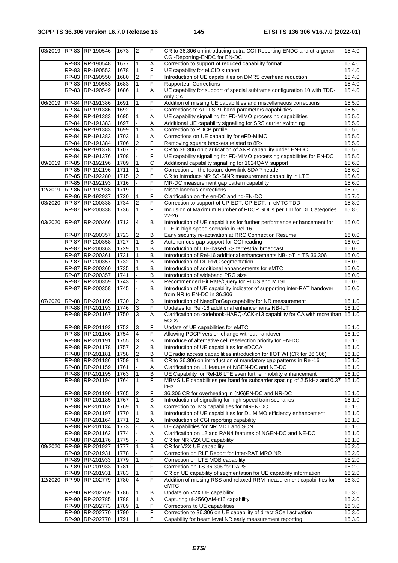|         | 03/2019 RP-83 RP-190546              | 1673           | $\overline{2}$           | $\overline{r}$ | CR to 36.306 on introducing eutra-CGI-Reporting-ENDC and utra-geran-<br>CGI-Reporting-ENDC for EN-DC                     | 15.4.0           |
|---------|--------------------------------------|----------------|--------------------------|----------------|--------------------------------------------------------------------------------------------------------------------------|------------------|
|         | RP-83 RP-190548                      | 1677           | 1                        | Α              | Correction to support of reduced capability format                                                                       | 15.4.0           |
|         | RP-83 RP-190553                      | 1678           | $\mathbf{1}$             | F              | UE capability for eLCID support                                                                                          | 15.4.0           |
|         | RP-83 RP-190550                      | 1680           | $\overline{2}$           | F              | Introduction of UE capabilities on DMRS overhead reduction                                                               | 15.4.0           |
|         | RP-83 RP-190553                      | 1683           | $\mathbf{1}$             | F              | <b>Rapporteur Corrections</b>                                                                                            | 15.4.0           |
|         | RP-83 RP-190549                      | 1686           | $\mathbf{1}$             | A              | UE capability for support of special subframe configuration 10 with TDD-<br>only CA                                      | 15.4.0           |
|         | 06/2019 RP-84 RP-191386              | 1691           | 1                        | F              | Addition of missing UE capabilities and miscellaneous corrections                                                        | 15.5.0           |
|         | RP-84 RP-191386                      | 1692           |                          | F              | Corrections to sTTI-SPT band parameters capabilities                                                                     | 15.5.0           |
|         |                                      |                |                          |                |                                                                                                                          |                  |
|         | RP-84 RP-191383                      | 1695           | 1                        | Α              | UE capability signalling for FD-MIMO processing capabilities                                                             | 15.5.0           |
|         | RP-84 RP-191383                      | 1697           |                          | Α              | Additional UE capability signalling for SRS carrier switching                                                            | 15.5.0           |
|         | RP-84 RP-191383                      | 1699           | 1                        | A              | Correction to PDCP profile                                                                                               | 15.5.0           |
|         | RP-84 RP-191383                      | 1703           | 1                        | Α              | Corrections on UE capability for eFD-MIMO                                                                                | 15.5.0           |
|         | RP-84 RP-191384                      | 1706           | $\overline{2}$           | F              | Removing square brackets related to 8Rx                                                                                  | 15.5.0           |
|         | RP-84 RP-191378                      | 1707           | $\overline{a}$           | $\overline{F}$ | CR to 36.306 on clarification of ANR capability under EN-DC                                                              | 15.5.0           |
|         | RP-84 RP-191376                      | 1708           |                          | F              | UE capability signalling for FD-MIMO processing capabilities for EN-DC                                                   | 15.5.0           |
| 09/2019 | RP-85 RP-192196                      | 1709           | $\mathbf{1}$             | $\overline{C}$ | Additional capability signalling for 1024QAM support                                                                     | 15.6.0           |
|         | RP-85 RP-192196                      | 1711           | $\mathbf{1}$             | F              | Correction on the feature downlink SDAP header                                                                           | 15.6.0           |
|         | RP-85 RP-192280                      | 1715           | $\overline{\mathbf{c}}$  | F              | CR to introduce NR SS-SINR measurement capability in LTE                                                                 | 15.6.0           |
|         | RP-85 RP-192193                      | 1716           |                          | F              | MR-DC measurement gap pattern capability                                                                                 | 15.6.0           |
|         | 12/2019 RP-86 RP-192938              | 1719           | $\overline{\phantom{a}}$ | F              | Miscellaneous corrections                                                                                                | 15.7.0           |
|         |                                      |                |                          |                |                                                                                                                          |                  |
|         | RP-86 RP-192937                      | 1720           | $\mathbf{1}$             | F              | Clarification on the en-DC and ng-EN-DC                                                                                  | 15.7.0           |
| 03/2020 | RP-87 RP-200338                      | 1734           | $\overline{2}$           | F              | Correction to support of UP-EDT, CP-EDT, in eMTC TDD                                                                     | 15.8.0           |
|         | RP-87 RP-200338                      | 1736           | $\mathbf{1}$             | F              | Inclusion of Maximum Number of PDCP SDUs per TTI for DL Categories<br>22-26                                              | 15.8.0           |
| 03/2020 | RP-87 RP-200366                      | 1712           | $\overline{4}$           | B              | Introduction of UE capabilities for further performance enhancement for<br>LTE in high speed scenario in Rel-16          | 16.0.0           |
|         | RP-87 RP-200357                      | 1723           | $\overline{c}$           | B              | Early security re-activation at RRC Connection Resume                                                                    | 16.0.0           |
|         | RP-87 RP-200358                      | 1727           | $\mathbf{1}$             | $\mathsf B$    | Autonomous gap support for CGI reading                                                                                   | 16.0.0           |
|         | RP-87   RP-200363                    | 1729           | $\mathbf{1}$             | B              | Introduction of LTE-based 5G terrestrial broadcast                                                                       | 16.0.0           |
|         | RP-87 RP-200361                      | 1731           | $\mathbf{1}$             | $\mathsf B$    | Introduction of Rel-16 additional enhancements NB-IoT in TS 36.306                                                       | 16.0.0           |
|         | RP-87 RP-200357                      | 1732           | $\mathbf{1}$             | B              | Introduction of DL RRC segmentation                                                                                      | 16.0.0           |
|         |                                      |                | $\mathbf{1}$             | B              |                                                                                                                          |                  |
|         | RP-87   RP-200360                    | 1735           |                          |                | Introduction of additional enhancements for eMTC                                                                         | 16.0.0           |
|         | RP-87 RP-200357                      | 1741           |                          | $\mathsf B$    | Introduction of wideband PRG size                                                                                        | 16.0.0           |
|         | RP-87 RP-200359<br>RP-87   RP-200358 | 1743<br>1745   |                          | B<br>B         | Recommended Bit Rate/Query for FLUS and MTSI<br>Introduction of UE capability indicator of supporting inter-RAT handover | 16.0.0<br>16.0.0 |
|         | 07/2020 RP-88 RP-201165              | 1730           | $\overline{2}$           | B              | from NR to EN-DC in 36.306<br>Introduction of NeedForGap capability for NR measurement                                   | 16.1.0           |
|         | RP-88 RP-201193                      | 1746           | 3                        | $\overline{F}$ | Updates for Rel-16 additional enhancements NB-IoT                                                                        | 16.1.0           |
|         | RP-88 RP-201167                      | 1750           | $\overline{3}$           | A              | Clarification on codebook-HARQ-ACK-r13 capability for CA with more than                                                  | 16.1.0           |
|         | RP-88 RP-201192                      | 1752           | 3                        | F              | 5CCs<br>Update of UE capabilities for eMTC                                                                               |                  |
|         |                                      |                |                          | F              |                                                                                                                          | 16.1.0           |
|         | RP-88 RP-201166                      | 1754           | $\overline{4}$           |                | Allowing PDCP version change without handover                                                                            | 16.1.0           |
|         | RP-88 RP-201191                      | 1755           | 3                        | $\sf B$        | Introduce of alternative cell reselection priority for EN-DC                                                             | 16.1.0           |
|         | RP-88 RP-201178                      | $\boxed{1757}$ | $\overline{2}$           | $\overline{B}$ | Introduction of UE capabilities for eDCCA                                                                                | 16.1.0           |
|         | RP-88 RP-201181                      | 1758           | $\overline{2}$           | B              | UE radio access capabilities introduction for IIOT WI (CR for 36.306)                                                    | 16.1.0           |
|         | RP-88 RP-201186                      | 1759           | 1                        | B              | CR to 36.306 on introduction of mandatory gap patterns in Rel-16                                                         | 16.1.0           |
|         | RP-88 RP-201159                      | 1761           |                          | A              | Clarification on L1 feature of NGEN-DC and NE-DC                                                                         | 16.1.0           |
|         | RP-88 RP-201195                      | 1763           | $\mathbf{1}$             | B              | UE Capability for Rel-16 LTE even further mobility enhancement                                                           | 16.1.0           |
|         | RP-88 RP-201194                      | 1764           | $\mathbf{1}$             | $\overline{F}$ | MBMS UE capabilities per band for subcarrier spacing of 2.5 kHz and 0.37<br>kHz                                          | 16.1.0           |
|         | RP-88 RP-201190                      | 1765           | 2                        | F              | 36.306 CR for overheating in (NG)EN-DC and NR-DC                                                                         | 16.1.0           |
|         | RP-88 RP-201185                      | 1767           | $\mathbf{1}$             | B              | Introduction of signalling for high-speed train scenarios                                                                | 16.1.0           |
|         | RP-88 RP-201162                      | 1769           | $\mathbf{1}$             | $\overline{A}$ | Correction to IMS capabilities for NGEN-DC                                                                               | 16.1.0           |
|         | RP-88 RP-201197                      | 1770           | $\mathbf{1}$             | B              | Introduction of UE capabilities for DL MIMO efficiency enhancement                                                       | 16.1.0           |
|         | RP-80 RP-201164                      | 1771           | 2                        | A              | Introduction of CGI reporting capability                                                                                 |                  |
|         | RP-88 RP-201184                      |                |                          |                |                                                                                                                          | 16.1.0<br>16.1.0 |
|         |                                      | 1773           |                          | B              | UE capabilities for NR MDT and SON                                                                                       |                  |
|         | RP-88 RP-201162                      | 1774           |                          | Α              | Clarification on L2 and RAN4 features of NGEN-DC and NE-DC                                                               | 16.1.0           |
|         | RP-88 RP-201176                      | 1775           |                          | $\mathsf B$    | CR for NR V2X UE capability                                                                                              | 16.1.0           |
| 09/2020 | RP-89 RP-201927                      | 1777           | $\mathbf{1}$             | $\mathsf B$    | CR for V2X UE capability                                                                                                 | 16.2.0           |
|         | RP-89 RP-201931                      | 1778           |                          | F              | Correction on RLF Report for Inter-RAT MRO NR                                                                            | 16.2.0           |
|         | RP-89 RP-201933                      | 1779           | 1                        | F              | Correction on LTE MOB capability                                                                                         | 16.2.0           |
|         | RP-89 RP-201933                      | 1781           |                          | F              | Correction on TS 36.306 for DAPS                                                                                         | 16.2.0           |
|         | RP-89 RP-201931                      | 1783           | 1                        | F              | CR on UE capability of segmentation for UE capability information                                                        | 16.2.0           |
| 12/2020 | RP-90 RP-202779                      | 1780           | 4                        | F              | Addition of missing RSS and relaxed RRM measurement capabilities for<br>eMTC                                             | 16.3.0           |
|         |                                      |                |                          |                |                                                                                                                          |                  |
|         | RP-90 RP-202769                      | 1786           | 1                        | B              | Update on V2X UE capability                                                                                              | 16.3.0           |
|         | RP-90 RP-202785                      | 1788           | $\mathbf{1}$             | A              | Capturing ul-256QAM-r15 capability                                                                                       | 16.3.0           |
|         | RP-90 RP-202773                      | 1789           |                          | F              | Corrections to UE capabilities                                                                                           | 16.3.0           |
|         | RP-90 RP-202770                      | 1790           |                          | $\overline{F}$ | Correction to 36.306 on UE capability of direct SCell activation                                                         | 16.3.0           |
|         | RP-90 RP-202770                      | 1791           | $\mathbf{1}$             | $\overline{F}$ | Capability for beam level NR early measurement reporting                                                                 | 16.3.0           |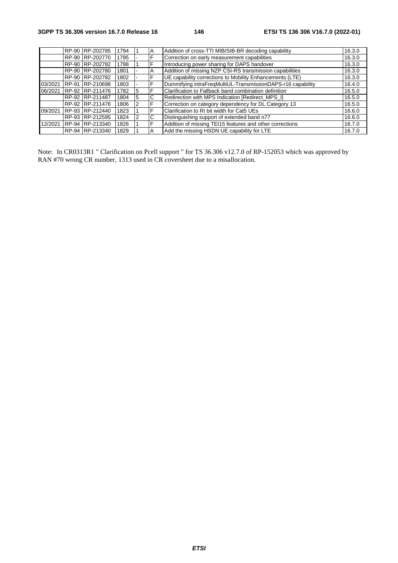|         | RP-90 RP-202785 | 1794 |   | A | Addition of cross-TTI MIB/SIB-BR decoding capability        | 16.3.0 |
|---------|-----------------|------|---|---|-------------------------------------------------------------|--------|
|         | RP-90 RP-202770 | 1795 |   | F | Correction on early measurement capabilities                | 16.3.0 |
|         | RP-90 RP-202782 | 1798 |   | F | Introducing power sharing for DAPS handover                 | 16.3.0 |
|         | RP-90 RP-202780 | 1801 |   | A | Addition of missing NZP CSI-RS transmission capabilities    | 16.3.0 |
|         | RP-90 RP-202782 | 1802 |   | F | UE capability corrections to Mobility Enhancements (LTE)    | 16.3.0 |
| 03/2021 | RP-91 RP-210698 | 1803 |   | F | Dummifying intraFreqMultiUL-TransmissionDAPS-r16 capability | 16.4.0 |
| 06/2021 | RP-92 RP-211476 | 1782 |   | F | Clarification to Fallback band combination definition       | 16.5.0 |
|         | RP-92 RP-211487 | 1804 | 5 | C | Redirection with MPS Indication [Redirect MPS I]            | 16.5.0 |
|         | RP-92 RP-211476 | 1806 |   | F | Correction on category dependency for DL Category 13        | 16.5.0 |
| 09/2021 | RP-93 RP-212440 | 1823 |   | F | Clarification to RI bit width for Cat5 UEs                  | 16.6.0 |
|         | RP-93 RP-212595 | 1824 |   | C | Distinguishing support of extended band n77                 | 16.6.0 |
| 12/2021 | RP-94 RP-213340 | 1826 |   | F | Addition of missing TE115 features and other corrections    | 16.7.0 |
|         | RP-94 RP-213340 | 1829 |   | A | Add the missing HSDN UE capability for LTE                  | 16.7.0 |

Note: In CR0313R1 " Clarification on Pcell support " for TS 36.306 v12.7.0 of RP-152053 which was approved by RAN #70 wrong CR number, 1313 used in CR coversheet due to a misallocation.